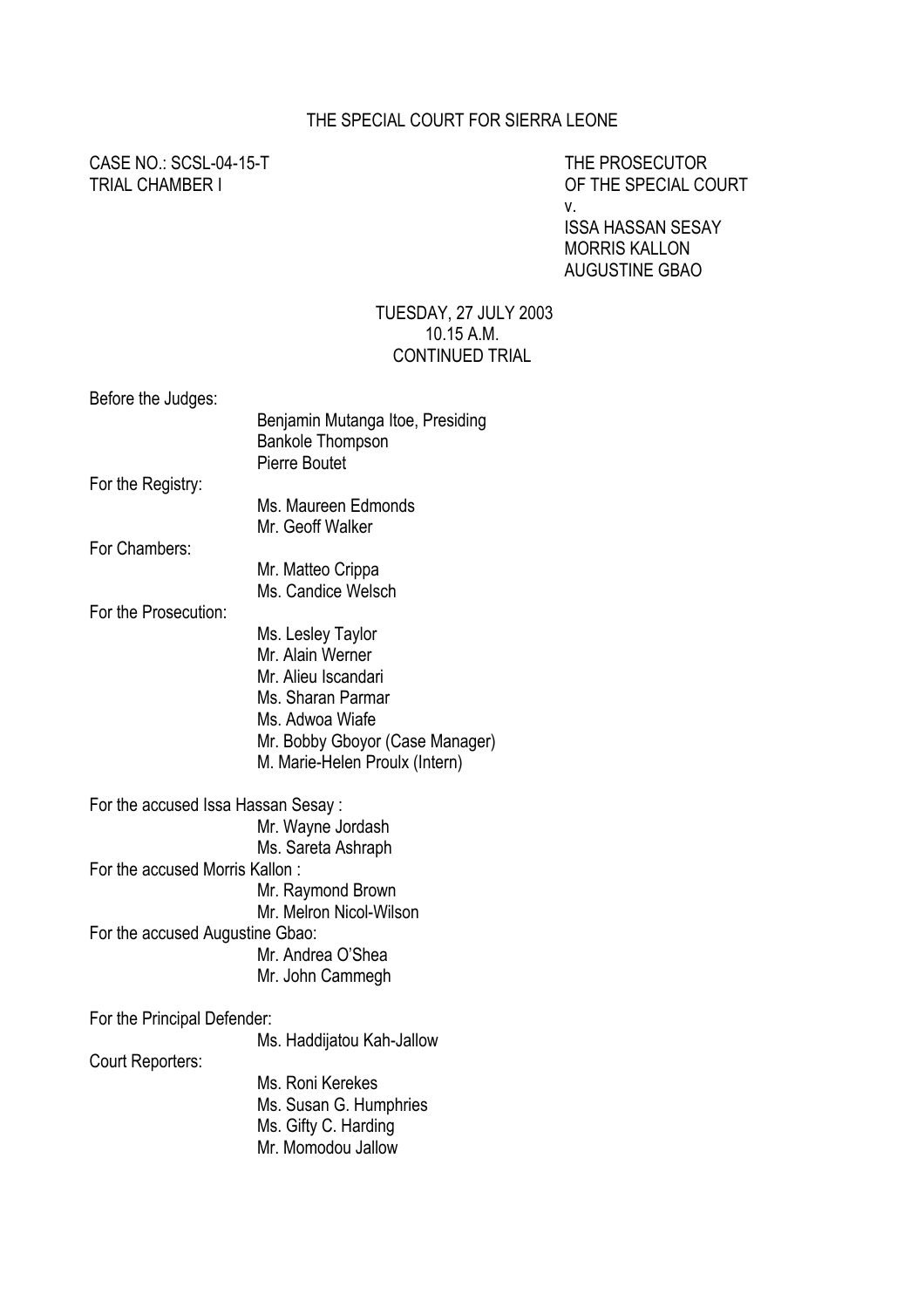## THE SPECIAL COURT FOR SIERRA LEONE

CASE NO.: SCSL-04-15-T THE PROSECUTOR

TRIAL CHAMBER I OF THE SPECIAL COURT v.

> ISSA HASSAN SESAY MORRIS KALLON AUGUSTINE GBAO

### TUESDAY, 27 JULY 2003 10.15 A.M. CONTINUED TRIAL

Before the Judges:

|                                    | Benjamin Mutanga Itoe, Presiding<br><b>Bankole Thompson</b><br><b>Pierre Boutet</b> |
|------------------------------------|-------------------------------------------------------------------------------------|
| For the Registry:                  |                                                                                     |
|                                    | Ms. Maureen Edmonds<br>Mr. Geoff Walker                                             |
| For Chambers:                      |                                                                                     |
|                                    | Mr. Matteo Crippa<br>Ms. Candice Welsch                                             |
| For the Prosecution:               |                                                                                     |
|                                    | Ms. Lesley Taylor                                                                   |
|                                    | Mr. Alain Werner                                                                    |
|                                    | Mr. Alieu Iscandari                                                                 |
|                                    | Ms. Sharan Parmar                                                                   |
|                                    | Ms. Adwoa Wiafe                                                                     |
|                                    | Mr. Bobby Gboyor (Case Manager)<br>M. Marie-Helen Proulx (Intern)                   |
| For the accused Issa Hassan Sesay: |                                                                                     |
|                                    | Mr. Wayne Jordash                                                                   |
|                                    | Ms. Sareta Ashraph                                                                  |
| For the accused Morris Kallon:     |                                                                                     |
|                                    | Mr. Raymond Brown                                                                   |
|                                    | Mr. Melron Nicol-Wilson                                                             |
| For the accused Augustine Gbao:    |                                                                                     |
|                                    | Mr. Andrea O'Shea                                                                   |
|                                    | Mr. John Cammegh                                                                    |
| For the Principal Defender:        |                                                                                     |
|                                    | Ms. Haddijatou Kah-Jallow                                                           |
| Court Reporters:                   |                                                                                     |
|                                    | Ms. Roni Kerekes                                                                    |
|                                    | Ms. Susan G. Humphries                                                              |
|                                    | Ms. Gifty C. Harding                                                                |
|                                    | Mr. Momodou Jallow                                                                  |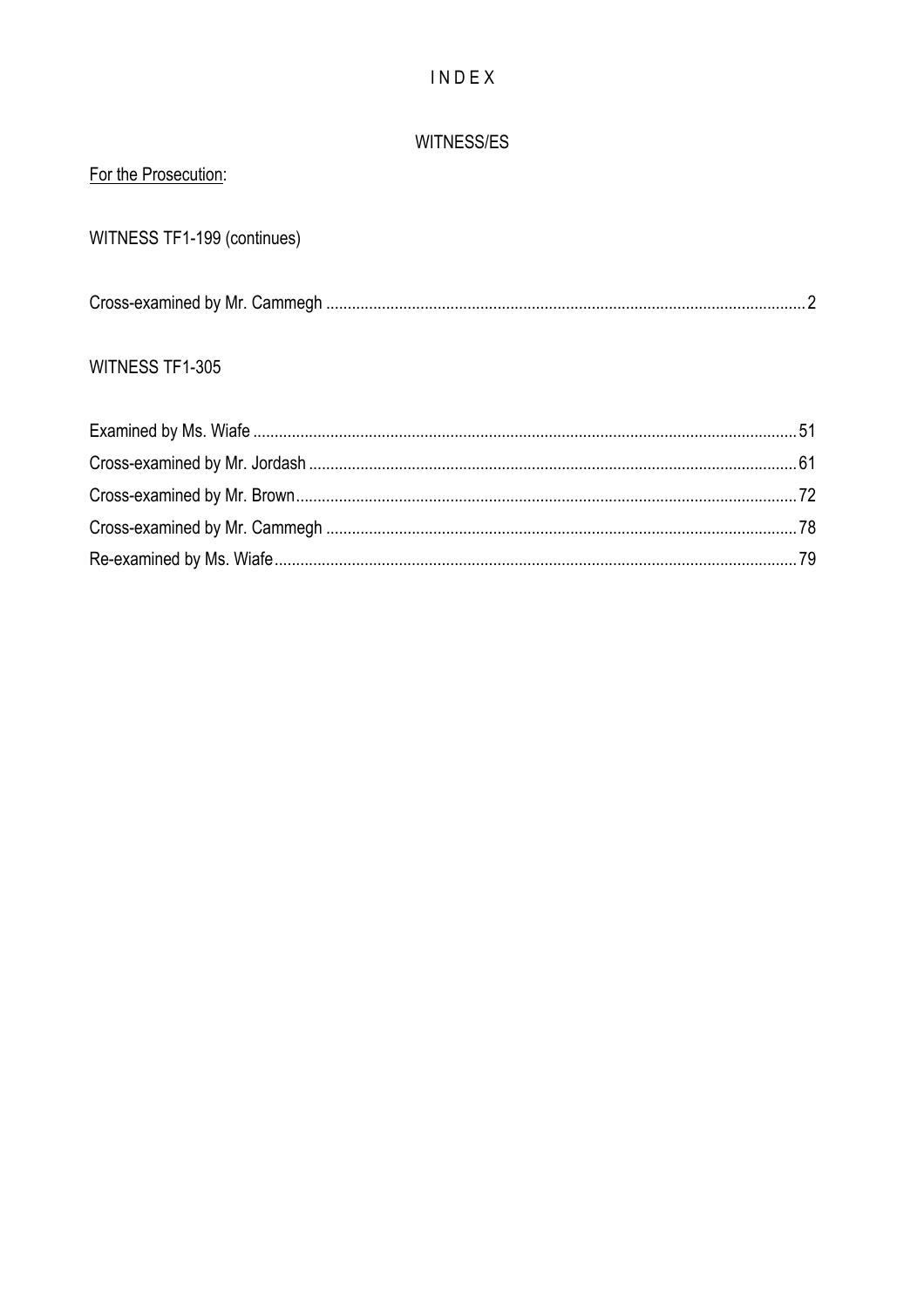# $IN$   $D$   $E$   $X$

## WITNESS/ES

| For the Prosecution:        |  |
|-----------------------------|--|
| WITNESS TF1-199 (continues) |  |
|                             |  |
| WITNESS TF1-305             |  |
|                             |  |
|                             |  |
|                             |  |
|                             |  |
|                             |  |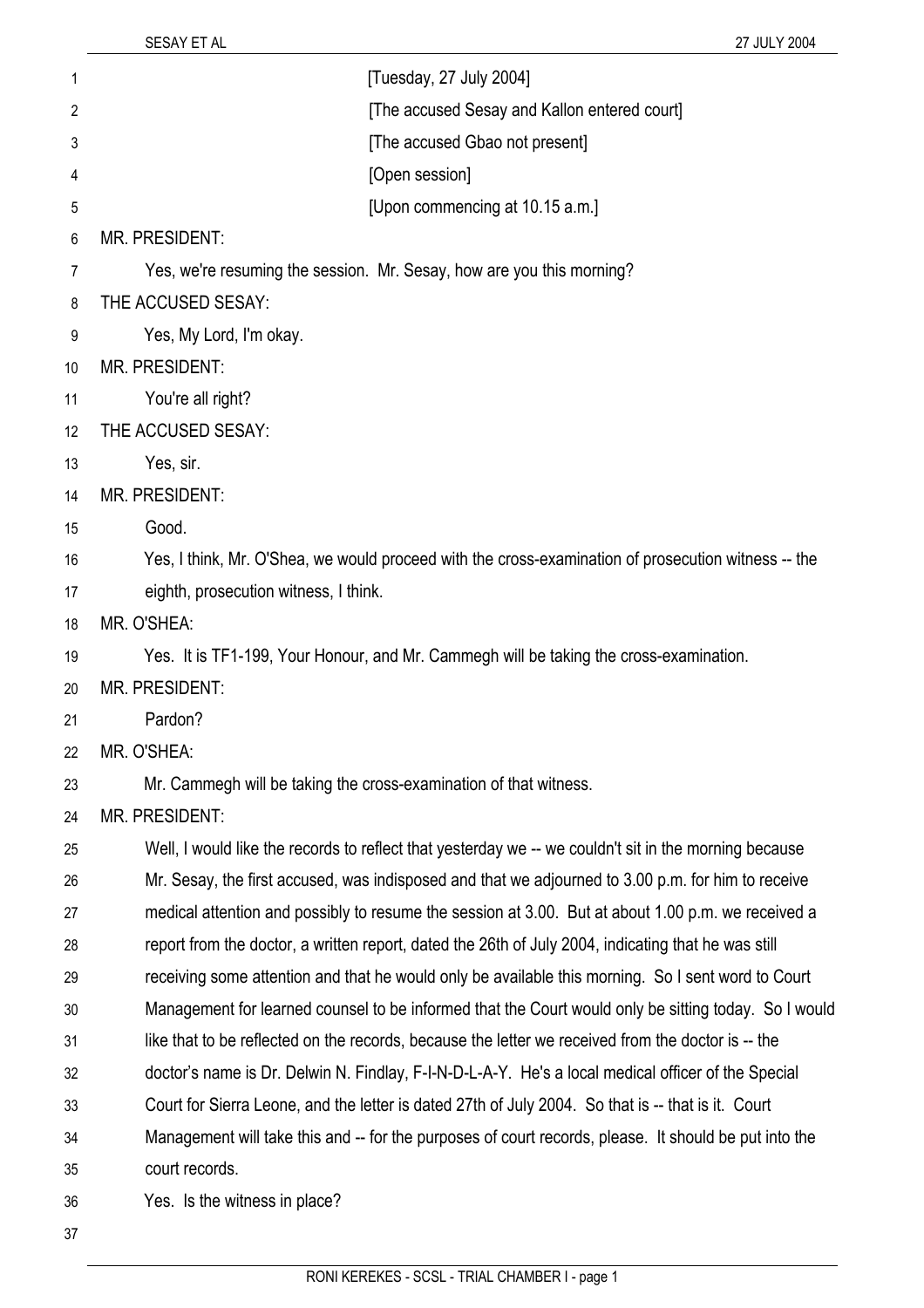| 1              | [Tuesday, 27 July 2004]                                                                               |
|----------------|-------------------------------------------------------------------------------------------------------|
| $\overline{2}$ | [The accused Sesay and Kallon entered court]                                                          |
| 3              | [The accused Gbao not present]                                                                        |
| 4              | [Open session]                                                                                        |
| 5              | [Upon commencing at 10.15 a.m.]                                                                       |
| 6              | <b>MR. PRESIDENT:</b>                                                                                 |
| 7              | Yes, we're resuming the session. Mr. Sesay, how are you this morning?                                 |
| 8              | THE ACCUSED SESAY:                                                                                    |
| 9              | Yes, My Lord, I'm okay.                                                                               |
| 10             | <b>MR. PRESIDENT:</b>                                                                                 |
| 11             | You're all right?                                                                                     |
| 12             | THE ACCUSED SESAY:                                                                                    |
| 13             | Yes, sir.                                                                                             |
| 14             | MR. PRESIDENT:                                                                                        |
| 15             | Good.                                                                                                 |
| 16             | Yes, I think, Mr. O'Shea, we would proceed with the cross-examination of prosecution witness -- the   |
| 17             | eighth, prosecution witness, I think.                                                                 |
| 18             | MR. O'SHEA:                                                                                           |
| 19             | Yes. It is TF1-199, Your Honour, and Mr. Cammegh will be taking the cross-examination.                |
| 20             | <b>MR. PRESIDENT:</b>                                                                                 |
| 21             | Pardon?                                                                                               |
| 22             | MR. O'SHEA:                                                                                           |
| 23             | Mr. Cammegh will be taking the cross-examination of that witness.                                     |
| 24             | MR. PRESIDENT:                                                                                        |
| 25             | Well, I would like the records to reflect that yesterday we -- we couldn't sit in the morning because |
| 26             | Mr. Sesay, the first accused, was indisposed and that we adjourned to 3.00 p.m. for him to receive    |
| 27             | medical attention and possibly to resume the session at 3.00. But at about 1.00 p.m. we received a    |
| 28             | report from the doctor, a written report, dated the 26th of July 2004, indicating that he was still   |
| 29             | receiving some attention and that he would only be available this morning. So I sent word to Court    |
| 30             | Management for learned counsel to be informed that the Court would only be sitting today. So I would  |
| 31             | like that to be reflected on the records, because the letter we received from the doctor is -- the    |
| 32             | doctor's name is Dr. Delwin N. Findlay, F-I-N-D-L-A-Y. He's a local medical officer of the Special    |
| 33             | Court for Sierra Leone, and the letter is dated 27th of July 2004. So that is -- that is it. Court    |
| 34             | Management will take this and -- for the purposes of court records, please. It should be put into the |
| 35             | court records.                                                                                        |
| 36             | Yes. Is the witness in place?                                                                         |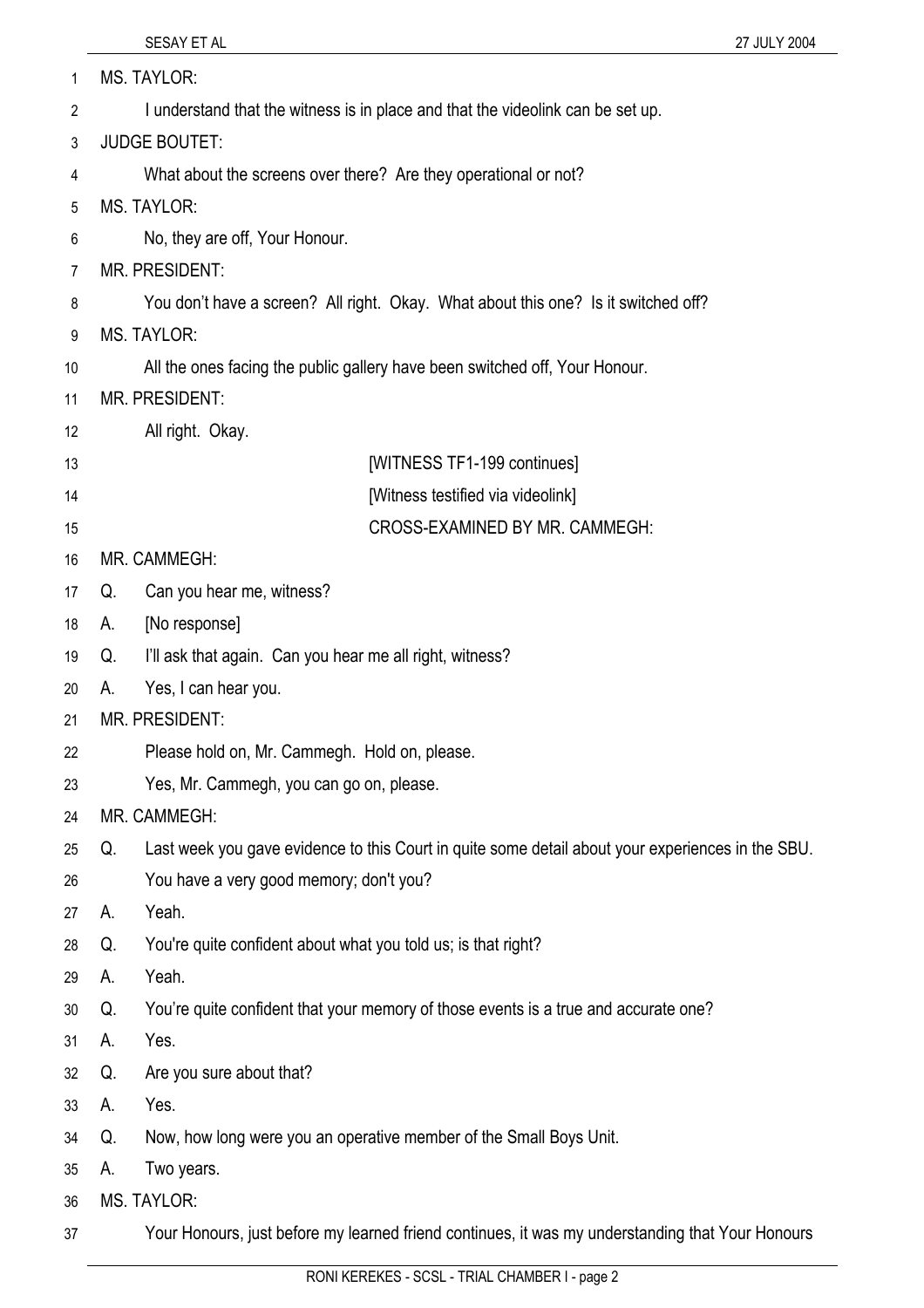| 1  | MS. TAYLOR:                                                                                             |
|----|---------------------------------------------------------------------------------------------------------|
| 2  | I understand that the witness is in place and that the videolink can be set up.                         |
| 3  | <b>JUDGE BOUTET:</b>                                                                                    |
| 4  | What about the screens over there? Are they operational or not?                                         |
| 5  | <b>MS. TAYLOR:</b>                                                                                      |
| 6  | No, they are off, Your Honour.                                                                          |
| 7  | <b>MR. PRESIDENT:</b>                                                                                   |
| 8  | You don't have a screen? All right. Okay. What about this one? Is it switched off?                      |
| 9  | <b>MS. TAYLOR:</b>                                                                                      |
| 10 | All the ones facing the public gallery have been switched off, Your Honour.                             |
| 11 | <b>MR. PRESIDENT:</b>                                                                                   |
| 12 | All right. Okay.                                                                                        |
| 13 | [WITNESS TF1-199 continues]                                                                             |
| 14 | [Witness testified via videolink]                                                                       |
| 15 | CROSS-EXAMINED BY MR. CAMMEGH:                                                                          |
| 16 | MR. CAMMEGH:                                                                                            |
| 17 | Can you hear me, witness?<br>Q.                                                                         |
| 18 | [No response]<br>А.                                                                                     |
| 19 | I'll ask that again. Can you hear me all right, witness?<br>Q.                                          |
| 20 | Yes, I can hear you.<br>А.                                                                              |
| 21 | MR. PRESIDENT:                                                                                          |
| 22 | Please hold on, Mr. Cammegh. Hold on, please.                                                           |
| 23 | Yes, Mr. Cammegh, you can go on, please.                                                                |
| 24 | MR. CAMMEGH:                                                                                            |
| 25 | Last week you gave evidence to this Court in quite some detail about your experiences in the SBU.<br>Q. |
| 26 | You have a very good memory; don't you?                                                                 |
| 27 | Yeah.<br>А.                                                                                             |
| 28 | You're quite confident about what you told us; is that right?<br>Q.                                     |
| 29 | Yeah.<br>А.                                                                                             |
| 30 | You're quite confident that your memory of those events is a true and accurate one?<br>Q.               |
| 31 | Yes.<br>А.                                                                                              |
| 32 | Are you sure about that?<br>Q.                                                                          |
| 33 | Yes.<br>А.                                                                                              |
| 34 | Now, how long were you an operative member of the Small Boys Unit.<br>Q.                                |
| 35 | Two years.<br>А.                                                                                        |
| 36 | MS. TAYLOR:                                                                                             |
| 37 | Your Honours, just before my learned friend continues, it was my understanding that Your Honours        |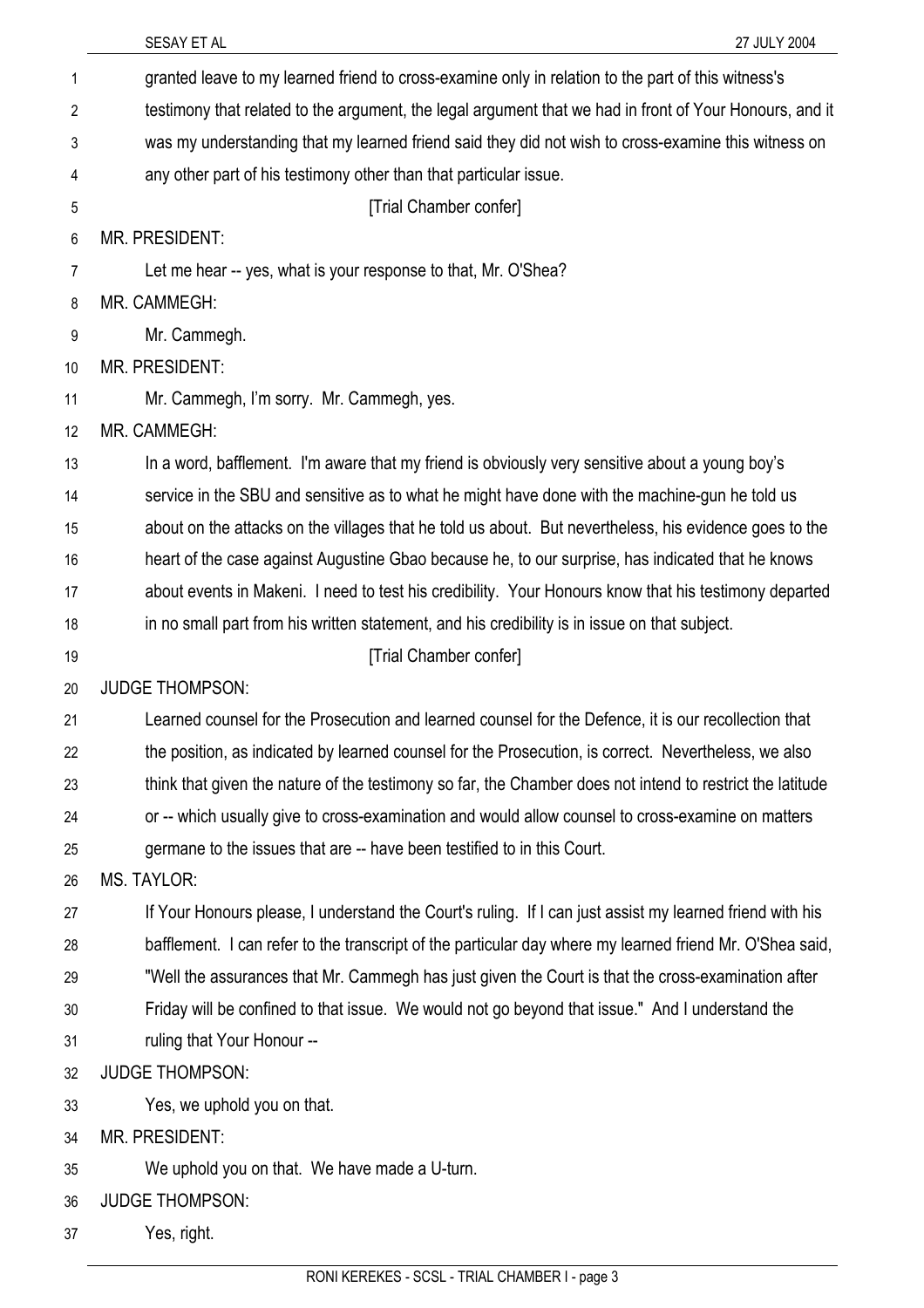|                | SESAY ET AL<br>27 JULY 2004                                                                               |
|----------------|-----------------------------------------------------------------------------------------------------------|
| 1              | granted leave to my learned friend to cross-examine only in relation to the part of this witness's        |
| $\overline{2}$ | testimony that related to the argument, the legal argument that we had in front of Your Honours, and it   |
| 3              | was my understanding that my learned friend said they did not wish to cross-examine this witness on       |
| 4              | any other part of his testimony other than that particular issue.                                         |
| 5              | [Trial Chamber confer]                                                                                    |
| 6              | <b>MR. PRESIDENT:</b>                                                                                     |
| 7              | Let me hear -- yes, what is your response to that, Mr. O'Shea?                                            |
| 8              | MR. CAMMEGH:                                                                                              |
| 9              | Mr. Cammegh.                                                                                              |
| 10             | <b>MR. PRESIDENT:</b>                                                                                     |
| 11             | Mr. Cammegh, I'm sorry. Mr. Cammegh, yes.                                                                 |
| 12             | MR. CAMMEGH:                                                                                              |
| 13             | In a word, bafflement. I'm aware that my friend is obviously very sensitive about a young boy's           |
| 14             | service in the SBU and sensitive as to what he might have done with the machine-gun he told us            |
| 15             | about on the attacks on the villages that he told us about. But nevertheless, his evidence goes to the    |
| 16             | heart of the case against Augustine Gbao because he, to our surprise, has indicated that he knows         |
| 17             | about events in Makeni. I need to test his credibility. Your Honours know that his testimony departed     |
| 18             | in no small part from his written statement, and his credibility is in issue on that subject.             |
| 19             | [Trial Chamber confer]                                                                                    |
| 20             | <b>JUDGE THOMPSON:</b>                                                                                    |
| 21             | Learned counsel for the Prosecution and learned counsel for the Defence, it is our recollection that      |
| 22             | the position, as indicated by learned counsel for the Prosecution, is correct. Nevertheless, we also      |
| 23             | think that given the nature of the testimony so far, the Chamber does not intend to restrict the latitude |
| 24             | or -- which usually give to cross-examination and would allow counsel to cross-examine on matters         |
| 25             | germane to the issues that are -- have been testified to in this Court.                                   |
| 26             | <b>MS. TAYLOR:</b>                                                                                        |
| 27             | If Your Honours please, I understand the Court's ruling. If I can just assist my learned friend with his  |
| 28             | bafflement. I can refer to the transcript of the particular day where my learned friend Mr. O'Shea said,  |
| 29             | "Well the assurances that Mr. Cammegh has just given the Court is that the cross-examination after        |
| 30             | Friday will be confined to that issue. We would not go beyond that issue." And I understand the           |
| 31             | ruling that Your Honour --                                                                                |
| 32             | <b>JUDGE THOMPSON:</b>                                                                                    |
| 33             | Yes, we uphold you on that.                                                                               |
| 34             | MR. PRESIDENT:                                                                                            |
| 35             | We uphold you on that. We have made a U-turn.                                                             |
| 36             | <b>JUDGE THOMPSON:</b>                                                                                    |
| 37             | Yes, right.                                                                                               |
|                |                                                                                                           |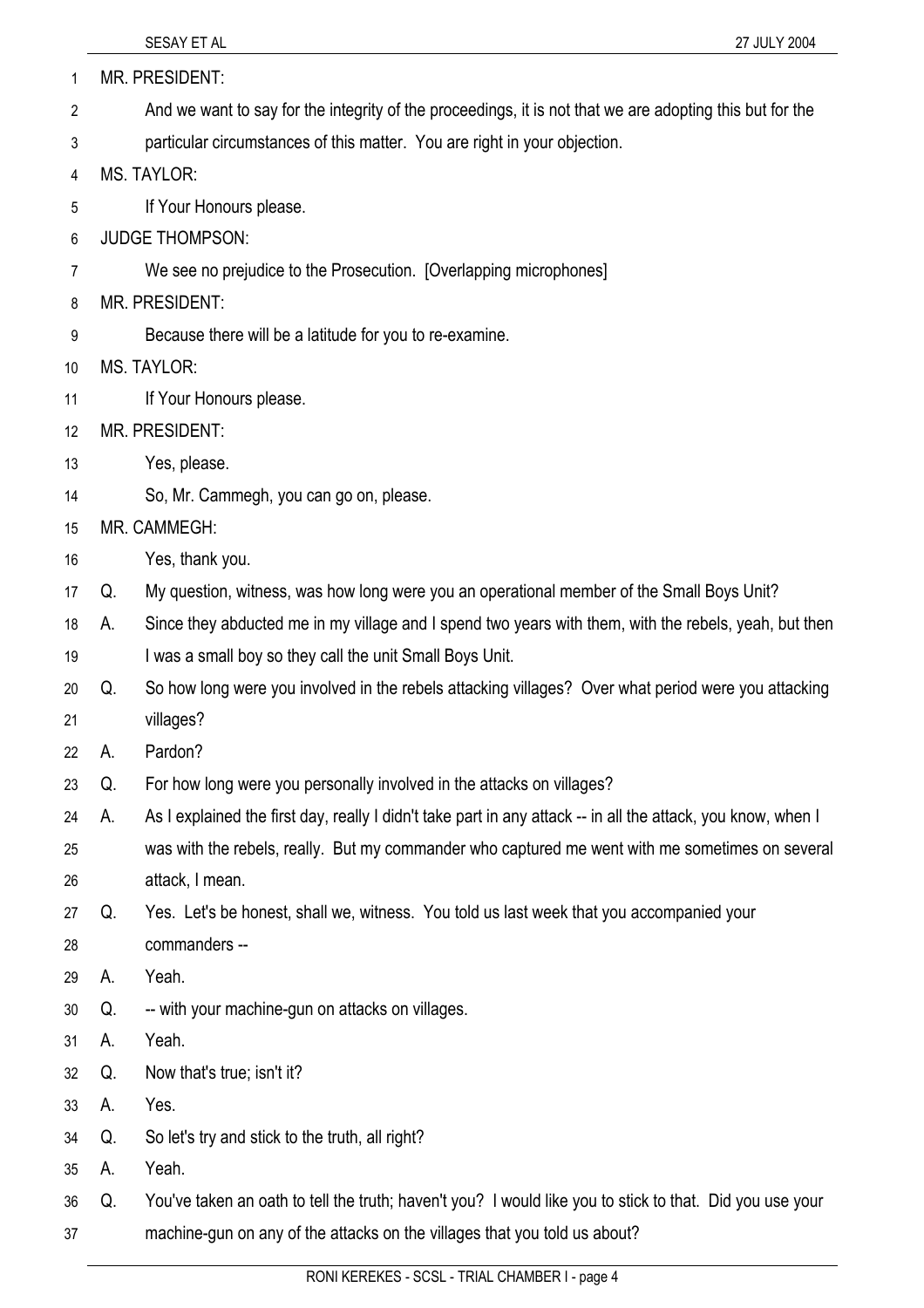| 1  |    | MR. PRESIDENT:                                                                                               |
|----|----|--------------------------------------------------------------------------------------------------------------|
| 2  |    | And we want to say for the integrity of the proceedings, it is not that we are adopting this but for the     |
| 3  |    | particular circumstances of this matter. You are right in your objection.                                    |
| 4  |    | <b>MS. TAYLOR:</b>                                                                                           |
| 5  |    | If Your Honours please.                                                                                      |
| 6  |    | <b>JUDGE THOMPSON:</b>                                                                                       |
| 7  |    | We see no prejudice to the Prosecution. [Overlapping microphones]                                            |
| 8  |    | <b>MR. PRESIDENT:</b>                                                                                        |
| 9  |    | Because there will be a latitude for you to re-examine.                                                      |
| 10 |    | <b>MS. TAYLOR:</b>                                                                                           |
| 11 |    | If Your Honours please.                                                                                      |
| 12 |    | MR. PRESIDENT:                                                                                               |
| 13 |    | Yes, please.                                                                                                 |
| 14 |    | So, Mr. Cammegh, you can go on, please.                                                                      |
| 15 |    | MR. CAMMEGH:                                                                                                 |
| 16 |    | Yes, thank you.                                                                                              |
| 17 | Q. | My question, witness, was how long were you an operational member of the Small Boys Unit?                    |
| 18 | А. | Since they abducted me in my village and I spend two years with them, with the rebels, yeah, but then        |
| 19 |    | I was a small boy so they call the unit Small Boys Unit.                                                     |
| 20 | Q. | So how long were you involved in the rebels attacking villages? Over what period were you attacking          |
| 21 |    | villages?                                                                                                    |
| 22 | А. | Pardon?                                                                                                      |
| 23 | Q. | For how long were you personally involved in the attacks on villages?                                        |
| 24 | А. | As I explained the first day, really I didn't take part in any attack -- in all the attack, you know, when I |
| 25 |    | was with the rebels, really. But my commander who captured me went with me sometimes on several              |
| 26 |    | attack, I mean.                                                                                              |
| 27 | Q. | Yes. Let's be honest, shall we, witness. You told us last week that you accompanied your                     |
| 28 |    | commanders --                                                                                                |
| 29 | А. | Yeah.                                                                                                        |
| 30 | Q. | -- with your machine-gun on attacks on villages.                                                             |
| 31 | А. | Yeah.                                                                                                        |
| 32 | Q. | Now that's true; isn't it?                                                                                   |
| 33 | А. | Yes.                                                                                                         |
| 34 | Q. | So let's try and stick to the truth, all right?                                                              |
| 35 | А. | Yeah.                                                                                                        |
| 36 | Q. | You've taken an oath to tell the truth; haven't you? I would like you to stick to that. Did you use your     |
| 37 |    | machine-gun on any of the attacks on the villages that you told us about?                                    |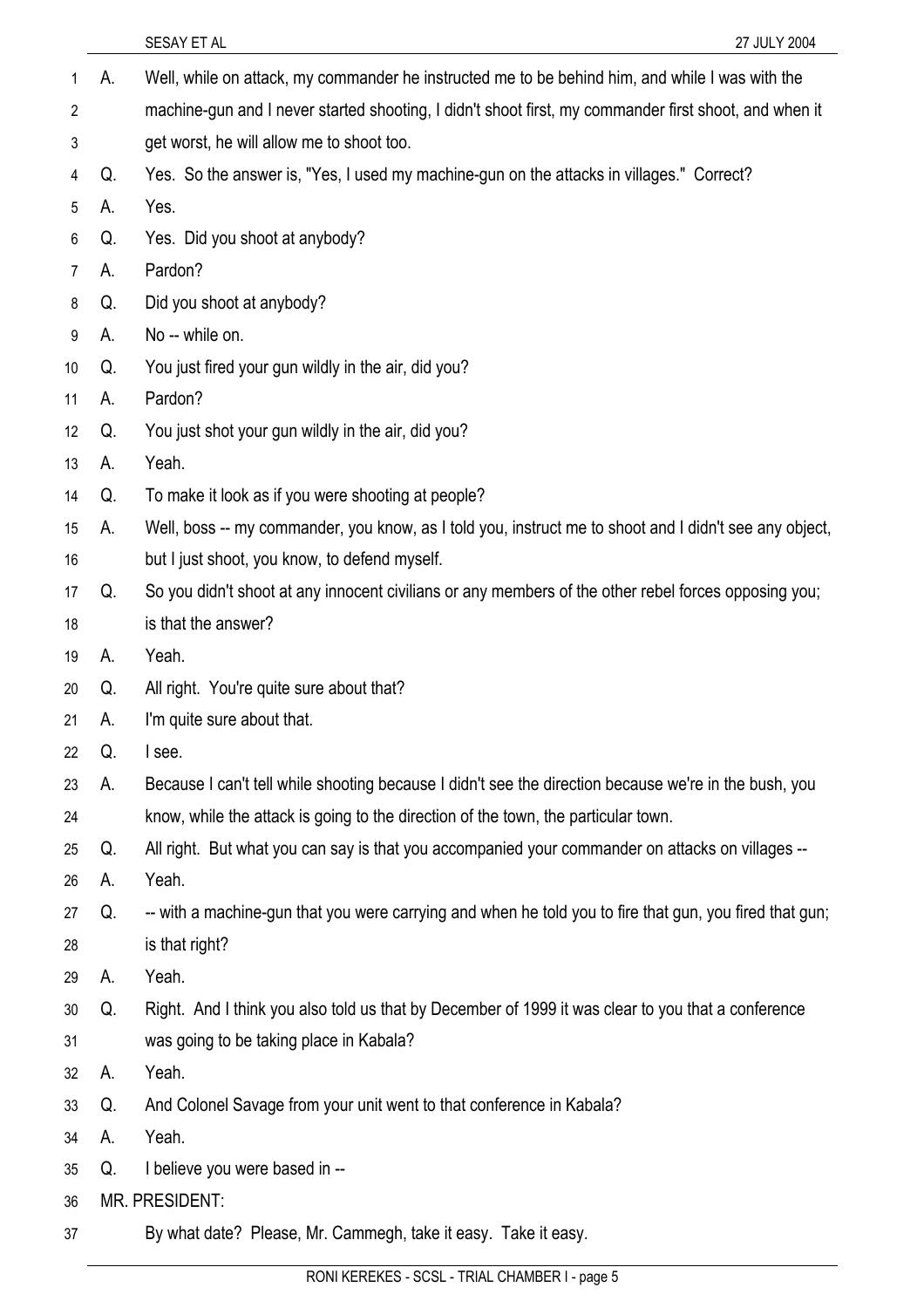|    |    | SESAY ET AL<br>27 JULY 2004                                                                             |
|----|----|---------------------------------------------------------------------------------------------------------|
| 1  | А. | Well, while on attack, my commander he instructed me to be behind him, and while I was with the         |
| 2  |    | machine-gun and I never started shooting, I didn't shoot first, my commander first shoot, and when it   |
| 3  |    | get worst, he will allow me to shoot too.                                                               |
| 4  | Q. | Yes. So the answer is, "Yes, I used my machine-gun on the attacks in villages." Correct?                |
| 5  | А. | Yes.                                                                                                    |
| 6  | Q. | Yes. Did you shoot at anybody?                                                                          |
| 7  | А. | Pardon?                                                                                                 |
| 8  | Q. | Did you shoot at anybody?                                                                               |
| 9  | А. | No -- while on.                                                                                         |
| 10 | Q. | You just fired your gun wildly in the air, did you?                                                     |
| 11 | А. | Pardon?                                                                                                 |
| 12 | Q. | You just shot your gun wildly in the air, did you?                                                      |
| 13 | А. | Yeah.                                                                                                   |
| 14 | Q. | To make it look as if you were shooting at people?                                                      |
| 15 | А. | Well, boss -- my commander, you know, as I told you, instruct me to shoot and I didn't see any object,  |
| 16 |    | but I just shoot, you know, to defend myself.                                                           |
| 17 | Q. | So you didn't shoot at any innocent civilians or any members of the other rebel forces opposing you;    |
| 18 |    | is that the answer?                                                                                     |
| 19 | А. | Yeah.                                                                                                   |
| 20 | Q. | All right. You're quite sure about that?                                                                |
| 21 | A. | I'm quite sure about that.                                                                              |
| 22 | Q. | I see.                                                                                                  |
| 23 | А. | Because I can't tell while shooting because I didn't see the direction because we're in the bush, you   |
| 24 |    | know, while the attack is going to the direction of the town, the particular town.                      |
| 25 | Q. | All right. But what you can say is that you accompanied your commander on attacks on villages --        |
| 26 | А. | Yeah.                                                                                                   |
| 27 | Q. | -- with a machine-gun that you were carrying and when he told you to fire that gun, you fired that gun; |
| 28 |    | is that right?                                                                                          |
| 29 | А. | Yeah.                                                                                                   |
| 30 | Q. | Right. And I think you also told us that by December of 1999 it was clear to you that a conference      |
| 31 |    | was going to be taking place in Kabala?                                                                 |
| 32 | А. | Yeah.                                                                                                   |
| 33 | Q. | And Colonel Savage from your unit went to that conference in Kabala?                                    |
| 34 | А. | Yeah.                                                                                                   |
| 35 | Q. | I believe you were based in --                                                                          |
| 36 |    | MR. PRESIDENT:                                                                                          |
| 37 |    | By what date? Please, Mr. Cammegh, take it easy. Take it easy.                                          |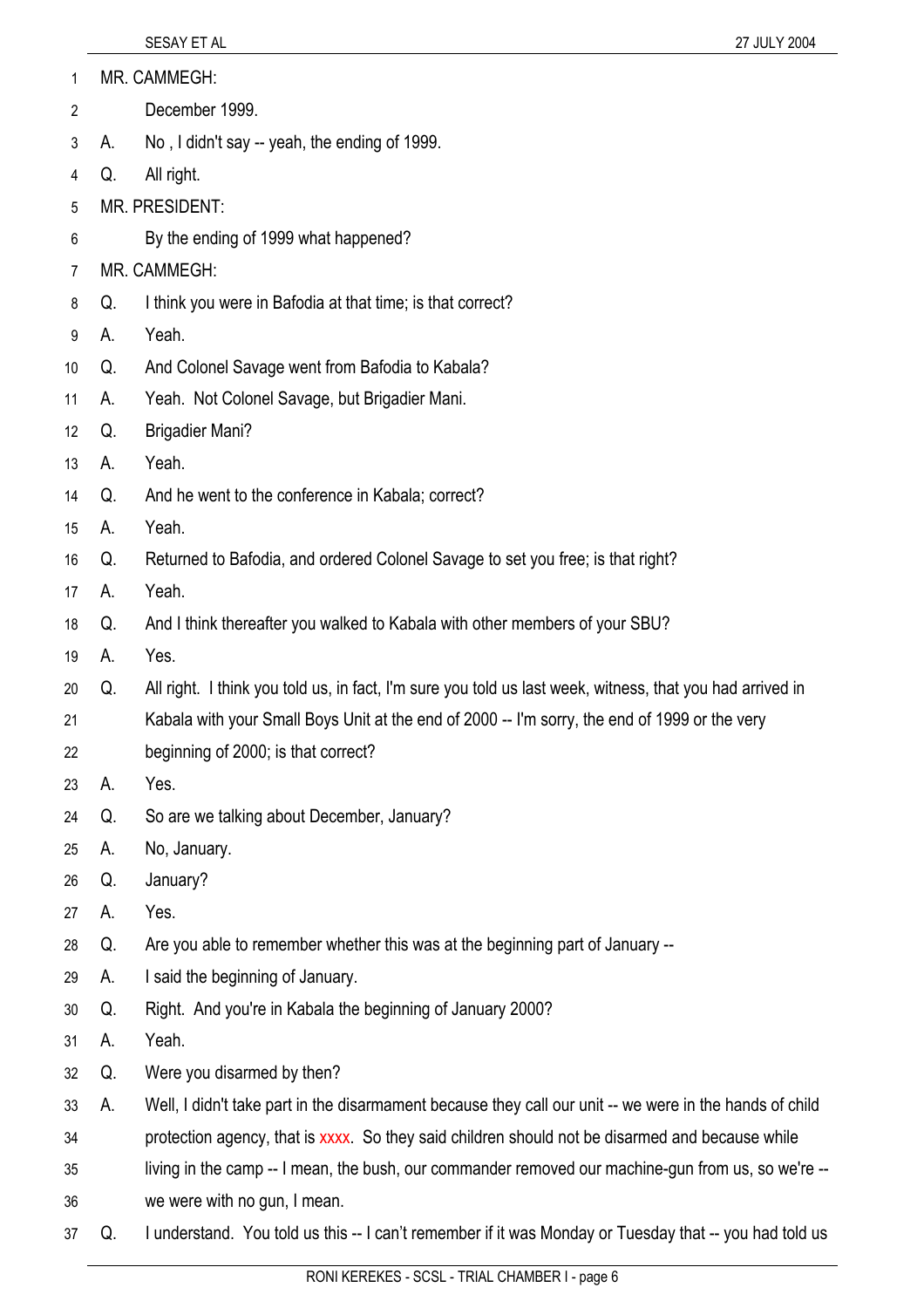| 1               |                | MR. CAMMEGH:                                                                                              |  |
|-----------------|----------------|-----------------------------------------------------------------------------------------------------------|--|
| $\overline{2}$  |                | December 1999.                                                                                            |  |
| 3               | А.             | No, I didn't say -- yeah, the ending of 1999.                                                             |  |
| 4               | Q.             | All right.                                                                                                |  |
| 5               | MR. PRESIDENT: |                                                                                                           |  |
| 6               |                | By the ending of 1999 what happened?                                                                      |  |
| 7               |                | MR. CAMMEGH:                                                                                              |  |
| 8               | Q.             | I think you were in Bafodia at that time; is that correct?                                                |  |
| 9               | А.             | Yeah.                                                                                                     |  |
| 10 <sup>°</sup> | Q.             | And Colonel Savage went from Bafodia to Kabala?                                                           |  |
| 11              | А.             | Yeah. Not Colonel Savage, but Brigadier Mani.                                                             |  |
| 12              | Q.             | <b>Brigadier Mani?</b>                                                                                    |  |
| 13              | А.             | Yeah.                                                                                                     |  |
| 14              | Q.             | And he went to the conference in Kabala; correct?                                                         |  |
| 15              | А.             | Yeah.                                                                                                     |  |
| 16              | Q.             | Returned to Bafodia, and ordered Colonel Savage to set you free; is that right?                           |  |
| 17              | А.             | Yeah.                                                                                                     |  |
| 18              | Q.             | And I think thereafter you walked to Kabala with other members of your SBU?                               |  |
| 19              | А.             | Yes.                                                                                                      |  |
| 20              | Q.             | All right. I think you told us, in fact, I'm sure you told us last week, witness, that you had arrived in |  |
| 21              |                | Kabala with your Small Boys Unit at the end of 2000 -- I'm sorry, the end of 1999 or the very             |  |
| 22              |                | beginning of 2000; is that correct?                                                                       |  |
| 23              | Α.             | Yes.                                                                                                      |  |
| 24              | Q.             | So are we talking about December, January?                                                                |  |
| 25              | А.             | No, January.                                                                                              |  |
| 26              | Q.             | January?                                                                                                  |  |
| 27              | А.             | Yes.                                                                                                      |  |
| 28              | Q.             | Are you able to remember whether this was at the beginning part of January --                             |  |
| 29              | А.             | I said the beginning of January.                                                                          |  |
| 30              | Q.             | Right. And you're in Kabala the beginning of January 2000?                                                |  |
| 31              | А.             | Yeah.                                                                                                     |  |
| 32              | Q.             | Were you disarmed by then?                                                                                |  |
| 33              | А.             | Well, I didn't take part in the disarmament because they call our unit -- we were in the hands of child   |  |
| 34              |                | protection agency, that is xxxx. So they said children should not be disarmed and because while           |  |
| 35              |                | living in the camp -- I mean, the bush, our commander removed our machine-gun from us, so we're --        |  |
| 36              |                | we were with no gun, I mean.                                                                              |  |
| 37              | Q.             | I understand. You told us this -- I can't remember if it was Monday or Tuesday that -- you had told us    |  |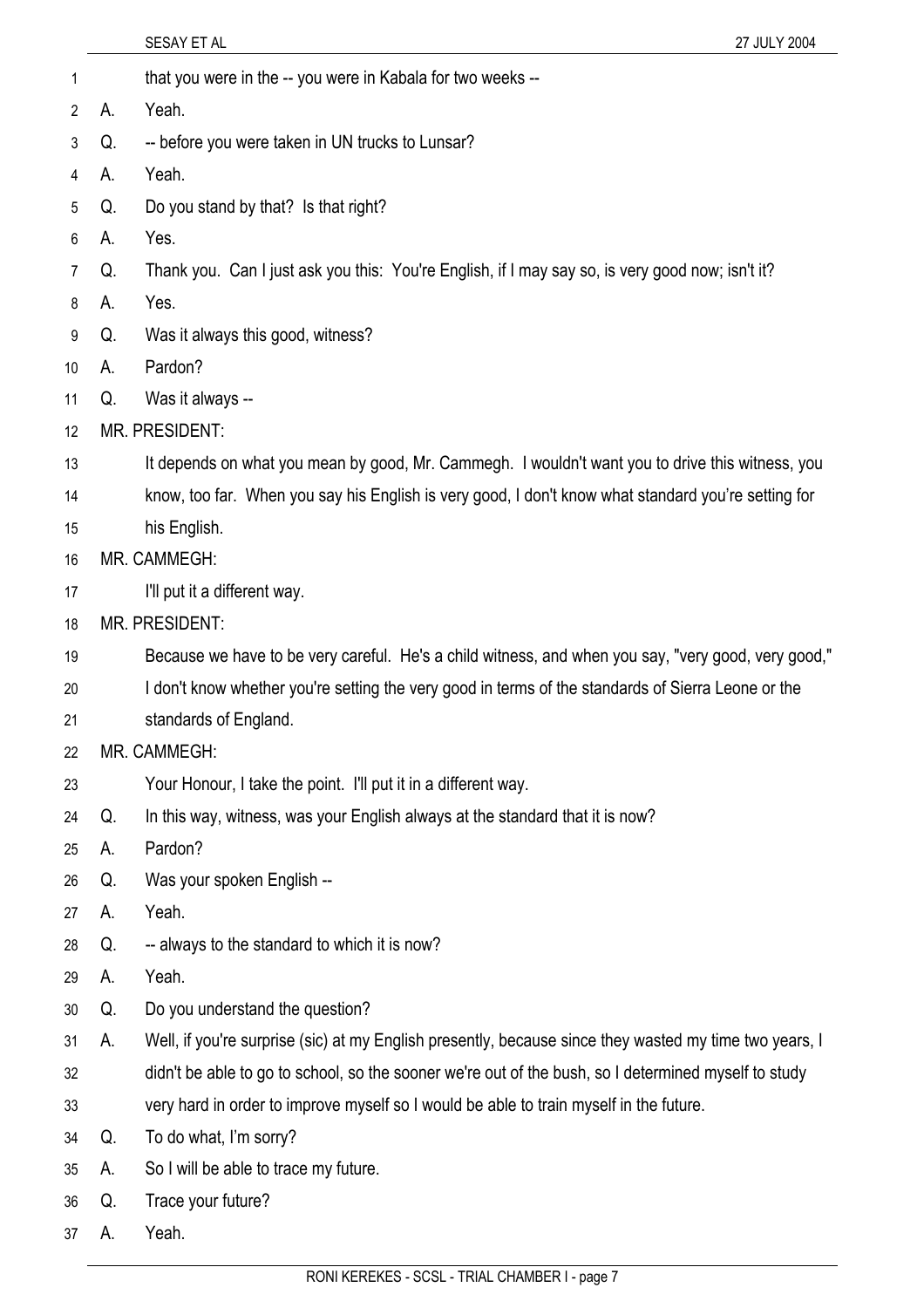| 1                     |    | that you were in the -- you were in Kabala for two weeks --                                            |
|-----------------------|----|--------------------------------------------------------------------------------------------------------|
| $\mathbf{2}^{\prime}$ | А. | Yeah.                                                                                                  |
| 3                     | Q. | -- before you were taken in UN trucks to Lunsar?                                                       |
| 4                     | А. | Yeah.                                                                                                  |
| 5                     | Q. | Do you stand by that? Is that right?                                                                   |
| 6                     | А. | Yes.                                                                                                   |
| $\overline{7}$        | Q. | Thank you. Can I just ask you this: You're English, if I may say so, is very good now; isn't it?       |
| 8                     | А. | Yes.                                                                                                   |
| 9                     | Q. | Was it always this good, witness?                                                                      |
| 10                    | А. | Pardon?                                                                                                |
| 11                    | Q. | Was it always --                                                                                       |
| 12                    |    | <b>MR. PRESIDENT:</b>                                                                                  |
| 13                    |    | It depends on what you mean by good, Mr. Cammegh. I wouldn't want you to drive this witness, you       |
| 14                    |    | know, too far. When you say his English is very good, I don't know what standard you're setting for    |
| 15                    |    | his English.                                                                                           |
| 16                    |    | MR. CAMMEGH:                                                                                           |
| 17                    |    | I'll put it a different way.                                                                           |
| 18                    |    | MR. PRESIDENT:                                                                                         |
| 19                    |    | Because we have to be very careful. He's a child witness, and when you say, "very good, very good,"    |
| 20                    |    | I don't know whether you're setting the very good in terms of the standards of Sierra Leone or the     |
| 21                    |    | standards of England.                                                                                  |
| 22                    |    | MR. CAMMEGH:                                                                                           |
| 23                    |    | Your Honour, I take the point. I'll put it in a different way.                                         |
| 24                    | Q. | In this way, witness, was your English always at the standard that it is now?                          |
| 25                    | А. | Pardon?                                                                                                |
| 26                    | Q. | Was your spoken English --                                                                             |
| 27                    | А. | Yeah.                                                                                                  |
| 28                    | Q. | -- always to the standard to which it is now?                                                          |
| 29                    | А. | Yeah.                                                                                                  |
| 30                    | Q. | Do you understand the question?                                                                        |
| 31                    | А. | Well, if you're surprise (sic) at my English presently, because since they wasted my time two years, I |
| 32                    |    | didn't be able to go to school, so the sooner we're out of the bush, so I determined myself to study   |
| 33                    |    | very hard in order to improve myself so I would be able to train myself in the future.                 |
| 34                    | Q. | To do what, I'm sorry?                                                                                 |
| 35                    | А. | So I will be able to trace my future.                                                                  |
| 36                    | Q. | Trace your future?                                                                                     |
| 37                    | A. | Yeah.                                                                                                  |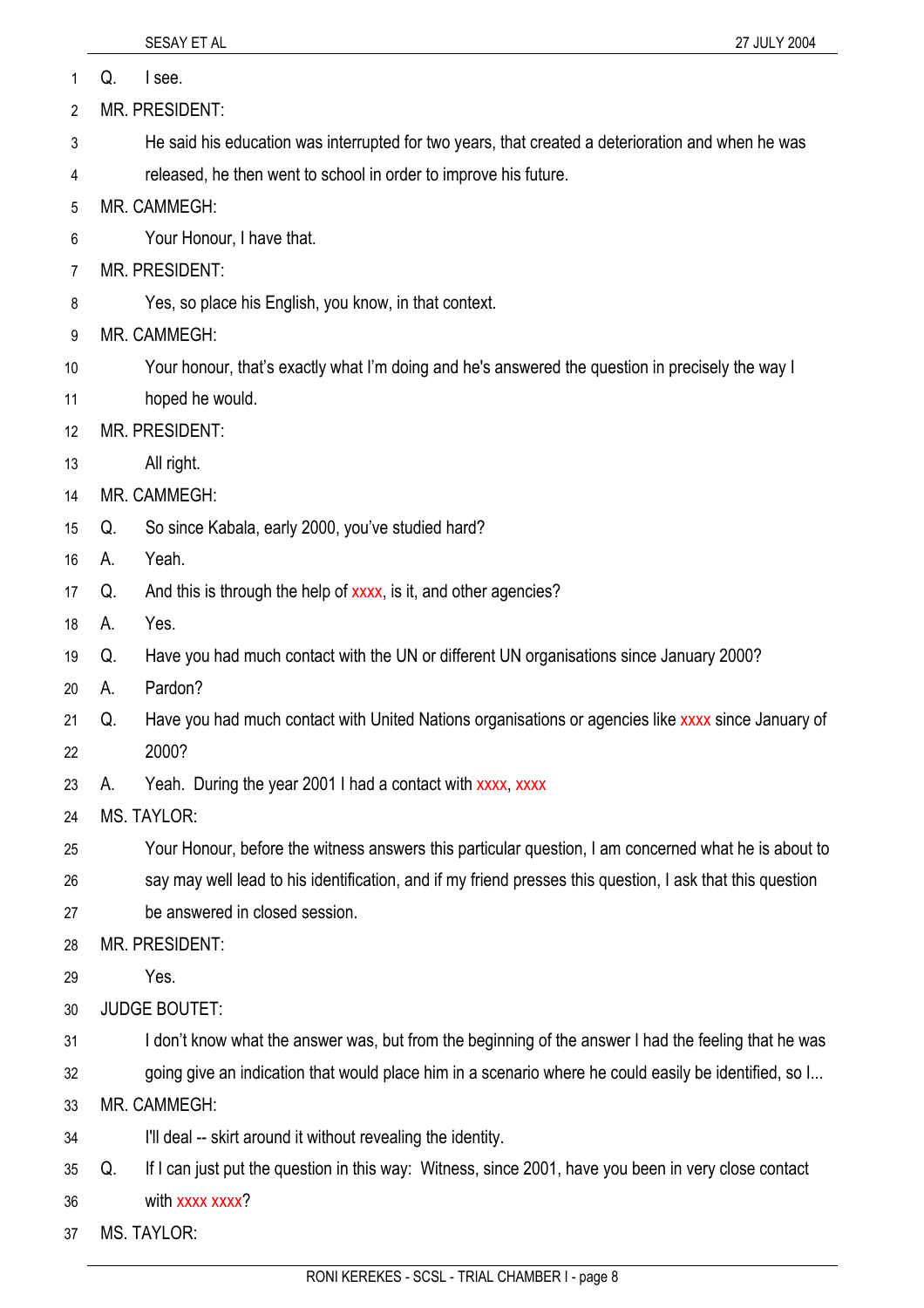|                | SESAY ET AL<br>27 JULY 2004                                                                                |
|----------------|------------------------------------------------------------------------------------------------------------|
| 1              | I see.<br>Q.                                                                                               |
| $\overline{2}$ | MR. PRESIDENT:                                                                                             |
| 3              | He said his education was interrupted for two years, that created a deterioration and when he was          |
| 4              | released, he then went to school in order to improve his future.                                           |
| 5              | MR. CAMMEGH:                                                                                               |
| 6              | Your Honour, I have that.                                                                                  |
| 7              | MR. PRESIDENT:                                                                                             |
| 8              | Yes, so place his English, you know, in that context.                                                      |
| 9              | MR. CAMMEGH:                                                                                               |
| 10             | Your honour, that's exactly what I'm doing and he's answered the question in precisely the way I           |
| 11             | hoped he would.                                                                                            |
| 12             | <b>MR. PRESIDENT:</b>                                                                                      |
| 13             | All right.                                                                                                 |
| 14             | MR. CAMMEGH:                                                                                               |
| 15             | So since Kabala, early 2000, you've studied hard?<br>Q.                                                    |
| 16             | Yeah.<br>А.                                                                                                |
| 17             | And this is through the help of xxxx, is it, and other agencies?<br>Q.                                     |
| 18             | Yes.<br>А.                                                                                                 |
| 19             | Have you had much contact with the UN or different UN organisations since January 2000?<br>Q.              |
| 20             | Pardon?<br>А.                                                                                              |
| 21             | Have you had much contact with United Nations organisations or agencies like xxxx since January of<br>Q.   |
| 22             | 2000?                                                                                                      |
| 23             | Yeah. During the year 2001 I had a contact with xxxx, xxxx<br>А.                                           |
| 24             | <b>MS. TAYLOR:</b>                                                                                         |
| 25             | Your Honour, before the witness answers this particular question, I am concerned what he is about to       |
| 26             | say may well lead to his identification, and if my friend presses this question, I ask that this question  |
| 27             | be answered in closed session.                                                                             |
| 28             | MR. PRESIDENT:                                                                                             |
| 29             | Yes.                                                                                                       |
| 30             | <b>JUDGE BOUTET:</b>                                                                                       |
| 31             | I don't know what the answer was, but from the beginning of the answer I had the feeling that he was       |
| 32             | going give an indication that would place him in a scenario where he could easily be identified, so I      |
| 33             | MR. CAMMEGH:                                                                                               |
| 34             | I'll deal -- skirt around it without revealing the identity.                                               |
| 35             | If I can just put the question in this way: Witness, since 2001, have you been in very close contact<br>Q. |
| 36             | with xxxx xxxx?                                                                                            |

37 MS. TAYLOR: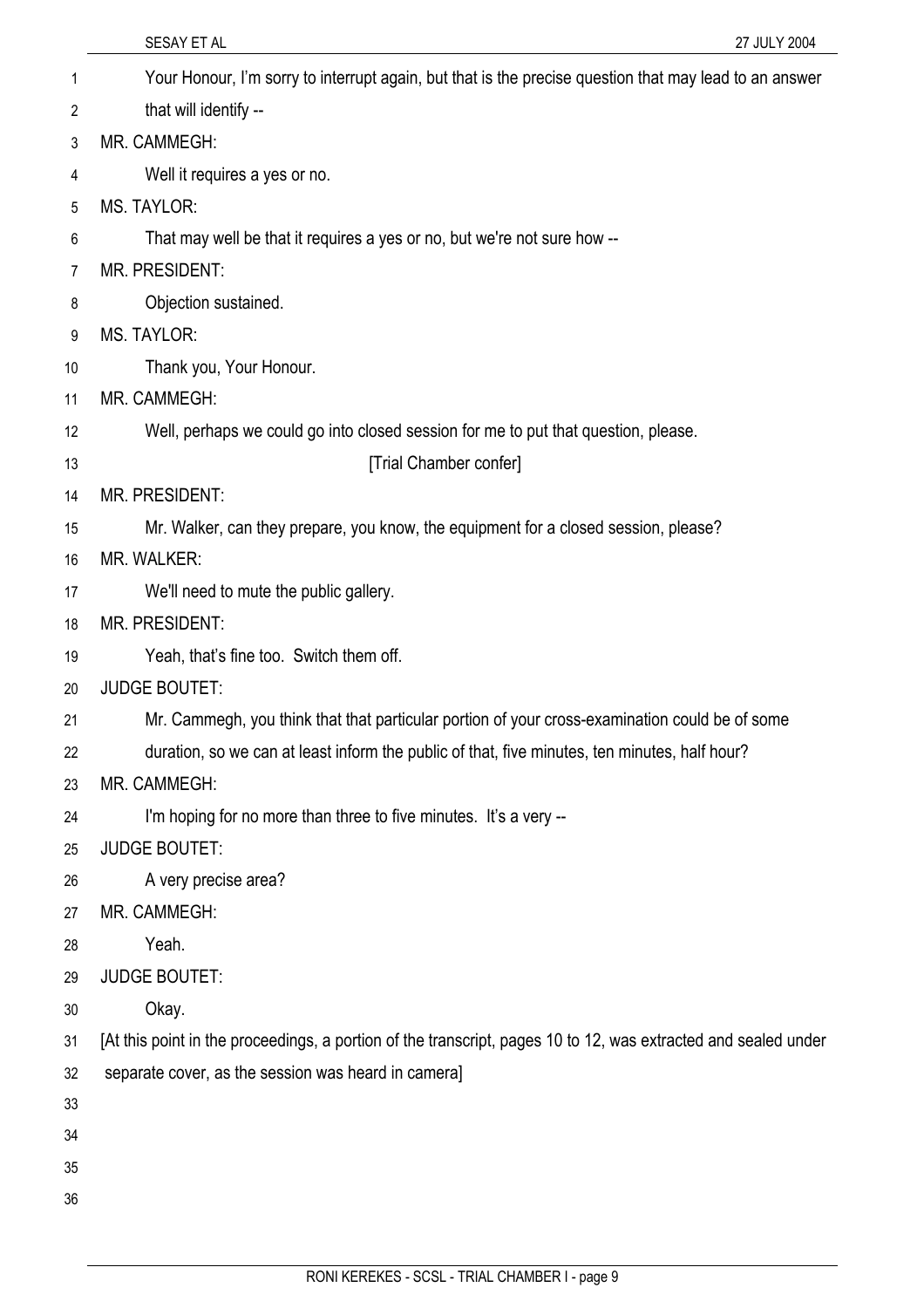|    | SESAY ET AL<br>27 JULY 2004                                                                                    |
|----|----------------------------------------------------------------------------------------------------------------|
| 1  | Your Honour, I'm sorry to interrupt again, but that is the precise question that may lead to an answer         |
| 2  | that will identify --                                                                                          |
| 3  | MR. CAMMEGH:                                                                                                   |
| 4  | Well it requires a yes or no.                                                                                  |
| 5  | <b>MS. TAYLOR:</b>                                                                                             |
| 6  | That may well be that it requires a yes or no, but we're not sure how --                                       |
| 7  | MR. PRESIDENT:                                                                                                 |
| 8  | Objection sustained.                                                                                           |
| 9  | <b>MS. TAYLOR:</b>                                                                                             |
| 10 | Thank you, Your Honour.                                                                                        |
| 11 | MR. CAMMEGH:                                                                                                   |
| 12 | Well, perhaps we could go into closed session for me to put that question, please.                             |
| 13 | [Trial Chamber confer]                                                                                         |
| 14 | <b>MR. PRESIDENT:</b>                                                                                          |
| 15 | Mr. Walker, can they prepare, you know, the equipment for a closed session, please?                            |
| 16 | <b>MR. WALKER:</b>                                                                                             |
| 17 | We'll need to mute the public gallery.                                                                         |
| 18 | MR. PRESIDENT:                                                                                                 |
| 19 | Yeah, that's fine too. Switch them off.                                                                        |
| 20 | <b>JUDGE BOUTET:</b>                                                                                           |
| 21 | Mr. Cammegh, you think that that particular portion of your cross-examination could be of some                 |
| 22 | duration, so we can at least inform the public of that, five minutes, ten minutes, half hour?                  |
| 23 | MR. CAMMEGH:                                                                                                   |
| 24 | I'm hoping for no more than three to five minutes. It's a very --                                              |
| 25 | <b>JUDGE BOUTET:</b>                                                                                           |
| 26 | A very precise area?                                                                                           |
| 27 | MR. CAMMEGH:                                                                                                   |
| 28 | Yeah.                                                                                                          |
| 29 | <b>JUDGE BOUTET:</b>                                                                                           |
| 30 | Okay.                                                                                                          |
| 31 | [At this point in the proceedings, a portion of the transcript, pages 10 to 12, was extracted and sealed under |
| 32 | separate cover, as the session was heard in camera]                                                            |
| 33 |                                                                                                                |
| 34 |                                                                                                                |
| 35 |                                                                                                                |
| 36 |                                                                                                                |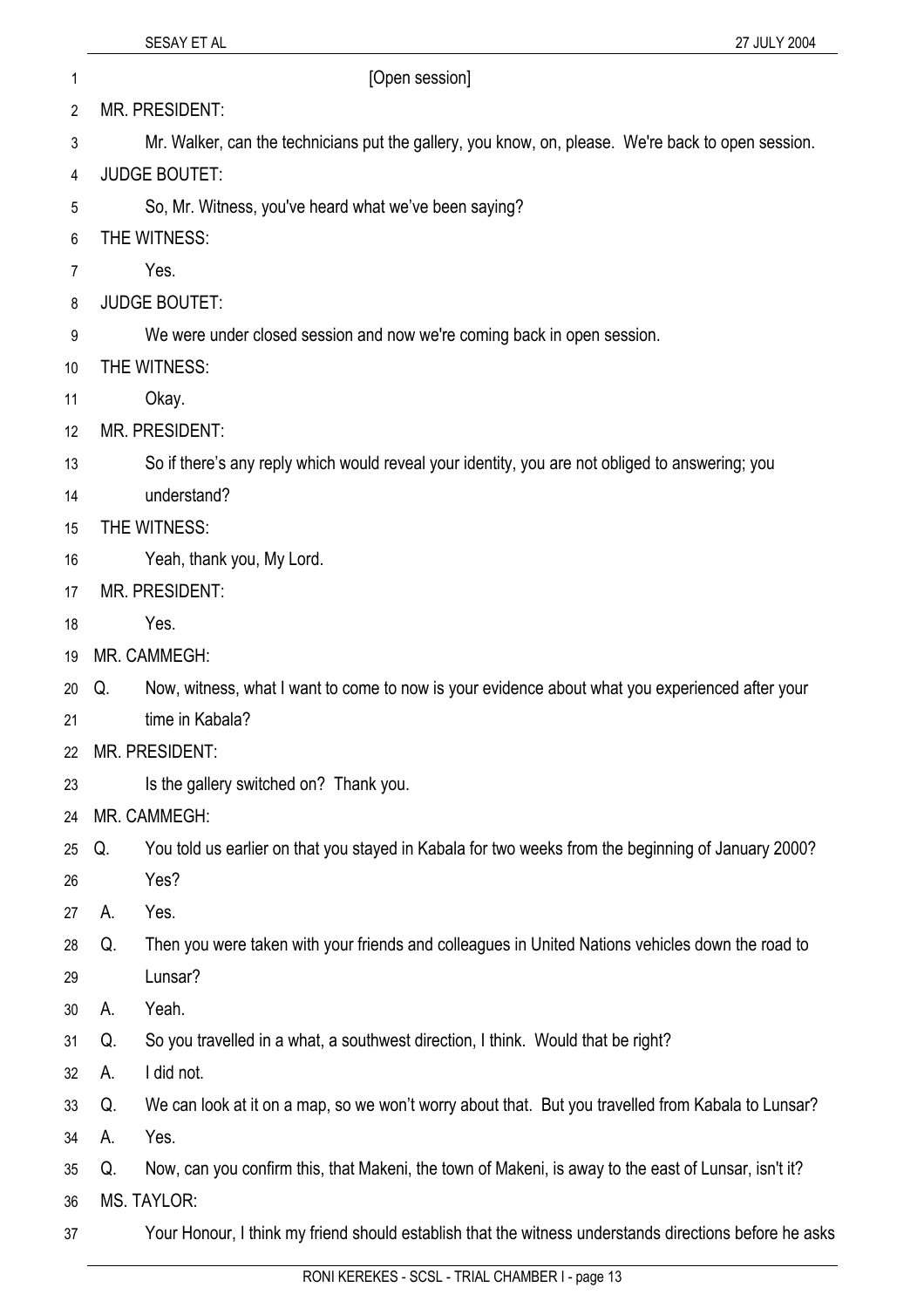2 MR. PRESIDENT:

3 Mr. Walker, can the technicians put the gallery, you know, on, please. We're back to open session.

- 4 JUDGE BOUTET:
- 5 So, Mr. Witness, you've heard what we've been saying?
- 6 THE WITNESS:
- 7 Yes.
- 8 JUDGE BOUTET:
- 9 We were under closed session and now we're coming back in open session.
- 10 THE WITNESS:
- 11 Okay.
- 12 MR. PRESIDENT:
- 13 So if there's any reply which would reveal your identity, you are not obliged to answering; you
- 14 understand?
- 15 THE WITNESS:
- 16 Yeah, thank you, My Lord.
- 17 MR. PRESIDENT:
- 18 Yes.
- 19 MR. CAMMEGH:
- 20 Q. Now, witness, what I want to come to now is your evidence about what you experienced after your
- 21 time in Kabala?
- 22 MR. PRESIDENT:
- 23 Is the gallery switched on? Thank you.
- $24$ MR. CAMMEGH:
- 25 Q. You told us earlier on that you stayed in Kabala for two weeks from the beginning of January 2000?
- 26 Yes?
- 27 A. Yes.
- 28 Q. Then you were taken with your friends and colleagues in United Nations vehicles down the road to
- 29 Lunsar?
- 30 A. Yeah.
- 31 Q. So you travelled in a what, a southwest direction, I think. Would that be right?
- 32 A. I did not.
- 33 Q. We can look at it on a map, so we won't worry about that. But you travelled from Kabala to Lunsar?
- 34 A. Yes.
- 35 Q. Now, can you confirm this, that Makeni, the town of Makeni, is away to the east of Lunsar, isn't it?
- 36 MS. TAYLOR:
- 37 Your Honour, I think my friend should establish that the witness understands directions before he asks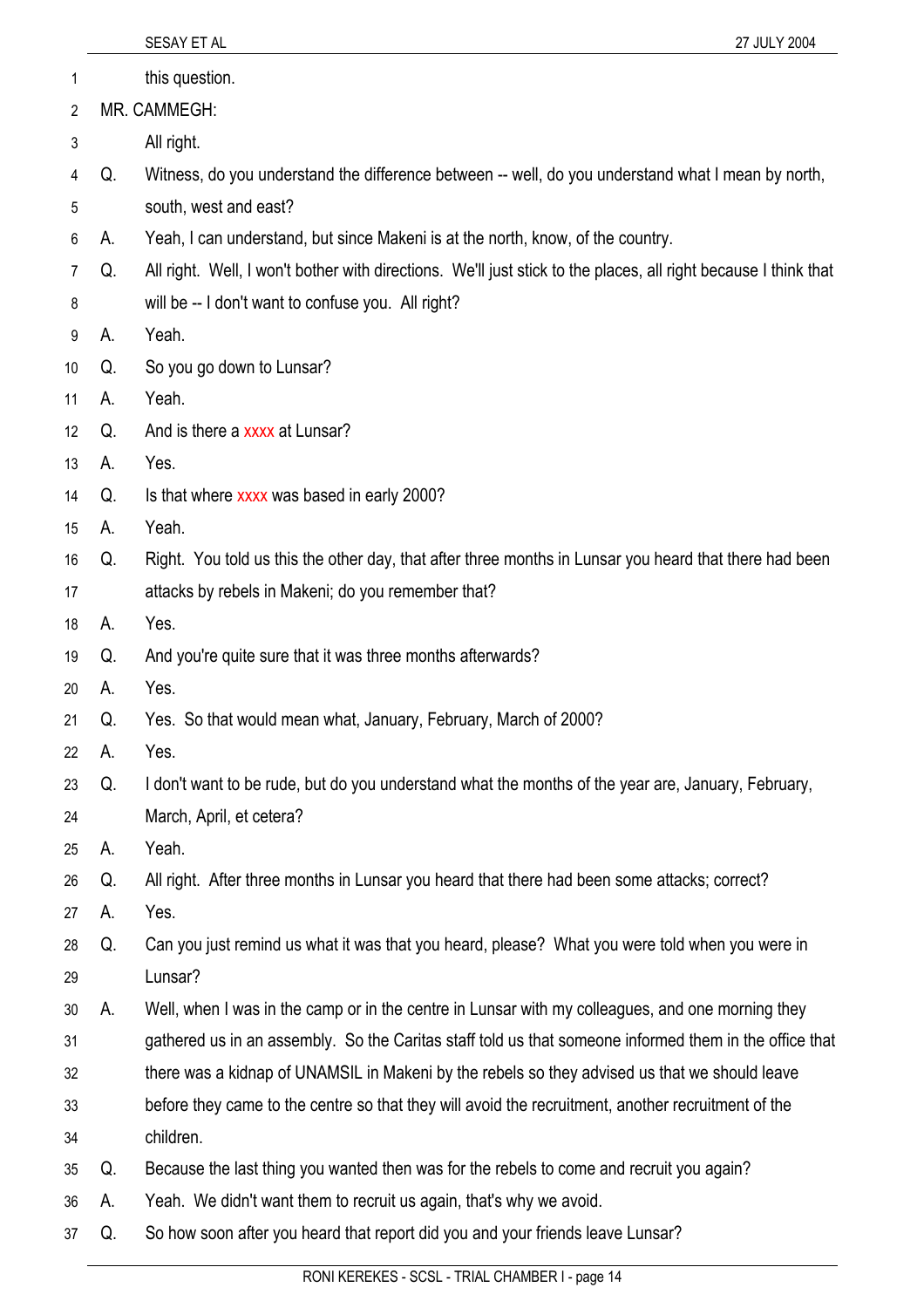|                 |    | SESAY ET AL<br>27 JULY 2004                                                                                     |
|-----------------|----|-----------------------------------------------------------------------------------------------------------------|
| 1               |    | this question.                                                                                                  |
| 2               |    | MR. CAMMEGH:                                                                                                    |
| 3               |    | All right.                                                                                                      |
| 4               | Q. | Witness, do you understand the difference between -- well, do you understand what I mean by north,              |
| 5               |    | south, west and east?                                                                                           |
| 6               | А. | Yeah, I can understand, but since Makeni is at the north, know, of the country.                                 |
| 7               | Q. | All right. Well, I won't bother with directions. We'll just stick to the places, all right because I think that |
| 8               |    | will be -- I don't want to confuse you. All right?                                                              |
| 9               | А. | Yeah.                                                                                                           |
| 10              | Q. | So you go down to Lunsar?                                                                                       |
| 11              | А. | Yeah.                                                                                                           |
| 12 <sup>°</sup> | Q. | And is there a xxxx at Lunsar?                                                                                  |
| 13              | А. | Yes.                                                                                                            |
| 14              | Q. | Is that where xxxx was based in early 2000?                                                                     |
| 15              | А. | Yeah.                                                                                                           |
| 16              | Q. | Right. You told us this the other day, that after three months in Lunsar you heard that there had been          |
| 17              |    | attacks by rebels in Makeni; do you remember that?                                                              |
| 18              | А. | Yes.                                                                                                            |
| 19              | Q. | And you're quite sure that it was three months afterwards?                                                      |
| 20              | А. | Yes.                                                                                                            |
| 21              | Q. | Yes. So that would mean what, January, February, March of 2000?                                                 |
| 22              | А. | Yes.                                                                                                            |
| 23              | Q. | I don't want to be rude, but do you understand what the months of the year are, January, February,              |
| 24              |    | March, April, et cetera?                                                                                        |
| 25              | А. | Yeah.                                                                                                           |
| 26              | Q. | All right. After three months in Lunsar you heard that there had been some attacks; correct?                    |
| 27              | А. | Yes.                                                                                                            |
| 28              | Q. | Can you just remind us what it was that you heard, please? What you were told when you were in                  |
| 29              |    | Lunsar?                                                                                                         |
| 30              | А. | Well, when I was in the camp or in the centre in Lunsar with my colleagues, and one morning they                |
| 31              |    | gathered us in an assembly. So the Caritas staff told us that someone informed them in the office that          |
| 32              |    | there was a kidnap of UNAMSIL in Makeni by the rebels so they advised us that we should leave                   |
| 33              |    | before they came to the centre so that they will avoid the recruitment, another recruitment of the              |
| 34              |    | children.                                                                                                       |
| 35              | Q. | Because the last thing you wanted then was for the rebels to come and recruit you again?                        |
| 36              | А. | Yeah. We didn't want them to recruit us again, that's why we avoid.                                             |
| 37              | Q. | So how soon after you heard that report did you and your friends leave Lunsar?                                  |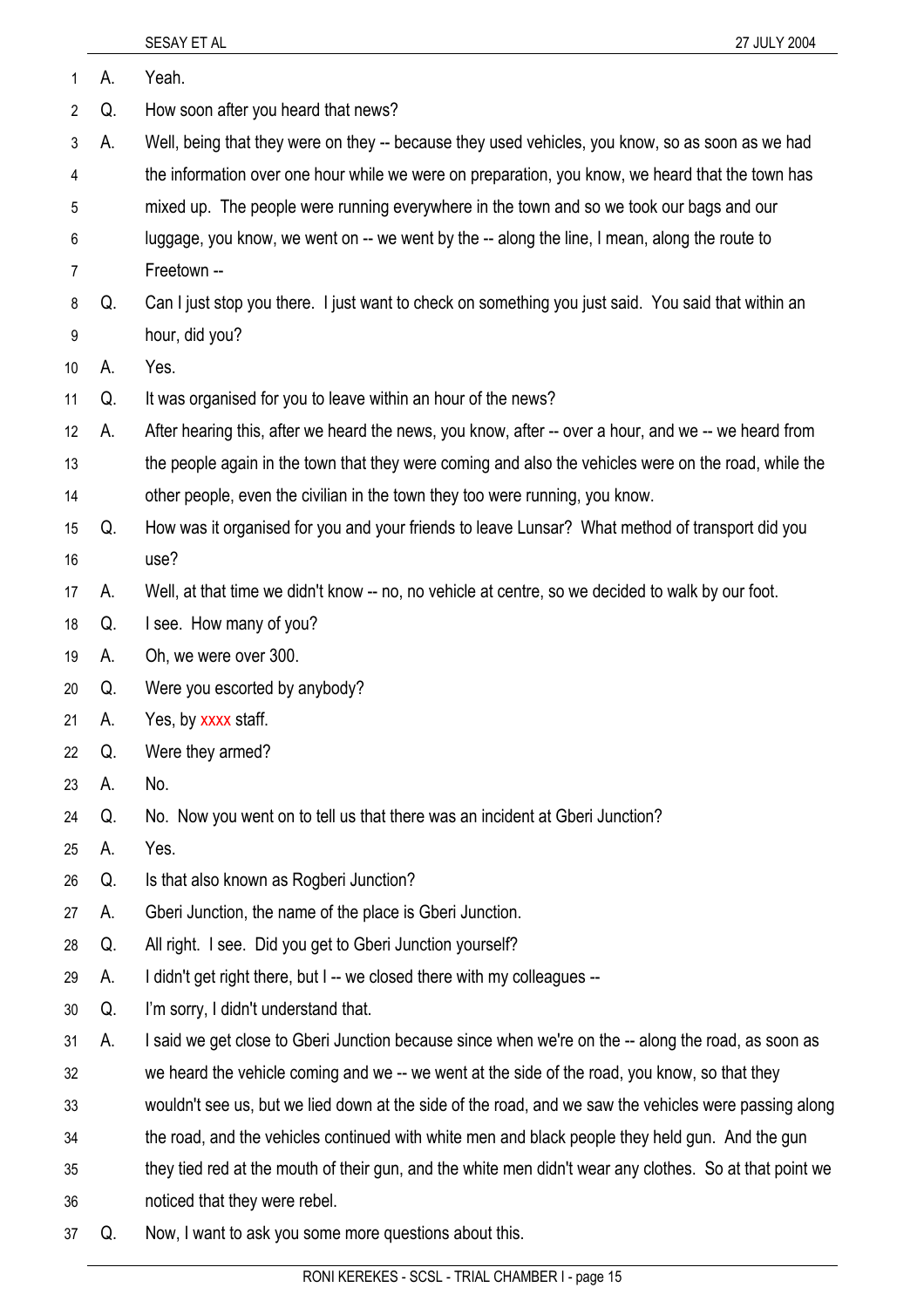| 1              | А. | Yeah.                                                                                                   |
|----------------|----|---------------------------------------------------------------------------------------------------------|
| $\overline{2}$ | Q. | How soon after you heard that news?                                                                     |
| 3              | А. | Well, being that they were on they -- because they used vehicles, you know, so as soon as we had        |
| 4              |    | the information over one hour while we were on preparation, you know, we heard that the town has        |
| 5              |    | mixed up. The people were running everywhere in the town and so we took our bags and our                |
| 6              |    | luggage, you know, we went on -- we went by the -- along the line, I mean, along the route to           |
| 7              |    | Freetown --                                                                                             |
| 8              | Q. | Can I just stop you there. I just want to check on something you just said. You said that within an     |
| 9              |    | hour, did you?                                                                                          |
| 10             | А. | Yes.                                                                                                    |
| 11             | Q. | It was organised for you to leave within an hour of the news?                                           |
| 12             | А. | After hearing this, after we heard the news, you know, after -- over a hour, and we -- we heard from    |
| 13             |    | the people again in the town that they were coming and also the vehicles were on the road, while the    |
| 14             |    | other people, even the civilian in the town they too were running, you know.                            |
| 15             | Q. | How was it organised for you and your friends to leave Lunsar? What method of transport did you         |
| 16             |    | use?                                                                                                    |
| 17             | А. | Well, at that time we didn't know -- no, no vehicle at centre, so we decided to walk by our foot.       |
| 18             | Q. | I see. How many of you?                                                                                 |
| 19             | А. | Oh, we were over 300.                                                                                   |
| 20             | Q. | Were you escorted by anybody?                                                                           |
| 21             | А. | Yes, by xxxx staff.                                                                                     |
| 22             | Q. | Were they armed?                                                                                        |
| 23             | А. | No.                                                                                                     |
| 24             | Q. | No. Now you went on to tell us that there was an incident at Gberi Junction?                            |
| 25             | А. | Yes.                                                                                                    |
| 26             | Q. | Is that also known as Rogberi Junction?                                                                 |
| 27             | А. | Gberi Junction, the name of the place is Gberi Junction.                                                |
| 28             | Q. | All right. I see. Did you get to Gberi Junction yourself?                                               |
| 29             | А. | I didn't get right there, but I -- we closed there with my colleagues --                                |
| 30             | Q. | I'm sorry, I didn't understand that.                                                                    |
| 31             | А. | I said we get close to Gberi Junction because since when we're on the -- along the road, as soon as     |
| 32             |    | we heard the vehicle coming and we -- we went at the side of the road, you know, so that they           |
| 33             |    | wouldn't see us, but we lied down at the side of the road, and we saw the vehicles were passing along   |
| 34             |    | the road, and the vehicles continued with white men and black people they held gun. And the gun         |
| 35             |    | they tied red at the mouth of their gun, and the white men didn't wear any clothes. So at that point we |
| 36             |    | noticed that they were rebel.                                                                           |

37 Q. Now, I want to ask you some more questions about this.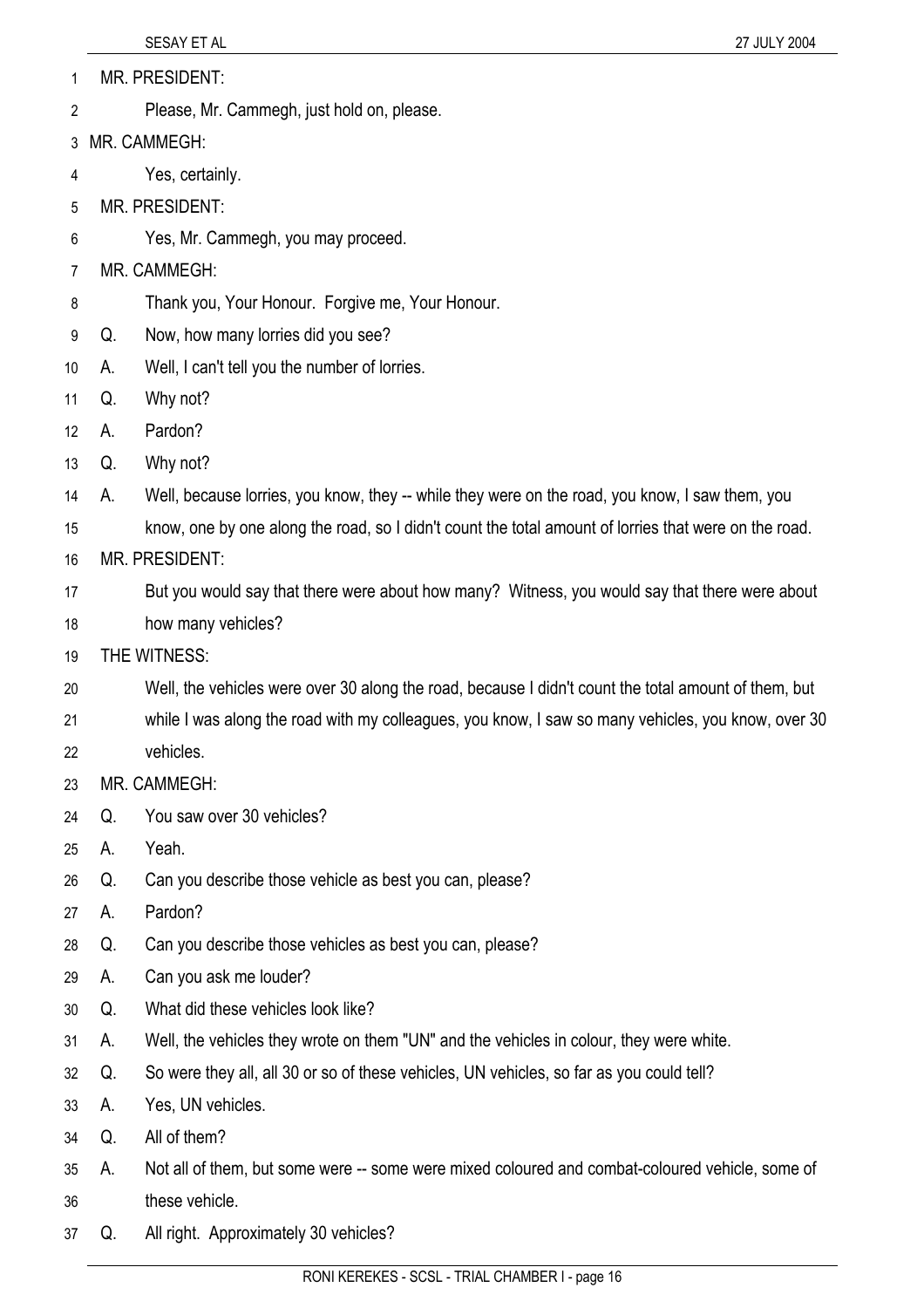- MR. PRESIDENT: 1
- Please, Mr. Cammegh, just hold on, please. 2
- 3 MR. CAMMEGH:
- 4 Yes, certainly.
- 5 MR. PRESIDENT:
- 6 Yes, Mr. Cammegh, you may proceed.
- 7 MR. CAMMEGH:
- 8 Thank you, Your Honour. Forgive me, Your Honour.
- 9 Q. Now, how many lorries did you see?
- 10 A. Well, I can't tell you the number of lorries.
- 11 Q. Why not?
- 12 A. Pardon?
- 13 Q. Why not?
- 14 A. Well, because lorries, you know, they -- while they were on the road, you know, I saw them, you
- 15 know, one by one along the road, so I didn't count the total amount of lorries that were on the road.
- 16 MR. PRESIDENT:
- 17 But you would say that there were about how many? Witness, you would say that there were about
- 18 how many vehicles?
- 19 THE WITNESS:
- 20 Well, the vehicles were over 30 along the road, because I didn't count the total amount of them, but
- 21 while I was along the road with my colleagues, you know, I saw so many vehicles, you know, over 30
- 22 vehicles.
- 23 MR. CAMMEGH:
- 24 Q. You saw over 30 vehicles?
- 25 A. Yeah.
- 26 Q. Can you describe those vehicle as best you can, please?
- 27 A. Pardon?
- 28 Q. Can you describe those vehicles as best you can, please?
- 29 A. Can you ask me louder?
- 30 Q. What did these vehicles look like?
- 31 A. Well, the vehicles they wrote on them "UN" and the vehicles in colour, they were white.
- 32 Q. So were they all, all 30 or so of these vehicles, UN vehicles, so far as you could tell?
- 33 A. Yes, UN vehicles.
- 34 Q. All of them?
- 35 A. Not all of them, but some were -- some were mixed coloured and combat-coloured vehicle, some of
- 36 these vehicle.
- 37 Q. All right. Approximately 30 vehicles?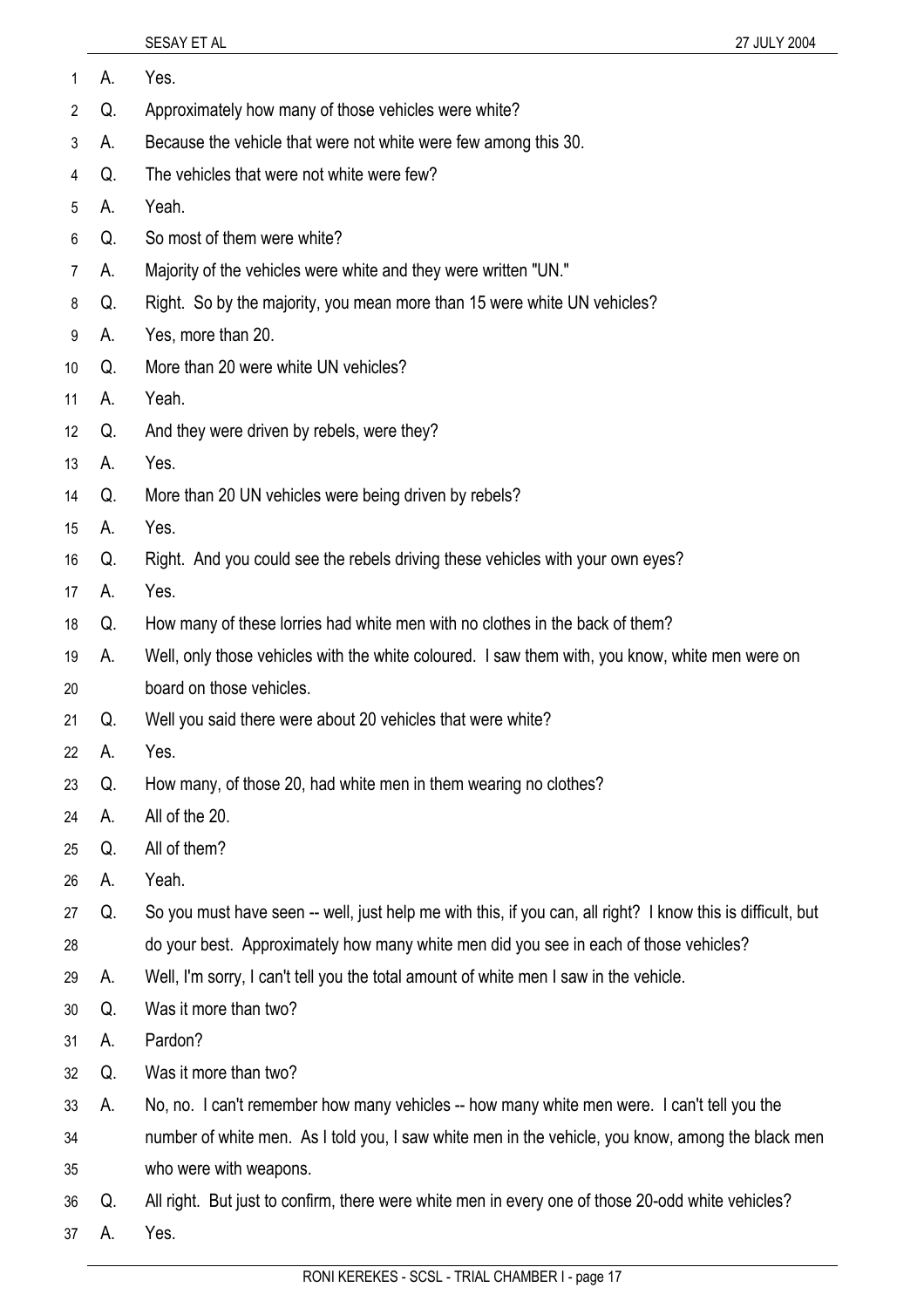| 1  | А. | Yes.                                                                                                        |
|----|----|-------------------------------------------------------------------------------------------------------------|
| 2  | Q. | Approximately how many of those vehicles were white?                                                        |
| 3  | А. | Because the vehicle that were not white were few among this 30.                                             |
| 4  | Q. | The vehicles that were not white were few?                                                                  |
| 5  | А. | Yeah.                                                                                                       |
| 6  | Q. | So most of them were white?                                                                                 |
| 7  | А. | Majority of the vehicles were white and they were written "UN."                                             |
| 8  | Q. | Right. So by the majority, you mean more than 15 were white UN vehicles?                                    |
| 9  | А. | Yes, more than 20.                                                                                          |
| 10 | Q. | More than 20 were white UN vehicles?                                                                        |
| 11 | А. | Yeah.                                                                                                       |
| 12 | Q. | And they were driven by rebels, were they?                                                                  |
| 13 | А. | Yes.                                                                                                        |
| 14 | Q. | More than 20 UN vehicles were being driven by rebels?                                                       |
| 15 | А. | Yes.                                                                                                        |
| 16 | Q. | Right. And you could see the rebels driving these vehicles with your own eyes?                              |
| 17 | А. | Yes.                                                                                                        |
| 18 | Q. | How many of these lorries had white men with no clothes in the back of them?                                |
| 19 | А. | Well, only those vehicles with the white coloured. I saw them with, you know, white men were on             |
| 20 |    | board on those vehicles.                                                                                    |
| 21 | Q. | Well you said there were about 20 vehicles that were white?                                                 |
| 22 | А. | Yes                                                                                                         |
| 23 | Q. | How many, of those 20, had white men in them wearing no clothes?                                            |
| 24 | А. | All of the 20.                                                                                              |
| 25 | Q. | All of them?                                                                                                |
| 26 | А. | Yeah.                                                                                                       |
| 27 | Q. | So you must have seen -- well, just help me with this, if you can, all right? I know this is difficult, but |
| 28 |    | do your best. Approximately how many white men did you see in each of those vehicles?                       |
| 29 | А. | Well, I'm sorry, I can't tell you the total amount of white men I saw in the vehicle.                       |
| 30 | Q. | Was it more than two?                                                                                       |
| 31 | А. | Pardon?                                                                                                     |
| 32 | Q. | Was it more than two?                                                                                       |
| 33 | А. | No, no. I can't remember how many vehicles -- how many white men were. I can't tell you the                 |
| 34 |    | number of white men. As I told you, I saw white men in the vehicle, you know, among the black men           |
| 35 |    | who were with weapons.                                                                                      |
| 36 | Q. | All right. But just to confirm, there were white men in every one of those 20-odd white vehicles?           |
| 37 | А. | Yes.                                                                                                        |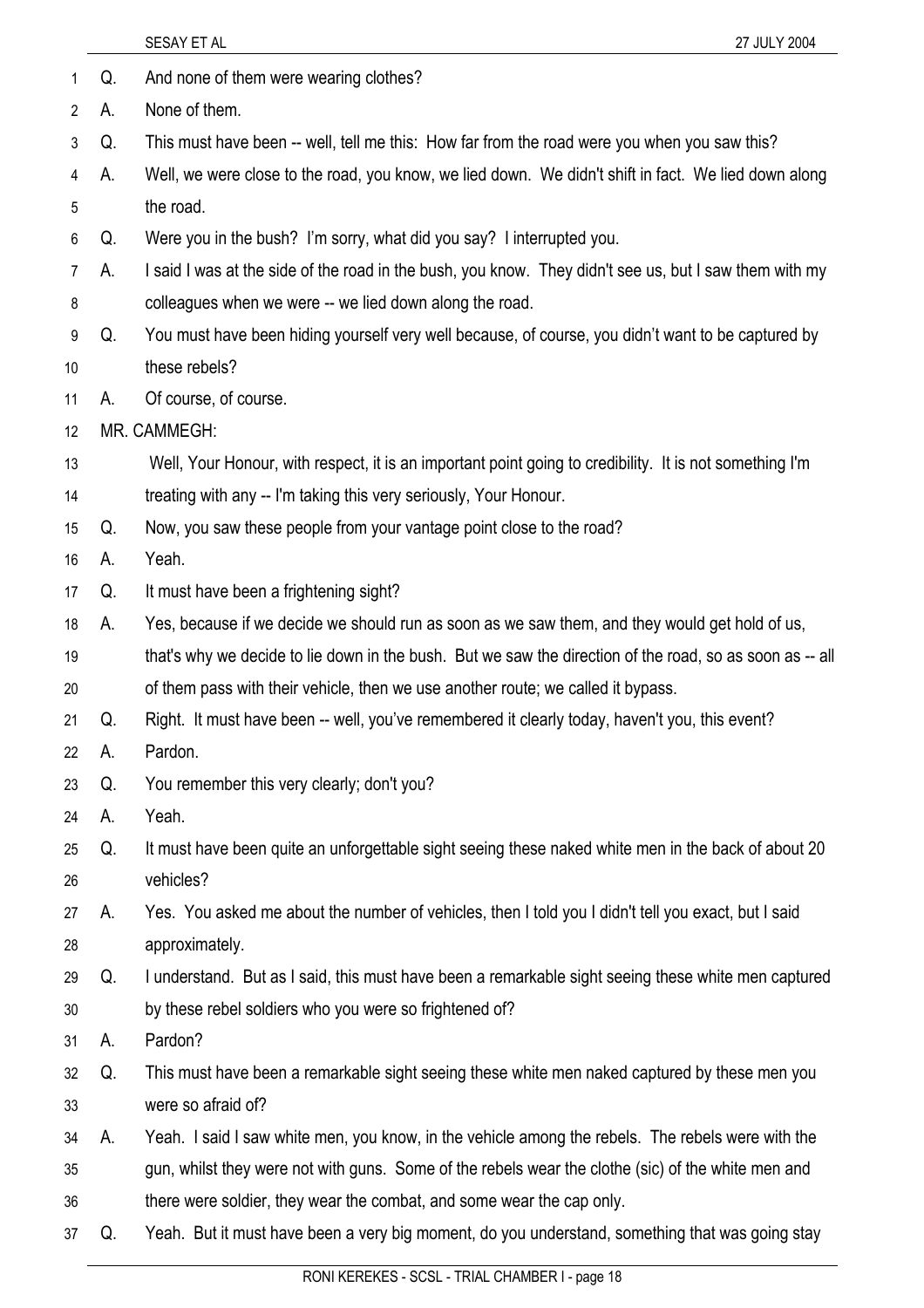|    |    | SESAY ET AL<br>27 JULY 2004                                                                              |
|----|----|----------------------------------------------------------------------------------------------------------|
| 1  | Q. | And none of them were wearing clothes?                                                                   |
| 2  | А. | None of them.                                                                                            |
| 3  | Q. | This must have been -- well, tell me this: How far from the road were you when you saw this?             |
| 4  | А. | Well, we were close to the road, you know, we lied down. We didn't shift in fact. We lied down along     |
| 5  |    | the road.                                                                                                |
| 6  | Q. | Were you in the bush? I'm sorry, what did you say? I interrupted you.                                    |
| 7  | А. | I said I was at the side of the road in the bush, you know. They didn't see us, but I saw them with my   |
| 8  |    | colleagues when we were -- we lied down along the road.                                                  |
| 9  | Q. | You must have been hiding yourself very well because, of course, you didn't want to be captured by       |
| 10 |    | these rebels?                                                                                            |
| 11 | А. | Of course, of course.                                                                                    |
| 12 |    | MR. CAMMEGH:                                                                                             |
| 13 |    | Well, Your Honour, with respect, it is an important point going to credibility. It is not something I'm  |
| 14 |    | treating with any -- I'm taking this very seriously, Your Honour.                                        |
| 15 | Q. | Now, you saw these people from your vantage point close to the road?                                     |
| 16 | А. | Yeah.                                                                                                    |
| 17 | Q. | It must have been a frightening sight?                                                                   |
| 18 | А. | Yes, because if we decide we should run as soon as we saw them, and they would get hold of us,           |
| 19 |    | that's why we decide to lie down in the bush. But we saw the direction of the road, so as soon as -- all |
| 20 |    | of them pass with their vehicle, then we use another route; we called it bypass.                         |
| 21 | Q. | Right. It must have been -- well, you've remembered it clearly today, haven't you, this event?           |
| 22 | А. | Pardon.                                                                                                  |
| 23 | Q. | You remember this very clearly; don't you?                                                               |
| 24 | А. | Yeah.                                                                                                    |
| 25 | Q. | It must have been quite an unforgettable sight seeing these naked white men in the back of about 20      |
| 26 |    | vehicles?                                                                                                |
| 27 | А. | Yes. You asked me about the number of vehicles, then I told you I didn't tell you exact, but I said      |
| 28 |    | approximately.                                                                                           |
| 29 | Q. | I understand. But as I said, this must have been a remarkable sight seeing these white men captured      |
| 30 |    | by these rebel soldiers who you were so frightened of?                                                   |
| 31 | А. | Pardon?                                                                                                  |
| 32 | Q. | This must have been a remarkable sight seeing these white men naked captured by these men you            |
| 33 |    | were so afraid of?                                                                                       |
| 34 | А. | Yeah. I said I saw white men, you know, in the vehicle among the rebels. The rebels were with the        |
| 35 |    | gun, whilst they were not with guns. Some of the rebels wear the clothe (sic) of the white men and       |
| 36 |    | there were soldier, they wear the combat, and some wear the cap only.                                    |
| 37 | Q. | Yeah. But it must have been a very big moment, do you understand, something that was going stay          |
|    |    |                                                                                                          |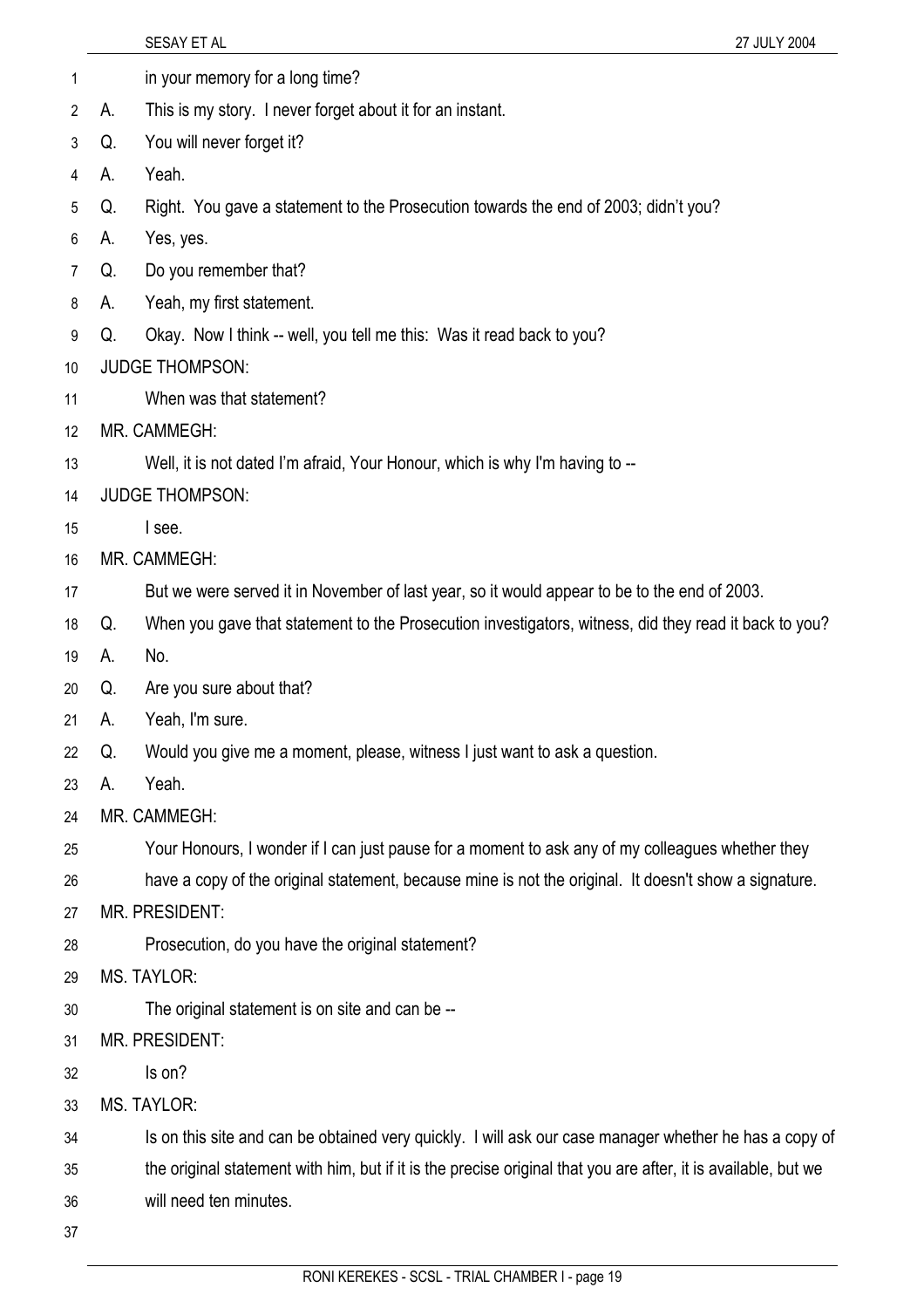|                 |    | SESAY ET AL<br>27 JULY 2004                                                                                    |
|-----------------|----|----------------------------------------------------------------------------------------------------------------|
| 1               |    | in your memory for a long time?                                                                                |
| 2               | А. | This is my story. I never forget about it for an instant.                                                      |
| 3               | Q. | You will never forget it?                                                                                      |
| 4               | А. | Yeah.                                                                                                          |
| 5               | Q. | Right. You gave a statement to the Prosecution towards the end of 2003; didn't you?                            |
| 6               | А. | Yes, yes.                                                                                                      |
| 7               | Q. | Do you remember that?                                                                                          |
| 8               | А. | Yeah, my first statement.                                                                                      |
| 9               | Q. | Okay. Now I think -- well, you tell me this: Was it read back to you?                                          |
| 10 <sup>°</sup> |    | <b>JUDGE THOMPSON:</b>                                                                                         |
| 11              |    | When was that statement?                                                                                       |
| 12              |    | MR. CAMMEGH:                                                                                                   |
| 13              |    | Well, it is not dated I'm afraid, Your Honour, which is why I'm having to --                                   |
| 14              |    | <b>JUDGE THOMPSON:</b>                                                                                         |
| 15              |    | I see.                                                                                                         |
| 16              |    | MR. CAMMEGH:                                                                                                   |
| 17              |    | But we were served it in November of last year, so it would appear to be to the end of 2003.                   |
| 18              | Q. | When you gave that statement to the Prosecution investigators, witness, did they read it back to you?          |
| 19              | А. | No.                                                                                                            |
| 20              | Q. | Are you sure about that?                                                                                       |
| 21              | А. | Yeah, I'm sure.                                                                                                |
| 22              | Q. | Would you give me a moment, please, witness I just want to ask a question.                                     |
| 23              | А. | Yeah.                                                                                                          |
| 24              |    | MR. CAMMEGH:                                                                                                   |
| 25              |    | Your Honours, I wonder if I can just pause for a moment to ask any of my colleagues whether they               |
| 26              |    | have a copy of the original statement, because mine is not the original. It doesn't show a signature.          |
| 27              |    | <b>MR. PRESIDENT:</b>                                                                                          |
| 28              |    | Prosecution, do you have the original statement?                                                               |
| 29              |    | MS. TAYLOR:                                                                                                    |
| 30              |    | The original statement is on site and can be --                                                                |
| 31              |    | <b>MR. PRESIDENT:</b>                                                                                          |
| 32              |    | Is on?                                                                                                         |
| 33              |    | <b>MS. TAYLOR:</b>                                                                                             |
| 34              |    | Is on this site and can be obtained very quickly. I will ask our case manager whether he has a copy of         |
| 35              |    | the original statement with him, but if it is the precise original that you are after, it is available, but we |
| 36              |    | will need ten minutes.                                                                                         |
| 37              |    |                                                                                                                |
|                 |    |                                                                                                                |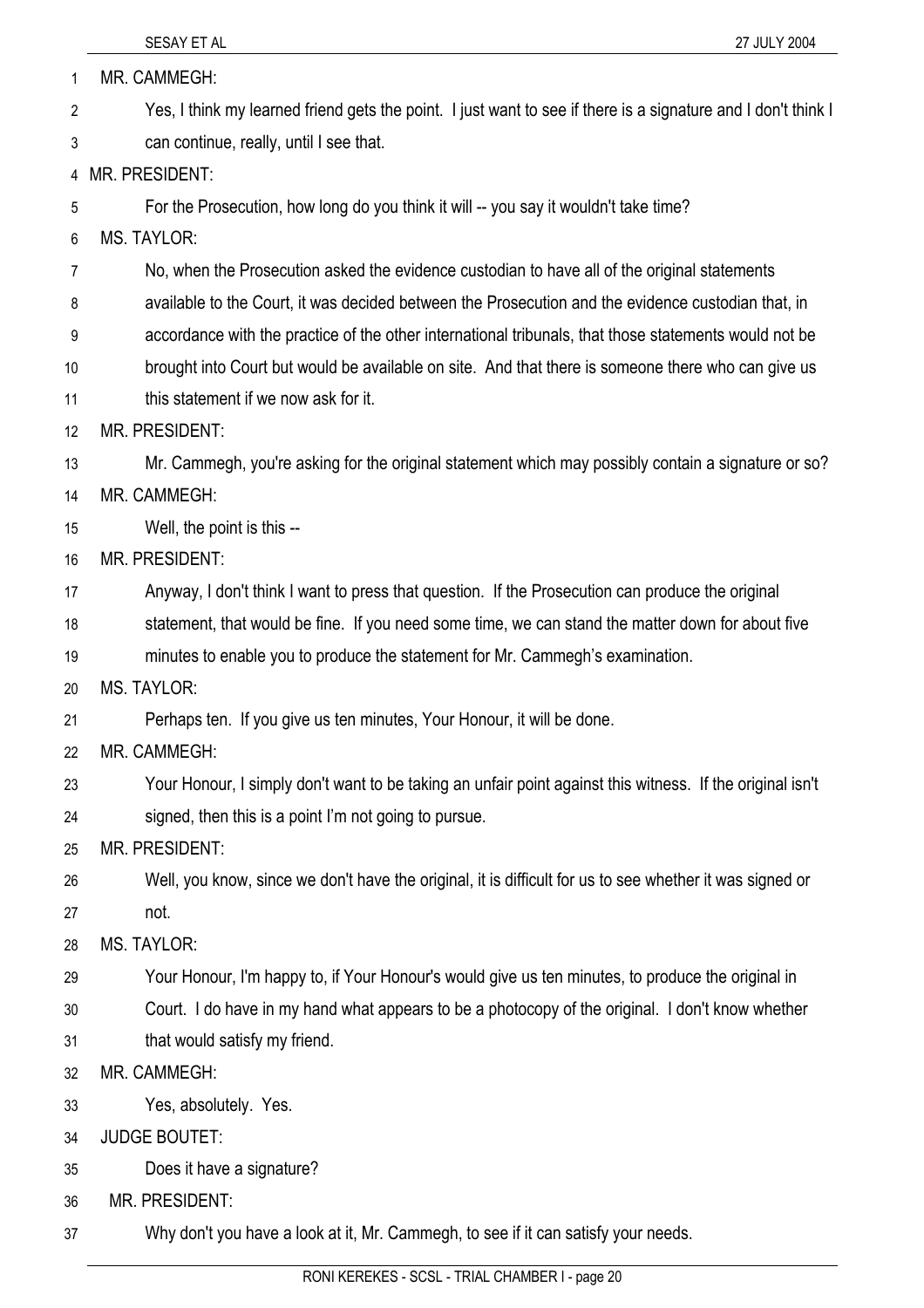| 1  | MR. CAMMEGH:                                                                                                  |
|----|---------------------------------------------------------------------------------------------------------------|
| 2  | Yes, I think my learned friend gets the point. I just want to see if there is a signature and I don't think I |
| 3  | can continue, really, until I see that.                                                                       |
| 4  | MR. PRESIDENT:                                                                                                |
| 5  | For the Prosecution, how long do you think it will -- you say it wouldn't take time?                          |
| 6  | <b>MS. TAYLOR:</b>                                                                                            |
| 7  | No, when the Prosecution asked the evidence custodian to have all of the original statements                  |
| 8  | available to the Court, it was decided between the Prosecution and the evidence custodian that, in            |
| 9  | accordance with the practice of the other international tribunals, that those statements would not be         |
| 10 | brought into Court but would be available on site. And that there is someone there who can give us            |
| 11 | this statement if we now ask for it.                                                                          |
| 12 | MR. PRESIDENT:                                                                                                |
| 13 | Mr. Cammegh, you're asking for the original statement which may possibly contain a signature or so?           |
| 14 | MR. CAMMEGH:                                                                                                  |
| 15 | Well, the point is this --                                                                                    |
| 16 | MR. PRESIDENT:                                                                                                |
| 17 | Anyway, I don't think I want to press that question. If the Prosecution can produce the original              |
| 18 | statement, that would be fine. If you need some time, we can stand the matter down for about five             |
| 19 | minutes to enable you to produce the statement for Mr. Cammegh's examination.                                 |
| 20 | <b>MS. TAYLOR:</b>                                                                                            |
| 21 | Perhaps ten. If you give us ten minutes, Your Honour, it will be done.                                        |
| 22 | MR. CAMMEGH:                                                                                                  |
| 23 | Your Honour, I simply don't want to be taking an unfair point against this witness. If the original isn't     |
| 24 | signed, then this is a point I'm not going to pursue.                                                         |
| 25 | MR. PRESIDENT:                                                                                                |
| 26 | Well, you know, since we don't have the original, it is difficult for us to see whether it was signed or      |
| 27 | not.                                                                                                          |
| 28 | <b>MS. TAYLOR:</b>                                                                                            |
| 29 | Your Honour, I'm happy to, if Your Honour's would give us ten minutes, to produce the original in             |
| 30 | Court. I do have in my hand what appears to be a photocopy of the original. I don't know whether              |
| 31 | that would satisfy my friend.                                                                                 |
| 32 | MR. CAMMEGH:                                                                                                  |
| 33 | Yes, absolutely. Yes.                                                                                         |
| 34 | <b>JUDGE BOUTET:</b>                                                                                          |
| 35 | Does it have a signature?                                                                                     |
| 36 | <b>MR. PRESIDENT:</b>                                                                                         |
| 37 | Why don't you have a look at it, Mr. Cammegh, to see if it can satisfy your needs.                            |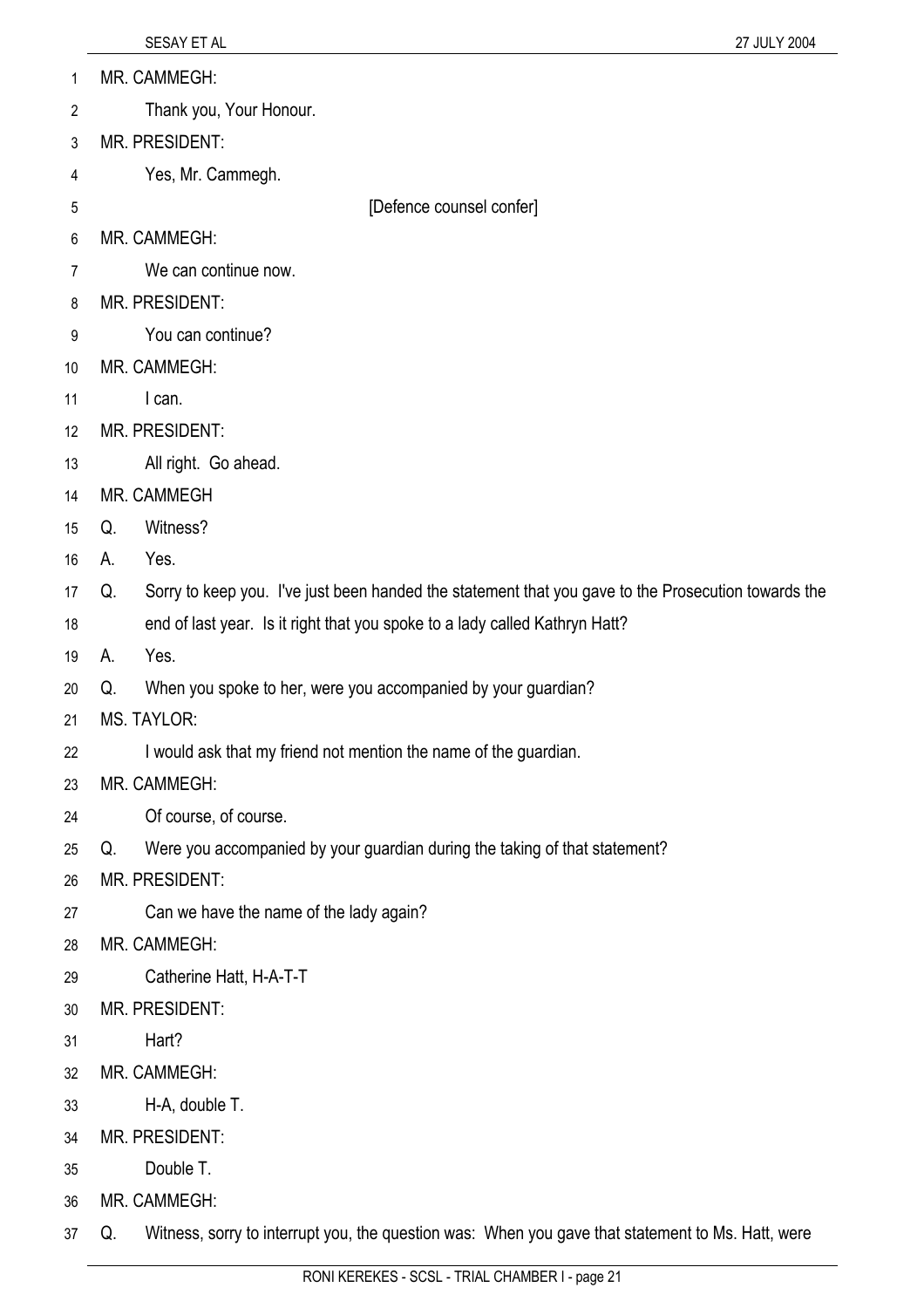- MR. CAMMEGH: 1
- Thank you, Your Honour. 2
- 3 MR. PRESIDENT:
- 4 Yes, Mr. Cammegh.
- 5

[Defence counsel confer]

- 6 MR. CAMMEGH:
- 7 We can continue now.
- 8 MR. PRESIDENT:
- 9 You can continue?
- 10 MR. CAMMEGH:
- 11 I can.
- 12 MR. PRESIDENT:
- 13 All right. Go ahead.
- 14 MR. CAMMEGH
- 15 Q. Witness?
- 16 A. Yes.
- 17 Q. Sorry to keep you. I've just been handed the statement that you gave to the Prosecution towards the
- 18 end of last year. Is it right that you spoke to a lady called Kathryn Hatt?
- 19 A. Yes.
- 20 Q. When you spoke to her, were you accompanied by your guardian?
- 21 MS. TAYLOR:
- 22 I would ask that my friend not mention the name of the guardian.
- 23 MR. CAMMEGH:
- 24 Of course, of course.
- 25 Q. Were you accompanied by your guardian during the taking of that statement?
- 26 MR. PRESIDENT:
- 27 Can we have the name of the lady again?
- 28 MR. CAMMEGH:
- 29 Catherine Hatt, H-A-T-T
- 30 MR. PRESIDENT:
- 31 Hart?
- 32 MR. CAMMEGH:
- 33 H-A, double T.
- 34 MR. PRESIDENT:
- 35 Double T.
- 36 MR. CAMMEGH:
- 37 Q. Witness, sorry to interrupt you, the question was: When you gave that statement to Ms. Hatt, were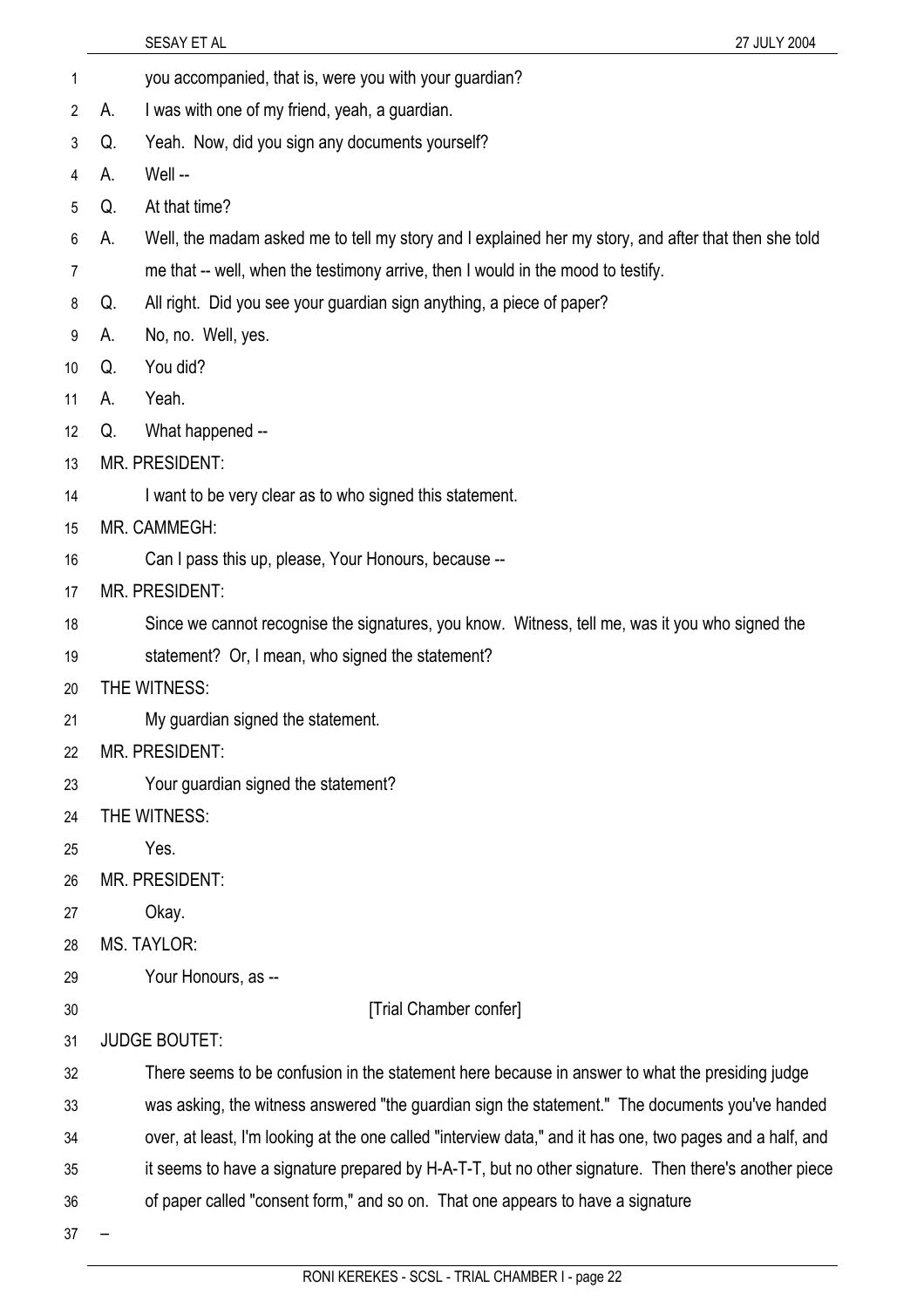- 1 you accompanied, that is, were you with your guardian?
- 2 A. I was with one of my friend, yeah, a guardian.
- 3 Q. Yeah. Now, did you sign any documents yourself?
- 4 A. Well --
- 5 Q. At that time?
- 6 A. Well, the madam asked me to tell my story and I explained her my story, and after that then she told
- 7 me that -- well, when the testimony arrive, then I would in the mood to testify.
- 8 Q. All right. Did you see your guardian sign anything, a piece of paper?
- 9 A. No, no. Well, yes.
- 10 Q. You did?
- 11 A. Yeah.
- 12 Q. What happened --
- 13 MR. PRESIDENT:
- 14 I want to be very clear as to who signed this statement.
- 15 MR. CAMMEGH:
- 16 Can I pass this up, please, Your Honours, because --
- 17 MR. PRESIDENT:
- 18 Since we cannot recognise the signatures, you know. Witness, tell me, was it you who signed the
- 19 statement? Or, I mean, who signed the statement?
- 20 THE WITNESS:
- 21 My guardian signed the statement.
- 22 MR. PRESIDENT:
- 23 Your guardian signed the statement?
- 24 THE WITNESS:
- 25 Yes.
- 26 MR. PRESIDENT:
- 27 Okay.
- 28 MS. TAYLOR:
- 29 Your Honours, as --
- 30

[Trial Chamber confer]

- 31 JUDGE BOUTET:
- 32 There seems to be confusion in the statement here because in answer to what the presiding judge
- 33 was asking, the witness answered "the guardian sign the statement." The documents you've handed
- 34 over, at least, I'm looking at the one called "interview data," and it has one, two pages and a half, and
- 35 it seems to have a signature prepared by H-A-T-T, but no other signature. Then there's another piece
- 
- 36 of paper called "consent form," and so on. That one appears to have a signature
- 37 –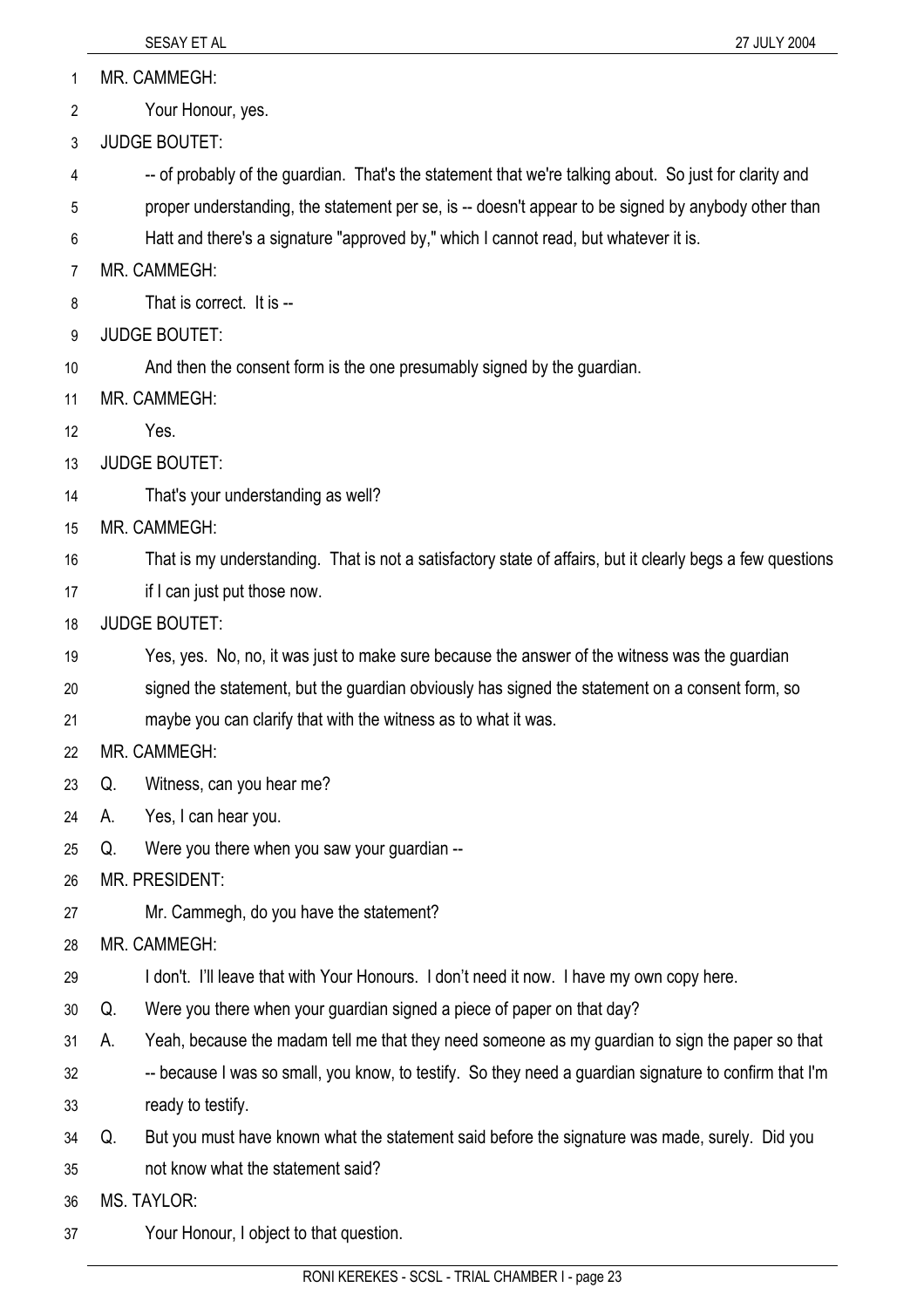1 MR. CAMMEGH:

2 Your Honour, yes.

3 JUDGE BOUTET:

4 -- of probably of the guardian. That's the statement that we're talking about. So just for clarity and

5 proper understanding, the statement per se, is -- doesn't appear to be signed by anybody other than

6 Hatt and there's a signature "approved by," which I cannot read, but whatever it is.

7 MR. CAMMEGH:

8 That is correct. It is --

9 JUDGE BOUTET:

10 And then the consent form is the one presumably signed by the guardian.

11 MR. CAMMEGH:

12 Yes.

13 JUDGE BOUTET:

14 That's your understanding as well?

15 MR. CAMMEGH:

16 That is my understanding. That is not a satisfactory state of affairs, but it clearly begs a few questions

17 if I can just put those now.

18 JUDGE BOUTET:

19 Yes, yes. No, no, it was just to make sure because the answer of the witness was the guardian

20 signed the statement, but the guardian obviously has signed the statement on a consent form, so

21 maybe you can clarify that with the witness as to what it was.

22 MR. CAMMEGH:

23 Q. Witness, can you hear me?

24 A. Yes, I can hear you.

25 Q. Were you there when you saw your guardian --

26 MR. PRESIDENT:

27 Mr. Cammegh, do you have the statement?

28 MR. CAMMEGH:

29 I don't. I'll leave that with Your Honours. I don't need it now. I have my own copy here.

30 Q. Were you there when your guardian signed a piece of paper on that day?

31 A. Yeah, because the madam tell me that they need someone as my guardian to sign the paper so that

32 33 -- because I was so small, you know, to testify. So they need a guardian signature to confirm that I'm ready to testify.

34 Q. But you must have known what the statement said before the signature was made, surely. Did you

35 not know what the statement said?

36 MS. TAYLOR:

37 Your Honour, I object to that question.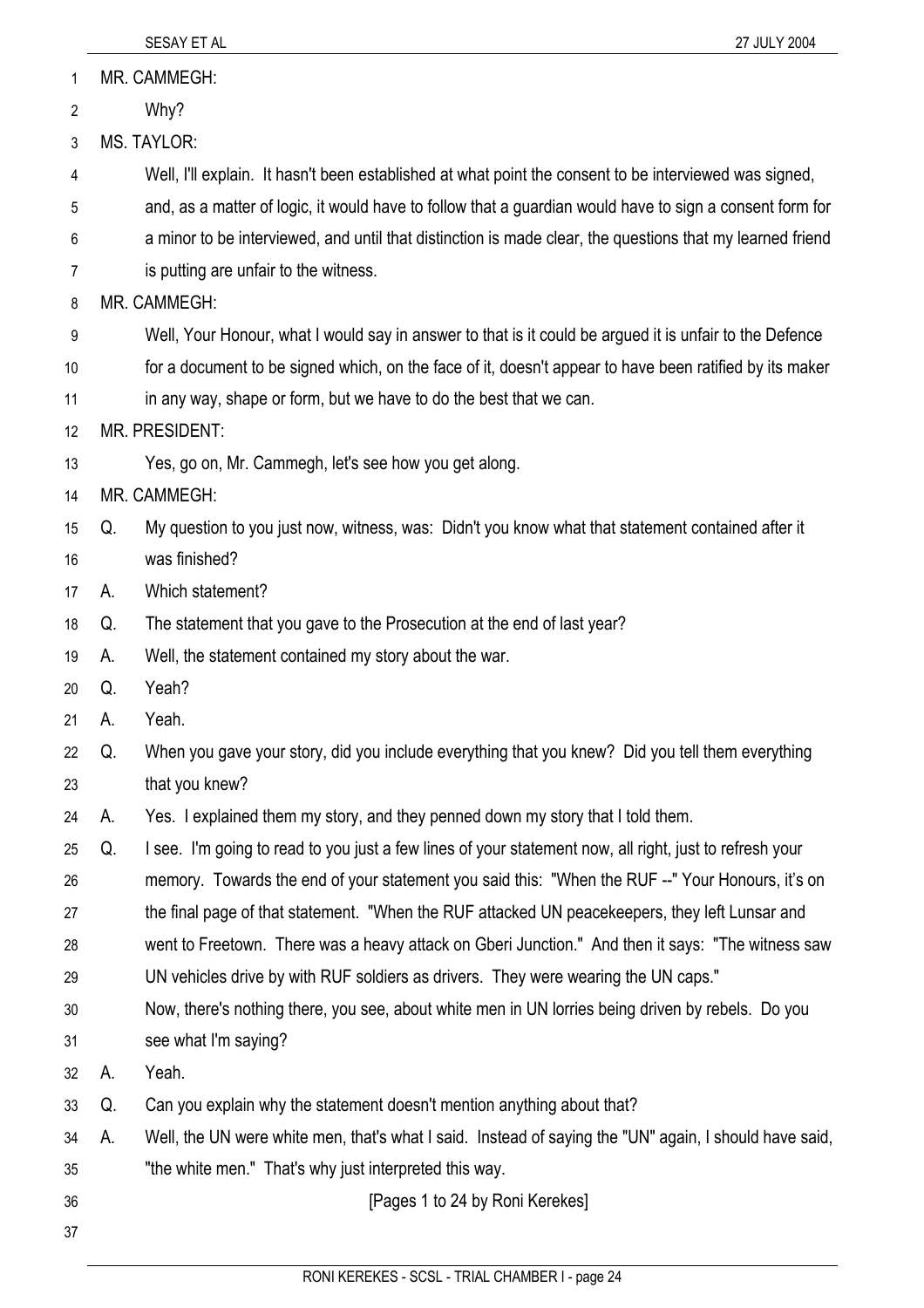| $\mathbf{1}$   |    | MR. CAMMEGH:                                                                                              |
|----------------|----|-----------------------------------------------------------------------------------------------------------|
| $\overline{2}$ |    | Why?                                                                                                      |
| 3              |    | <b>MS. TAYLOR:</b>                                                                                        |
| 4              |    | Well, I'll explain. It hasn't been established at what point the consent to be interviewed was signed,    |
| 5              |    | and, as a matter of logic, it would have to follow that a guardian would have to sign a consent form for  |
| 6              |    | a minor to be interviewed, and until that distinction is made clear, the questions that my learned friend |
| 7              |    | is putting are unfair to the witness.                                                                     |
| 8              |    | MR. CAMMEGH:                                                                                              |
| 9              |    | Well, Your Honour, what I would say in answer to that is it could be argued it is unfair to the Defence   |
| 10             |    | for a document to be signed which, on the face of it, doesn't appear to have been ratified by its maker   |
| 11             |    | in any way, shape or form, but we have to do the best that we can.                                        |
| 12             |    | <b>MR. PRESIDENT:</b>                                                                                     |
| 13             |    | Yes, go on, Mr. Cammegh, let's see how you get along.                                                     |
| 14             |    | MR. CAMMEGH:                                                                                              |
| 15             | Q. | My question to you just now, witness, was: Didn't you know what that statement contained after it         |
| 16             |    | was finished?                                                                                             |
| 17             | А. | Which statement?                                                                                          |
| 18             | Q. | The statement that you gave to the Prosecution at the end of last year?                                   |
| 19             | А. | Well, the statement contained my story about the war.                                                     |
| 20             | Q. | Yeah?                                                                                                     |
| 21             | А. | Yeah.                                                                                                     |
| 22             | Q. | When you gave your story, did you include everything that you knew? Did you tell them everything          |
| 23             |    | that you knew?                                                                                            |
| 24             | А. | Yes. I explained them my story, and they penned down my story that I told them.                           |
| 25             | Q. | I see. I'm going to read to you just a few lines of your statement now, all right, just to refresh your   |
| 26             |    | memory. Towards the end of your statement you said this: "When the RUF --" Your Honours, it's on          |
| 27             |    | the final page of that statement. "When the RUF attacked UN peacekeepers, they left Lunsar and            |
| 28             |    | went to Freetown. There was a heavy attack on Gberi Junction." And then it says: "The witness saw         |
| 29             |    | UN vehicles drive by with RUF soldiers as drivers. They were wearing the UN caps."                        |
| 30             |    | Now, there's nothing there, you see, about white men in UN lorries being driven by rebels. Do you         |
| 31             |    | see what I'm saying?                                                                                      |
| 32             | А. | Yeah.                                                                                                     |
| 33             | Q. | Can you explain why the statement doesn't mention anything about that?                                    |
| 34             | А. | Well, the UN were white men, that's what I said. Instead of saying the "UN" again, I should have said,    |
| 35             |    | "the white men." That's why just interpreted this way.                                                    |
| 36             |    | [Pages 1 to 24 by Roni Kerekes]                                                                           |
| 37             |    |                                                                                                           |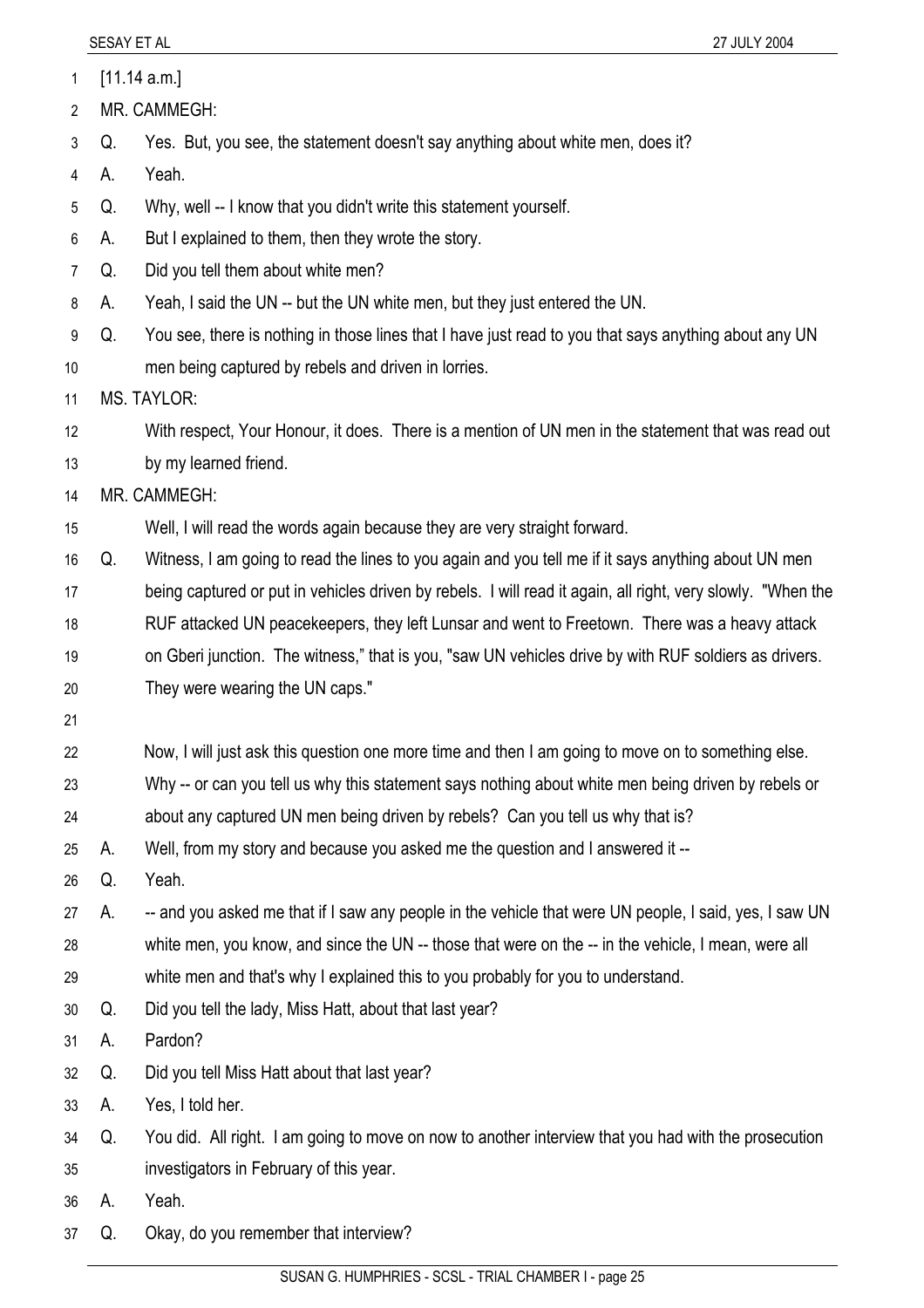1 [11.14 a.m.]

2 MR. CAMMEGH:

3 Q. Yes. But, you see, the statement doesn't say anything about white men, does it?

4 A. Yeah.

5 Q. Why, well -- I know that you didn't write this statement yourself.

6 A. But I explained to them, then they wrote the story.

- 7 Q. Did you tell them about white men?
- 8 A. Yeah, I said the UN -- but the UN white men, but they just entered the UN.

9 10 Q. You see, there is nothing in those lines that I have just read to you that says anything about any UN men being captured by rebels and driven in lorries.

11 MS. TAYLOR:

12 13 With respect, Your Honour, it does. There is a mention of UN men in the statement that was read out by my learned friend.

14 MR. CAMMEGH:

15 Well, I will read the words again because they are very straight forward.

16 17 18 19 20 Q. Witness, I am going to read the lines to you again and you tell me if it says anything about UN men being captured or put in vehicles driven by rebels. I will read it again, all right, very slowly. "When the RUF attacked UN peacekeepers, they left Lunsar and went to Freetown. There was a heavy attack on Gberi junction. The witness," that is you, "saw UN vehicles drive by with RUF soldiers as drivers. They were wearing the UN caps."

21

22 Now, I will just ask this question one more time and then I am going to move on to something else.

- 23 Why -- or can you tell us why this statement says nothing about white men being driven by rebels or
- 24 about any captured UN men being driven by rebels? Can you tell us why that is?

25 A. Well, from my story and because you asked me the question and I answered it --

26 Q. Yeah.

27 28 29 A. -- and you asked me that if I saw any people in the vehicle that were UN people, I said, yes, I saw UN white men, you know, and since the UN -- those that were on the -- in the vehicle, I mean, were all white men and that's why I explained this to you probably for you to understand.

30 Q. Did you tell the lady, Miss Hatt, about that last year?

31 A. Pardon?

32 Q. Did you tell Miss Hatt about that last year?

33 A. Yes, I told her.

34 35 Q. You did. All right. I am going to move on now to another interview that you had with the prosecution investigators in February of this year.

36 A. Yeah.

37 Q. Okay, do you remember that interview?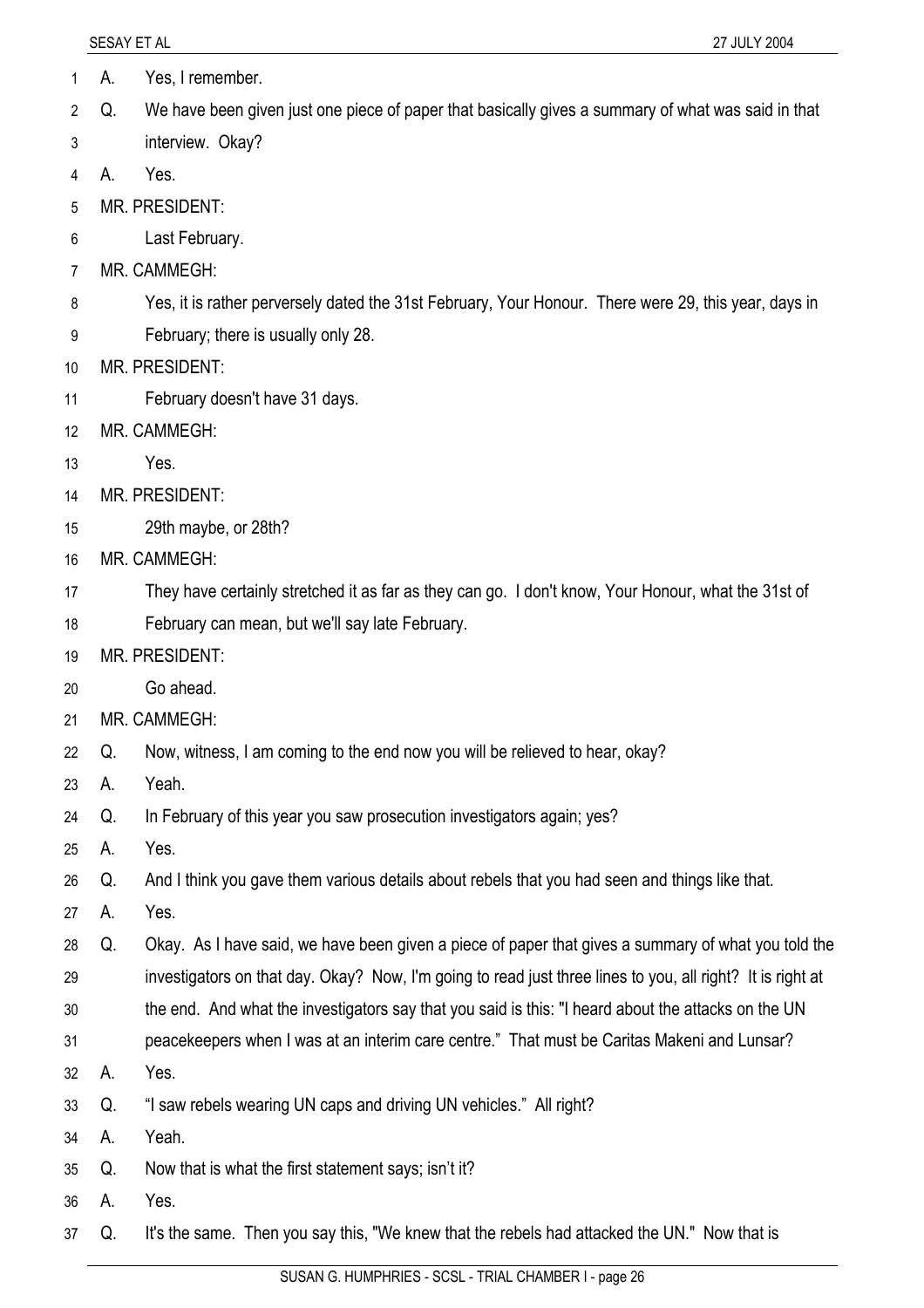- 1 A. Yes, I remember.
- 2 Q. We have been given just one piece of paper that basically gives a summary of what was said in that
- 3 interview. Okay?
- 4 A. Yes.
- 5 MR. PRESIDENT:
- 6 Last February.
- 7 MR. CAMMEGH:
- 8 Yes, it is rather perversely dated the 31st February, Your Honour. There were 29, this year, days in
- 9 February; there is usually only 28.
- 10 MR. PRESIDENT:
- 11 February doesn't have 31 days.
- 12 MR. CAMMEGH:
- 13 Yes.
- 14 MR. PRESIDENT:
- 15 29th maybe, or 28th?
- 16 MR. CAMMEGH:
- 17 They have certainly stretched it as far as they can go. I don't know, Your Honour, what the 31st of
- 18 February can mean, but we'll say late February.
- 19 MR. PRESIDENT:
- 20 Go ahead.
- 21 MR. CAMMEGH:
- 22 Q. Now, witness, I am coming to the end now you will be relieved to hear, okay?
- 23 A. Yeah.
- 24 Q. In February of this year you saw prosecution investigators again; yes?
- 25 A. Yes.
- 26 Q. And I think you gave them various details about rebels that you had seen and things like that.
- 27 A. Yes.
- 28 29 Q. Okay. As I have said, we have been given a piece of paper that gives a summary of what you told the investigators on that day. Okay? Now, I'm going to read just three lines to you, all right? It is right at
- 30 the end. And what the investigators say that you said is this: "I heard about the attacks on the UN
- 31 peacekeepers when I was at an interim care centre." That must be Caritas Makeni and Lunsar?
- 32 A. Yes.
- 33 Q. "I saw rebels wearing UN caps and driving UN vehicles." All right?
- 34 A. Yeah.
- 35 Q. Now that is what the first statement says; isn't it?
- 36 A. Yes.
- 37 Q. It's the same. Then you say this, "We knew that the rebels had attacked the UN." Now that is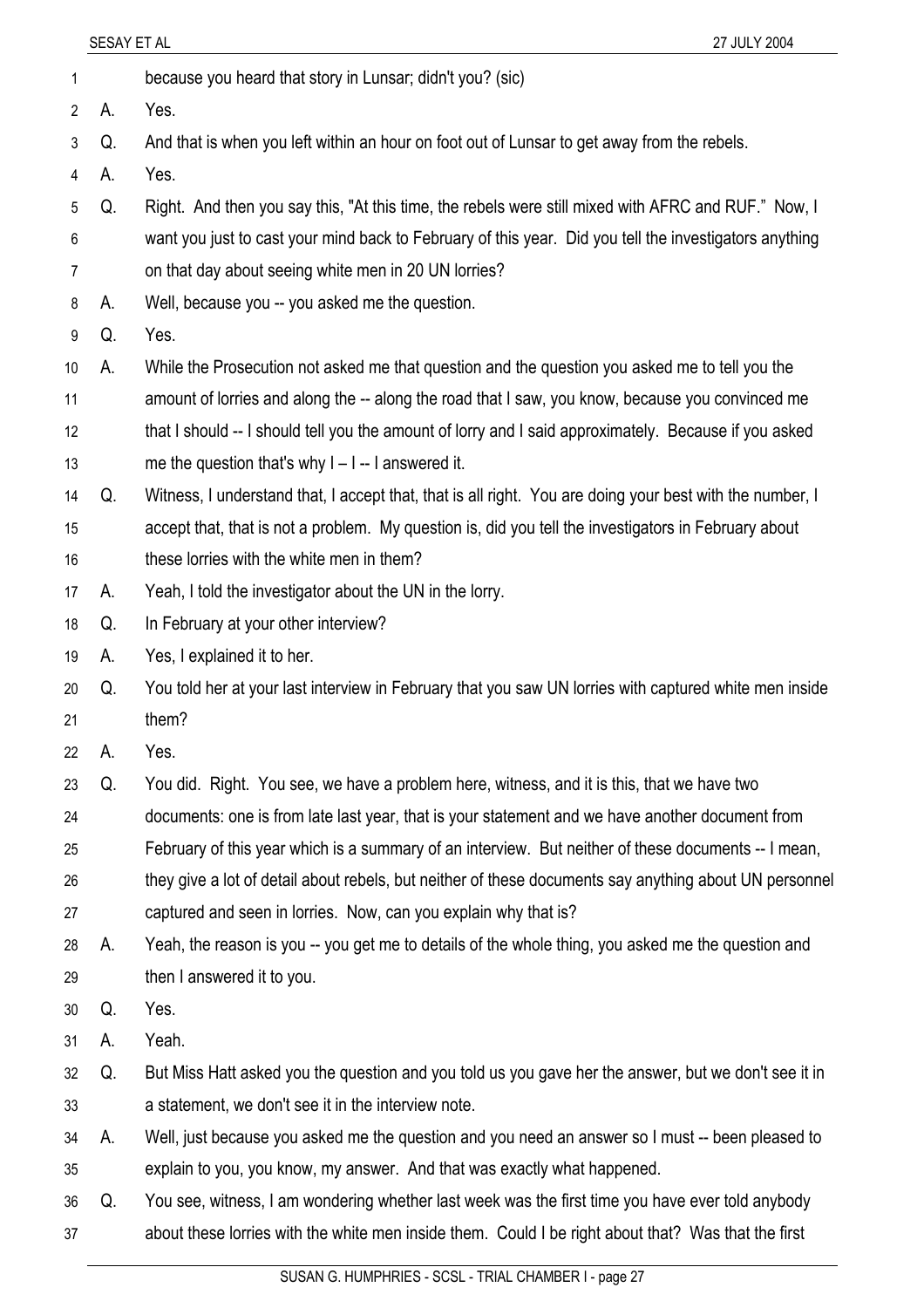- 2 A. Yes.
- 3 Q. And that is when you left within an hour on foot out of Lunsar to get away from the rebels.
- 4 A. Yes.
- 5 Q. Right. And then you say this, "At this time, the rebels were still mixed with AFRC and RUF." Now, I
- 6 want you just to cast your mind back to February of this year. Did you tell the investigators anything
- 7 on that day about seeing white men in 20 UN lorries?

1 because you heard that story in Lunsar; didn't you? (sic)

- 8 A. Well, because you -- you asked me the question.
- 9 Q. Yes.
- 10 A. While the Prosecution not asked me that question and the question you asked me to tell you the
- 11 amount of lorries and along the -- along the road that I saw, you know, because you convinced me
- 12 13 that I should -- I should tell you the amount of lorry and I said approximately. Because if you asked me the question that's why  $I - I - I$  answered it.
- 14 Q. Witness, I understand that, I accept that, that is all right. You are doing your best with the number, I
- 15 16 accept that, that is not a problem. My question is, did you tell the investigators in February about these lorries with the white men in them?
- 17 A. Yeah, I told the investigator about the UN in the lorry.
- 18 Q. In February at your other interview?
- 19 A. Yes, I explained it to her.
- 20 21 Q. You told her at your last interview in February that you saw UN lorries with captured white men inside them?
- 22 A. Yes.
- 23 Q. You did. Right. You see, we have a problem here, witness, and it is this, that we have two
- 24 documents: one is from late last year, that is your statement and we have another document from
- 25 February of this year which is a summary of an interview. But neither of these documents -- I mean,
- 26 27 they give a lot of detail about rebels, but neither of these documents say anything about UN personnel captured and seen in lorries. Now, can you explain why that is?
- 28 29 A. Yeah, the reason is you -- you get me to details of the whole thing, you asked me the question and then I answered it to you.
- 30 Q. Yes.
- 31 A. Yeah.
- 32 33 Q. But Miss Hatt asked you the question and you told us you gave her the answer, but we don't see it in a statement, we don't see it in the interview note.
- 34 35 A. Well, just because you asked me the question and you need an answer so I must -- been pleased to explain to you, you know, my answer. And that was exactly what happened.
- 36 37 Q. You see, witness, I am wondering whether last week was the first time you have ever told anybody about these lorries with the white men inside them. Could I be right about that? Was that the first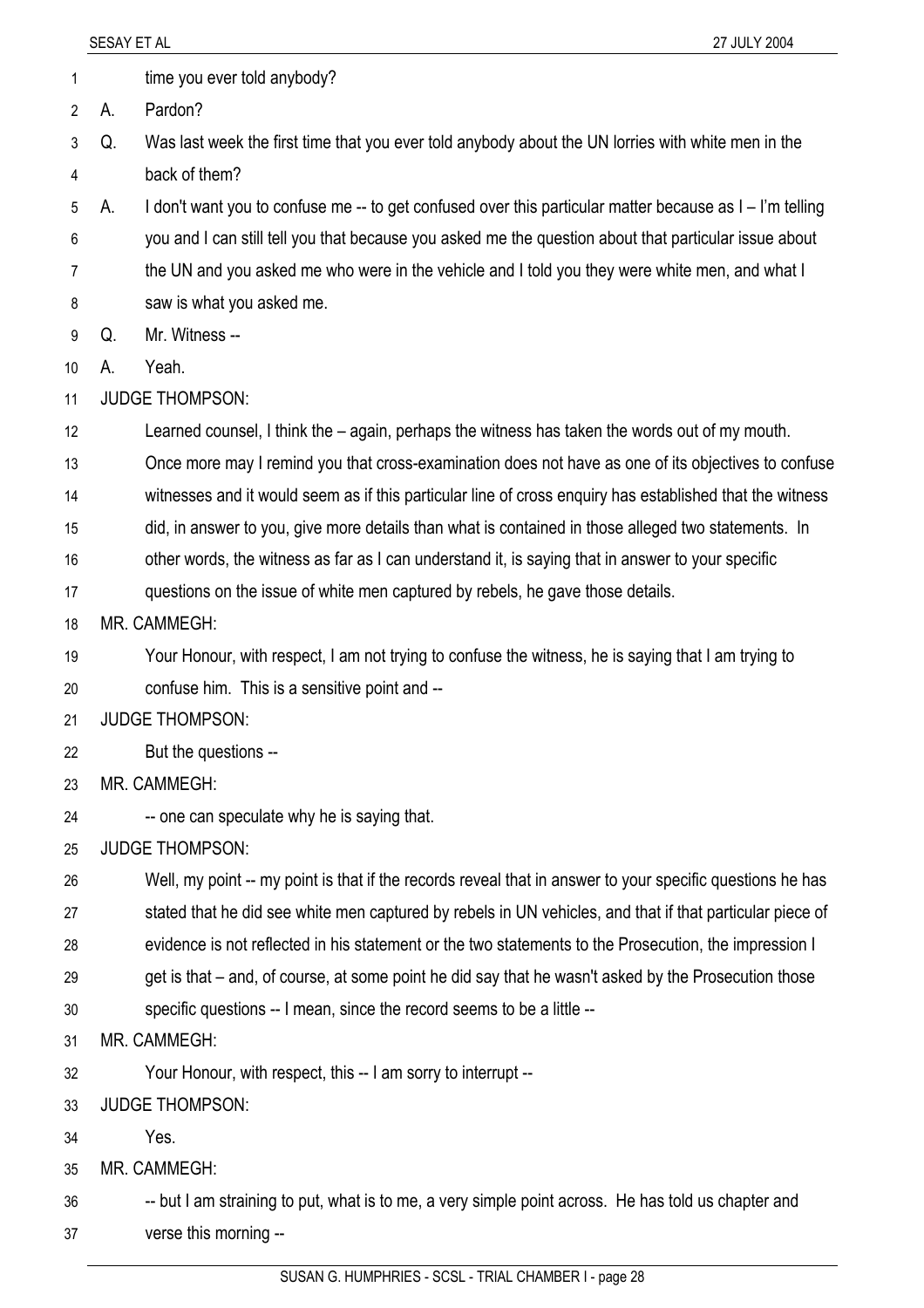- 1 time you ever told anybody?
- 2 A. Pardon?
- 3 4 Q. Was last week the first time that you ever told anybody about the UN lorries with white men in the back of them?
- 5 A. I don't want you to confuse me -- to get confused over this particular matter because as I – I'm telling
- 6 you and I can still tell you that because you asked me the question about that particular issue about
- 7 the UN and you asked me who were in the vehicle and I told you they were white men, and what I
- 8 saw is what you asked me.
- 9 Q. Mr. Witness --
- 10 A. Yeah.
- 11 JUDGE THOMPSON:
- 12 Learned counsel, I think the – again, perhaps the witness has taken the words out of my mouth.
- 13 Once more may I remind you that cross-examination does not have as one of its objectives to confuse
- 14 witnesses and it would seem as if this particular line of cross enquiry has established that the witness
- 15 did, in answer to you, give more details than what is contained in those alleged two statements. In
- 16 other words, the witness as far as I can understand it, is saying that in answer to your specific
- 17 questions on the issue of white men captured by rebels, he gave those details.
- 18 MR. CAMMEGH:
- 19 20 Your Honour, with respect, I am not trying to confuse the witness, he is saying that I am trying to confuse him. This is a sensitive point and --
- 21 JUDGE THOMPSON:
- 22 But the questions --
- 23 MR. CAMMEGH:
- 24 -- one can speculate why he is saying that.
- 25 JUDGE THOMPSON:
- 26 Well, my point -- my point is that if the records reveal that in answer to your specific questions he has
- 27 stated that he did see white men captured by rebels in UN vehicles, and that if that particular piece of
- 28 evidence is not reflected in his statement or the two statements to the Prosecution, the impression I
- 29 get is that – and, of course, at some point he did say that he wasn't asked by the Prosecution those
- 30 specific questions -- I mean, since the record seems to be a little --
- 31 MR. CAMMEGH:
- 32 Your Honour, with respect, this -- I am sorry to interrupt --
- 33 JUDGE THOMPSON:
- 34 Yes.
- 35 MR. CAMMEGH:
- 36 37 -- but I am straining to put, what is to me, a very simple point across. He has told us chapter and verse this morning --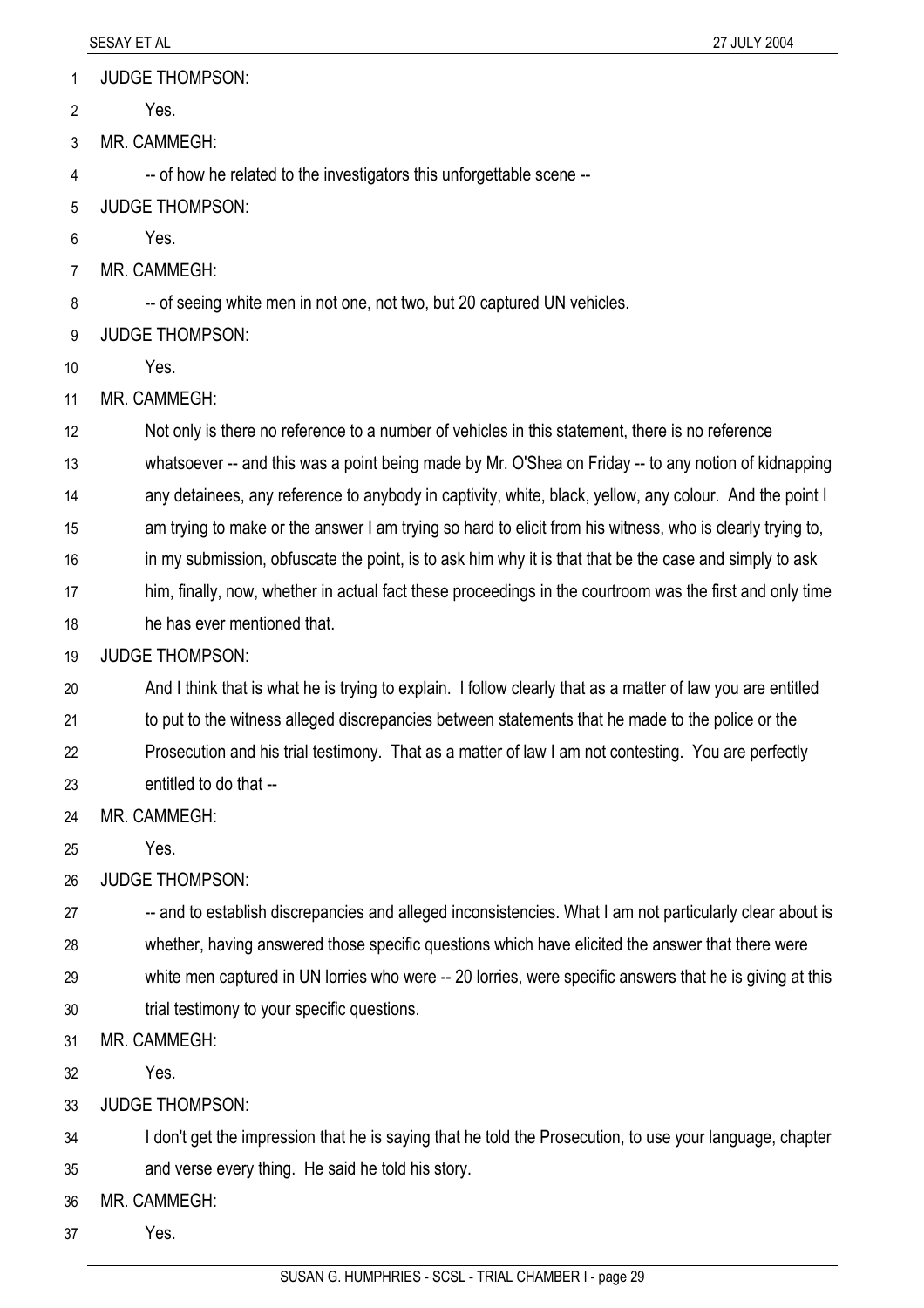JUDGE THOMPSON: 1

Yes. 2

3 MR. CAMMEGH:

4 -- of how he related to the investigators this unforgettable scene --

- 5 JUDGE THOMPSON:
- 6 Yes.
- 7 MR. CAMMEGH:

8 -- of seeing white men in not one, not two, but 20 captured UN vehicles.

9 JUDGE THOMPSON:

- 10 Yes.
- 11 MR. CAMMEGH:

12 Not only is there no reference to a number of vehicles in this statement, there is no reference

13 whatsoever -- and this was a point being made by Mr. O'Shea on Friday -- to any notion of kidnapping

14 any detainees, any reference to anybody in captivity, white, black, yellow, any colour. And the point I

15 am trying to make or the answer I am trying so hard to elicit from his witness, who is clearly trying to,

16 in my submission, obfuscate the point, is to ask him why it is that that be the case and simply to ask

17 him, finally, now, whether in actual fact these proceedings in the courtroom was the first and only time

18 he has ever mentioned that.

19 JUDGE THOMPSON:

20 And I think that is what he is trying to explain. I follow clearly that as a matter of law you are entitled

21 to put to the witness alleged discrepancies between statements that he made to the police or the

22 Prosecution and his trial testimony. That as a matter of law I am not contesting. You are perfectly

23 entitled to do that --

24 MR. CAMMEGH:

25 Yes.

26 JUDGE THOMPSON:

27 28 -- and to establish discrepancies and alleged inconsistencies. What I am not particularly clear about is whether, having answered those specific questions which have elicited the answer that there were

29 white men captured in UN lorries who were -- 20 lorries, were specific answers that he is giving at this

30 trial testimony to your specific questions.

31 MR. CAMMEGH:

32 Yes.

33 JUDGE THOMPSON:

34 I don't get the impression that he is saying that he told the Prosecution, to use your language, chapter

35 and verse every thing. He said he told his story.

36 MR. CAMMEGH:

37 Yes.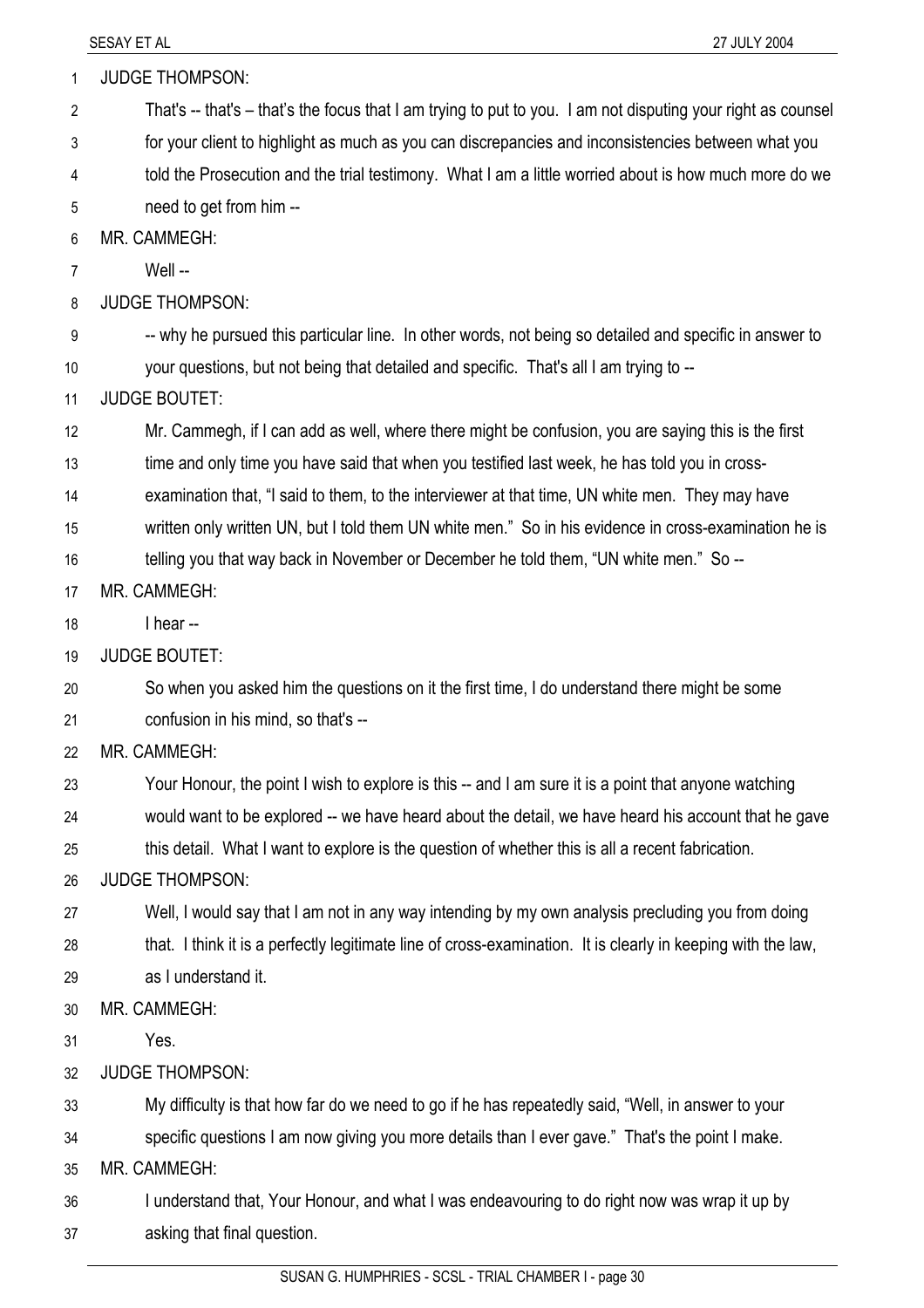| 1              | <b>JUDGE THOMPSON:</b>                                                                                       |
|----------------|--------------------------------------------------------------------------------------------------------------|
| $\overline{2}$ | That's -- that's - that's the focus that I am trying to put to you. I am not disputing your right as counsel |
| 3              | for your client to highlight as much as you can discrepancies and inconsistencies between what you           |
| 4              | told the Prosecution and the trial testimony. What I am a little worried about is how much more do we        |
| 5              | need to get from him --                                                                                      |
| 6              | MR. CAMMEGH:                                                                                                 |
| 7              | Well --                                                                                                      |
| 8              | <b>JUDGE THOMPSON:</b>                                                                                       |
| 9              | -- why he pursued this particular line. In other words, not being so detailed and specific in answer to      |
| 10             | your questions, but not being that detailed and specific. That's all I am trying to --                       |
| 11             | <b>JUDGE BOUTET:</b>                                                                                         |
| 12             | Mr. Cammegh, if I can add as well, where there might be confusion, you are saying this is the first          |
| 13             | time and only time you have said that when you testified last week, he has told you in cross-                |
| 14             | examination that, "I said to them, to the interviewer at that time, UN white men. They may have              |
| 15             | written only written UN, but I told them UN white men." So in his evidence in cross-examination he is        |
| 16             | telling you that way back in November or December he told them, "UN white men." So --                        |
| 17             | MR. CAMMEGH:                                                                                                 |
| 18             | I hear --                                                                                                    |
| 19             | <b>JUDGE BOUTET:</b>                                                                                         |
| 20             | So when you asked him the questions on it the first time, I do understand there might be some                |
| 21             | confusion in his mind, so that's --                                                                          |
| 22             | MR. CAMMEGH:                                                                                                 |
| 23             | Your Honour, the point I wish to explore is this -- and I am sure it is a point that anyone watching         |
| 24             | would want to be explored -- we have heard about the detail, we have heard his account that he gave          |
| 25             | this detail. What I want to explore is the question of whether this is all a recent fabrication.             |
| 26             | <b>JUDGE THOMPSON:</b>                                                                                       |
| 27             | Well, I would say that I am not in any way intending by my own analysis precluding you from doing            |
| 28             | that. I think it is a perfectly legitimate line of cross-examination. It is clearly in keeping with the law, |
| 29             | as I understand it.                                                                                          |
| 30             | MR. CAMMEGH:                                                                                                 |
| 31             | Yes.                                                                                                         |
| 32             | <b>JUDGE THOMPSON:</b>                                                                                       |
| 33             | My difficulty is that how far do we need to go if he has repeatedly said, "Well, in answer to your           |
| 34             | specific questions I am now giving you more details than I ever gave." That's the point I make.              |
| 35             | MR. CAMMEGH:                                                                                                 |
| 36             | I understand that, Your Honour, and what I was endeavouring to do right now was wrap it up by                |
| 37             | asking that final question.                                                                                  |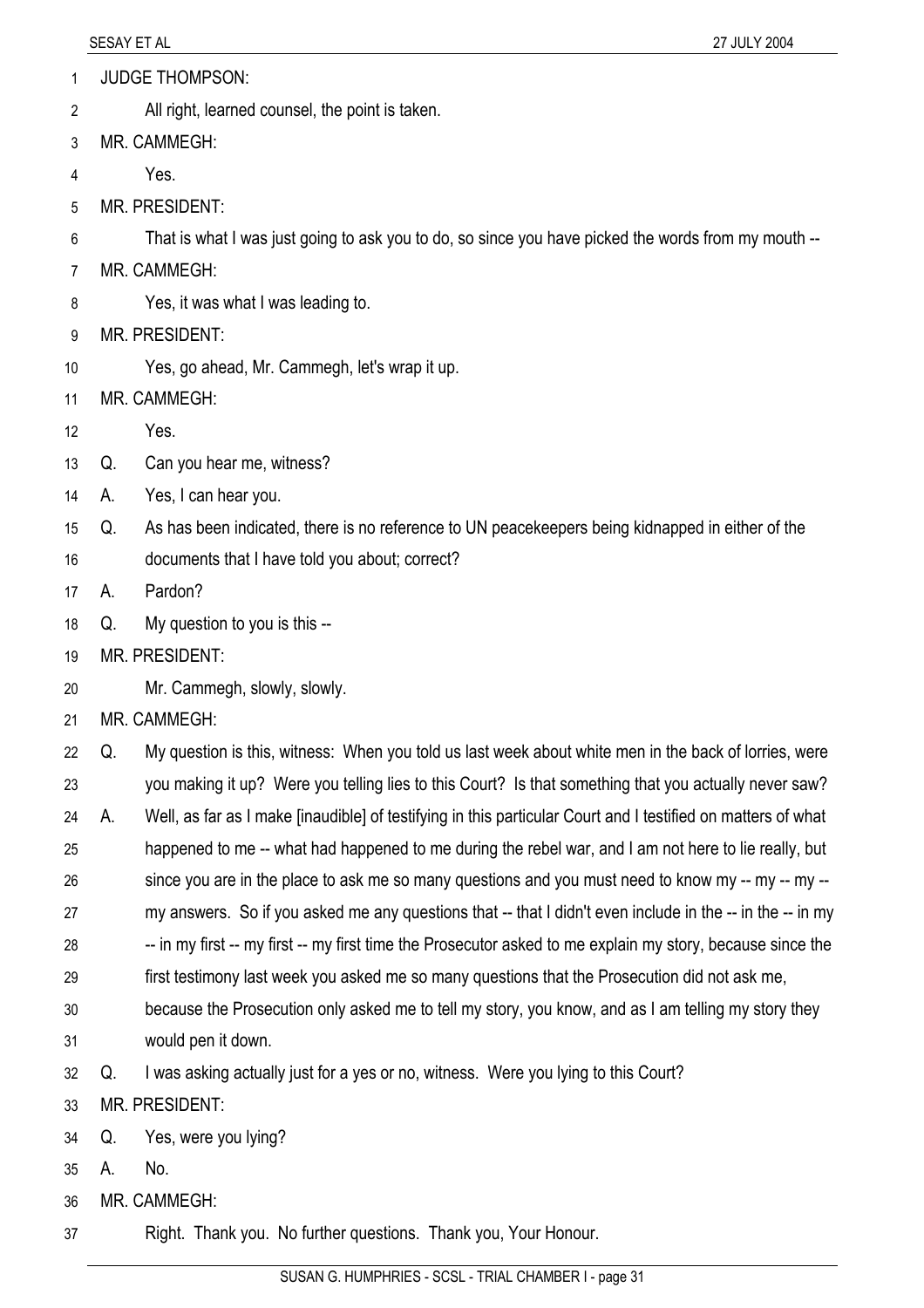- JUDGE THOMPSON: 1
- All right, learned counsel, the point is taken. 2
- 3 MR. CAMMEGH:
- 4 Yes.
- 5 MR. PRESIDENT:
- 6 That is what I was just going to ask you to do, so since you have picked the words from my mouth --
- 7 MR. CAMMEGH:
- 8 Yes, it was what I was leading to.
- 9 MR. PRESIDENT:
- 10 Yes, go ahead, Mr. Cammegh, let's wrap it up.
- 11 MR. CAMMEGH:
- 12 Yes.
- 13 Q. Can you hear me, witness?
- 14 A. Yes, I can hear you.
- 15 Q. As has been indicated, there is no reference to UN peacekeepers being kidnapped in either of the
- 16 documents that I have told you about; correct?
- 17 A. Pardon?
- 18 Q. My question to you is this --
- 19 MR. PRESIDENT:
- 20 Mr. Cammegh, slowly, slowly.
- 21 MR. CAMMEGH:
- 22 23 24 Q. My question is this, witness: When you told us last week about white men in the back of lorries, were you making it up? Were you telling lies to this Court? Is that something that you actually never saw? A. Well, as far as I make [inaudible] of testifying in this particular Court and I testified on matters of what
- 25 happened to me -- what had happened to me during the rebel war, and I am not here to lie really, but
- 26 since you are in the place to ask me so many questions and you must need to know my -- my -- my --
- 27 my answers. So if you asked me any questions that -- that I didn't even include in the -- in the -- in my
- 28 -- in my first -- my first -- my first time the Prosecutor asked to me explain my story, because since the
- 29 first testimony last week you asked me so many questions that the Prosecution did not ask me,
- 30 31 because the Prosecution only asked me to tell my story, you know, and as I am telling my story they would pen it down.
- 32 Q. I was asking actually just for a yes or no, witness. Were you lying to this Court?
- 33 MR. PRESIDENT:
- 34 Q. Yes, were you lying?
- 35 A. No.
- 36 MR. CAMMEGH:
- 37 Right. Thank you. No further questions. Thank you, Your Honour.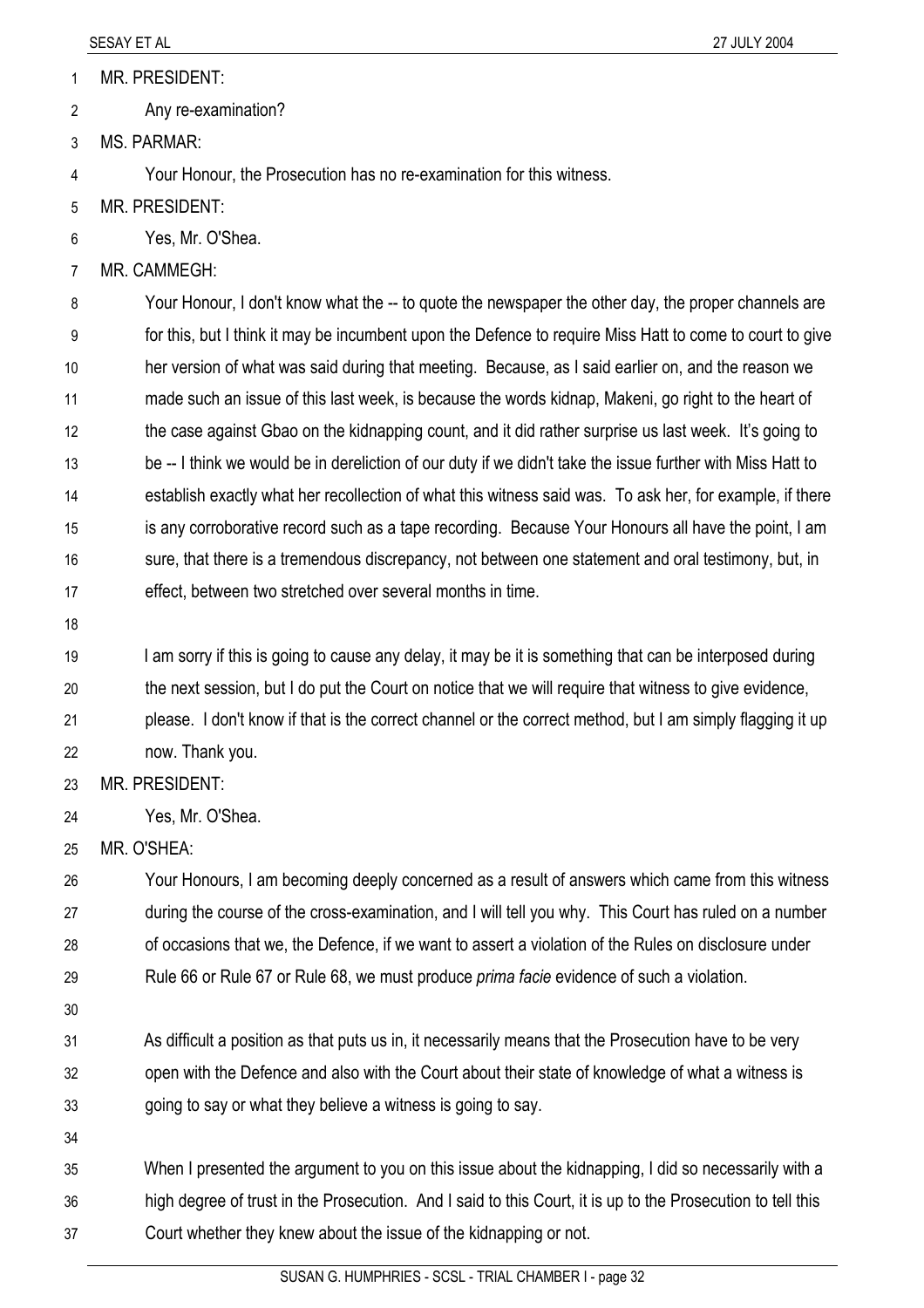MR. PRESIDENT: 1

Any re-examination? 2

3 MS. PARMAR:

4 Your Honour, the Prosecution has no re-examination for this witness.

- 5 MR. PRESIDENT:
- 6 Yes, Mr. O'Shea.
- 7 MR. CAMMEGH:

8 9 10 11 12 13 14 15 16 17 Your Honour, I don't know what the -- to quote the newspaper the other day, the proper channels are for this, but I think it may be incumbent upon the Defence to require Miss Hatt to come to court to give her version of what was said during that meeting. Because, as I said earlier on, and the reason we made such an issue of this last week, is because the words kidnap, Makeni, go right to the heart of the case against Gbao on the kidnapping count, and it did rather surprise us last week. It's going to be -- I think we would be in dereliction of our duty if we didn't take the issue further with Miss Hatt to establish exactly what her recollection of what this witness said was. To ask her, for example, if there is any corroborative record such as a tape recording. Because Your Honours all have the point, I am sure, that there is a tremendous discrepancy, not between one statement and oral testimony, but, in effect, between two stretched over several months in time.

18

19 20 21 I am sorry if this is going to cause any delay, it may be it is something that can be interposed during the next session, but I do put the Court on notice that we will require that witness to give evidence, please. I don't know if that is the correct channel or the correct method, but I am simply flagging it up

22 now. Thank you.

23 MR. PRESIDENT:

- 24 Yes, Mr. O'Shea.
- 25 MR. O'SHEA:

26 27 28 29 Your Honours, I am becoming deeply concerned as a result of answers which came from this witness during the course of the cross-examination, and I will tell you why. This Court has ruled on a number of occasions that we, the Defence, if we want to assert a violation of the Rules on disclosure under Rule 66 or Rule 67 or Rule 68, we must produce *prima facie* evidence of such a violation.

30

31 32 33 As difficult a position as that puts us in, it necessarily means that the Prosecution have to be very open with the Defence and also with the Court about their state of knowledge of what a witness is going to say or what they believe a witness is going to say.

34

35 36 37 When I presented the argument to you on this issue about the kidnapping, I did so necessarily with a high degree of trust in the Prosecution. And I said to this Court, it is up to the Prosecution to tell this Court whether they knew about the issue of the kidnapping or not.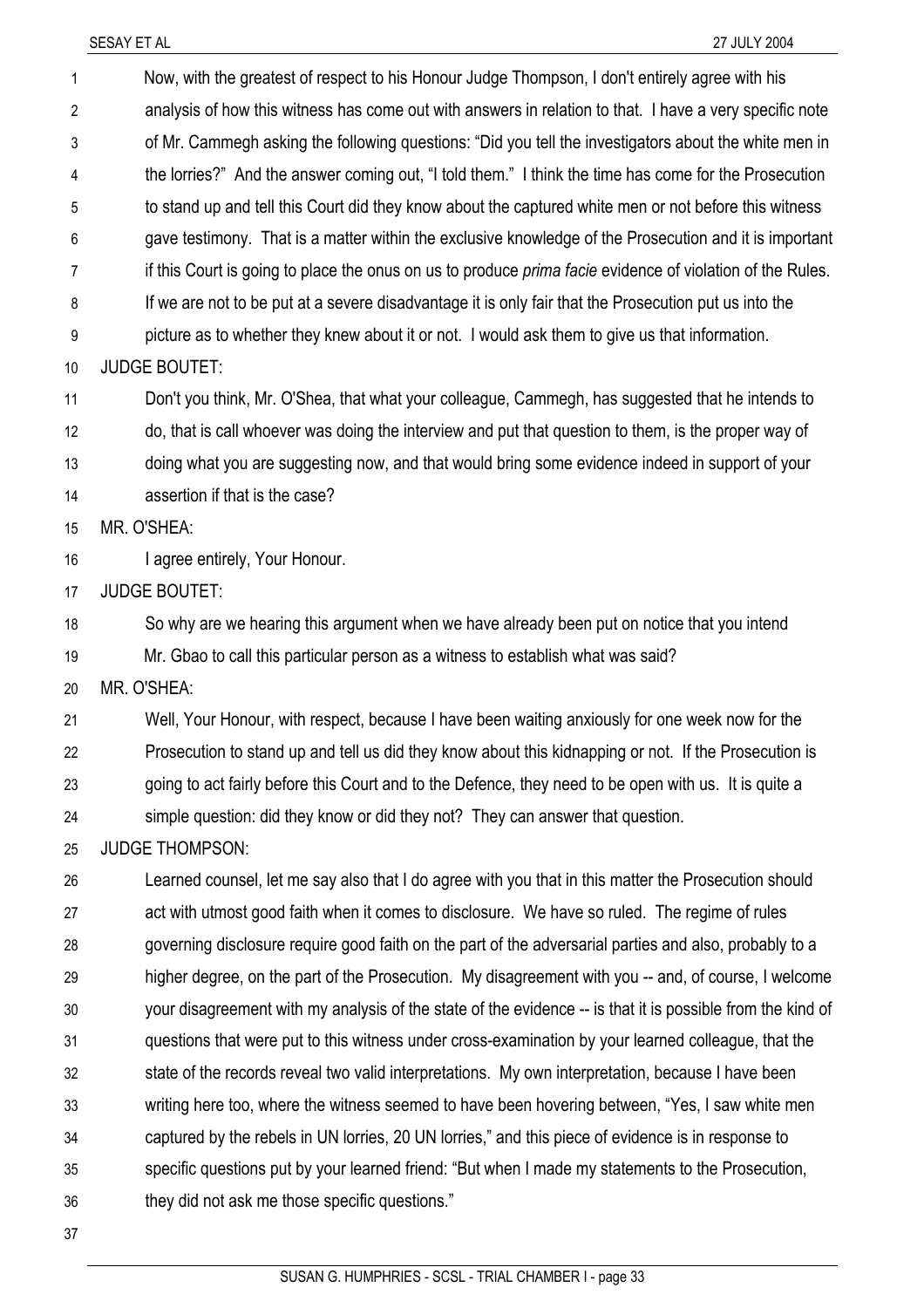SESAY ET AL 27 JULY 2004 Now, with the greatest of respect to his Honour Judge Thompson, I don't entirely agree with his analysis of how this witness has come out with answers in relation to that. I have a very specific note of Mr. Cammegh asking the following questions: "Did you tell the investigators about the white men in the lorries?" And the answer coming out, "I told them." I think the time has come for the Prosecution to stand up and tell this Court did they know about the captured white men or not before this witness gave testimony. That is a matter within the exclusive knowledge of the Prosecution and it is important if this Court is going to place the onus on us to produce *prima facie* evidence of violation of the Rules. If we are not to be put at a severe disadvantage it is only fair that the Prosecution put us into the picture as to whether they knew about it or not. I would ask them to give us that information. 1 2 3 4 5 6 7 8 9 10 11 12 13 14 15 16 17 18 19 20 21 22 23 24 25 26 27 28 29 30 31 32 33 34 35 36 JUDGE BOUTET: Don't you think, Mr. O'Shea, that what your colleague, Cammegh, has suggested that he intends to do, that is call whoever was doing the interview and put that question to them, is the proper way of doing what you are suggesting now, and that would bring some evidence indeed in support of your assertion if that is the case? MR. O'SHEA: I agree entirely, Your Honour. JUDGE BOUTET: So why are we hearing this argument when we have already been put on notice that you intend Mr. Gbao to call this particular person as a witness to establish what was said? MR. O'SHEA: Well, Your Honour, with respect, because I have been waiting anxiously for one week now for the Prosecution to stand up and tell us did they know about this kidnapping or not. If the Prosecution is going to act fairly before this Court and to the Defence, they need to be open with us. It is quite a simple question: did they know or did they not? They can answer that question. JUDGE THOMPSON: Learned counsel, let me say also that I do agree with you that in this matter the Prosecution should act with utmost good faith when it comes to disclosure. We have so ruled. The regime of rules governing disclosure require good faith on the part of the adversarial parties and also, probably to a higher degree, on the part of the Prosecution. My disagreement with you -- and, of course, I welcome your disagreement with my analysis of the state of the evidence -- is that it is possible from the kind of questions that were put to this witness under cross-examination by your learned colleague, that the state of the records reveal two valid interpretations. My own interpretation, because I have been writing here too, where the witness seemed to have been hovering between, "Yes, I saw white men captured by the rebels in UN lorries, 20 UN lorries," and this piece of evidence is in response to specific questions put by your learned friend: "But when I made my statements to the Prosecution, they did not ask me those specific questions."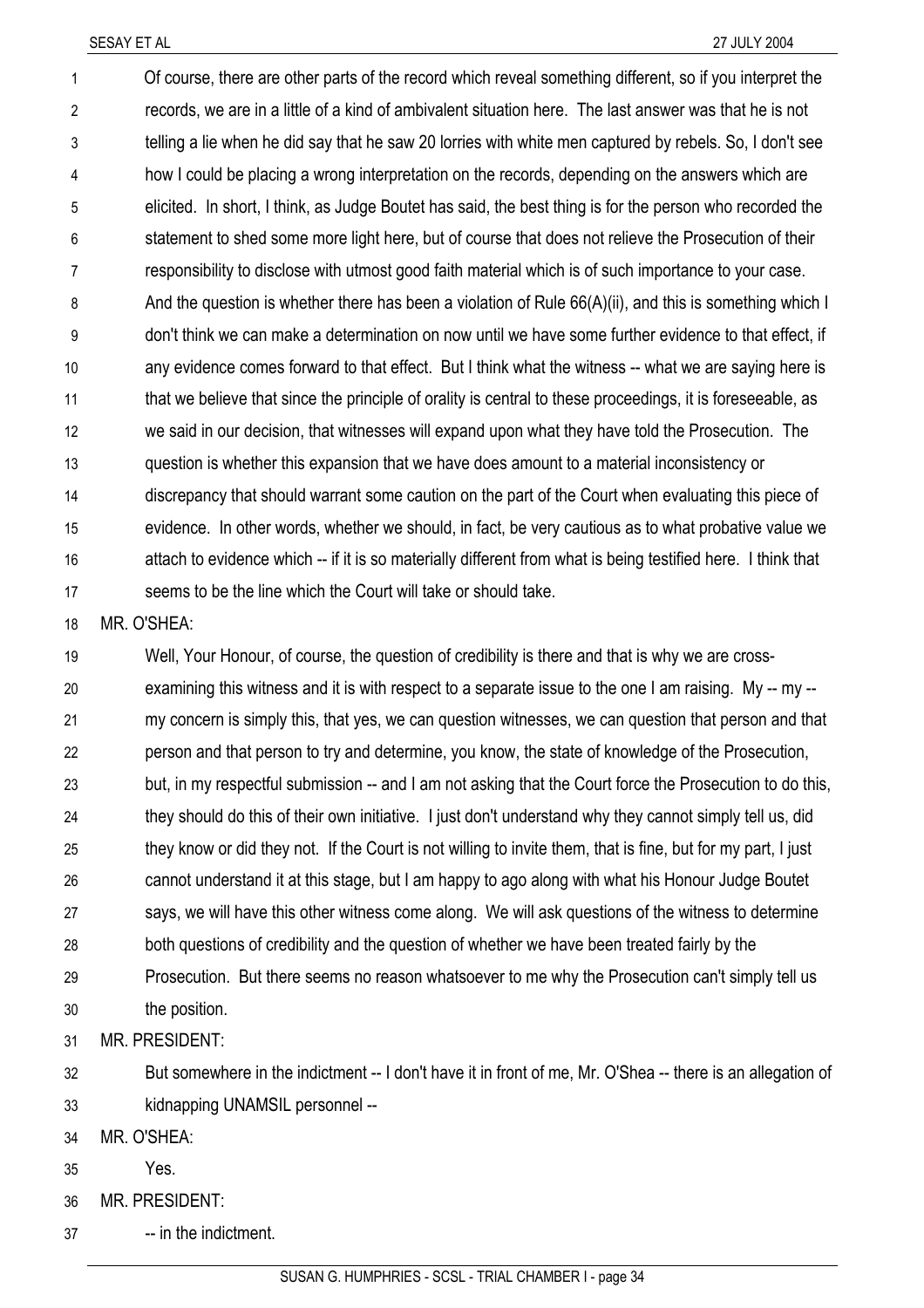Of course, there are other parts of the record which reveal something different, so if you interpret the records, we are in a little of a kind of ambivalent situation here. The last answer was that he is not telling a lie when he did say that he saw 20 lorries with white men captured by rebels. So, I don't see how I could be placing a wrong interpretation on the records, depending on the answers which are elicited. In short, I think, as Judge Boutet has said, the best thing is for the person who recorded the statement to shed some more light here, but of course that does not relieve the Prosecution of their responsibility to disclose with utmost good faith material which is of such importance to your case. And the question is whether there has been a violation of Rule 66(A)(ii), and this is something which I don't think we can make a determination on now until we have some further evidence to that effect, if any evidence comes forward to that effect. But I think what the witness -- what we are saying here is that we believe that since the principle of orality is central to these proceedings, it is foreseeable, as we said in our decision, that witnesses will expand upon what they have told the Prosecution. The question is whether this expansion that we have does amount to a material inconsistency or discrepancy that should warrant some caution on the part of the Court when evaluating this piece of evidence. In other words, whether we should, in fact, be very cautious as to what probative value we attach to evidence which -- if it is so materially different from what is being testified here. I think that seems to be the line which the Court will take or should take. 1 2 3 4 5 6 7 8 9 10 11 12 13 14 15 16 17

18 MR. O'SHEA:

19 20 21 22 23 24 25 26 27 28 29 30 Well, Your Honour, of course, the question of credibility is there and that is why we are crossexamining this witness and it is with respect to a separate issue to the one I am raising. My -- my -my concern is simply this, that yes, we can question witnesses, we can question that person and that person and that person to try and determine, you know, the state of knowledge of the Prosecution, but, in my respectful submission -- and I am not asking that the Court force the Prosecution to do this, they should do this of their own initiative. I just don't understand why they cannot simply tell us, did they know or did they not. If the Court is not willing to invite them, that is fine, but for my part, I just cannot understand it at this stage, but I am happy to ago along with what his Honour Judge Boutet says, we will have this other witness come along. We will ask questions of the witness to determine both questions of credibility and the question of whether we have been treated fairly by the Prosecution. But there seems no reason whatsoever to me why the Prosecution can't simply tell us the position.

31 MR. PRESIDENT:

32 33 But somewhere in the indictment -- I don't have it in front of me, Mr. O'Shea -- there is an allegation of kidnapping UNAMSIL personnel --

34 MR. O'SHEA:

35 Yes.

36 MR. PRESIDENT:

37 -- in the indictment.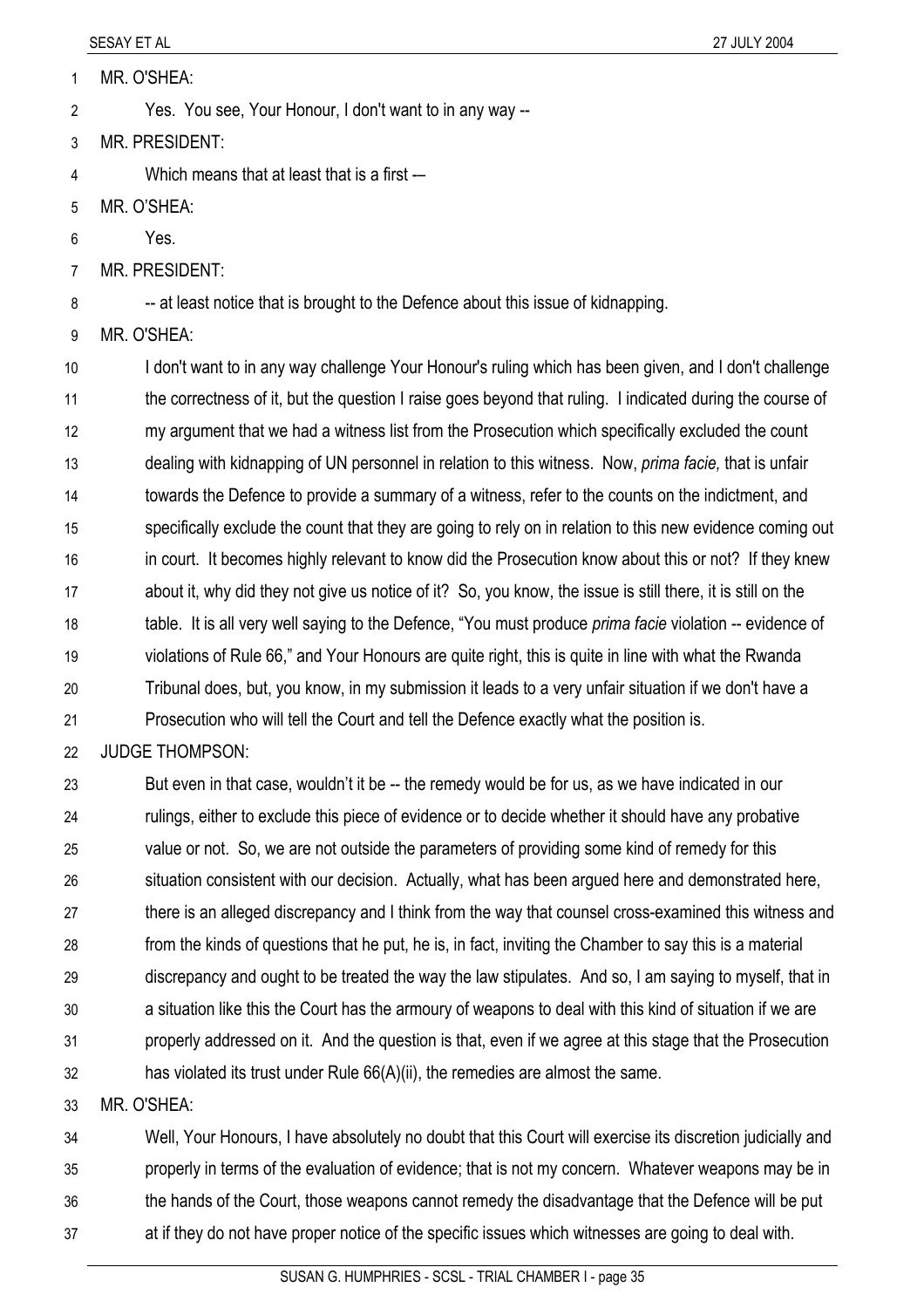- MR. O'SHEA: 1
- Yes. You see, Your Honour, I don't want to in any way -- 2
- 3 MR. PRESIDENT:
- 4 Which means that at least that is a first -
- 5 MR. O'SHEA:
- 6 Yes.
- 7 MR. PRESIDENT:

8 -- at least notice that is brought to the Defence about this issue of kidnapping.

9 MR. O'SHEA:

10 11 12 13 14 15 16 17 18 19 20 21 I don't want to in any way challenge Your Honour's ruling which has been given, and I don't challenge the correctness of it, but the question I raise goes beyond that ruling. I indicated during the course of my argument that we had a witness list from the Prosecution which specifically excluded the count dealing with kidnapping of UN personnel in relation to this witness. Now, *prima facie,* that is unfair towards the Defence to provide a summary of a witness, refer to the counts on the indictment, and specifically exclude the count that they are going to rely on in relation to this new evidence coming out in court. It becomes highly relevant to know did the Prosecution know about this or not? If they knew about it, why did they not give us notice of it? So, you know, the issue is still there, it is still on the table. It is all very well saying to the Defence, "You must produce *prima facie* violation -- evidence of violations of Rule 66," and Your Honours are quite right, this is quite in line with what the Rwanda Tribunal does, but, you know, in my submission it leads to a very unfair situation if we don't have a Prosecution who will tell the Court and tell the Defence exactly what the position is.

#### 22 JUDGE THOMPSON:

23 24 25 26 27 28 29 30 31 32 But even in that case, wouldn't it be -- the remedy would be for us, as we have indicated in our rulings, either to exclude this piece of evidence or to decide whether it should have any probative value or not. So, we are not outside the parameters of providing some kind of remedy for this situation consistent with our decision. Actually, what has been argued here and demonstrated here, there is an alleged discrepancy and I think from the way that counsel cross-examined this witness and from the kinds of questions that he put, he is, in fact, inviting the Chamber to say this is a material discrepancy and ought to be treated the way the law stipulates. And so, I am saying to myself, that in a situation like this the Court has the armoury of weapons to deal with this kind of situation if we are properly addressed on it. And the question is that, even if we agree at this stage that the Prosecution has violated its trust under Rule 66(A)(ii), the remedies are almost the same.

33 MR. O'SHEA:

34 35 36 37 Well, Your Honours, I have absolutely no doubt that this Court will exercise its discretion judicially and properly in terms of the evaluation of evidence; that is not my concern. Whatever weapons may be in the hands of the Court, those weapons cannot remedy the disadvantage that the Defence will be put at if they do not have proper notice of the specific issues which witnesses are going to deal with.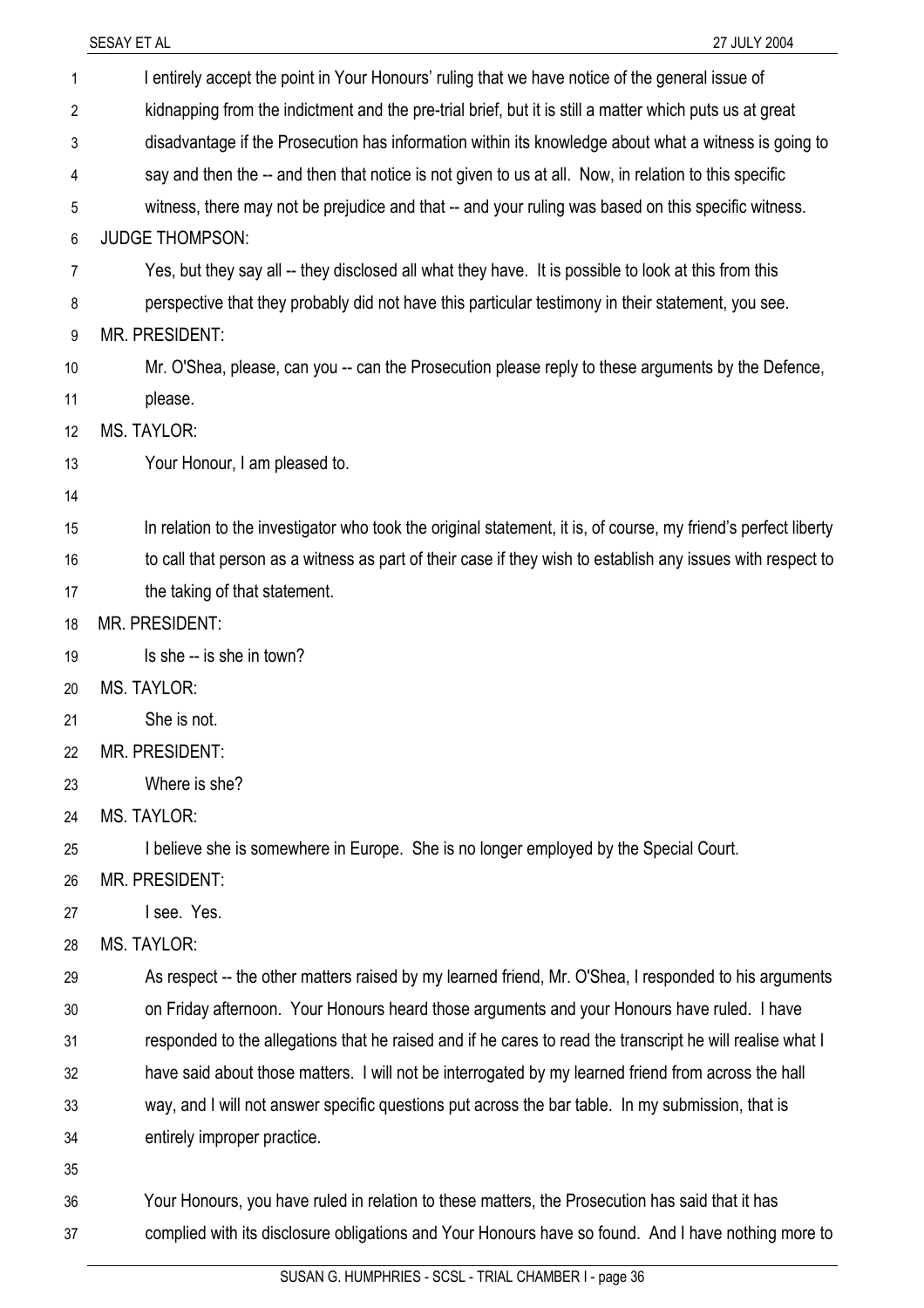|                | SESAY ET AL<br>27 JULY 2004                                                                                    |
|----------------|----------------------------------------------------------------------------------------------------------------|
| 1              | I entirely accept the point in Your Honours' ruling that we have notice of the general issue of                |
| $\overline{2}$ | kidnapping from the indictment and the pre-trial brief, but it is still a matter which puts us at great        |
| 3              | disadvantage if the Prosecution has information within its knowledge about what a witness is going to          |
| 4              | say and then the -- and then that notice is not given to us at all. Now, in relation to this specific          |
| 5              | witness, there may not be prejudice and that -- and your ruling was based on this specific witness.            |
| 6              | <b>JUDGE THOMPSON:</b>                                                                                         |
| 7              | Yes, but they say all -- they disclosed all what they have. It is possible to look at this from this           |
| 8              | perspective that they probably did not have this particular testimony in their statement, you see.             |
| 9              | MR. PRESIDENT:                                                                                                 |
| 10             | Mr. O'Shea, please, can you -- can the Prosecution please reply to these arguments by the Defence,             |
| 11             | please.                                                                                                        |
| 12             | <b>MS. TAYLOR:</b>                                                                                             |
| 13             | Your Honour, I am pleased to.                                                                                  |
| 14             |                                                                                                                |
| 15             | In relation to the investigator who took the original statement, it is, of course, my friend's perfect liberty |
| 16             | to call that person as a witness as part of their case if they wish to establish any issues with respect to    |
| 17             | the taking of that statement.                                                                                  |
| 18             | MR. PRESIDENT:                                                                                                 |
| 19             | Is she -- is she in town?                                                                                      |
| 20             | MS. TAYLOR:                                                                                                    |
| 21             | She is not.                                                                                                    |
| 22             | <b>MR. PRESIDENT:</b>                                                                                          |
| 23             | Where is she?                                                                                                  |
| 24             | <b>MS. TAYLOR:</b>                                                                                             |
| 25             | I believe she is somewhere in Europe. She is no longer employed by the Special Court.                          |
| 26             | <b>MR. PRESIDENT:</b>                                                                                          |
| 27             | I see. Yes.                                                                                                    |
| 28             | <b>MS. TAYLOR:</b>                                                                                             |
| 29             | As respect -- the other matters raised by my learned friend, Mr. O'Shea, I responded to his arguments          |
| 30             | on Friday afternoon. Your Honours heard those arguments and your Honours have ruled. I have                    |
| 31             | responded to the allegations that he raised and if he cares to read the transcript he will realise what I      |
| 32             | have said about those matters. I will not be interrogated by my learned friend from across the hall            |
| 33             | way, and I will not answer specific questions put across the bar table. In my submission, that is              |
| 34             | entirely improper practice.                                                                                    |
| 35             |                                                                                                                |
| 36             | Your Honours, you have ruled in relation to these matters, the Prosecution has said that it has                |
| 37             | complied with its disclosure obligations and Your Honours have so found. And I have nothing more to            |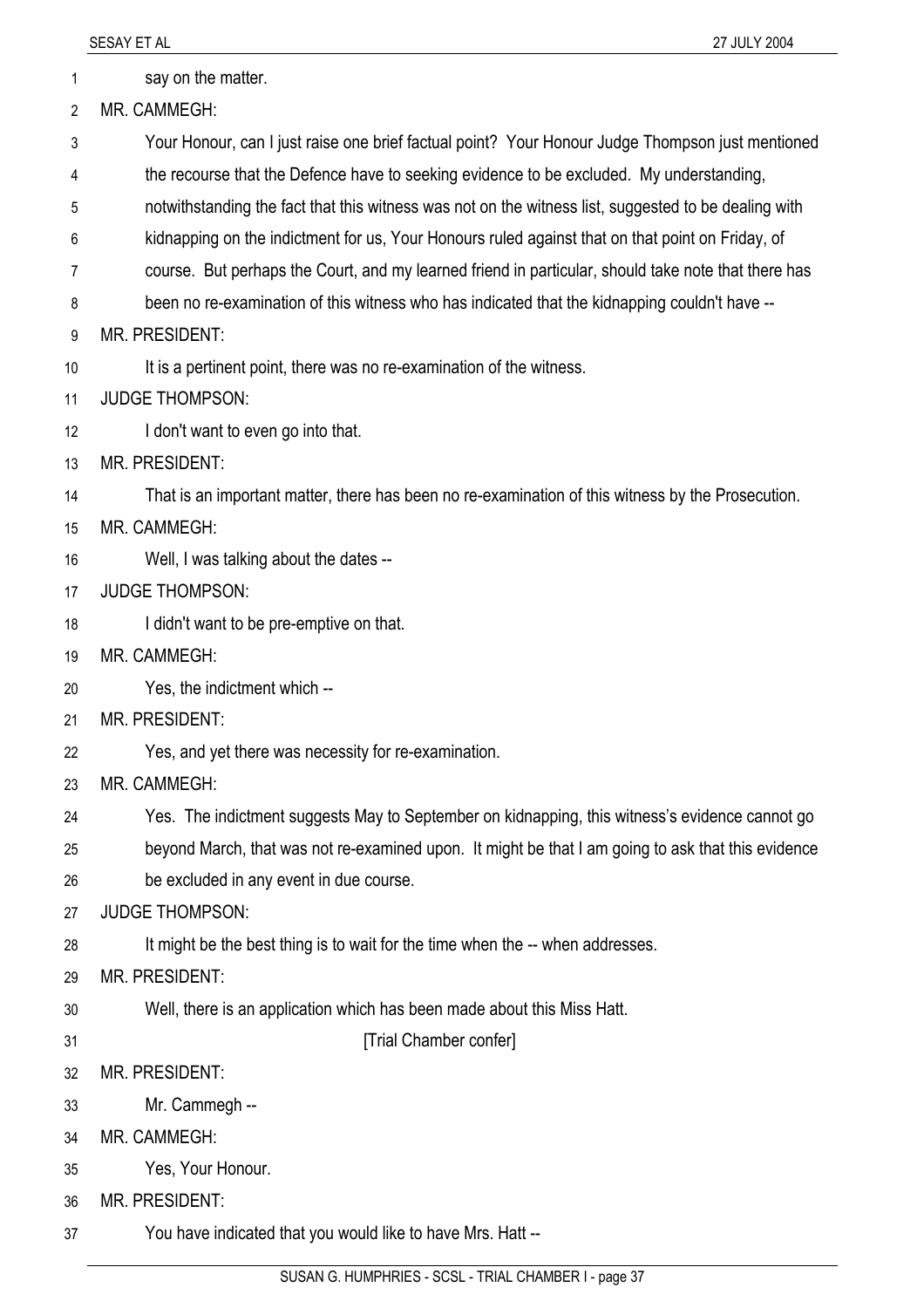1 say on the matter.

2 MR. CAMMEGH:

- 3 Your Honour, can I just raise one brief factual point? Your Honour Judge Thompson just mentioned
- 4 the recourse that the Defence have to seeking evidence to be excluded. My understanding,
- 5 notwithstanding the fact that this witness was not on the witness list, suggested to be dealing with
- 6 kidnapping on the indictment for us, Your Honours ruled against that on that point on Friday, of
- 7 course. But perhaps the Court, and my learned friend in particular, should take note that there has
- 8 been no re-examination of this witness who has indicated that the kidnapping couldn't have --
- 9 MR. PRESIDENT:
- 10 It is a pertinent point, there was no re-examination of the witness.
- 11 JUDGE THOMPSON:
- 12 I don't want to even go into that.
- 13 MR. PRESIDENT:
- 14 That is an important matter, there has been no re-examination of this witness by the Prosecution.
- 15 MR. CAMMEGH:
- 16 Well, I was talking about the dates --
- 17 JUDGE THOMPSON:
- 18 I didn't want to be pre-emptive on that.
- 19 MR. CAMMEGH:
- 20 Yes, the indictment which --
- 21 MR. PRESIDENT:
- 22 Yes, and yet there was necessity for re-examination.
- 23 MR. CAMMEGH:
- 24 Yes. The indictment suggests May to September on kidnapping, this witness's evidence cannot go
- 25 26 beyond March, that was not re-examined upon. It might be that I am going to ask that this evidence be excluded in any event in due course.
- 27 JUDGE THOMPSON:
- 28 It might be the best thing is to wait for the time when the -- when addresses.
- 29 MR. PRESIDENT:
- 30 Well, there is an application which has been made about this Miss Hatt.
- 31

[Trial Chamber confer]

- 32 MR. PRESIDENT:
- 33 Mr. Cammegh --
- 34 MR. CAMMEGH:
- 35 Yes, Your Honour.
- 36 MR. PRESIDENT:
- 37 You have indicated that you would like to have Mrs. Hatt --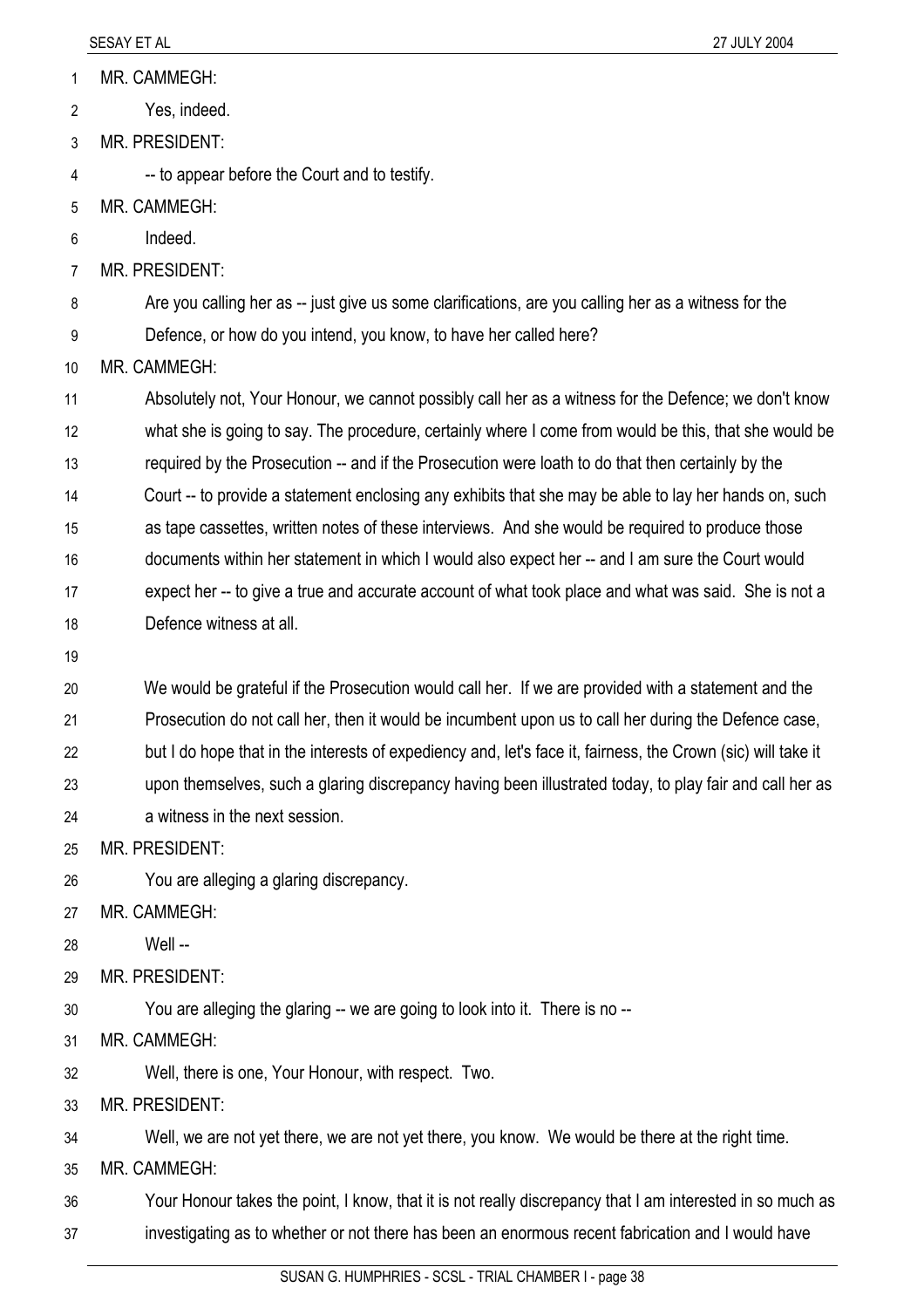MR. CAMMEGH: 1

Yes, indeed. 2

3 MR. PRESIDENT:

4 -- to appear before the Court and to testify.

5 MR. CAMMEGH:

6 Indeed.

7 MR. PRESIDENT:

8 Are you calling her as -- just give us some clarifications, are you calling her as a witness for the

9 Defence, or how do you intend, you know, to have her called here?

10 MR. CAMMEGH:

11 12 13 14 15 16 Absolutely not, Your Honour, we cannot possibly call her as a witness for the Defence; we don't know what she is going to say. The procedure, certainly where I come from would be this, that she would be required by the Prosecution -- and if the Prosecution were loath to do that then certainly by the Court -- to provide a statement enclosing any exhibits that she may be able to lay her hands on, such as tape cassettes, written notes of these interviews. And she would be required to produce those documents within her statement in which I would also expect her -- and I am sure the Court would

17 18 expect her -- to give a true and accurate account of what took place and what was said. She is not a Defence witness at all.

19

20 21 22 We would be grateful if the Prosecution would call her. If we are provided with a statement and the Prosecution do not call her, then it would be incumbent upon us to call her during the Defence case, but I do hope that in the interests of expediency and, let's face it, fairness, the Crown (sic) will take it

23 upon themselves, such a glaring discrepancy having been illustrated today, to play fair and call her as

24 a witness in the next session.

25 MR. PRESIDENT:

26 You are alleging a glaring discrepancy.

27 MR. CAMMEGH:

28 Well --

29 MR. PRESIDENT:

30 You are alleging the glaring -- we are going to look into it. There is no --

31 MR. CAMMEGH:

32 Well, there is one, Your Honour, with respect. Two.

33 MR. PRESIDENT:

34 Well, we are not yet there, we are not yet there, you know. We would be there at the right time.

35 MR. CAMMEGH:

36 37 Your Honour takes the point, I know, that it is not really discrepancy that I am interested in so much as investigating as to whether or not there has been an enormous recent fabrication and I would have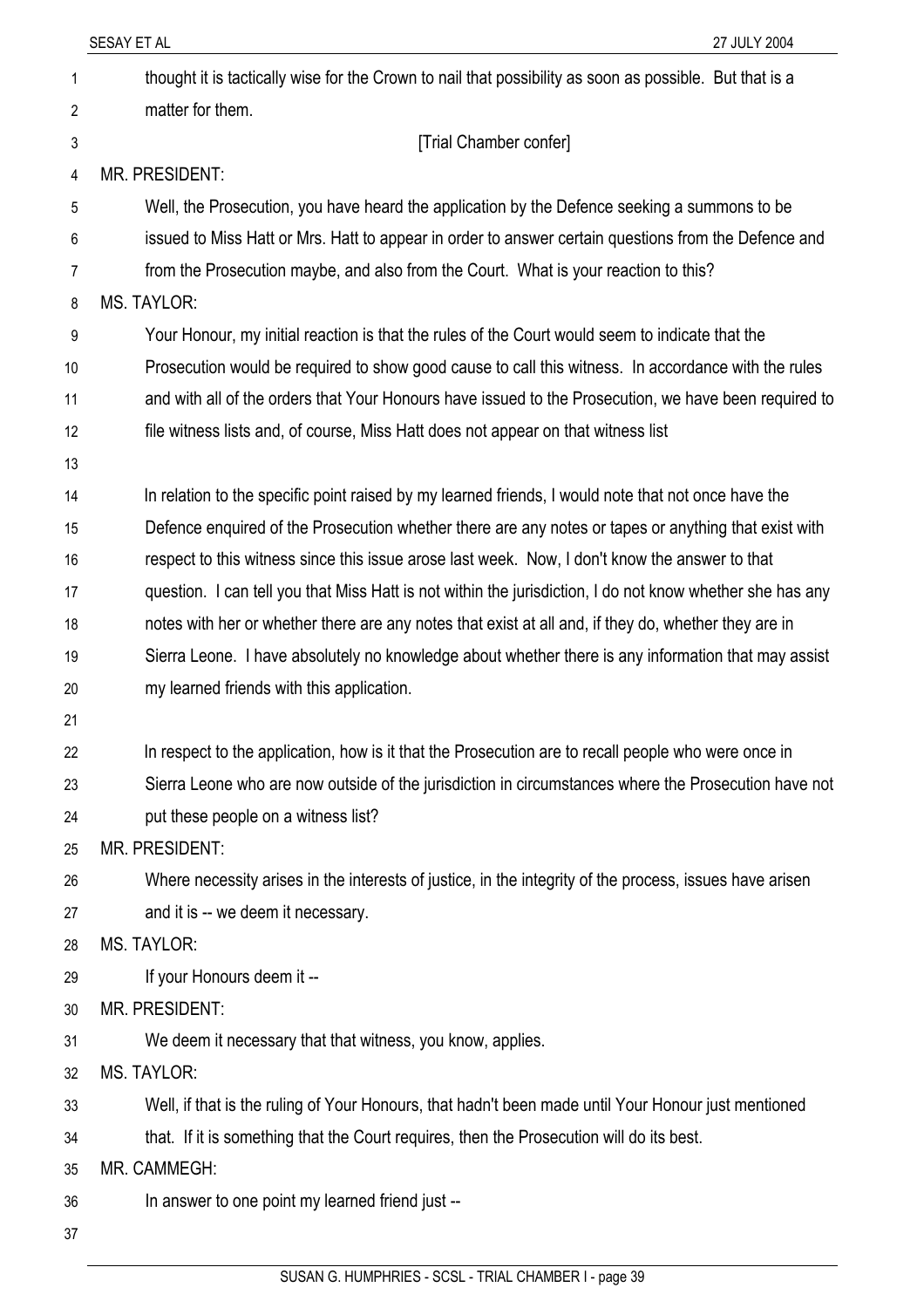|    | SESAY ET AL<br>27 JULY 2004                                                                               |
|----|-----------------------------------------------------------------------------------------------------------|
| 1  | thought it is tactically wise for the Crown to nail that possibility as soon as possible. But that is a   |
| 2  | matter for them.                                                                                          |
| 3  | [Trial Chamber confer]                                                                                    |
| 4  | <b>MR. PRESIDENT:</b>                                                                                     |
| 5  | Well, the Prosecution, you have heard the application by the Defence seeking a summons to be              |
| 6  | issued to Miss Hatt or Mrs. Hatt to appear in order to answer certain questions from the Defence and      |
| 7  | from the Prosecution maybe, and also from the Court. What is your reaction to this?                       |
| 8  | <b>MS. TAYLOR:</b>                                                                                        |
| 9  | Your Honour, my initial reaction is that the rules of the Court would seem to indicate that the           |
| 10 | Prosecution would be required to show good cause to call this witness. In accordance with the rules       |
| 11 | and with all of the orders that Your Honours have issued to the Prosecution, we have been required to     |
| 12 | file witness lists and, of course, Miss Hatt does not appear on that witness list                         |
| 13 |                                                                                                           |
| 14 | In relation to the specific point raised by my learned friends, I would note that not once have the       |
| 15 | Defence enquired of the Prosecution whether there are any notes or tapes or anything that exist with      |
| 16 | respect to this witness since this issue arose last week. Now, I don't know the answer to that            |
| 17 | question. I can tell you that Miss Hatt is not within the jurisdiction, I do not know whether she has any |
| 18 | notes with her or whether there are any notes that exist at all and, if they do, whether they are in      |
| 19 | Sierra Leone. I have absolutely no knowledge about whether there is any information that may assist       |
| 20 | my learned friends with this application.                                                                 |
| 21 |                                                                                                           |
| 22 | In respect to the application, how is it that the Prosecution are to recall people who were once in       |
| 23 | Sierra Leone who are now outside of the jurisdiction in circumstances where the Prosecution have not      |
| 24 | put these people on a witness list?                                                                       |
| 25 | MR. PRESIDENT:                                                                                            |
| 26 | Where necessity arises in the interests of justice, in the integrity of the process, issues have arisen   |
| 27 | and it is -- we deem it necessary.                                                                        |
| 28 | <b>MS. TAYLOR:</b>                                                                                        |
| 29 | If your Honours deem it --                                                                                |
| 30 | MR. PRESIDENT:                                                                                            |
| 31 | We deem it necessary that that witness, you know, applies.                                                |
| 32 | <b>MS. TAYLOR:</b>                                                                                        |
| 33 | Well, if that is the ruling of Your Honours, that hadn't been made until Your Honour just mentioned       |
| 34 | that. If it is something that the Court requires, then the Prosecution will do its best.                  |
| 35 | MR. CAMMEGH:                                                                                              |
| 36 | In answer to one point my learned friend just --                                                          |
| 37 |                                                                                                           |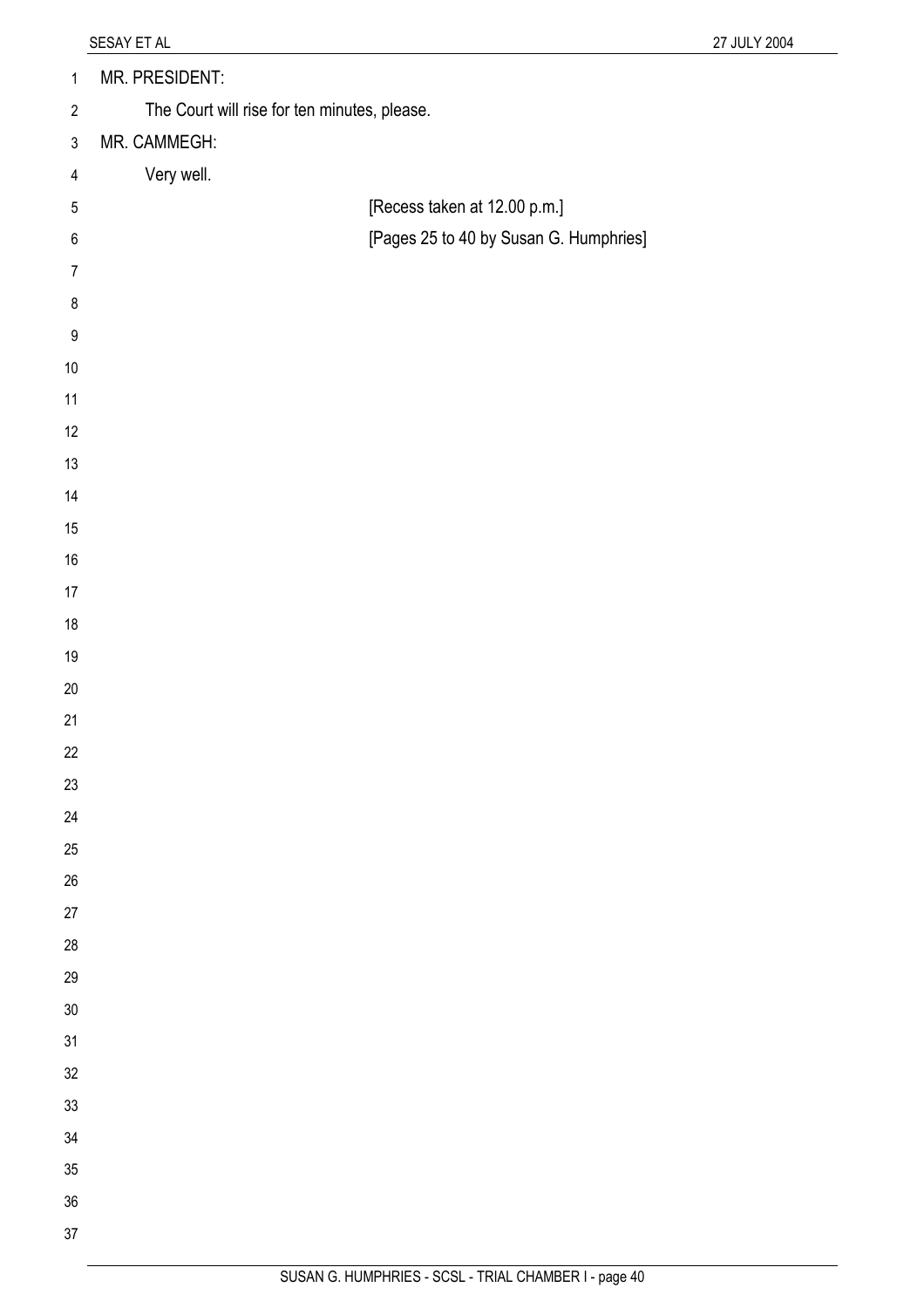| $\mathbf{1}$     | MR. PRESIDENT:                               |                                        |
|------------------|----------------------------------------------|----------------------------------------|
| $\overline{2}$   | The Court will rise for ten minutes, please. |                                        |
| $\mathfrak{Z}$   | MR. CAMMEGH:                                 |                                        |
| $\overline{4}$   | Very well.                                   |                                        |
| $\sqrt{5}$       |                                              | [Recess taken at 12.00 p.m.]           |
| $\,6\,$          |                                              | [Pages 25 to 40 by Susan G. Humphries] |
| $\overline{7}$   |                                              |                                        |
| $\bf 8$          |                                              |                                        |
| $\boldsymbol{9}$ |                                              |                                        |
| $10\,$           |                                              |                                        |
| 11               |                                              |                                        |
| 12               |                                              |                                        |
| $13$             |                                              |                                        |
| 14               |                                              |                                        |
| $15\,$           |                                              |                                        |
| $16\,$           |                                              |                                        |
| 17               |                                              |                                        |
| $18\,$           |                                              |                                        |
| $19$             |                                              |                                        |
| $20\,$           |                                              |                                        |
| 21               |                                              |                                        |
| 22               |                                              |                                        |
| 23               |                                              |                                        |
| 24               |                                              |                                        |
| 25               |                                              |                                        |
| $26\,$           |                                              |                                        |
| $27\,$           |                                              |                                        |
| 28               |                                              |                                        |
| 29<br>$30\,$     |                                              |                                        |
| 31               |                                              |                                        |
| 32               |                                              |                                        |
| 33               |                                              |                                        |
| $34\,$           |                                              |                                        |
| 35               |                                              |                                        |
| 36               |                                              |                                        |
| 37               |                                              |                                        |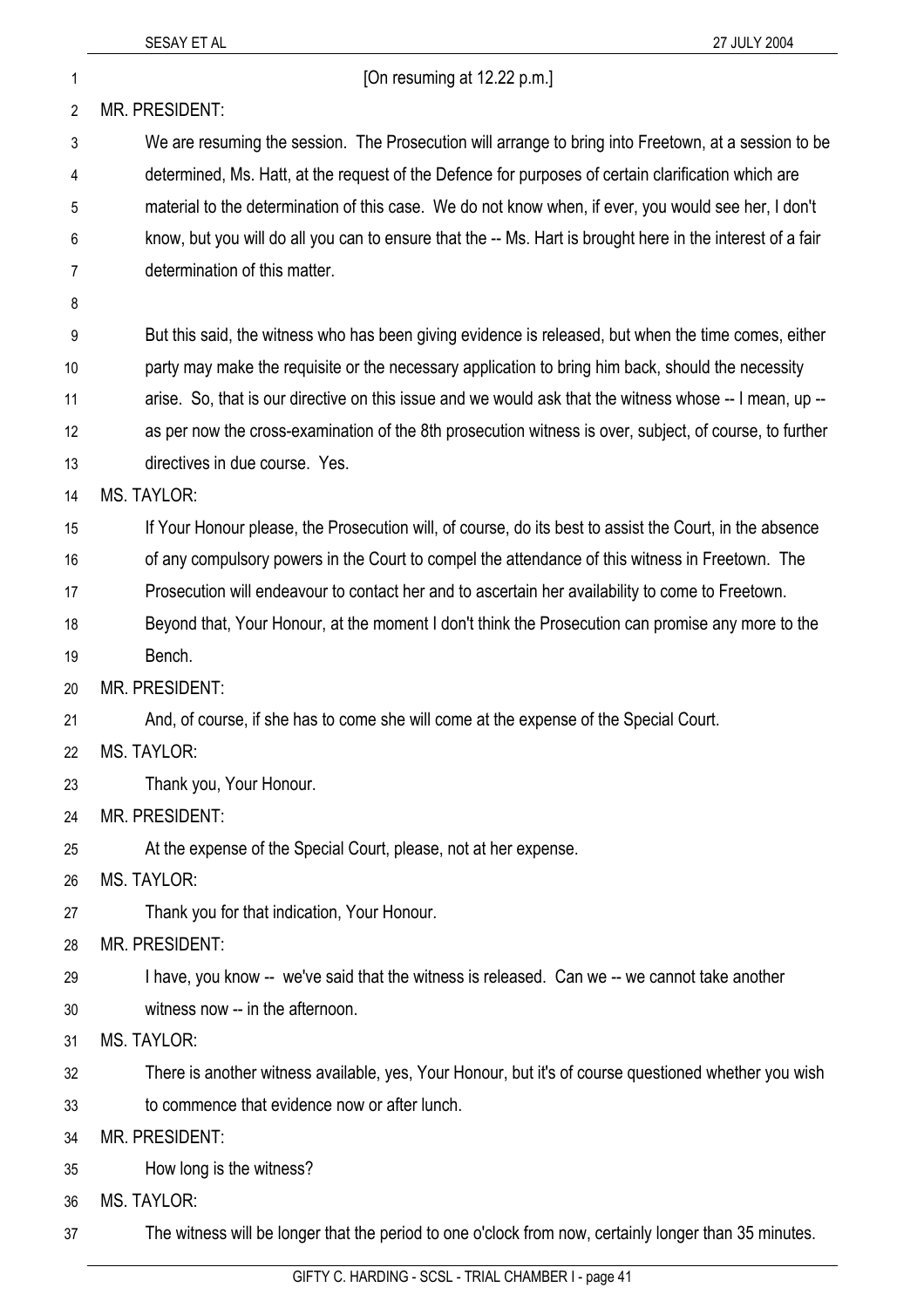| 1  | [On resuming at 12.22 p.m.]                                                                                |
|----|------------------------------------------------------------------------------------------------------------|
| 2  | <b>MR. PRESIDENT:</b>                                                                                      |
| 3  | We are resuming the session. The Prosecution will arrange to bring into Freetown, at a session to be       |
| 4  | determined, Ms. Hatt, at the request of the Defence for purposes of certain clarification which are        |
| 5  | material to the determination of this case. We do not know when, if ever, you would see her, I don't       |
| 6  | know, but you will do all you can to ensure that the -- Ms. Hart is brought here in the interest of a fair |
| 7  | determination of this matter.                                                                              |
| 8  |                                                                                                            |
| 9  | But this said, the witness who has been giving evidence is released, but when the time comes, either       |
| 10 | party may make the requisite or the necessary application to bring him back, should the necessity          |
| 11 | arise. So, that is our directive on this issue and we would ask that the witness whose -- I mean, up --    |
| 12 | as per now the cross-examination of the 8th prosecution witness is over, subject, of course, to further    |
| 13 | directives in due course. Yes.                                                                             |
| 14 | <b>MS. TAYLOR:</b>                                                                                         |
| 15 | If Your Honour please, the Prosecution will, of course, do its best to assist the Court, in the absence    |
| 16 | of any compulsory powers in the Court to compel the attendance of this witness in Freetown. The            |
| 17 | Prosecution will endeavour to contact her and to ascertain her availability to come to Freetown.           |
| 18 | Beyond that, Your Honour, at the moment I don't think the Prosecution can promise any more to the          |
| 19 | Bench.                                                                                                     |
| 20 | MR. PRESIDENT:                                                                                             |
| 21 | And, of course, if she has to come she will come at the expense of the Special Court.                      |
| 22 | MS. TAYLOR:                                                                                                |
| 23 | Thank you, Your Honour.                                                                                    |
| 24 | MR. PRESIDENT:                                                                                             |
| 25 | At the expense of the Special Court, please, not at her expense.                                           |
| 26 | <b>MS. TAYLOR:</b>                                                                                         |
| 27 | Thank you for that indication, Your Honour.                                                                |
| 28 | <b>MR. PRESIDENT:</b>                                                                                      |
| 29 | I have, you know -- we've said that the witness is released. Can we -- we cannot take another              |
| 30 | witness now -- in the afternoon.                                                                           |
| 31 | MS. TAYLOR:                                                                                                |
| 32 | There is another witness available, yes, Your Honour, but it's of course questioned whether you wish       |
| 33 | to commence that evidence now or after lunch.                                                              |
| 34 | <b>MR. PRESIDENT:</b>                                                                                      |
| 35 | How long is the witness?                                                                                   |
| 36 | MS. TAYLOR:                                                                                                |

37 The witness will be longer that the period to one o'clock from now, certainly longer than 35 minutes.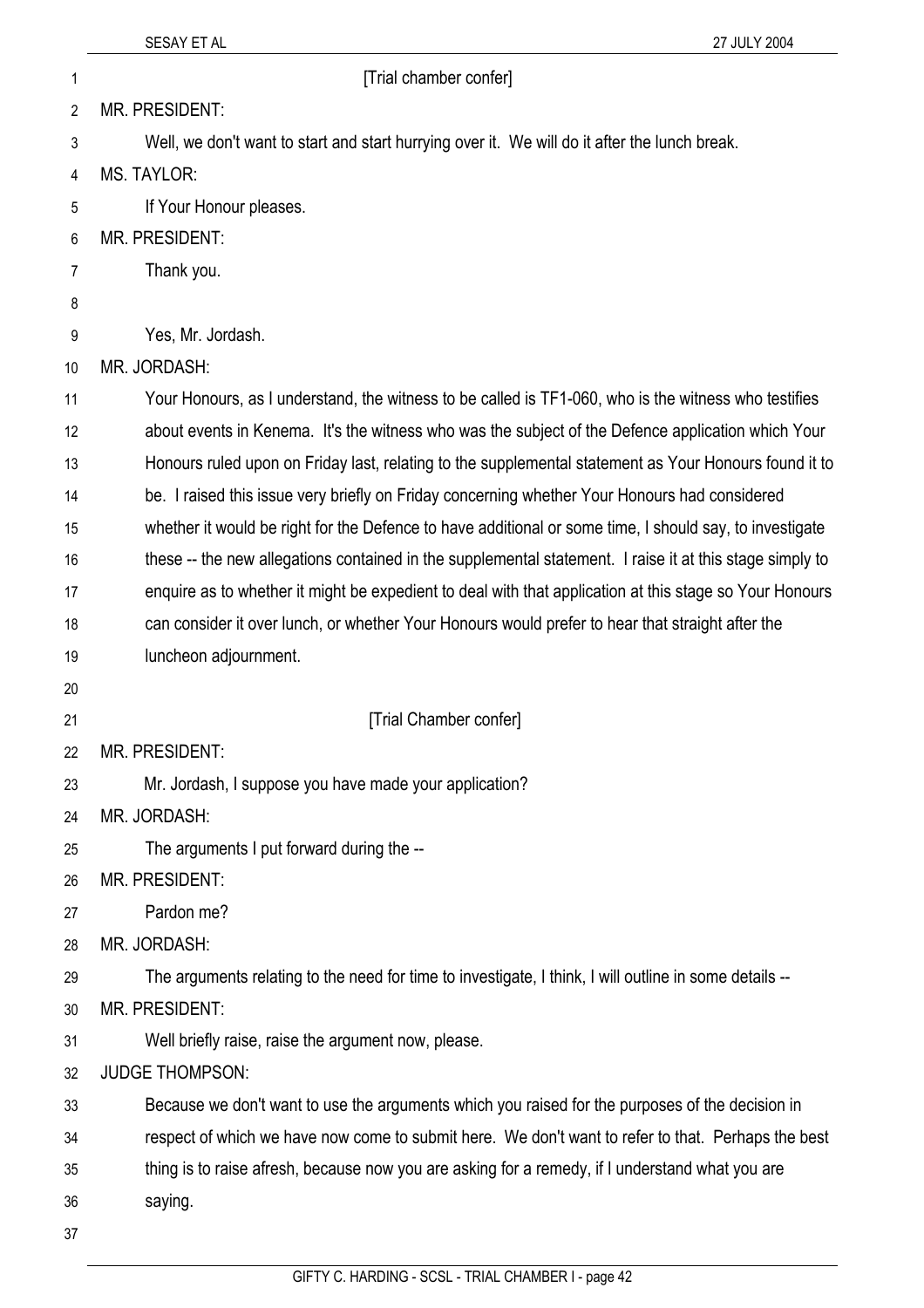## 1 **1 intervalse in the IT**rial chamber confer]

2 MR. PRESIDENT:

Well, we don't want to start and start hurrying over it. We will do it after the lunch break.

- 4 MS. TAYLOR:
- 5 If Your Honour pleases.
- 6 MR. PRESIDENT:
- 7 Thank you.
- 8

3

- 9 Yes, Mr. Jordash.
- 10 MR. JORDASH:
- 11 12 Your Honours, as I understand, the witness to be called is TF1-060, who is the witness who testifies about events in Kenema. It's the witness who was the subject of the Defence application which Your
- 13 Honours ruled upon on Friday last, relating to the supplemental statement as Your Honours found it to
- 14 be. I raised this issue very briefly on Friday concerning whether Your Honours had considered
- 15 whether it would be right for the Defence to have additional or some time, I should say, to investigate
- 16 these -- the new allegations contained in the supplemental statement. I raise it at this stage simply to
- 17 enquire as to whether it might be expedient to deal with that application at this stage so Your Honours
- 18 19 can consider it over lunch, or whether Your Honours would prefer to hear that straight after the luncheon adjournment.
- 20
- 21
- [Trial Chamber confer]
- 22 MR. PRESIDENT:
- 23 Mr. Jordash, I suppose you have made your application?
- 24 MR. JORDASH:
- 25 The arguments I put forward during the --
- 26 MR. PRESIDENT:
- 27 Pardon me?
- 28 MR. JORDASH:
- 29 The arguments relating to the need for time to investigate, I think, I will outline in some details --
- 30 MR. PRESIDENT:
- 31 Well briefly raise, raise the argument now, please.
- 32 JUDGE THOMPSON:
- 33 Because we don't want to use the arguments which you raised for the purposes of the decision in
- 34 respect of which we have now come to submit here. We don't want to refer to that. Perhaps the best
- 35 thing is to raise afresh, because now you are asking for a remedy, if I understand what you are
- 36 saying.
- 37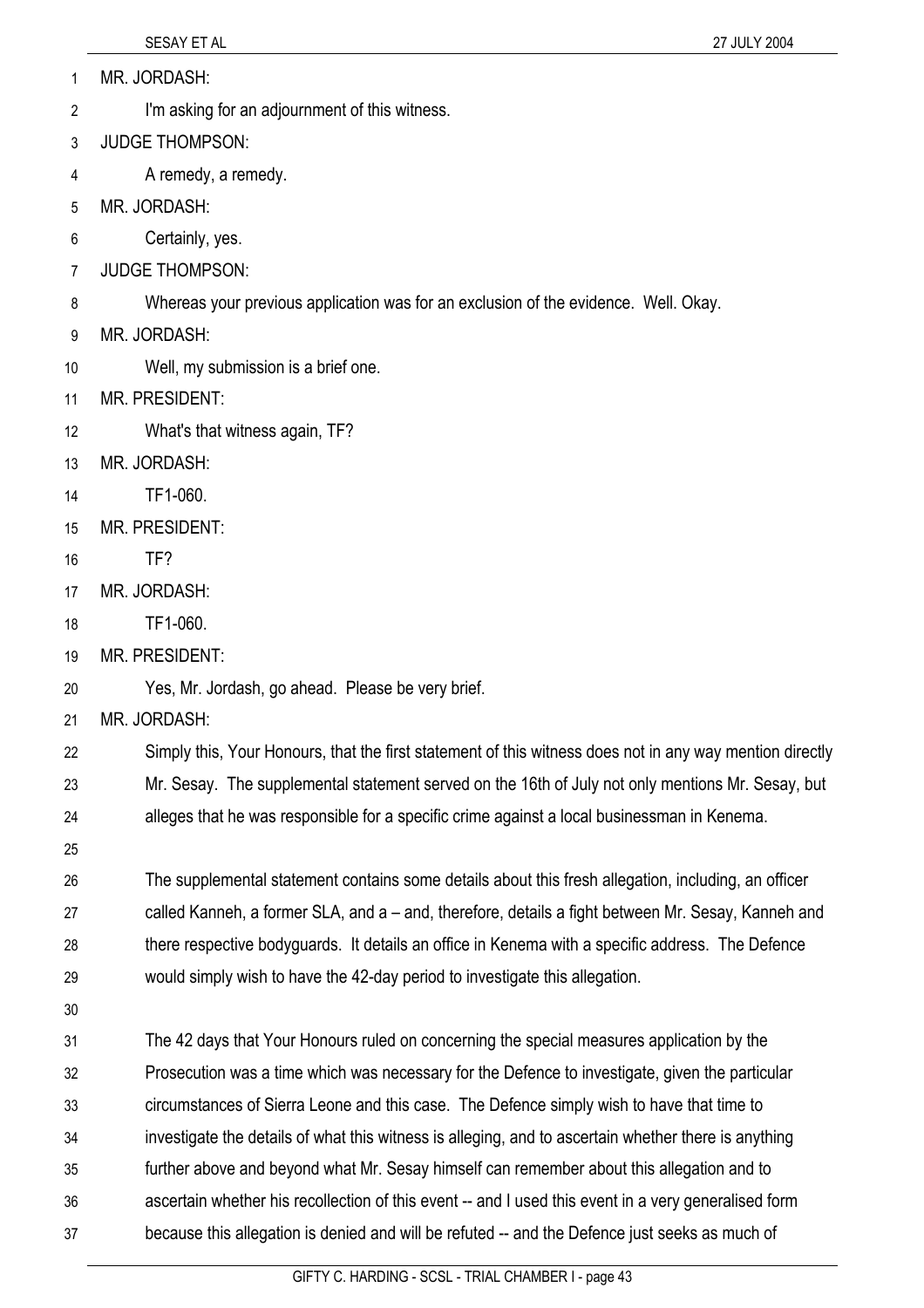- MR. JORDASH: 1
- I'm asking for an adjournment of this witness. 2
- 3 JUDGE THOMPSON:
- 4 A remedy, a remedy.
- 5 MR. JORDASH:
- 6 Certainly, yes.
- 7 JUDGE THOMPSON:
- 8 Whereas your previous application was for an exclusion of the evidence. Well. Okay.
- 9 MR. JORDASH:
- 10 Well, my submission is a brief one.

## 11 MR. PRESIDENT:

- 12 What's that witness again, TF?
- 13 MR. JORDASH:
- 14 TF1-060.
- 15 MR. PRESIDENT:
- 16 TF?
- 17 MR. JORDASH:
- 18 TF1-060.
- 19 MR. PRESIDENT:
- 20 Yes, Mr. Jordash, go ahead. Please be very brief.
- 21 MR. JORDASH:
- 22 Simply this, Your Honours, that the first statement of this witness does not in any way mention directly
- 23 24 Mr. Sesay. The supplemental statement served on the 16th of July not only mentions Mr. Sesay, but alleges that he was responsible for a specific crime against a local businessman in Kenema.
- 25

26 27 28 29 The supplemental statement contains some details about this fresh allegation, including, an officer called Kanneh, a former SLA, and a – and, therefore, details a fight between Mr. Sesay, Kanneh and there respective bodyguards. It details an office in Kenema with a specific address. The Defence would simply wish to have the 42-day period to investigate this allegation.

30

31 32 33 34 35 36 37 The 42 days that Your Honours ruled on concerning the special measures application by the Prosecution was a time which was necessary for the Defence to investigate, given the particular circumstances of Sierra Leone and this case. The Defence simply wish to have that time to investigate the details of what this witness is alleging, and to ascertain whether there is anything further above and beyond what Mr. Sesay himself can remember about this allegation and to ascertain whether his recollection of this event -- and I used this event in a very generalised form because this allegation is denied and will be refuted -- and the Defence just seeks as much of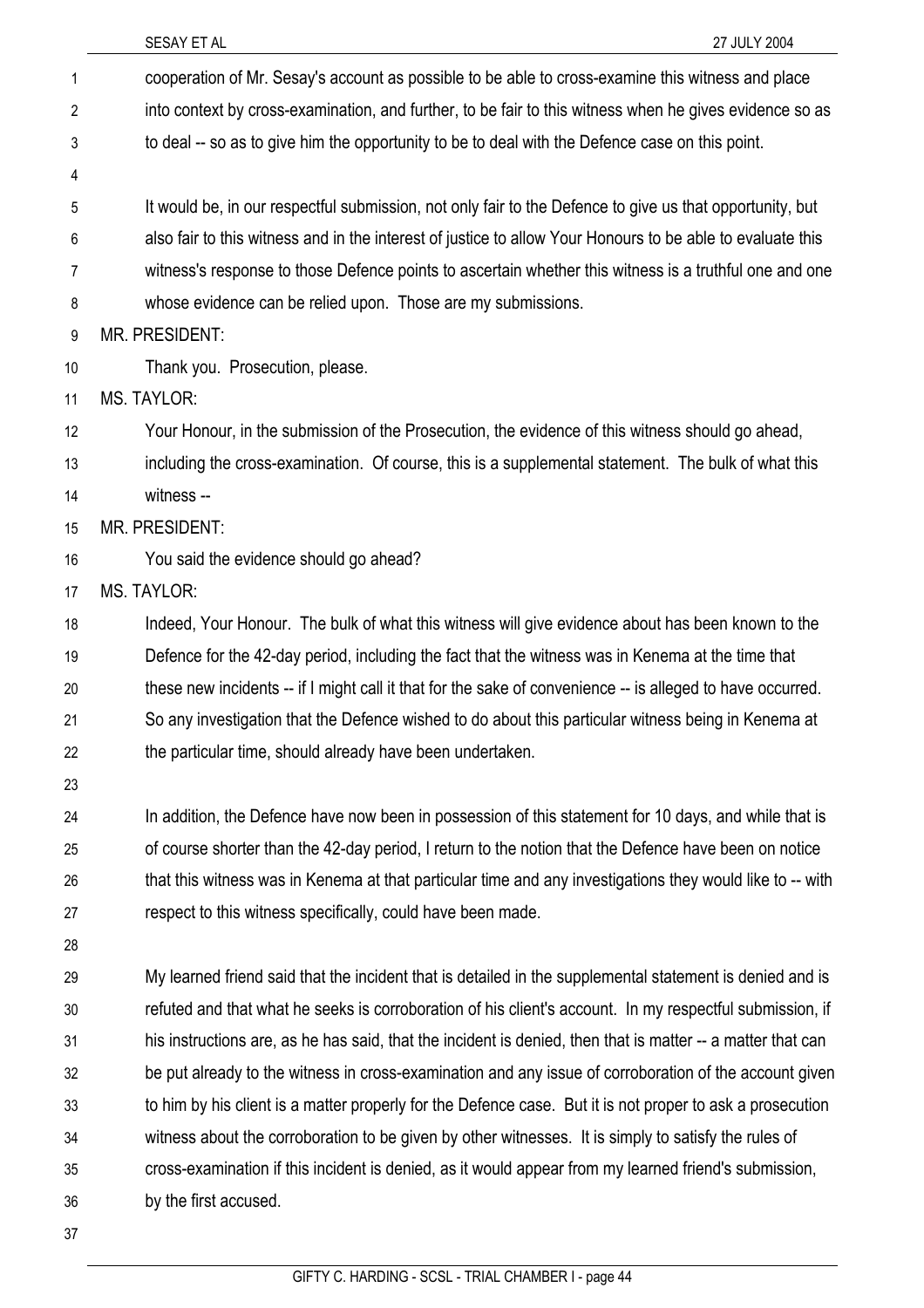| 1              | cooperation of Mr. Sesay's account as possible to be able to cross-examine this witness and place           |
|----------------|-------------------------------------------------------------------------------------------------------------|
| $\overline{2}$ | into context by cross-examination, and further, to be fair to this witness when he gives evidence so as     |
| 3              | to deal -- so as to give him the opportunity to be to deal with the Defence case on this point.             |
| 4              |                                                                                                             |
| 5              | It would be, in our respectful submission, not only fair to the Defence to give us that opportunity, but    |
| 6              | also fair to this witness and in the interest of justice to allow Your Honours to be able to evaluate this  |
| 7              | witness's response to those Defence points to ascertain whether this witness is a truthful one and one      |
| 8              | whose evidence can be relied upon. Those are my submissions.                                                |
| 9              | <b>MR. PRESIDENT:</b>                                                                                       |
| 10             | Thank you. Prosecution, please.                                                                             |
| 11             | <b>MS. TAYLOR:</b>                                                                                          |
| 12             | Your Honour, in the submission of the Prosecution, the evidence of this witness should go ahead,            |
| 13             | including the cross-examination. Of course, this is a supplemental statement. The bulk of what this         |
| 14             | witness --                                                                                                  |
| 15             | MR. PRESIDENT:                                                                                              |
| 16             | You said the evidence should go ahead?                                                                      |
| 17             | <b>MS. TAYLOR:</b>                                                                                          |
| 18             | Indeed, Your Honour. The bulk of what this witness will give evidence about has been known to the           |
| 19             | Defence for the 42-day period, including the fact that the witness was in Kenema at the time that           |
| 20             | these new incidents -- if I might call it that for the sake of convenience -- is alleged to have occurred.  |
| 21             | So any investigation that the Defence wished to do about this particular witness being in Kenema at         |
| 22             | the particular time, should already have been undertaken.                                                   |
| 23             |                                                                                                             |
| 24             | In addition, the Defence have now been in possession of this statement for 10 days, and while that is       |
| 25             | of course shorter than the 42-day period, I return to the notion that the Defence have been on notice       |
| 26             | that this witness was in Kenema at that particular time and any investigations they would like to -- with   |
| 27             | respect to this witness specifically, could have been made.                                                 |
| 28             |                                                                                                             |
| 29             | My learned friend said that the incident that is detailed in the supplemental statement is denied and is    |
| 30             | refuted and that what he seeks is corroboration of his client's account. In my respectful submission, if    |
| 31             | his instructions are, as he has said, that the incident is denied, then that is matter -- a matter that can |
| 32             | be put already to the witness in cross-examination and any issue of corroboration of the account given      |
| 33             | to him by his client is a matter properly for the Defence case. But it is not proper to ask a prosecution   |
| 34             | witness about the corroboration to be given by other witnesses. It is simply to satisfy the rules of        |
| 35             | cross-examination if this incident is denied, as it would appear from my learned friend's submission,       |
| 36             | by the first accused.                                                                                       |
| 37             |                                                                                                             |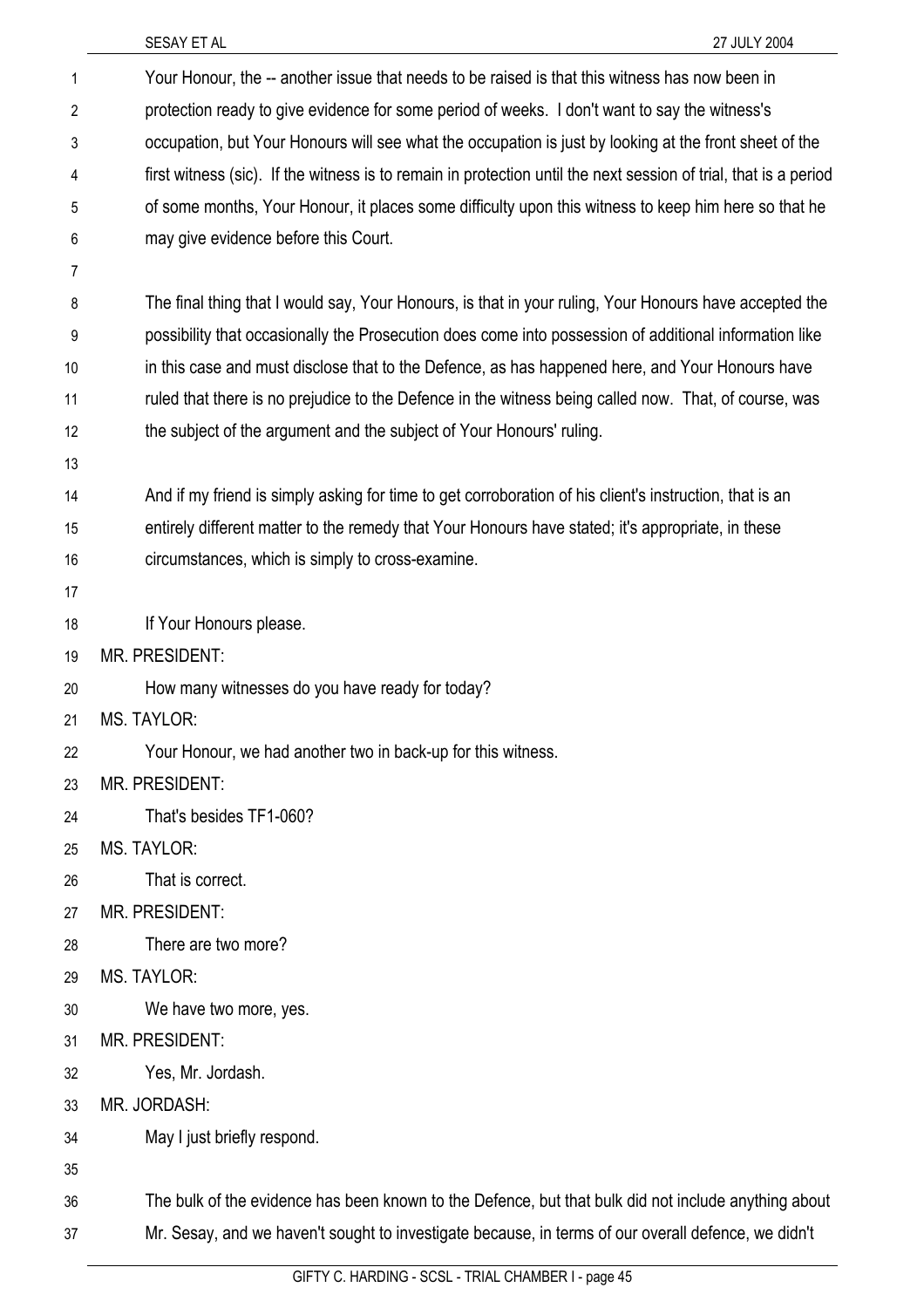| $\mathbf{1}$   | Your Honour, the -- another issue that needs to be raised is that this witness has now been in                   |
|----------------|------------------------------------------------------------------------------------------------------------------|
| $\overline{2}$ | protection ready to give evidence for some period of weeks. I don't want to say the witness's                    |
| 3              | occupation, but Your Honours will see what the occupation is just by looking at the front sheet of the           |
| 4              | first witness (sic). If the witness is to remain in protection until the next session of trial, that is a period |
| 5              | of some months, Your Honour, it places some difficulty upon this witness to keep him here so that he             |
| 6              | may give evidence before this Court.                                                                             |
| 7              |                                                                                                                  |
| 8              | The final thing that I would say, Your Honours, is that in your ruling, Your Honours have accepted the           |
| 9              | possibility that occasionally the Prosecution does come into possession of additional information like           |
| 10             | in this case and must disclose that to the Defence, as has happened here, and Your Honours have                  |
| 11             | ruled that there is no prejudice to the Defence in the witness being called now. That, of course, was            |
| 12             | the subject of the argument and the subject of Your Honours' ruling.                                             |
| 13             |                                                                                                                  |
| 14             | And if my friend is simply asking for time to get corroboration of his client's instruction, that is an          |
| 15             | entirely different matter to the remedy that Your Honours have stated; it's appropriate, in these                |
| 16             | circumstances, which is simply to cross-examine.                                                                 |
| 17             |                                                                                                                  |
| 18             | If Your Honours please.                                                                                          |
| 19             | MR. PRESIDENT:                                                                                                   |
| 20             | How many witnesses do you have ready for today?                                                                  |
| 21             | <b>MS. TAYLOR:</b>                                                                                               |
| 22             | Your Honour, we had another two in back-up for this witness.                                                     |
| 23             | <b>MR. PRESIDENT:</b>                                                                                            |
| 24             | That's besides TF1-060?                                                                                          |
| 25             | MS. TAYLOR:                                                                                                      |
| 26             | That is correct.                                                                                                 |
| 27             | <b>MR. PRESIDENT:</b>                                                                                            |
| 28             | There are two more?                                                                                              |
| 29             | <b>MS. TAYLOR:</b>                                                                                               |
| 30             | We have two more, yes.                                                                                           |
| 31             | MR. PRESIDENT:                                                                                                   |
| 32             | Yes, Mr. Jordash.                                                                                                |
| 33             | MR. JORDASH:                                                                                                     |
| 34             | May I just briefly respond.                                                                                      |
| 35             |                                                                                                                  |
| 36             | The bulk of the evidence has been known to the Defence, but that bulk did not include anything about             |
| 37             | Mr. Sesay, and we haven't sought to investigate because, in terms of our overall defence, we didn't              |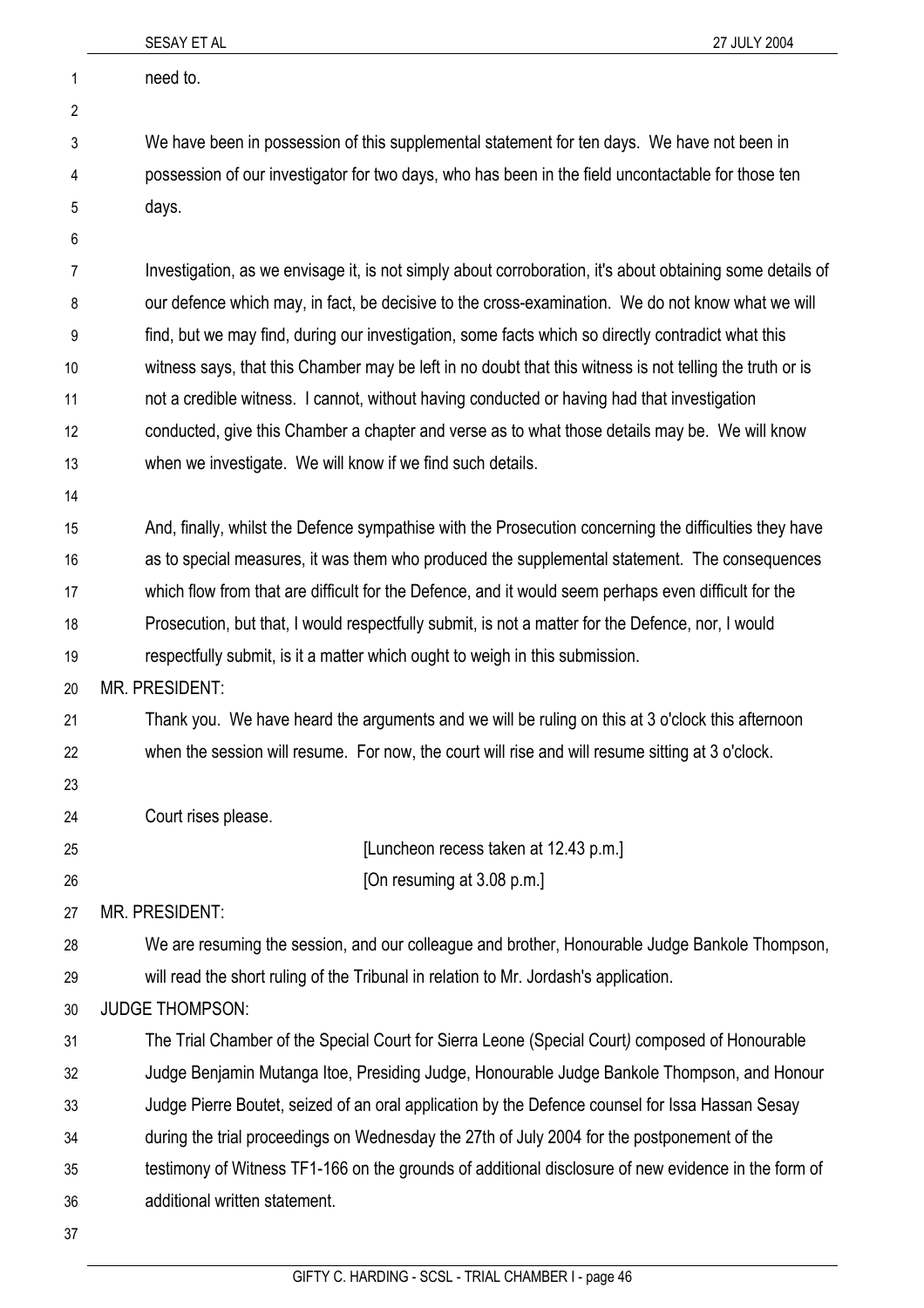|    | 27 JULY 2004<br>SESAY ET AL                                                                               |
|----|-----------------------------------------------------------------------------------------------------------|
| 1  | need to.                                                                                                  |
| 2  |                                                                                                           |
| 3  | We have been in possession of this supplemental statement for ten days. We have not been in               |
| 4  | possession of our investigator for two days, who has been in the field uncontactable for those ten        |
| 5  | days.                                                                                                     |
| 6  |                                                                                                           |
| 7  | Investigation, as we envisage it, is not simply about corroboration, it's about obtaining some details of |
| 8  | our defence which may, in fact, be decisive to the cross-examination. We do not know what we will         |
| 9  | find, but we may find, during our investigation, some facts which so directly contradict what this        |
| 10 | witness says, that this Chamber may be left in no doubt that this witness is not telling the truth or is  |
| 11 | not a credible witness. I cannot, without having conducted or having had that investigation               |
| 12 | conducted, give this Chamber a chapter and verse as to what those details may be. We will know            |
| 13 | when we investigate. We will know if we find such details.                                                |
| 14 |                                                                                                           |
| 15 | And, finally, whilst the Defence sympathise with the Prosecution concerning the difficulties they have    |
| 16 | as to special measures, it was them who produced the supplemental statement. The consequences             |
| 17 | which flow from that are difficult for the Defence, and it would seem perhaps even difficult for the      |
| 18 | Prosecution, but that, I would respectfully submit, is not a matter for the Defence, nor, I would         |
| 19 | respectfully submit, is it a matter which ought to weigh in this submission.                              |
| 20 | MR. PRESIDENT:                                                                                            |
| 21 | Thank you. We have heard the arguments and we will be ruling on this at 3 o'clock this afternoon          |
| 22 | when the session will resume. For now, the court will rise and will resume sitting at 3 o'clock.          |
| 23 |                                                                                                           |
| 24 | Court rises please.                                                                                       |
| 25 | [Luncheon recess taken at 12.43 p.m.]                                                                     |
| 26 | [On resuming at 3.08 p.m.]                                                                                |
| 27 | <b>MR. PRESIDENT:</b>                                                                                     |
| 28 | We are resuming the session, and our colleague and brother, Honourable Judge Bankole Thompson,            |
| 29 | will read the short ruling of the Tribunal in relation to Mr. Jordash's application.                      |
| 30 | <b>JUDGE THOMPSON:</b>                                                                                    |
| 31 | The Trial Chamber of the Special Court for Sierra Leone (Special Court) composed of Honourable            |
| 32 | Judge Benjamin Mutanga Itoe, Presiding Judge, Honourable Judge Bankole Thompson, and Honour               |
| 33 | Judge Pierre Boutet, seized of an oral application by the Defence counsel for Issa Hassan Sesay           |
| 34 | during the trial proceedings on Wednesday the 27th of July 2004 for the postponement of the               |
| 35 | testimony of Witness TF1-166 on the grounds of additional disclosure of new evidence in the form of       |
| 36 | additional written statement.                                                                             |
| 37 |                                                                                                           |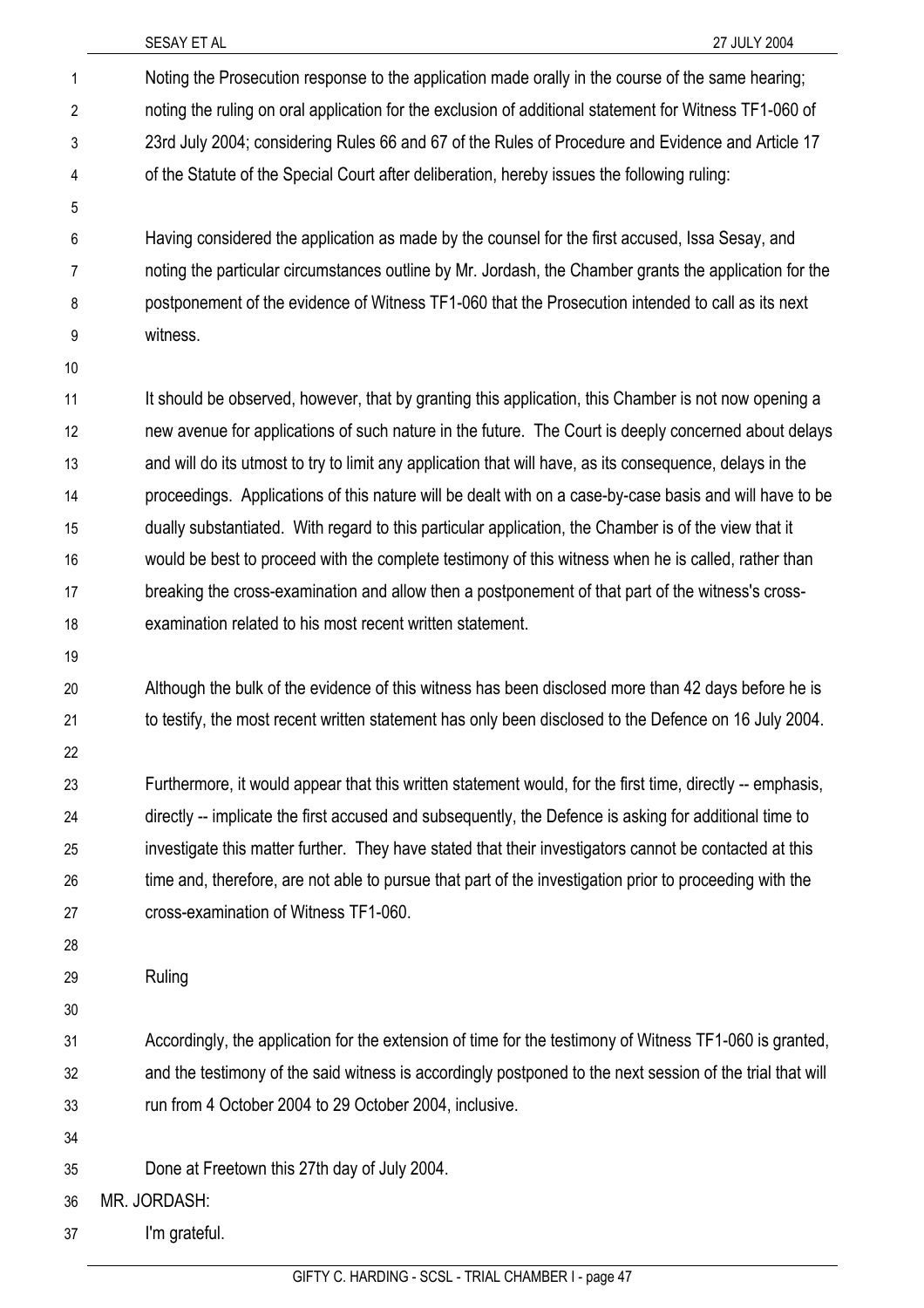Noting the Prosecution response to the application made orally in the course of the same hearing; noting the ruling on oral application for the exclusion of additional statement for Witness TF1-060 of 23rd July 2004; considering Rules 66 and 67 of the Rules of Procedure and Evidence and Article 17 of the Statute of the Special Court after deliberation, hereby issues the following ruling: Having considered the application as made by the counsel for the first accused, Issa Sesay, and noting the particular circumstances outline by Mr. Jordash, the Chamber grants the application for the postponement of the evidence of Witness TF1-060 that the Prosecution intended to call as its next witness. 1 2 3 4 5 6 7 8 9 10

It should be observed, however, that by granting this application, this Chamber is not now opening a new avenue for applications of such nature in the future. The Court is deeply concerned about delays and will do its utmost to try to limit any application that will have, as its consequence, delays in the proceedings. Applications of this nature will be dealt with on a case-by-case basis and will have to be dually substantiated. With regard to this particular application, the Chamber is of the view that it would be best to proceed with the complete testimony of this witness when he is called, rather than breaking the cross-examination and allow then a postponement of that part of the witness's crossexamination related to his most recent written statement. 11 12 13 14 15 16 17 18

19

Although the bulk of the evidence of this witness has been disclosed more than 42 days before he is to testify, the most recent written statement has only been disclosed to the Defence on 16 July 2004. 20 21

22

Furthermore, it would appear that this written statement would, for the first time, directly -- emphasis, directly -- implicate the first accused and subsequently, the Defence is asking for additional time to investigate this matter further. They have stated that their investigators cannot be contacted at this time and, therefore, are not able to pursue that part of the investigation prior to proceeding with the cross-examination of Witness TF1-060. 23 24 25 26 27

28

Ruling 29

30

Accordingly, the application for the extension of time for the testimony of Witness TF1-060 is granted, and the testimony of the said witness is accordingly postponed to the next session of the trial that will run from 4 October 2004 to 29 October 2004, inclusive. 31 32 33

34

Done at Freetown this 27th day of July 2004. 35

36 MR. JORDASH:

37 I'm grateful.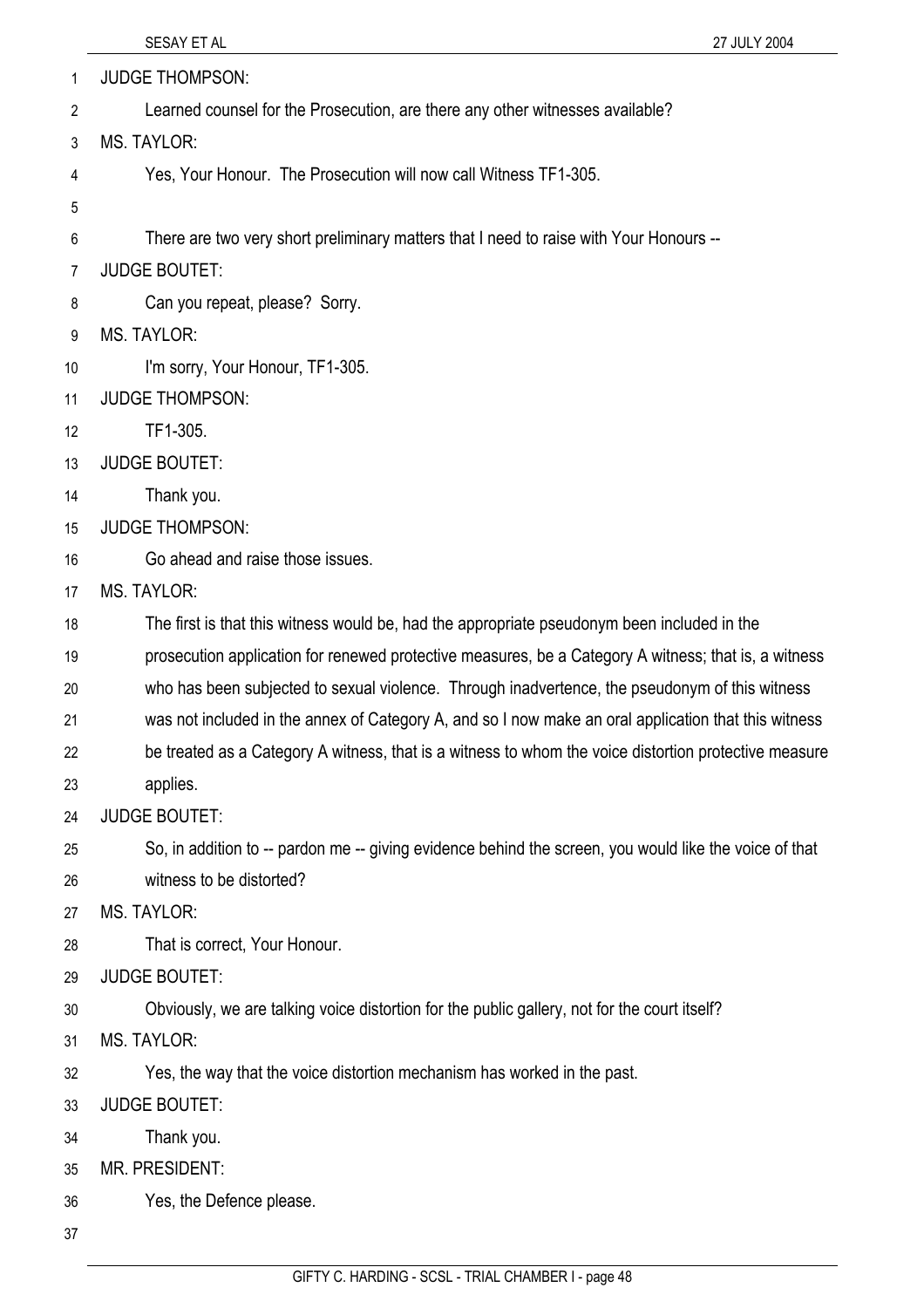- JUDGE THOMPSON: 1
- Learned counsel for the Prosecution, are there any other witnesses available? 2
- 3 MS. TAYLOR:
- 4 Yes, Your Honour. The Prosecution will now call Witness TF1-305.
- 5

6 There are two very short preliminary matters that I need to raise with Your Honours --

- 7 JUDGE BOUTET:
- 8 Can you repeat, please? Sorry.
- 9 MS. TAYLOR:
- 10 I'm sorry, Your Honour, TF1-305.
- 11 JUDGE THOMPSON:
- 12 TF1-305.
- 13 JUDGE BOUTET:
- 14 Thank you.
- 15 JUDGE THOMPSON:
- 16 Go ahead and raise those issues.
- 17 MS. TAYLOR:
- 18 The first is that this witness would be, had the appropriate pseudonym been included in the
- 19 prosecution application for renewed protective measures, be a Category A witness; that is, a witness
- 20 who has been subjected to sexual violence. Through inadvertence, the pseudonym of this witness
- 21 was not included in the annex of Category A, and so I now make an oral application that this witness
- 22 be treated as a Category A witness, that is a witness to whom the voice distortion protective measure
- 23 applies.
- 24 JUDGE BOUTET:
- 25 26 So, in addition to -- pardon me -- giving evidence behind the screen, you would like the voice of that witness to be distorted?
- 27 MS. TAYLOR:
- 28 That is correct, Your Honour.
- 29 JUDGE BOUTET:
- 30 Obviously, we are talking voice distortion for the public gallery, not for the court itself?
- 31 MS. TAYLOR:
- 32 Yes, the way that the voice distortion mechanism has worked in the past.
- 33 JUDGE BOUTET:
- 34 Thank you.
- 35 MR. PRESIDENT:
- 36 Yes, the Defence please.
- 37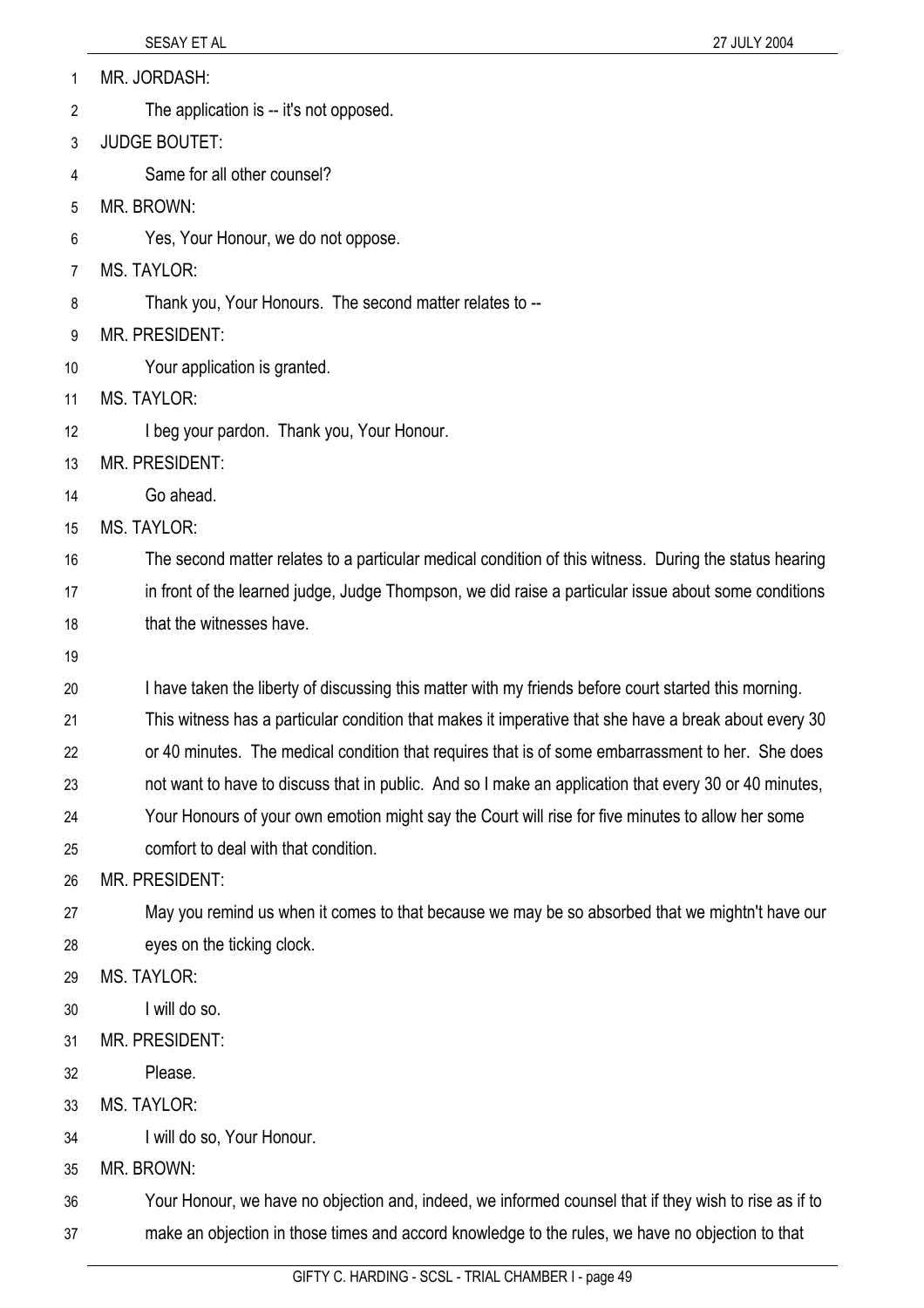|  |  | MR. JORDASH: |
|--|--|--------------|
|--|--|--------------|

- The application is -- it's not opposed. 2
- 3 JUDGE BOUTET:
- 4 Same for all other counsel?
- 5 MR. BROWN:
- 6 Yes, Your Honour, we do not oppose.
- 7 MS. TAYLOR:
- 8 Thank you, Your Honours. The second matter relates to --
- 9 MR. PRESIDENT:
- 10 Your application is granted.
- 11 MS. TAYLOR:
- 12 I beg your pardon. Thank you, Your Honour.
- 13 MR. PRESIDENT:
- 14 Go ahead.
- 15 MS. TAYLOR:

16 17 18 The second matter relates to a particular medical condition of this witness. During the status hearing in front of the learned judge, Judge Thompson, we did raise a particular issue about some conditions that the witnesses have.

19

20 I have taken the liberty of discussing this matter with my friends before court started this morning.

21 This witness has a particular condition that makes it imperative that she have a break about every 30

22 or 40 minutes. The medical condition that requires that is of some embarrassment to her. She does

23 not want to have to discuss that in public. And so I make an application that every 30 or 40 minutes,

- 24 Your Honours of your own emotion might say the Court will rise for five minutes to allow her some
- 25 comfort to deal with that condition.

26 MR. PRESIDENT:

27 28 May you remind us when it comes to that because we may be so absorbed that we mightn't have our eyes on the ticking clock.

- 29 MS. TAYLOR:
- 30 I will do so.
- 31 MR. PRESIDENT:
- 32 Please.
- 33 MS. TAYI OR:
- 34 I will do so, Your Honour.
- 35 MR. BROWN:

36 37 Your Honour, we have no objection and, indeed, we informed counsel that if they wish to rise as if to make an objection in those times and accord knowledge to the rules, we have no objection to that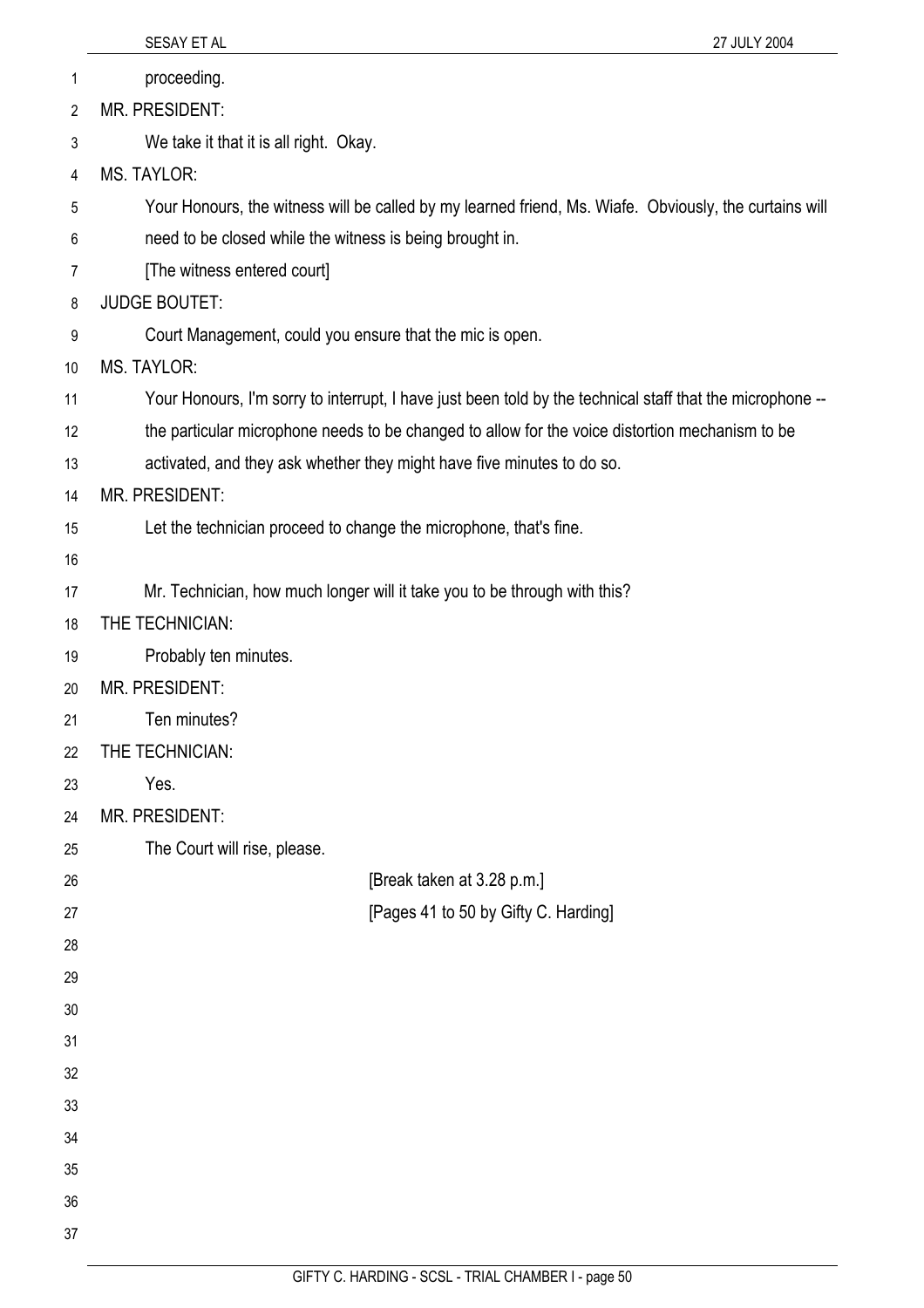|                | SESAY ET AL<br>27 JULY 2004                                                                               |
|----------------|-----------------------------------------------------------------------------------------------------------|
| 1              | proceeding.                                                                                               |
| $\overline{2}$ | MR. PRESIDENT:                                                                                            |
| 3              | We take it that it is all right. Okay.                                                                    |
| 4              | MS. TAYLOR:                                                                                               |
| 5              | Your Honours, the witness will be called by my learned friend, Ms. Wiafe. Obviously, the curtains will    |
| 6              | need to be closed while the witness is being brought in.                                                  |
| 7              | [The witness entered court]                                                                               |
| 8              | <b>JUDGE BOUTET:</b>                                                                                      |
| 9              | Court Management, could you ensure that the mic is open.                                                  |
| 10             | <b>MS. TAYLOR:</b>                                                                                        |
| 11             | Your Honours, I'm sorry to interrupt, I have just been told by the technical staff that the microphone -- |
| 12             | the particular microphone needs to be changed to allow for the voice distortion mechanism to be           |
| 13             | activated, and they ask whether they might have five minutes to do so.                                    |
| 14             | MR. PRESIDENT:                                                                                            |
| 15             | Let the technician proceed to change the microphone, that's fine.                                         |
| 16             |                                                                                                           |
| 17             | Mr. Technician, how much longer will it take you to be through with this?                                 |
| 18             | THE TECHNICIAN:                                                                                           |
| 19             | Probably ten minutes.                                                                                     |
| 20             | <b>MR. PRESIDENT:</b>                                                                                     |
| 21             | Ten minutes?                                                                                              |
| 22             | THE TECHNICIAN:                                                                                           |
| 23             | Yes.                                                                                                      |
| 24             | MR. PRESIDENT:                                                                                            |
| 25             | The Court will rise, please.                                                                              |
| 26             | [Break taken at 3.28 p.m.]                                                                                |
| 27             | [Pages 41 to 50 by Gifty C. Harding]                                                                      |
| 28             |                                                                                                           |
| 29             |                                                                                                           |
| 30             |                                                                                                           |
| 31             |                                                                                                           |
| 32             |                                                                                                           |
| 33             |                                                                                                           |
| 34             |                                                                                                           |
| 35             |                                                                                                           |
| 36             |                                                                                                           |
| 37             |                                                                                                           |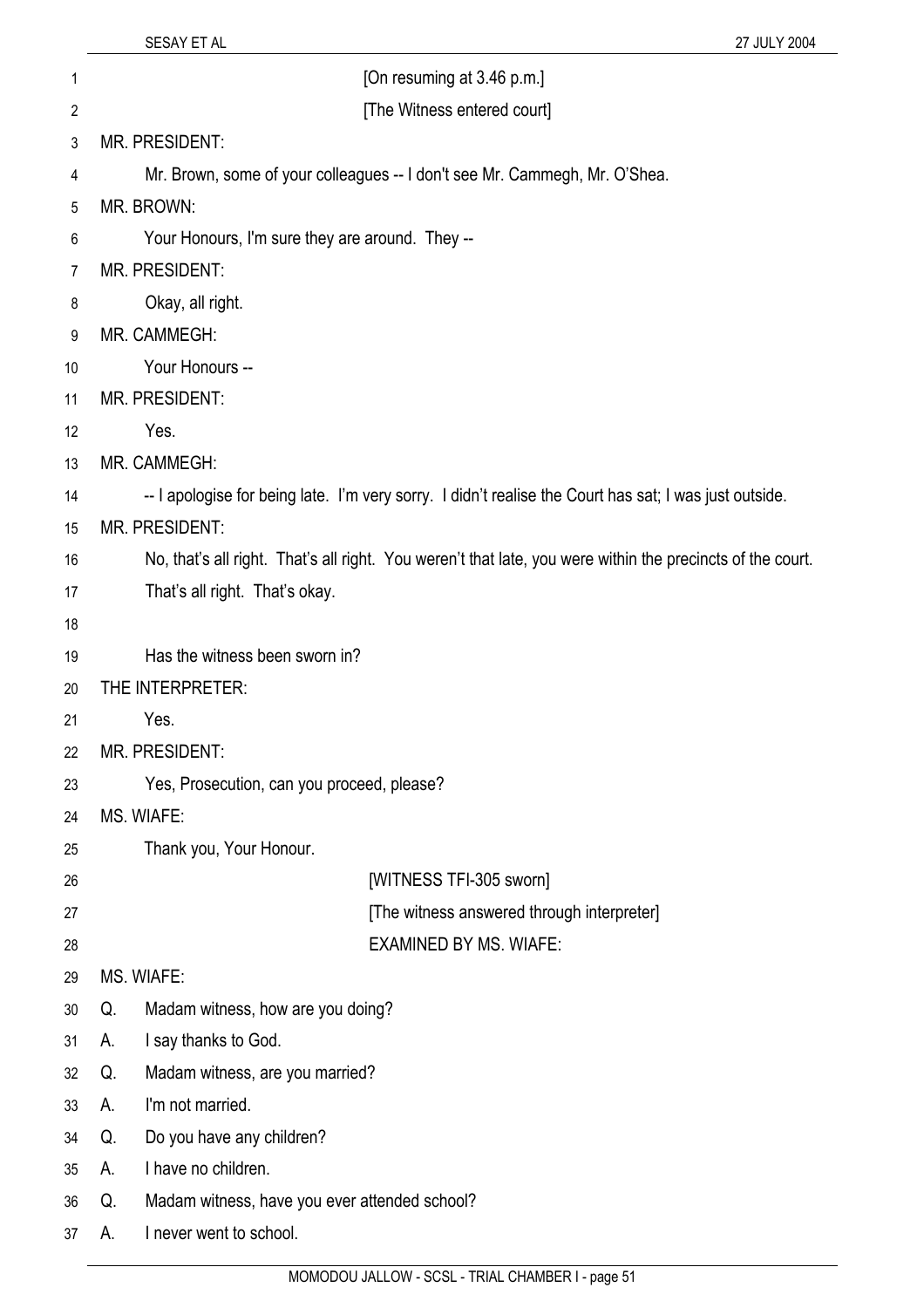| 1              | [On resuming at 3.46 p.m.]                                                                                 |  |
|----------------|------------------------------------------------------------------------------------------------------------|--|
| $\overline{c}$ | [The Witness entered court]                                                                                |  |
| 3              | MR. PRESIDENT:                                                                                             |  |
| 4              | Mr. Brown, some of your colleagues -- I don't see Mr. Cammegh, Mr. O'Shea.                                 |  |
| 5              | MR. BROWN:                                                                                                 |  |
| 6              | Your Honours, I'm sure they are around. They --                                                            |  |
| 7              | MR. PRESIDENT:                                                                                             |  |
| 8              | Okay, all right.                                                                                           |  |
| 9              | MR. CAMMEGH:                                                                                               |  |
| 10             | Your Honours --                                                                                            |  |
| 11             | MR. PRESIDENT:                                                                                             |  |
| 12             | Yes.                                                                                                       |  |
| 13             | MR. CAMMEGH:                                                                                               |  |
| 14             | -- I apologise for being late. I'm very sorry. I didn't realise the Court has sat; I was just outside.     |  |
| 15             | MR. PRESIDENT:                                                                                             |  |
| 16             | No, that's all right. That's all right. You weren't that late, you were within the precincts of the court. |  |
| 17             | That's all right. That's okay.                                                                             |  |
| 18             |                                                                                                            |  |
| 19             | Has the witness been sworn in?                                                                             |  |
| 20             | THE INTERPRETER:                                                                                           |  |
| 21             | Yes.                                                                                                       |  |
| 22             | MR. PRESIDENT:                                                                                             |  |
| 23             | Yes, Prosecution, can you proceed, please?                                                                 |  |
| 24             | MS. WIAFE:                                                                                                 |  |
| 25             | Thank you, Your Honour.                                                                                    |  |
| 26             | [WITNESS TFI-305 sworn]                                                                                    |  |
| 27             | [The witness answered through interpreter]                                                                 |  |
| 28             | <b>EXAMINED BY MS. WIAFE:</b>                                                                              |  |
| 29             | MS. WIAFE:                                                                                                 |  |
| 30             | Madam witness, how are you doing?<br>Q.                                                                    |  |
| 31             | I say thanks to God.<br>А.                                                                                 |  |
| 32             | Madam witness, are you married?<br>Q.                                                                      |  |
| 33             | I'm not married.<br>А.                                                                                     |  |
| 34             | Do you have any children?<br>Q.                                                                            |  |
| 35             | I have no children.<br>А.                                                                                  |  |
| 36             | Madam witness, have you ever attended school?<br>Q.                                                        |  |
| 37             | I never went to school.<br>А.                                                                              |  |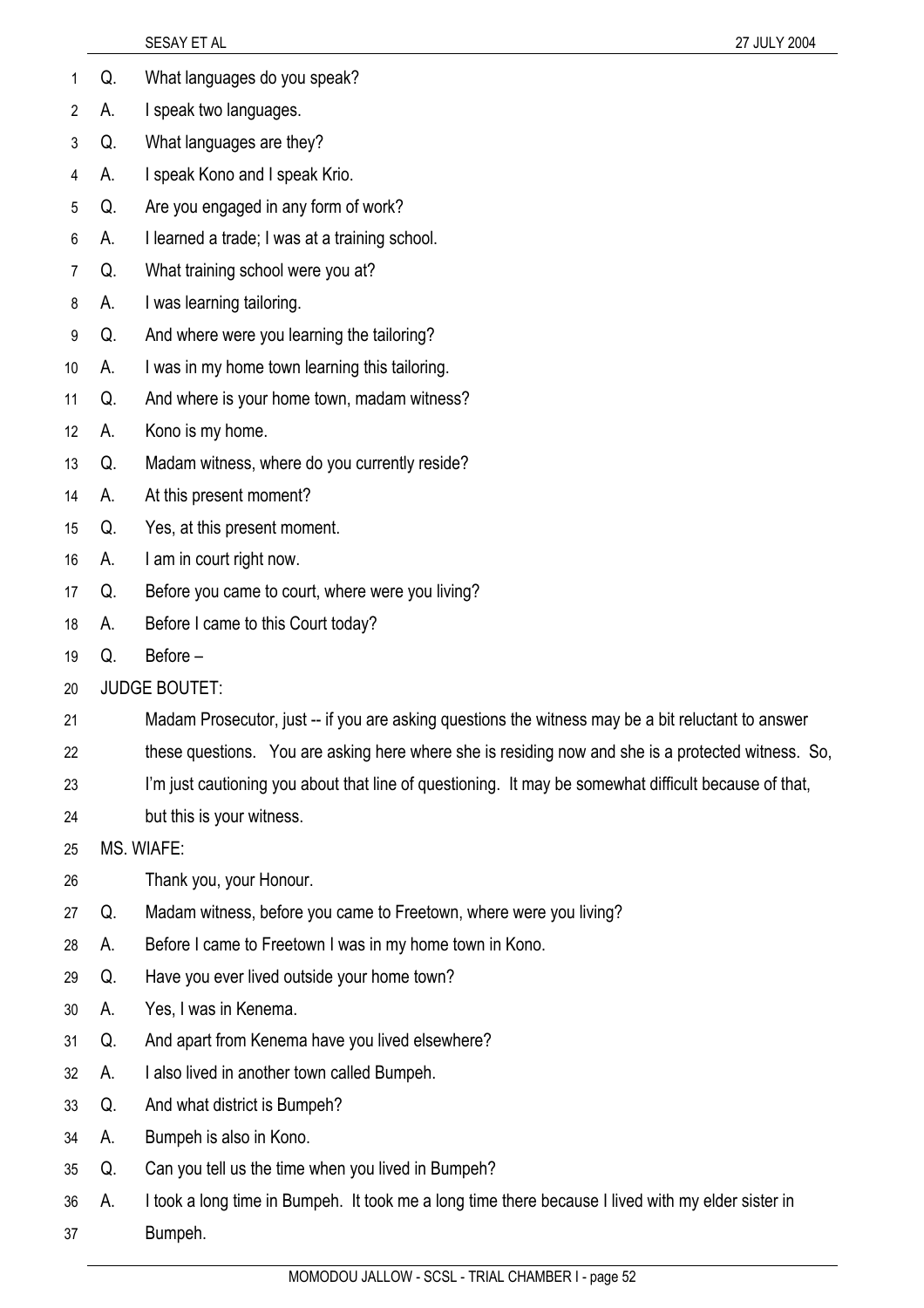|    |    | SESAY ET AL<br>27 JULY 2004                                                                           |
|----|----|-------------------------------------------------------------------------------------------------------|
| 1  | Q. | What languages do you speak?                                                                          |
| 2  | А. | I speak two languages.                                                                                |
| 3  | Q. | What languages are they?                                                                              |
| 4  | А. | I speak Kono and I speak Krio.                                                                        |
| 5  | Q. | Are you engaged in any form of work?                                                                  |
| 6  | А. | I learned a trade; I was at a training school.                                                        |
| 7  | Q. | What training school were you at?                                                                     |
| 8  | А. | I was learning tailoring.                                                                             |
| 9  | Q. | And where were you learning the tailoring?                                                            |
| 10 | А. | I was in my home town learning this tailoring.                                                        |
| 11 | Q. | And where is your home town, madam witness?                                                           |
| 12 | А. | Kono is my home.                                                                                      |
| 13 | Q. | Madam witness, where do you currently reside?                                                         |
| 14 | А. | At this present moment?                                                                               |
| 15 | Q. | Yes, at this present moment.                                                                          |
| 16 | А. | I am in court right now.                                                                              |
| 17 | Q. | Before you came to court, where were you living?                                                      |
| 18 | А. | Before I came to this Court today?                                                                    |
| 19 | Q. | Before-                                                                                               |
| 20 |    | <b>JUDGE BOUTET:</b>                                                                                  |
| 21 |    | Madam Prosecutor, just -- if you are asking questions the witness may be a bit reluctant to answer    |
| 22 |    | these questions. You are asking here where she is residing now and she is a protected witness. So,    |
| 23 |    | I'm just cautioning you about that line of questioning. It may be somewhat difficult because of that, |
| 24 |    | but this is your witness.                                                                             |
| 25 |    | MS. WIAFE:                                                                                            |
| 26 |    | Thank you, your Honour.                                                                               |
| 27 | Q. | Madam witness, before you came to Freetown, where were you living?                                    |
| 28 | А. | Before I came to Freetown I was in my home town in Kono.                                              |
| 29 | Q. | Have you ever lived outside your home town?                                                           |
| 30 | А. | Yes, I was in Kenema.                                                                                 |
| 31 | Q. | And apart from Kenema have you lived elsewhere?                                                       |
| 32 | А. | I also lived in another town called Bumpeh.                                                           |
| 33 | Q. | And what district is Bumpeh?                                                                          |
| 34 | А. | Bumpeh is also in Kono.                                                                               |
| 35 | Q. | Can you tell us the time when you lived in Bumpeh?                                                    |
| 36 | А. | I took a long time in Bumpeh. It took me a long time there because I lived with my elder sister in    |
| 37 |    | Bumpeh.                                                                                               |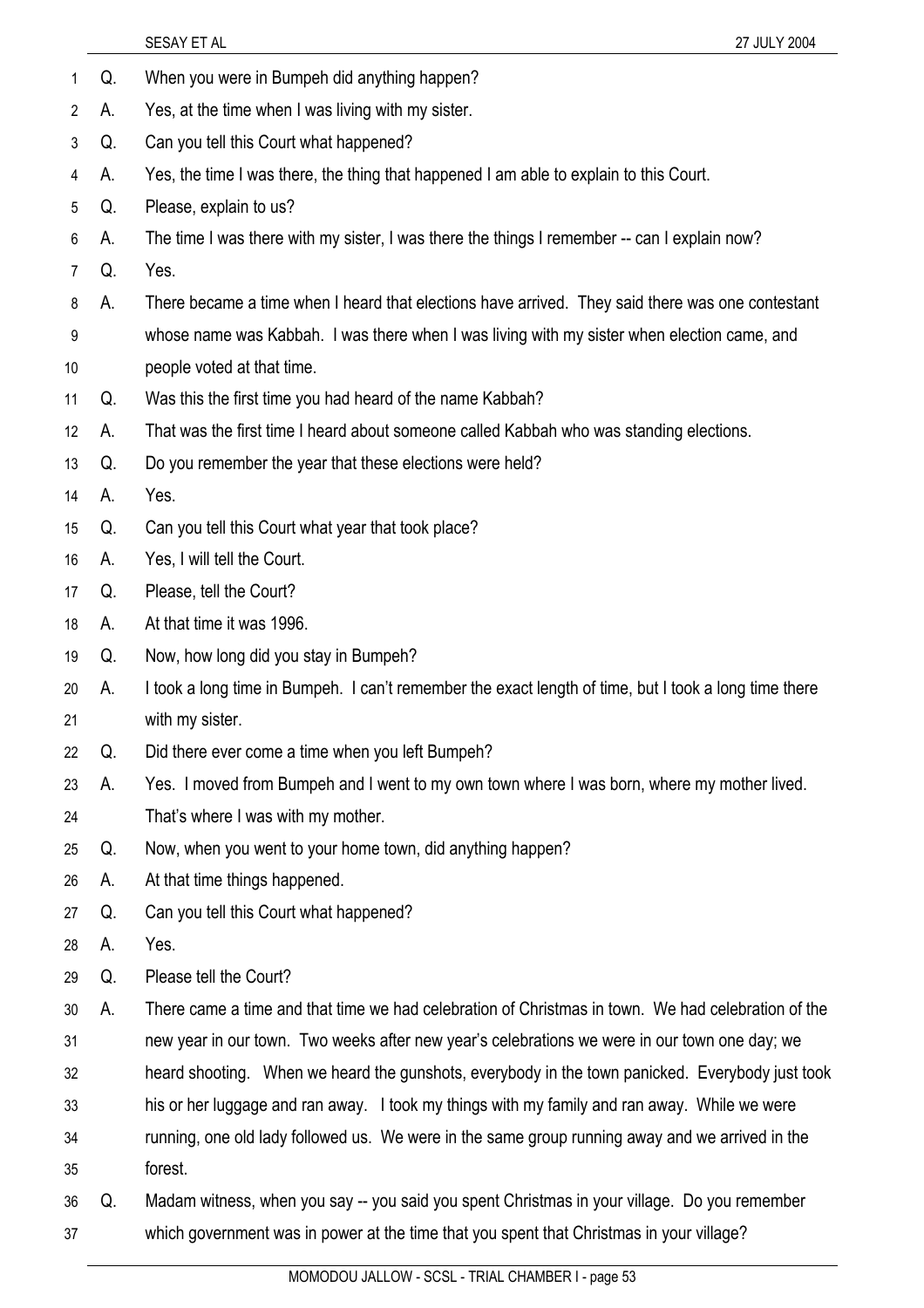- 1 Q. When you were in Bumpeh did anything happen?
- 2 A. Yes, at the time when I was living with my sister.
- 3 Q. Can you tell this Court what happened?
- 4 A. Yes, the time I was there, the thing that happened I am able to explain to this Court.
- 5 Q. Please, explain to us?
- 6 A. The time I was there with my sister, I was there the things I remember -- can I explain now?
- 7 Q. Yes.
- 8 A. There became a time when I heard that elections have arrived. They said there was one contestant
- 9 10 whose name was Kabbah. I was there when I was living with my sister when election came, and people voted at that time.
- 11 Q. Was this the first time you had heard of the name Kabbah?
- 12 A. That was the first time I heard about someone called Kabbah who was standing elections.
- 13 Q. Do you remember the year that these elections were held?
- 14 A. Yes.
- 15 Q. Can you tell this Court what year that took place?
- 16 A. Yes, I will tell the Court.
- 17 Q. Please, tell the Court?
- 18 A. At that time it was 1996.
- 19 Q. Now, how long did you stay in Bumpeh?
- 20 21 A. I took a long time in Bumpeh. I can't remember the exact length of time, but I took a long time there with my sister.
- 22 Q. Did there ever come a time when you left Bumpeh?
- 23 A. Yes. I moved from Bumpeh and I went to my own town where I was born, where my mother lived.
- 24 That's where I was with my mother.
- 25 Q. Now, when you went to your home town, did anything happen?
- 26 A. At that time things happened.
- 27 Q. Can you tell this Court what happened?
- 28 A. Yes.
- 29 Q. Please tell the Court?
- 30 31 A. There came a time and that time we had celebration of Christmas in town. We had celebration of the new year in our town. Two weeks after new year's celebrations we were in our town one day; we
- 32 heard shooting. When we heard the gunshots, everybody in the town panicked. Everybody just took
- 33 his or her luggage and ran away. I took my things with my family and ran away. While we were
- 34 running, one old lady followed us. We were in the same group running away and we arrived in the
- 35 forest.
- 36 37 Q. Madam witness, when you say -- you said you spent Christmas in your village. Do you remember which government was in power at the time that you spent that Christmas in your village?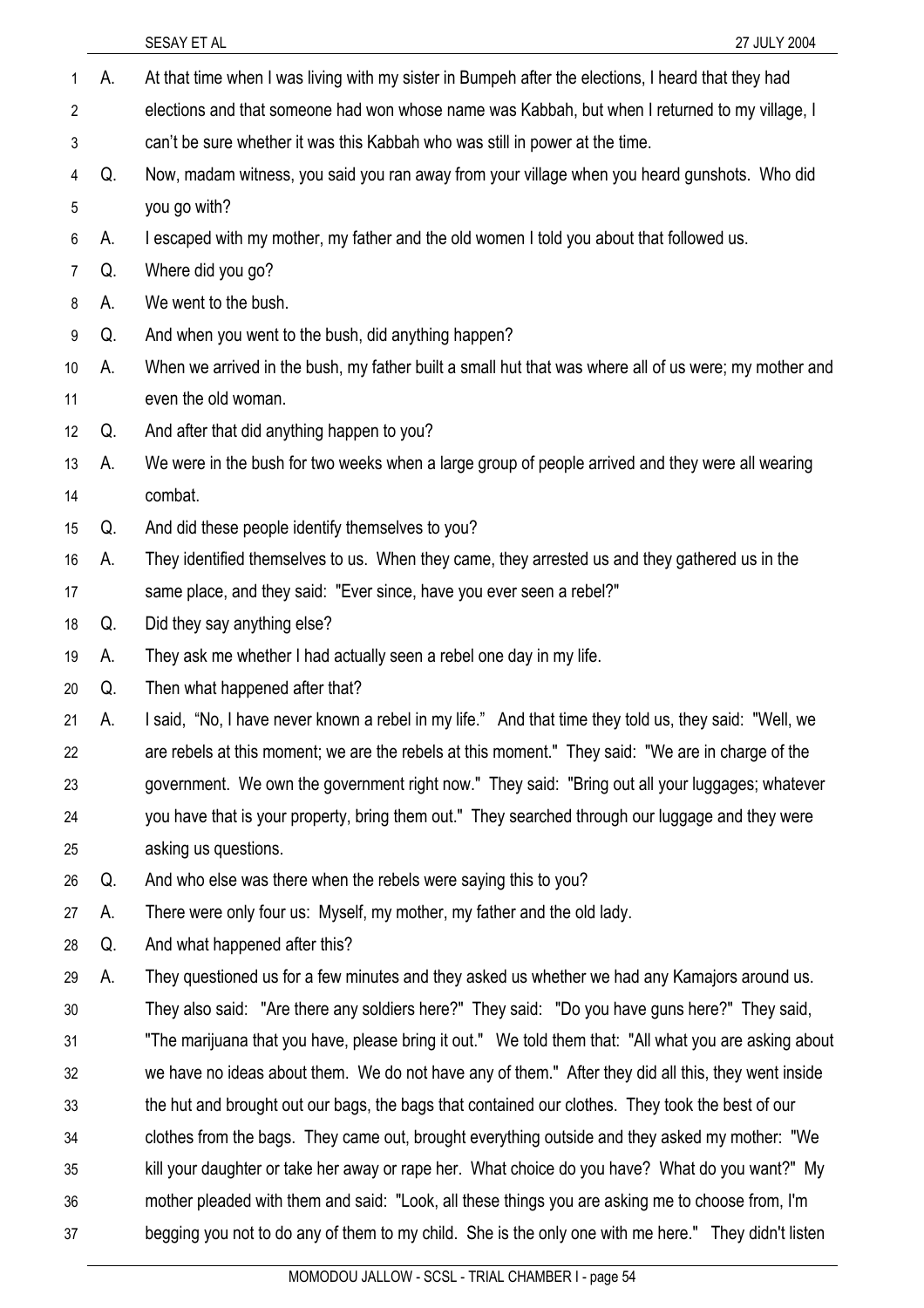| $\mathbf{1}$    | А. | At that time when I was living with my sister in Bumpeh after the elections, I heard that they had    |
|-----------------|----|-------------------------------------------------------------------------------------------------------|
| $\overline{2}$  |    | elections and that someone had won whose name was Kabbah, but when I returned to my village, I        |
| 3               |    | can't be sure whether it was this Kabbah who was still in power at the time.                          |
| 4               | Q. | Now, madam witness, you said you ran away from your village when you heard gunshots. Who did          |
| 5               |    | you go with?                                                                                          |
| 6               | А. | I escaped with my mother, my father and the old women I told you about that followed us.              |
| $\overline{7}$  | Q. | Where did you go?                                                                                     |
| 8               | А. | We went to the bush.                                                                                  |
| 9               | Q. | And when you went to the bush, did anything happen?                                                   |
| 10 <sup>°</sup> | А. | When we arrived in the bush, my father built a small hut that was where all of us were; my mother and |
| 11              |    | even the old woman.                                                                                   |
| 12              | Q. | And after that did anything happen to you?                                                            |
| 13              | А. | We were in the bush for two weeks when a large group of people arrived and they were all wearing      |
| 14              |    | combat.                                                                                               |
| 15              | Q. | And did these people identify themselves to you?                                                      |
| 16              | А. | They identified themselves to us. When they came, they arrested us and they gathered us in the        |
| 17              |    | same place, and they said: "Ever since, have you ever seen a rebel?"                                  |
| 18              | Q. | Did they say anything else?                                                                           |
| 19              | A. | They ask me whether I had actually seen a rebel one day in my life.                                   |
| 20              | Q. | Then what happened after that?                                                                        |
| 21              | А. | I said, "No, I have never known a rebel in my life." And that time they told us, they said: "Well, we |
| 22              |    | are rebels at this moment; we are the rebels at this moment." They said: "We are in charge of the     |
| 23              |    | government. We own the government right now." They said: "Bring out all your luggages; whatever       |
| 24              |    | you have that is your property, bring them out." They searched through our luggage and they were      |
| 25              |    | asking us questions.                                                                                  |
| 26              | Q. | And who else was there when the rebels were saying this to you?                                       |
| 27              | А. | There were only four us: Myself, my mother, my father and the old lady.                               |
| 28              | Q. | And what happened after this?                                                                         |
| 29              | А. | They questioned us for a few minutes and they asked us whether we had any Kamajors around us.         |
| 30              |    | They also said: "Are there any soldiers here?" They said: "Do you have guns here?" They said,         |
| 31              |    | "The marijuana that you have, please bring it out." We told them that: "All what you are asking about |
| 32              |    | we have no ideas about them. We do not have any of them." After they did all this, they went inside   |
| 33              |    | the hut and brought out our bags, the bags that contained our clothes. They took the best of our      |
| 34              |    | clothes from the bags. They came out, brought everything outside and they asked my mother: "We        |
| 35              |    | kill your daughter or take her away or rape her. What choice do you have? What do you want?" My       |
| 36              |    | mother pleaded with them and said: "Look, all these things you are asking me to choose from, I'm      |
| 37              |    | begging you not to do any of them to my child. She is the only one with me here." They didn't listen  |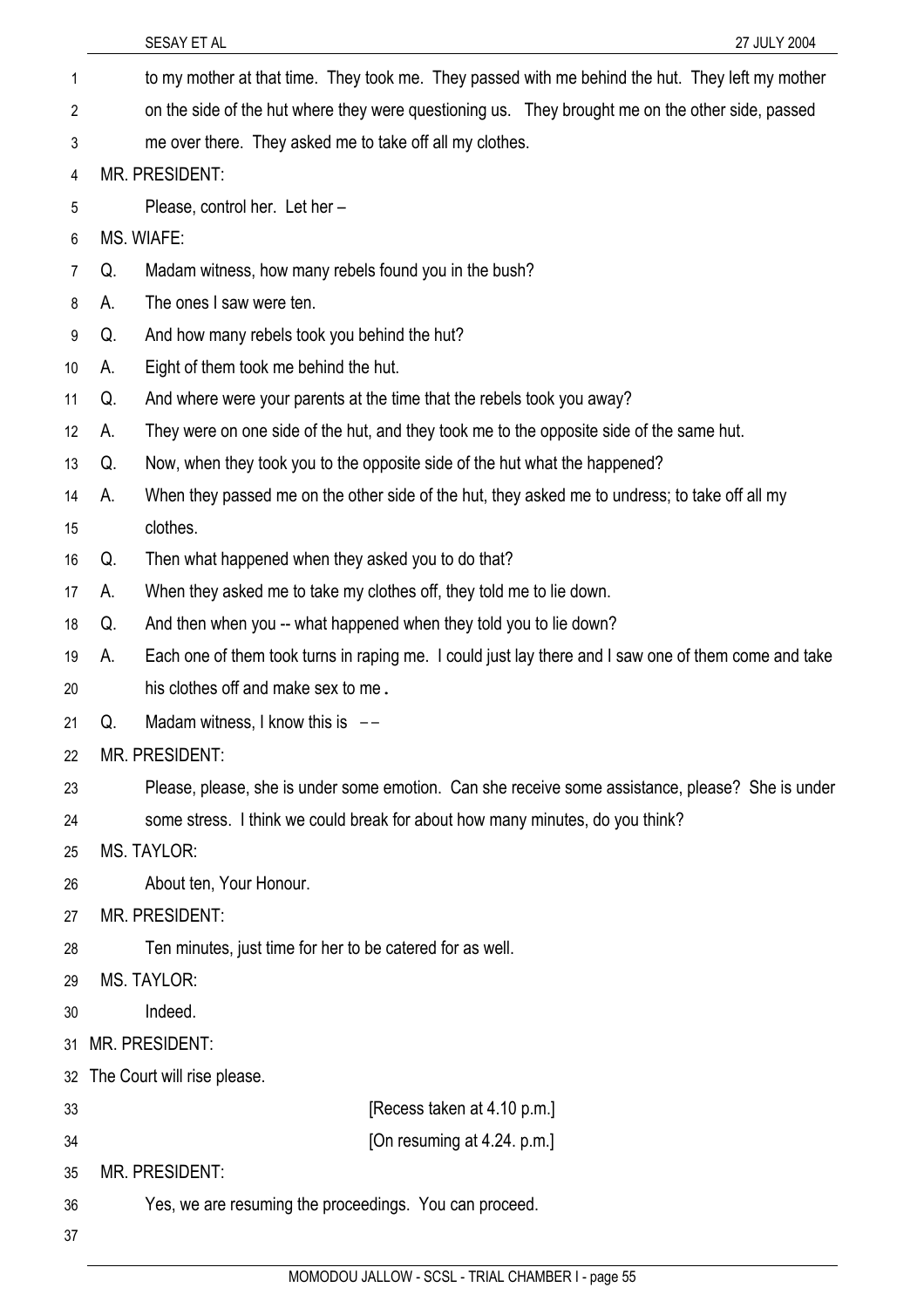| 1              |    | to my mother at that time. They took me. They passed with me behind the hut. They left my mother     |
|----------------|----|------------------------------------------------------------------------------------------------------|
| $\overline{2}$ |    | on the side of the hut where they were questioning us. They brought me on the other side, passed     |
| 3              |    | me over there. They asked me to take off all my clothes.                                             |
| 4              |    | MR. PRESIDENT:                                                                                       |
| 5              |    | Please, control her. Let her -                                                                       |
| 6              |    | MS. WIAFE:                                                                                           |
| $\overline{7}$ | Q. | Madam witness, how many rebels found you in the bush?                                                |
| 8              | А. | The ones I saw were ten.                                                                             |
| 9              | Q. | And how many rebels took you behind the hut?                                                         |
| 10             | А. | Eight of them took me behind the hut.                                                                |
| 11             | Q. | And where were your parents at the time that the rebels took you away?                               |
| 12             | А. | They were on one side of the hut, and they took me to the opposite side of the same hut.             |
| 13             | Q. | Now, when they took you to the opposite side of the hut what the happened?                           |
| 14             | А. | When they passed me on the other side of the hut, they asked me to undress; to take off all my       |
| 15             |    | clothes.                                                                                             |
| 16             | Q. | Then what happened when they asked you to do that?                                                   |
| 17             | А. | When they asked me to take my clothes off, they told me to lie down.                                 |
| 18             | Q. | And then when you -- what happened when they told you to lie down?                                   |
| 19             | А. | Each one of them took turns in raping me. I could just lay there and I saw one of them come and take |
| 20             |    | his clothes off and make sex to me.                                                                  |
| 21             | Q. | Madam witness, I know this is $-$                                                                    |
| 22             |    | MR. PRESIDENT:                                                                                       |
| 23             |    | Please, please, she is under some emotion. Can she receive some assistance, please? She is under     |
| 24             |    | some stress. I think we could break for about how many minutes, do you think?                        |
| 25             |    | <b>MS. TAYLOR:</b>                                                                                   |
| 26             |    | About ten, Your Honour.                                                                              |
| 27             |    | <b>MR. PRESIDENT:</b>                                                                                |
| 28             |    | Ten minutes, just time for her to be catered for as well.                                            |
| 29             |    | <b>MS. TAYLOR:</b>                                                                                   |
| 30             |    | Indeed.                                                                                              |
| 31             |    | MR. PRESIDENT:                                                                                       |
| 32             |    | The Court will rise please.                                                                          |
| 33             |    | [Recess taken at 4.10 p.m.]                                                                          |
| 34             |    | [On resuming at 4.24, p.m.]                                                                          |
| 35             |    | <b>MR. PRESIDENT:</b>                                                                                |
| 36             |    | Yes, we are resuming the proceedings. You can proceed.                                               |
| 37             |    |                                                                                                      |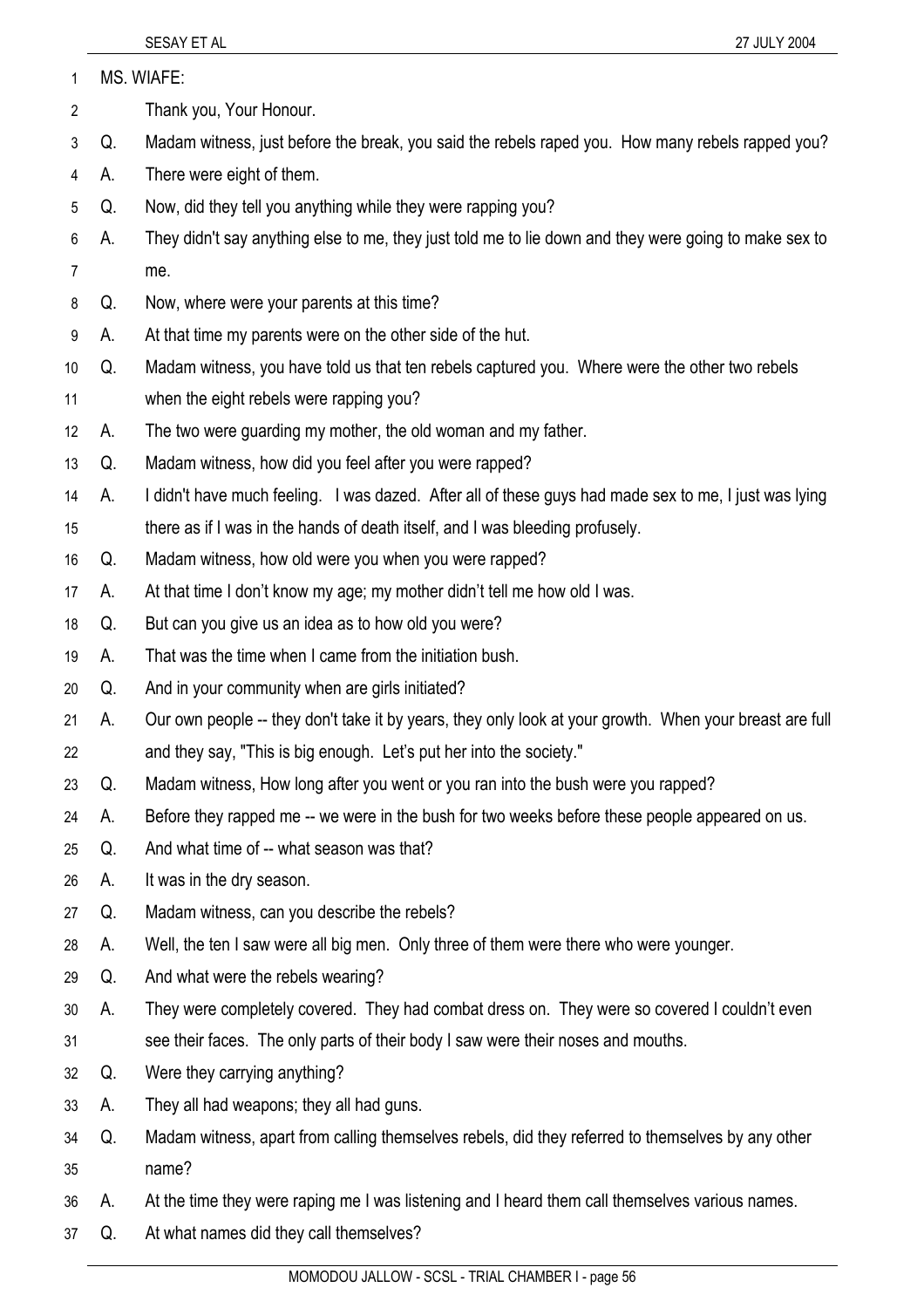| MS. WIAFE: |
|------------|
|            |

- 2 Thank you, Your Honour.
- 3 Q. Madam witness, just before the break, you said the rebels raped you. How many rebels rapped you?
- 4 A. There were eight of them.
- 5 Q. Now, did they tell you anything while they were rapping you?
- 6 7 A. They didn't say anything else to me, they just told me to lie down and they were going to make sex to me.
- 8 Q. Now, where were your parents at this time?
- 9 A. At that time my parents were on the other side of the hut.
- 10 Q. Madam witness, you have told us that ten rebels captured you. Where were the other two rebels
- 11 when the eight rebels were rapping you?
- 12 A. The two were guarding my mother, the old woman and my father.
- 13 Q. Madam witness, how did you feel after you were rapped?
- 14 A. I didn't have much feeling. I was dazed. After all of these guys had made sex to me, I just was lying
- 15 there as if I was in the hands of death itself, and I was bleeding profusely.
- 16 Q. Madam witness, how old were you when you were rapped?
- 17 A. At that time I don't know my age; my mother didn't tell me how old I was.
- 18 Q. But can you give us an idea as to how old you were?
- 19 A. That was the time when I came from the initiation bush.
- 20 Q. And in your community when are girls initiated?
- 21 22 A. Our own people -- they don't take it by years, they only look at your growth. When your breast are full and they say, "This is big enough. Let's put her into the society."
- 23 Q. Madam witness, How long after you went or you ran into the bush were you rapped?
- 24 A. Before they rapped me -- we were in the bush for two weeks before these people appeared on us.
- 25 Q. And what time of -- what season was that?
- 26 A. It was in the dry season.
- 27 Q. Madam witness, can you describe the rebels?
- 28 A. Well, the ten I saw were all big men. Only three of them were there who were younger.
- 29 Q. And what were the rebels wearing?
- 30 31 A. They were completely covered. They had combat dress on. They were so covered I couldn't even see their faces. The only parts of their body I saw were their noses and mouths.
- 32 Q. Were they carrying anything?
- 33 A. They all had weapons; they all had guns.
- 34 35 Q. Madam witness, apart from calling themselves rebels, did they referred to themselves by any other name?
- 36 A. At the time they were raping me I was listening and I heard them call themselves various names.
- 37 Q. At what names did they call themselves?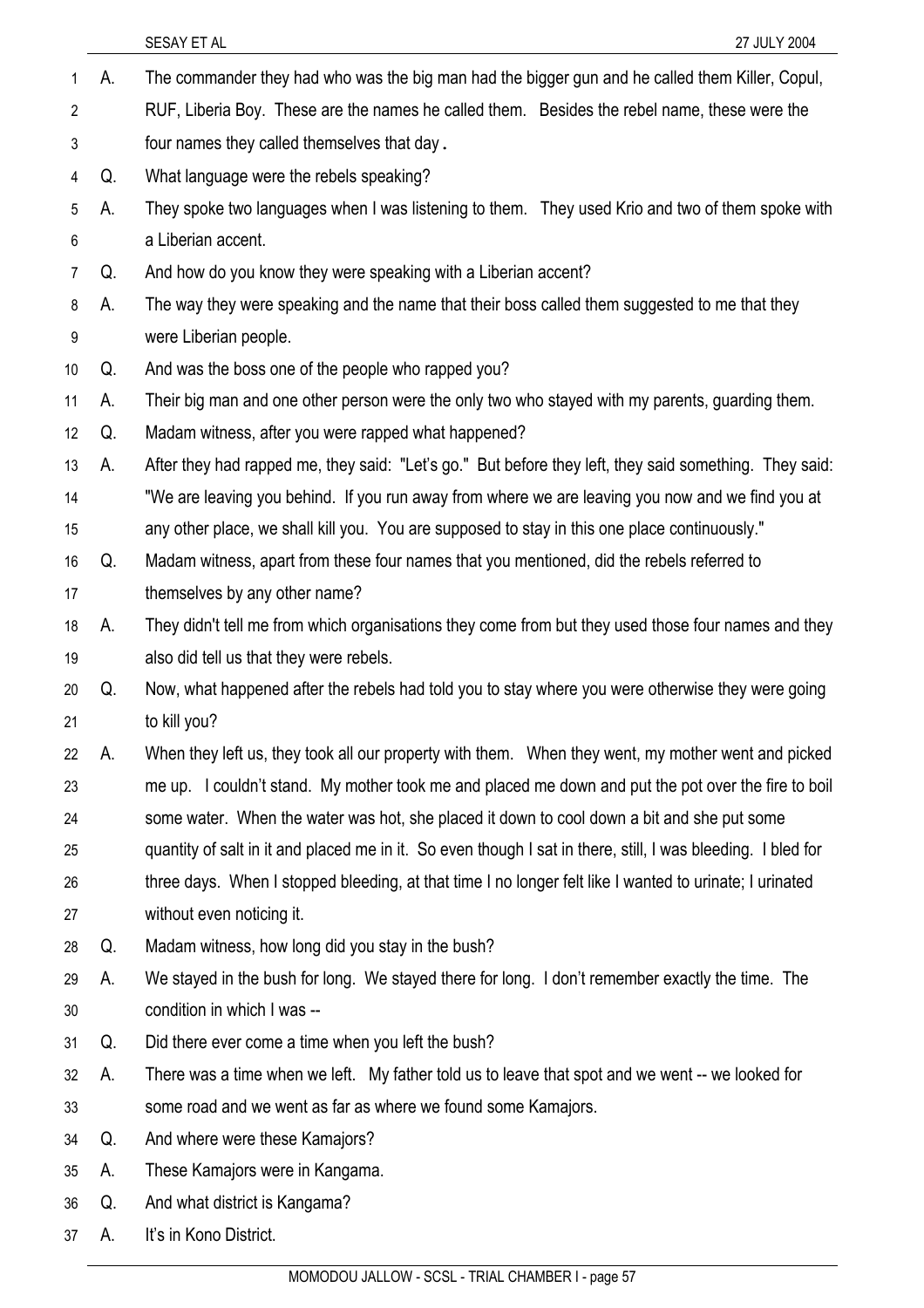|                |    | SESAY ET AL<br>27 JULY 2004                                                                                  |
|----------------|----|--------------------------------------------------------------------------------------------------------------|
| 1              | А. | The commander they had who was the big man had the bigger gun and he called them Killer, Copul,              |
| $\overline{2}$ |    | RUF, Liberia Boy. These are the names he called them. Besides the rebel name, these were the                 |
| 3              |    | four names they called themselves that day.                                                                  |
| 4              | Q. | What language were the rebels speaking?                                                                      |
| 5              | А. | They spoke two languages when I was listening to them. They used Krio and two of them spoke with             |
| 6              |    | a Liberian accent.                                                                                           |
| 7              | Q. | And how do you know they were speaking with a Liberian accent?                                               |
| 8              | А. | The way they were speaking and the name that their boss called them suggested to me that they                |
| 9              |    | were Liberian people.                                                                                        |
| 10             | Q. | And was the boss one of the people who rapped you?                                                           |
| 11             | А. | Their big man and one other person were the only two who stayed with my parents, guarding them.              |
| 12             | Q. | Madam witness, after you were rapped what happened?                                                          |
| 13             | А. | After they had rapped me, they said: "Let's go." But before they left, they said something. They said:       |
| 14             |    | "We are leaving you behind. If you run away from where we are leaving you now and we find you at             |
| 15             |    | any other place, we shall kill you. You are supposed to stay in this one place continuously."                |
| 16             | Q. | Madam witness, apart from these four names that you mentioned, did the rebels referred to                    |
| 17             |    | themselves by any other name?                                                                                |
| 18             | А. | They didn't tell me from which organisations they come from but they used those four names and they          |
| 19             |    | also did tell us that they were rebels.                                                                      |
| 20             | Q. | Now, what happened after the rebels had told you to stay where you were otherwise they were going            |
| 21             |    | to kill you?                                                                                                 |
| 22             | А. | When they left us, they took all our property with them. When they went, my mother went and picked           |
| 23             |    | me up. I couldn't stand. My mother took me and placed me down and put the pot over the fire to boil          |
| 24             |    | some water. When the water was hot, she placed it down to cool down a bit and she put some                   |
| 25             |    | quantity of salt in it and placed me in it. So even though I sat in there, still, I was bleeding. I bled for |
| 26             |    | three days. When I stopped bleeding, at that time I no longer felt like I wanted to urinate; I urinated      |
| 27             |    | without even noticing it.                                                                                    |
| 28             | Q. | Madam witness, how long did you stay in the bush?                                                            |
| 29             | А. | We stayed in the bush for long. We stayed there for long. I don't remember exactly the time. The             |
| 30             |    | condition in which I was --                                                                                  |
| 31             | Q. | Did there ever come a time when you left the bush?                                                           |
| 32             | А. | There was a time when we left. My father told us to leave that spot and we went -- we looked for             |
| 33             |    | some road and we went as far as where we found some Kamajors.                                                |
| 34             | Q. | And where were these Kamajors?                                                                               |
| 35             | А. | These Kamajors were in Kangama.                                                                              |
| 36             | Q. | And what district is Kangama?                                                                                |
| 37             | A. | It's in Kono District.                                                                                       |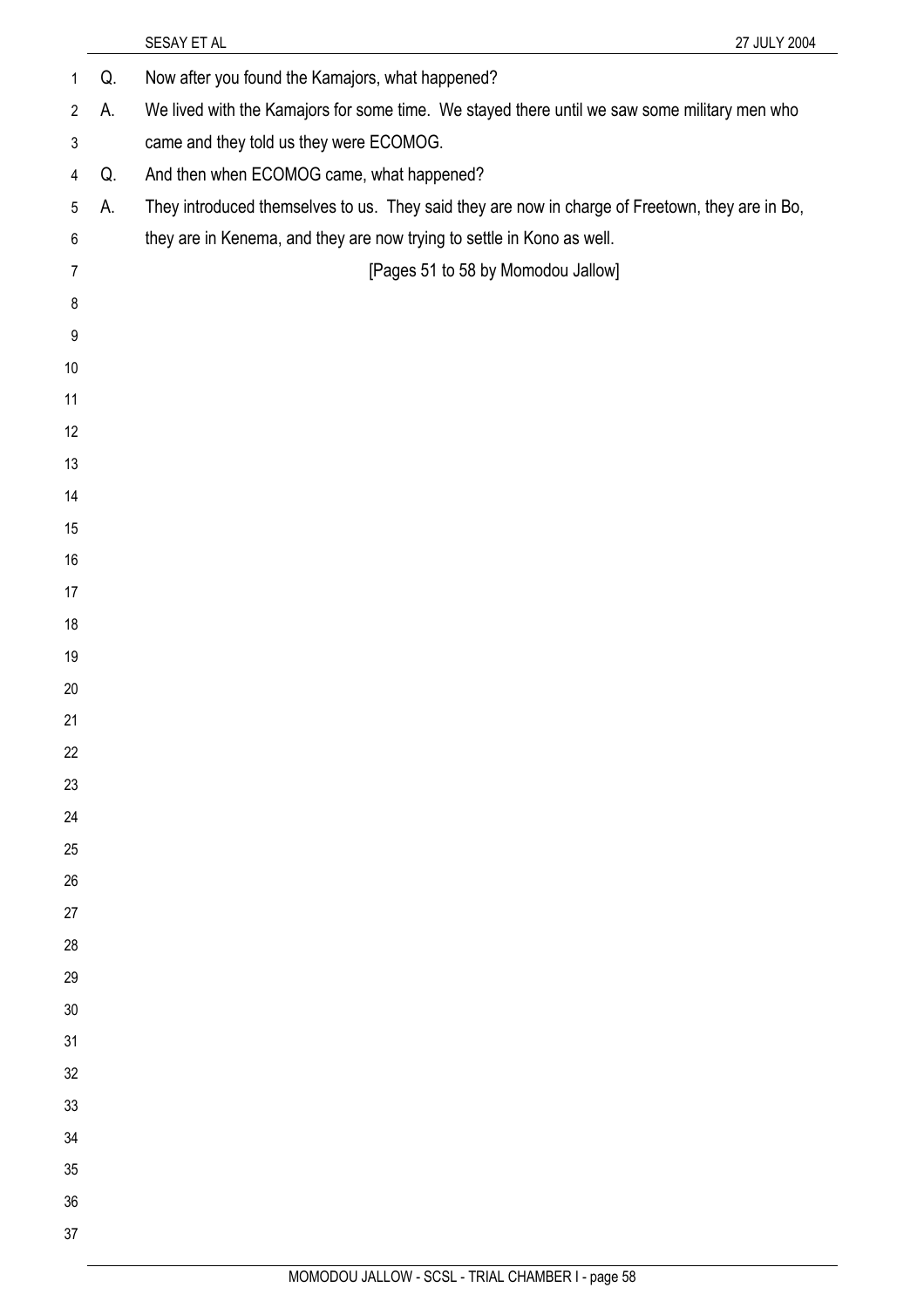|                |    | SESAY ET AL                                                                                     | 27 JULY 2004 |
|----------------|----|-------------------------------------------------------------------------------------------------|--------------|
| 1              | Q. | Now after you found the Kamajors, what happened?                                                |              |
| $\overline{2}$ | А. | We lived with the Kamajors for some time. We stayed there until we saw some military men who    |              |
| 3              |    | came and they told us they were ECOMOG.                                                         |              |
| 4              | Q. | And then when ECOMOG came, what happened?                                                       |              |
| 5              | А. | They introduced themselves to us. They said they are now in charge of Freetown, they are in Bo, |              |
| $\,6\,$        |    | they are in Kenema, and they are now trying to settle in Kono as well.                          |              |
| $\overline{7}$ |    | [Pages 51 to 58 by Momodou Jallow]                                                              |              |
| 8              |    |                                                                                                 |              |
| 9              |    |                                                                                                 |              |
| 10             |    |                                                                                                 |              |
| 11             |    |                                                                                                 |              |
| 12             |    |                                                                                                 |              |
| 13             |    |                                                                                                 |              |
| 14             |    |                                                                                                 |              |
| 15             |    |                                                                                                 |              |
| 16             |    |                                                                                                 |              |
| 17             |    |                                                                                                 |              |
| 18             |    |                                                                                                 |              |
| 19             |    |                                                                                                 |              |
| 20             |    |                                                                                                 |              |
| 21             |    |                                                                                                 |              |
| 22             |    |                                                                                                 |              |
| 23             |    |                                                                                                 |              |
| 24             |    |                                                                                                 |              |
| 25             |    |                                                                                                 |              |
| 26             |    |                                                                                                 |              |
| 27             |    |                                                                                                 |              |
| 28             |    |                                                                                                 |              |
| 29             |    |                                                                                                 |              |
| 30<br>31       |    |                                                                                                 |              |
| 32             |    |                                                                                                 |              |
| 33             |    |                                                                                                 |              |
| 34             |    |                                                                                                 |              |
| 35             |    |                                                                                                 |              |
| 36             |    |                                                                                                 |              |
| 37             |    |                                                                                                 |              |
|                |    |                                                                                                 |              |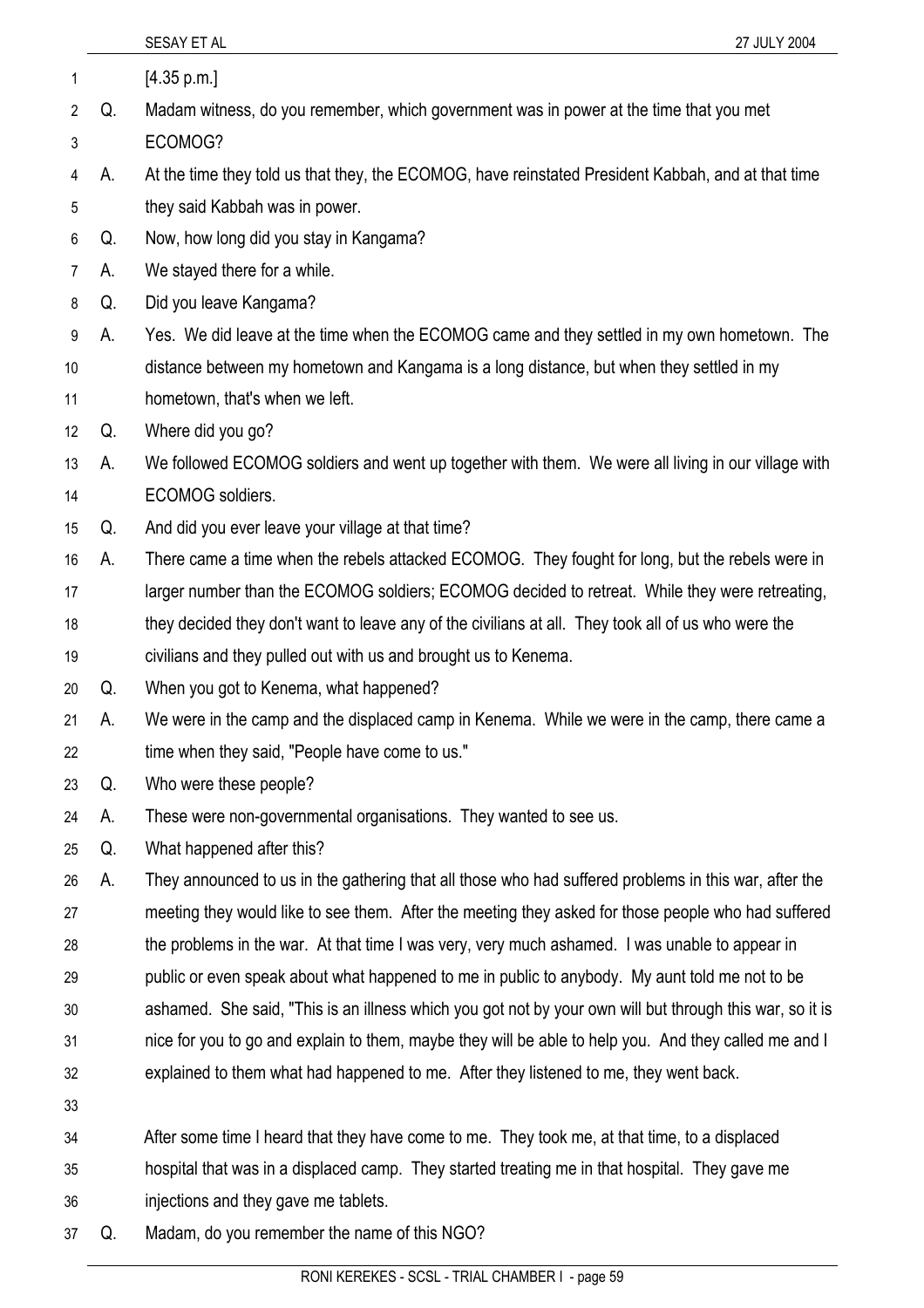|                |    | SESAY ET AL<br>27 JULY 2004                                                                              |
|----------------|----|----------------------------------------------------------------------------------------------------------|
| 1              |    | [4.35 p.m.]                                                                                              |
| 2              | Q. | Madam witness, do you remember, which government was in power at the time that you met                   |
| 3              |    | ECOMOG?                                                                                                  |
| 4              | А. | At the time they told us that they, the ECOMOG, have reinstated President Kabbah, and at that time       |
| 5              |    | they said Kabbah was in power.                                                                           |
| 6              | Q. | Now, how long did you stay in Kangama?                                                                   |
| $\overline{7}$ | А. | We stayed there for a while.                                                                             |
| 8              | Q. | Did you leave Kangama?                                                                                   |
| 9              | А. | Yes. We did leave at the time when the ECOMOG came and they settled in my own hometown. The              |
| 10             |    | distance between my hometown and Kangama is a long distance, but when they settled in my                 |
| 11             |    | hometown, that's when we left.                                                                           |
| 12             | Q. | Where did you go?                                                                                        |
| 13             | А. | We followed ECOMOG soldiers and went up together with them. We were all living in our village with       |
| 14             |    | ECOMOG soldiers.                                                                                         |
| 15             | Q. | And did you ever leave your village at that time?                                                        |
| 16             | А. | There came a time when the rebels attacked ECOMOG. They fought for long, but the rebels were in          |
| 17             |    | larger number than the ECOMOG soldiers; ECOMOG decided to retreat. While they were retreating,           |
| 18             |    | they decided they don't want to leave any of the civilians at all. They took all of us who were the      |
| 19             |    | civilians and they pulled out with us and brought us to Kenema.                                          |
| 20             | Q. | When you got to Kenema, what happened?                                                                   |
| 21             | А. | We were in the camp and the displaced camp in Kenema. While we were in the camp, there came a            |
| 22             |    | time when they said, "People have come to us."                                                           |
| 23             | Q. | Who were these people?                                                                                   |
| 24             | А. | These were non-governmental organisations. They wanted to see us.                                        |
| 25             | Q. | What happened after this?                                                                                |
| 26             | А. | They announced to us in the gathering that all those who had suffered problems in this war, after the    |
| 27             |    | meeting they would like to see them. After the meeting they asked for those people who had suffered      |
| 28             |    | the problems in the war. At that time I was very, very much ashamed. I was unable to appear in           |
| 29             |    | public or even speak about what happened to me in public to anybody. My aunt told me not to be           |
| 30             |    | ashamed. She said, "This is an illness which you got not by your own will but through this war, so it is |
| 31             |    | nice for you to go and explain to them, maybe they will be able to help you. And they called me and I    |
| 32             |    | explained to them what had happened to me. After they listened to me, they went back.                    |
| 33             |    |                                                                                                          |
| 34             |    | After some time I heard that they have come to me. They took me, at that time, to a displaced            |
| 35             |    | hospital that was in a displaced camp. They started treating me in that hospital. They gave me           |
| 36             |    | injections and they gave me tablets.                                                                     |

37 Q. Madam, do you remember the name of this NGO?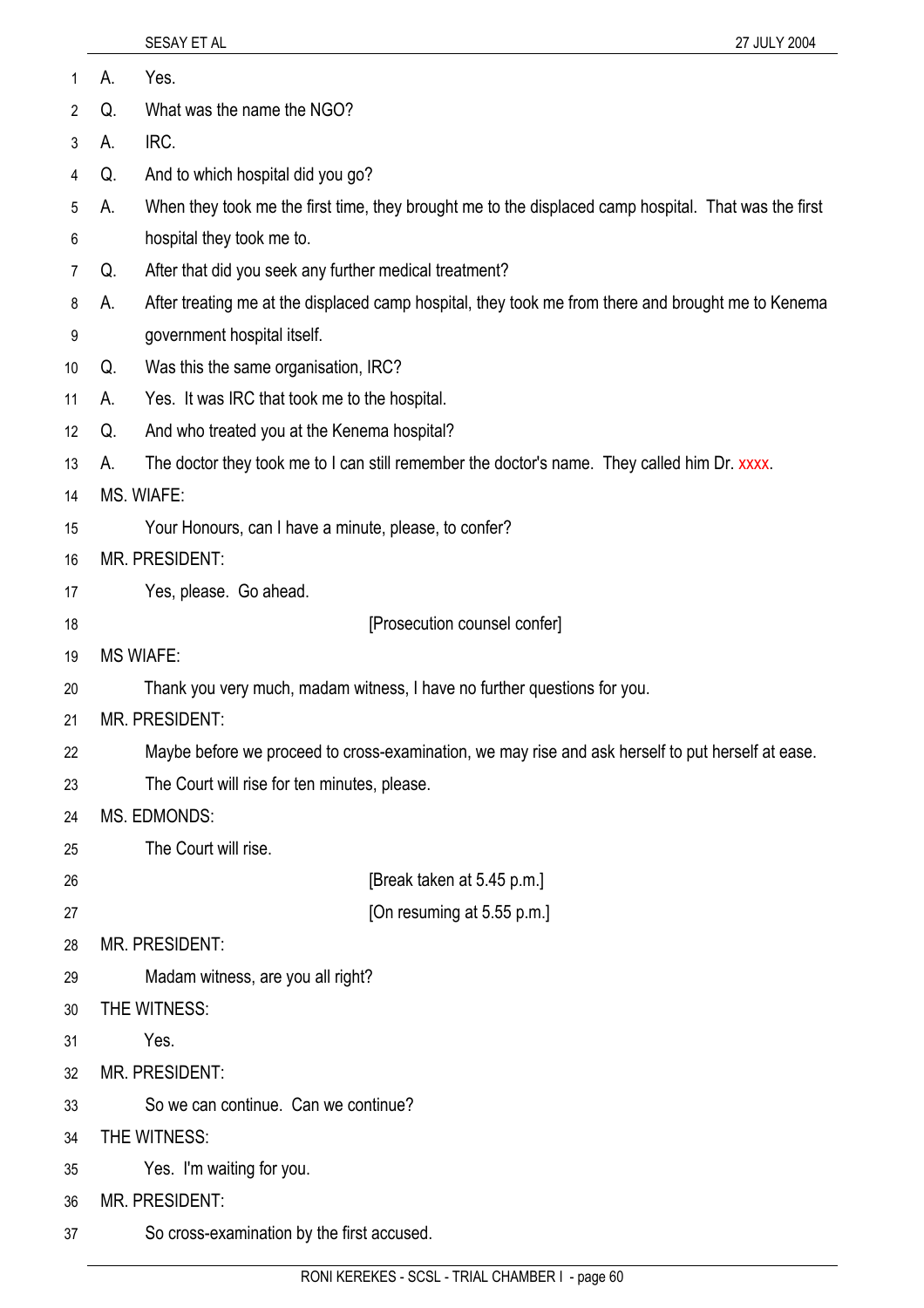| 1  | А. | Yes.                                                                                                 |
|----|----|------------------------------------------------------------------------------------------------------|
| 2  | Q. | What was the name the NGO?                                                                           |
| 3  | А. | IRC.                                                                                                 |
| 4  | Q. | And to which hospital did you go?                                                                    |
| 5  | А. | When they took me the first time, they brought me to the displaced camp hospital. That was the first |
| 6  |    | hospital they took me to.                                                                            |
| 7  | Q. | After that did you seek any further medical treatment?                                               |
| 8  | А. | After treating me at the displaced camp hospital, they took me from there and brought me to Kenema   |
| 9  |    | government hospital itself.                                                                          |
| 10 | Q. | Was this the same organisation, IRC?                                                                 |
| 11 | А. | Yes. It was IRC that took me to the hospital.                                                        |
| 12 | Q. | And who treated you at the Kenema hospital?                                                          |
| 13 | А. | The doctor they took me to I can still remember the doctor's name. They called him Dr. xxxx.         |
| 14 |    | MS. WIAFE:                                                                                           |
| 15 |    | Your Honours, can I have a minute, please, to confer?                                                |
| 16 |    | MR. PRESIDENT:                                                                                       |
| 17 |    | Yes, please. Go ahead.                                                                               |
| 18 |    | [Prosecution counsel confer]                                                                         |
| 19 |    | <b>MS WIAFE:</b>                                                                                     |
| 20 |    | Thank you very much, madam witness, I have no further questions for you.                             |
| 21 |    | MR. PRESIDENT:                                                                                       |
| 22 |    | Maybe before we proceed to cross-examination, we may rise and ask herself to put herself at ease.    |
| 23 |    | The Court will rise for ten minutes, please.                                                         |
| 24 |    | <b>MS. EDMONDS:</b>                                                                                  |
| 25 |    | The Court will rise.                                                                                 |
| 26 |    | [Break taken at 5.45 p.m.]                                                                           |
| 27 |    | [On resuming at 5.55 p.m.]                                                                           |
| 28 |    | <b>MR. PRESIDENT:</b>                                                                                |
| 29 |    | Madam witness, are you all right?                                                                    |
| 30 |    | THE WITNESS:                                                                                         |
| 31 |    | Yes.                                                                                                 |
| 32 |    | MR. PRESIDENT:                                                                                       |
| 33 |    | So we can continue. Can we continue?                                                                 |
| 34 |    | THE WITNESS:                                                                                         |
| 35 |    | Yes. I'm waiting for you.                                                                            |
| 36 |    | <b>MR. PRESIDENT:</b>                                                                                |
| 37 |    | So cross-examination by the first accused.                                                           |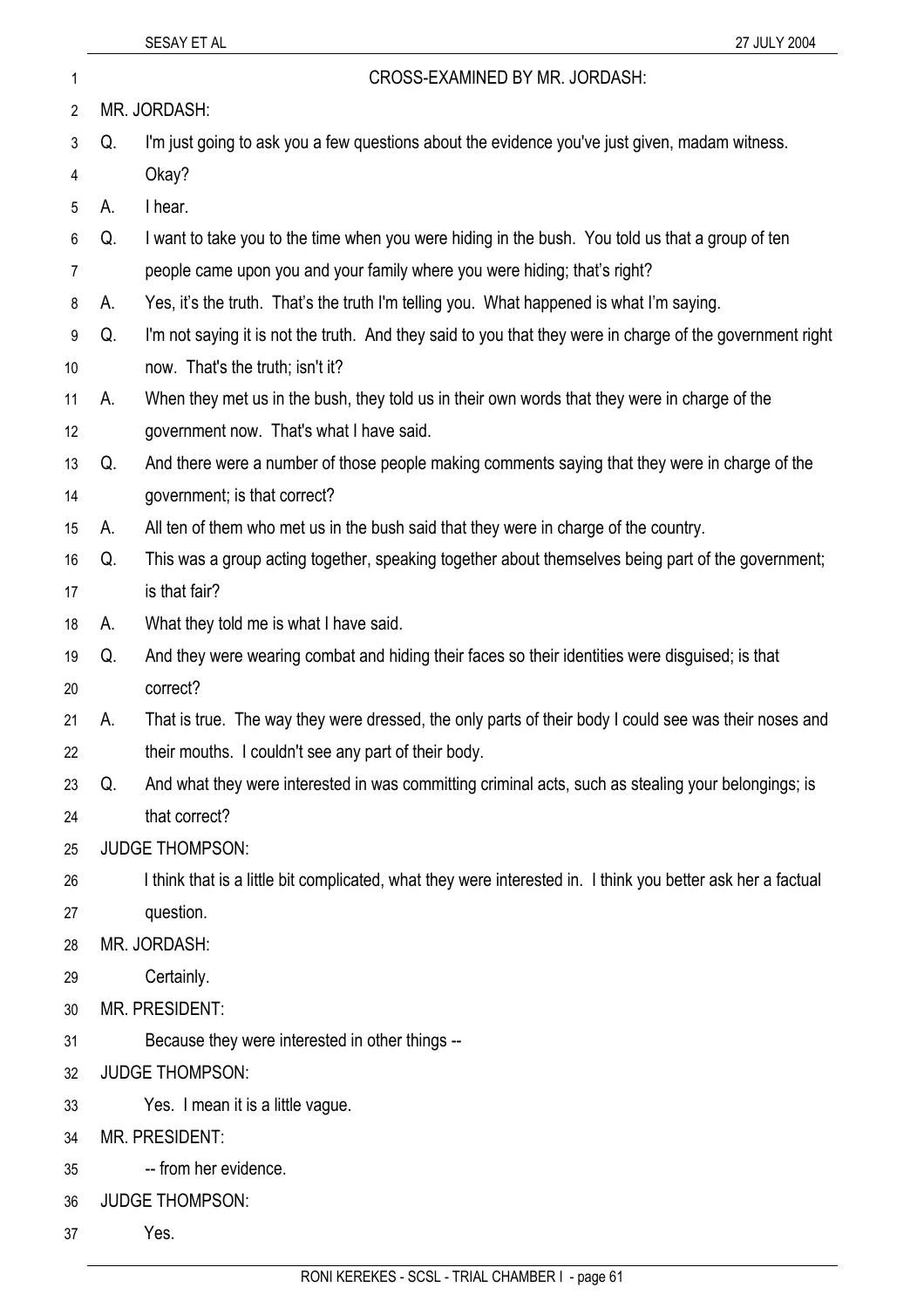## 1 CROSS-EXAMINED BY MR. JORDASH:

- 2 3 4 5 6 7 8 MR. JORDASH: Okay? A. I hear.
	- Q. I'm just going to ask you a few questions about the evidence you've just given, madam witness.
	-
	- Q. I want to take you to the time when you were hiding in the bush. You told us that a group of ten
	- people came upon you and your family where you were hiding; that's right?
	- A. Yes, it's the truth. That's the truth I'm telling you. What happened is what I'm saying.
	- 9 10 Q. I'm not saying it is not the truth. And they said to you that they were in charge of the government right now. That's the truth; isn't it?
	- 11 A. When they met us in the bush, they told us in their own words that they were in charge of the
	- 12 government now. That's what I have said.
	- 13 14 Q. And there were a number of those people making comments saying that they were in charge of the government; is that correct?
	- 15 A. All ten of them who met us in the bush said that they were in charge of the country.
	- 16 17 Q. This was a group acting together, speaking together about themselves being part of the government; is that fair?
	- 18 A. What they told me is what I have said.
	- 19 20 Q. And they were wearing combat and hiding their faces so their identities were disguised; is that correct?
	- 21 22 A. That is true. The way they were dressed, the only parts of their body I could see was their noses and their mouths. I couldn't see any part of their body.
	- 23 24 Q. And what they were interested in was committing criminal acts, such as stealing your belongings; is that correct?
	- 25 JUDGE THOMPSON:
	- 26 I think that is a little bit complicated, what they were interested in. I think you better ask her a factual
	- 27 question.
	- 28 MR. JORDASH:
	- 29 Certainly.
	- 30 MR. PRESIDENT:
	- 31 Because they were interested in other things --
	- 32 JUDGE THOMPSON:
	- 33 Yes. I mean it is a little vague.
	- 34 MR. PRESIDENT:
	- 35 -- from her evidence.
	- 36 JUDGE THOMPSON:
- 37 Yes.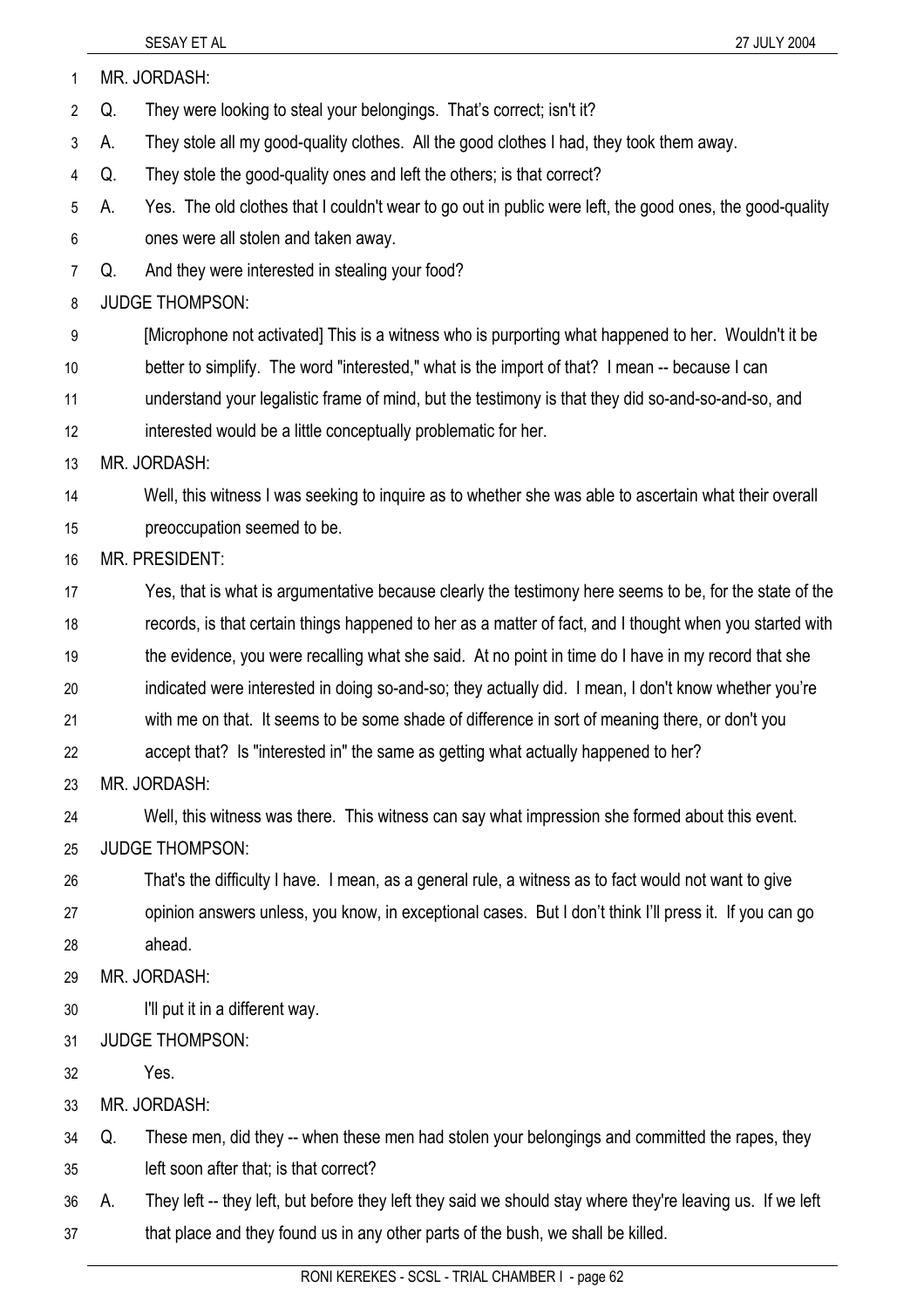| $\mathbf{1}$   |    | MR. JORDASH:                                                                                               |
|----------------|----|------------------------------------------------------------------------------------------------------------|
| $\overline{2}$ | Q. | They were looking to steal your belongings. That's correct; isn't it?                                      |
| $\mathfrak{Z}$ | А. | They stole all my good-quality clothes. All the good clothes I had, they took them away.                   |
| 4              | Q. | They stole the good-quality ones and left the others; is that correct?                                     |
| 5              | А. | Yes. The old clothes that I couldn't wear to go out in public were left, the good ones, the good-quality   |
| 6              |    | ones were all stolen and taken away.                                                                       |
| $\overline{7}$ | Q. | And they were interested in stealing your food?                                                            |
| 8              |    | <b>JUDGE THOMPSON:</b>                                                                                     |
| 9              |    | [Microphone not activated] This is a witness who is purporting what happened to her. Wouldn't it be        |
| 10             |    | better to simplify. The word "interested," what is the import of that? I mean -- because I can             |
| 11             |    | understand your legalistic frame of mind, but the testimony is that they did so-and-so-and-so, and         |
| 12             |    | interested would be a little conceptually problematic for her.                                             |
| 13             |    | MR. JORDASH:                                                                                               |
| 14             |    | Well, this witness I was seeking to inquire as to whether she was able to ascertain what their overall     |
| 15             |    | preoccupation seemed to be.                                                                                |
| 16             |    | MR. PRESIDENT:                                                                                             |
| 17             |    | Yes, that is what is argumentative because clearly the testimony here seems to be, for the state of the    |
| 18             |    | records, is that certain things happened to her as a matter of fact, and I thought when you started with   |
| 19             |    | the evidence, you were recalling what she said. At no point in time do I have in my record that she        |
| 20             |    | indicated were interested in doing so-and-so; they actually did. I mean, I don't know whether you're       |
| 21             |    | with me on that. It seems to be some shade of difference in sort of meaning there, or don't you            |
| 22             |    | accept that? Is "interested in" the same as getting what actually happened to her?                         |
| 23             |    | MR. JORDASH:                                                                                               |
| 24             |    | Well, this witness was there. This witness can say what impression she formed about this event.            |
| 25             |    | <b>JUDGE THOMPSON:</b>                                                                                     |
| 26             |    | That's the difficulty I have. I mean, as a general rule, a witness as to fact would not want to give       |
| 27             |    | opinion answers unless, you know, in exceptional cases. But I don't think I'll press it. If you can go     |
| 28             |    | ahead.                                                                                                     |
| 29             |    | MR. JORDASH:                                                                                               |
| 30             |    | I'll put it in a different way.                                                                            |
| 31             |    | <b>JUDGE THOMPSON:</b>                                                                                     |
| 32             |    | Yes.                                                                                                       |
| 33             |    | MR. JORDASH:                                                                                               |
| 34             | Q. | These men, did they -- when these men had stolen your belongings and committed the rapes, they             |
| 35             |    | left soon after that; is that correct?                                                                     |
| 36             | А. | They left -- they left, but before they left they said we should stay where they're leaving us. If we left |
| 37             |    | that place and they found us in any other parts of the bush, we shall be killed.                           |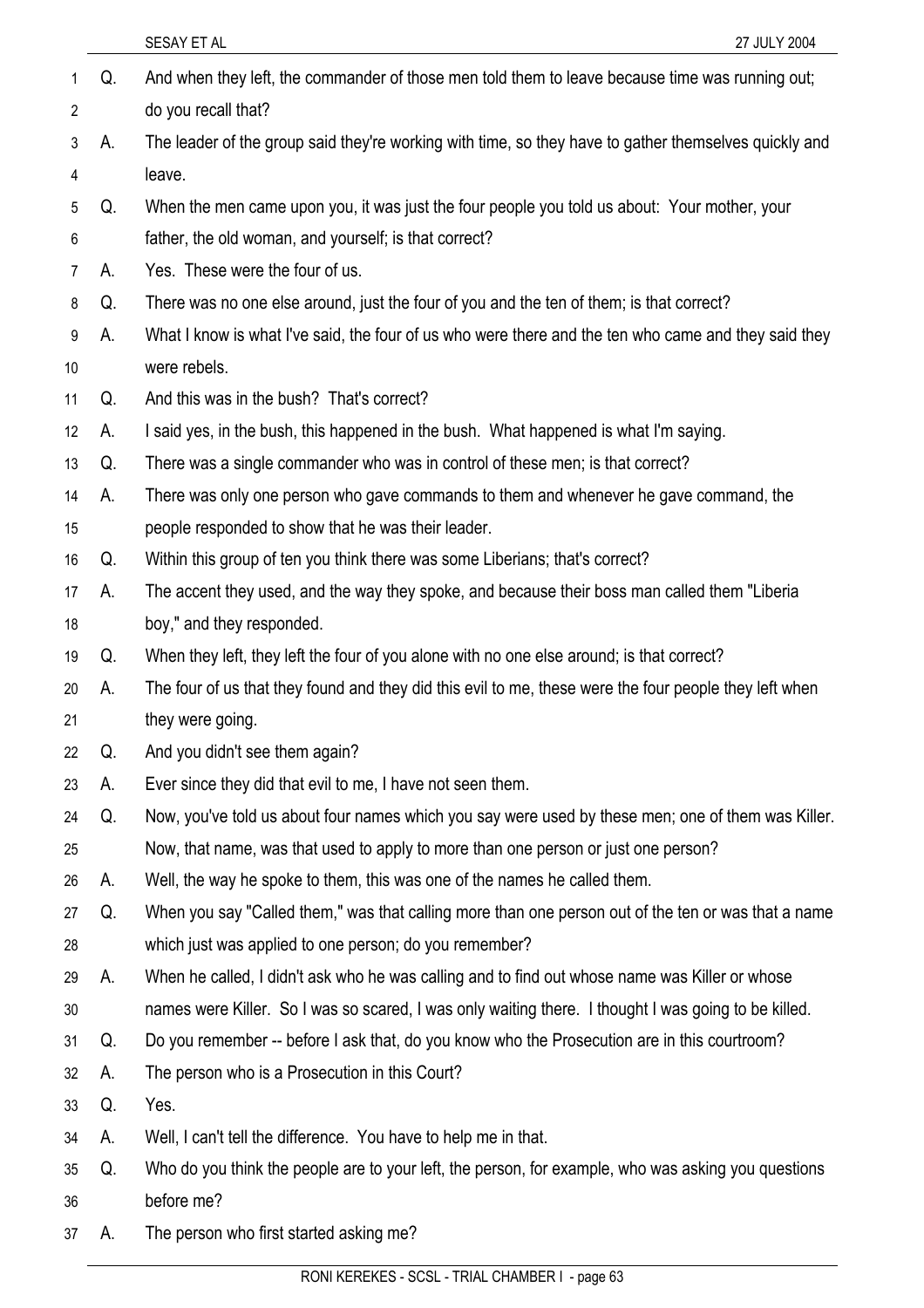|                 |    | SESAY ET AL<br>27 JULY 2004                                                                            |
|-----------------|----|--------------------------------------------------------------------------------------------------------|
| 1               | Q. | And when they left, the commander of those men told them to leave because time was running out;        |
| $\overline{2}$  |    | do you recall that?                                                                                    |
| 3               | А. | The leader of the group said they're working with time, so they have to gather themselves quickly and  |
| 4               |    | leave.                                                                                                 |
| 5               | Q. | When the men came upon you, it was just the four people you told us about: Your mother, your           |
| 6               |    | father, the old woman, and yourself; is that correct?                                                  |
| 7               | А. | Yes. These were the four of us.                                                                        |
| 8               | Q. | There was no one else around, just the four of you and the ten of them; is that correct?               |
| 9               | А. | What I know is what I've said, the four of us who were there and the ten who came and they said they   |
| 10 <sup>°</sup> |    | were rebels.                                                                                           |
| 11              | Q. | And this was in the bush? That's correct?                                                              |
| 12              | А. | I said yes, in the bush, this happened in the bush. What happened is what I'm saying.                  |
| 13              | Q. | There was a single commander who was in control of these men; is that correct?                         |
| 14              | А. | There was only one person who gave commands to them and whenever he gave command, the                  |
| 15              |    | people responded to show that he was their leader.                                                     |
| 16              | Q. | Within this group of ten you think there was some Liberians; that's correct?                           |
| 17              | А. | The accent they used, and the way they spoke, and because their boss man called them "Liberia"         |
| 18              |    | boy," and they responded.                                                                              |
| 19              | Q. | When they left, they left the four of you alone with no one else around; is that correct?              |
| 20              | А. | The four of us that they found and they did this evil to me, these were the four people they left when |
| 21              |    | they were going.                                                                                       |
| 22              | Q. | And you didn't see them again?                                                                         |
| 23              | А. | Ever since they did that evil to me, I have not seen them.                                             |
| 24              | Q. | Now, you've told us about four names which you say were used by these men; one of them was Killer.     |
| 25              |    | Now, that name, was that used to apply to more than one person or just one person?                     |
| 26              | А. | Well, the way he spoke to them, this was one of the names he called them.                              |
| 27              | Q. | When you say "Called them," was that calling more than one person out of the ten or was that a name    |
| 28              |    | which just was applied to one person; do you remember?                                                 |
| 29              | А. | When he called, I didn't ask who he was calling and to find out whose name was Killer or whose         |
| 30              |    | names were Killer. So I was so scared, I was only waiting there. I thought I was going to be killed.   |
| 31              | Q. | Do you remember -- before I ask that, do you know who the Prosecution are in this courtroom?           |
| 32              | А. | The person who is a Prosecution in this Court?                                                         |
| 33              | Q. | Yes.                                                                                                   |
| 34              | А. | Well, I can't tell the difference. You have to help me in that.                                        |
| 35              | Q. | Who do you think the people are to your left, the person, for example, who was asking you questions    |
| 36              |    | before me?                                                                                             |
| 37              | А. | The person who first started asking me?                                                                |
|                 |    |                                                                                                        |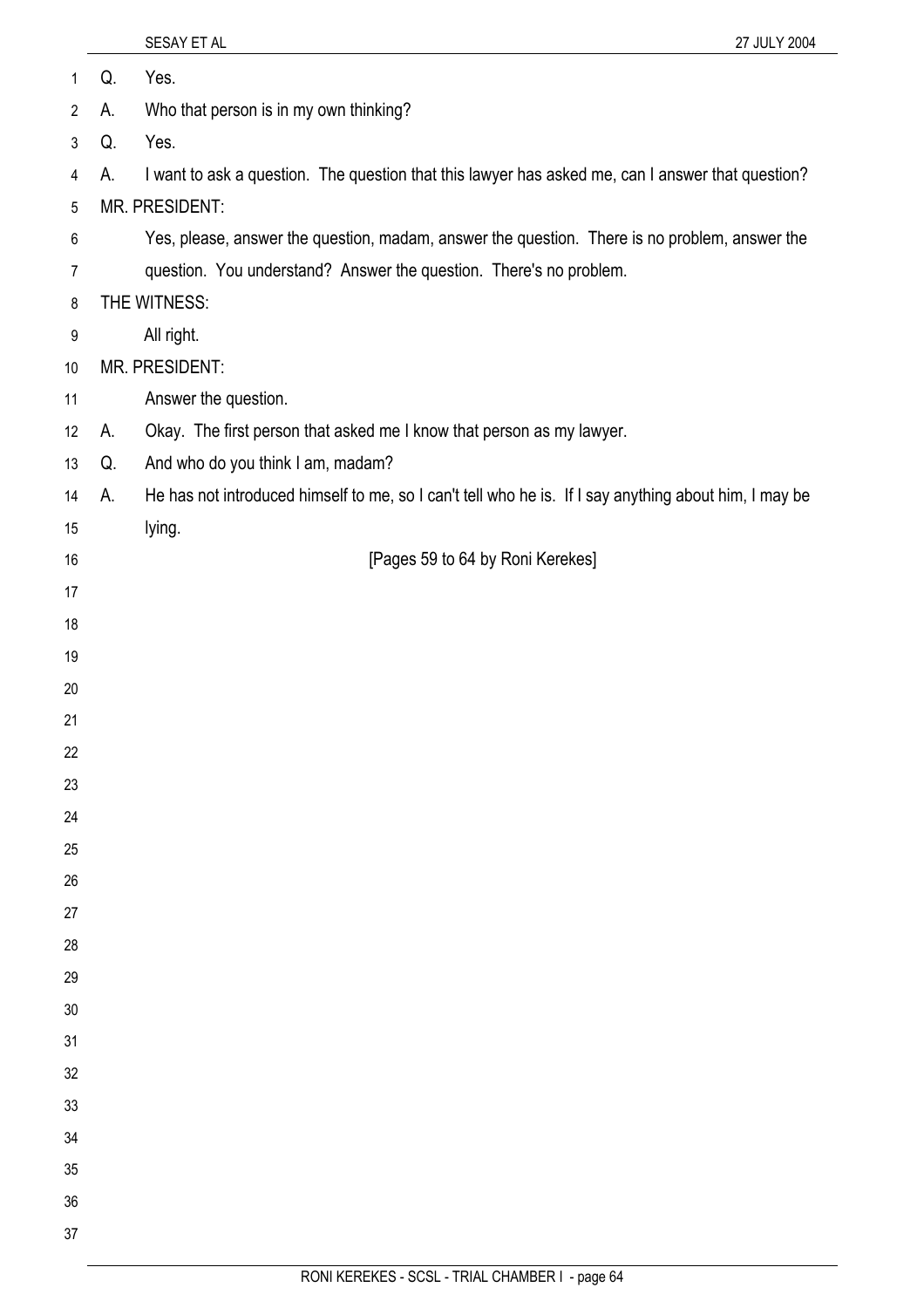| $\mathbf{1}$   | Q. | Yes.                                                                                                  |
|----------------|----|-------------------------------------------------------------------------------------------------------|
| $\overline{2}$ | А. | Who that person is in my own thinking?                                                                |
| $\mathfrak{Z}$ | Q. | Yes.                                                                                                  |
| 4              | А. | I want to ask a question. The question that this lawyer has asked me, can I answer that question?     |
| 5              |    | MR. PRESIDENT:                                                                                        |
| 6              |    | Yes, please, answer the question, madam, answer the question. There is no problem, answer the         |
| $\overline{7}$ |    | question. You understand? Answer the question. There's no problem.                                    |
| $\,8\,$        |    | THE WITNESS:                                                                                          |
| 9              |    | All right.                                                                                            |
| 10             |    | MR. PRESIDENT:                                                                                        |
| 11             |    | Answer the question.                                                                                  |
| 12             | А. | Okay. The first person that asked me I know that person as my lawyer.                                 |
| 13             | Q. | And who do you think I am, madam?                                                                     |
| 14             | А. | He has not introduced himself to me, so I can't tell who he is. If I say anything about him, I may be |
| 15             |    | lying.                                                                                                |
| 16             |    | [Pages 59 to 64 by Roni Kerekes]                                                                      |
| 17             |    |                                                                                                       |
| 18             |    |                                                                                                       |
| 19             |    |                                                                                                       |
| 20             |    |                                                                                                       |
| 21             |    |                                                                                                       |
| 22             |    |                                                                                                       |
| 23             |    |                                                                                                       |
| 24             |    |                                                                                                       |
| 25             |    |                                                                                                       |
| 26             |    |                                                                                                       |
| 27             |    |                                                                                                       |
| 28             |    |                                                                                                       |
| 29             |    |                                                                                                       |
| 30             |    |                                                                                                       |
| 31             |    |                                                                                                       |
| 32             |    |                                                                                                       |
| 33             |    |                                                                                                       |
| 34             |    |                                                                                                       |
| 35             |    |                                                                                                       |
| 36             |    |                                                                                                       |
| 37             |    |                                                                                                       |

SESAY ET AL 27 JULY 2004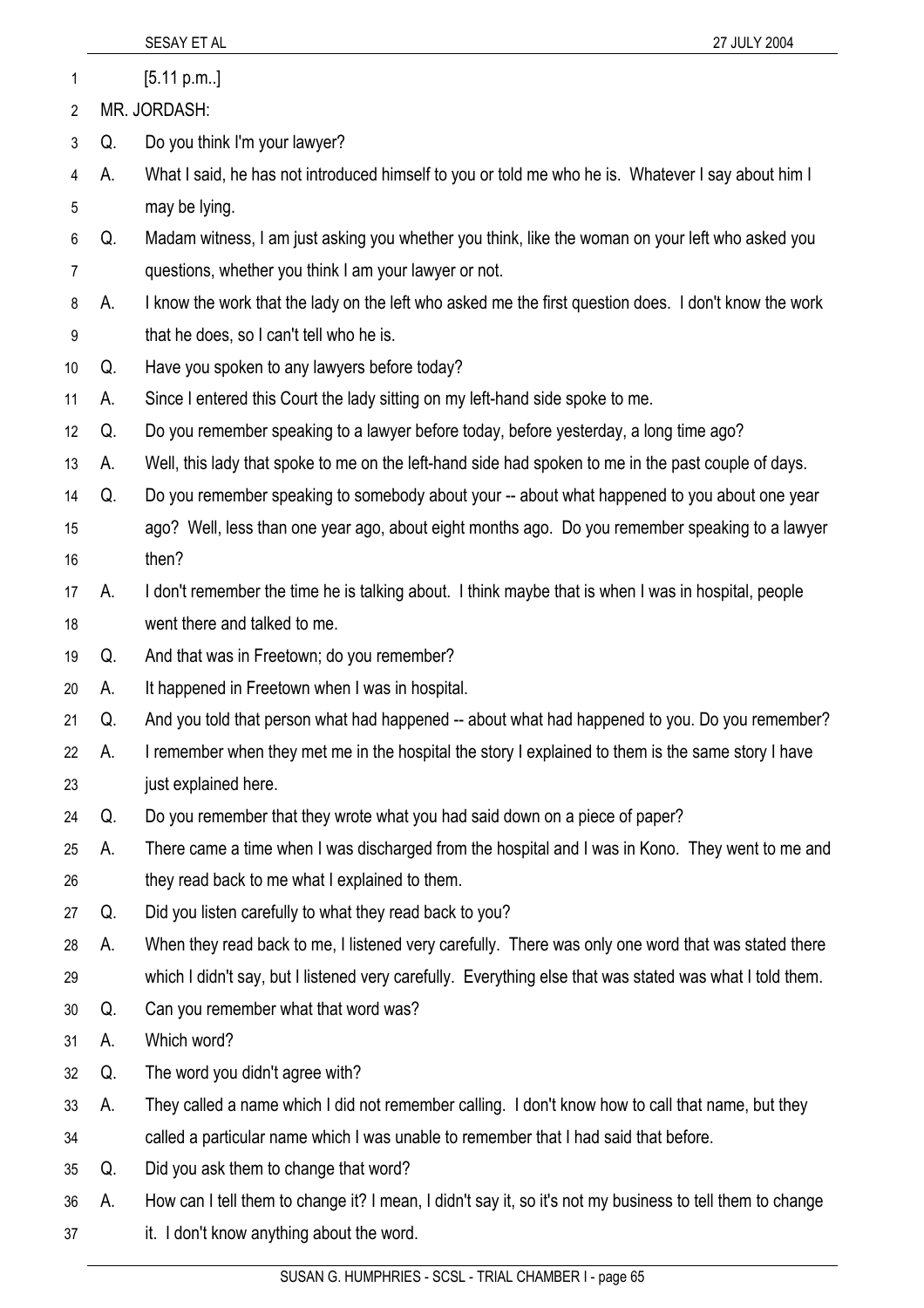|    |    | SESAY ET AL<br>27 JULY 2004                                                                               |
|----|----|-----------------------------------------------------------------------------------------------------------|
| 1  |    | [5.11 p.m.]                                                                                               |
| 2  |    | MR. JORDASH:                                                                                              |
| 3  | Q. | Do you think I'm your lawyer?                                                                             |
| 4  | А. | What I said, he has not introduced himself to you or told me who he is. Whatever I say about him I        |
| 5  |    | may be lying.                                                                                             |
| 6  | Q. | Madam witness, I am just asking you whether you think, like the woman on your left who asked you          |
| 7  |    | questions, whether you think I am your lawyer or not.                                                     |
| 8  | А. | I know the work that the lady on the left who asked me the first question does. I don't know the work     |
| 9  |    | that he does, so I can't tell who he is.                                                                  |
| 10 | Q. | Have you spoken to any lawyers before today?                                                              |
| 11 | А. | Since I entered this Court the lady sitting on my left-hand side spoke to me.                             |
| 12 | Q. | Do you remember speaking to a lawyer before today, before yesterday, a long time ago?                     |
| 13 | А. | Well, this lady that spoke to me on the left-hand side had spoken to me in the past couple of days.       |
| 14 | Q. | Do you remember speaking to somebody about your -- about what happened to you about one year              |
| 15 |    | ago? Well, less than one year ago, about eight months ago. Do you remember speaking to a lawyer           |
| 16 |    | then?                                                                                                     |
| 17 | А. | I don't remember the time he is talking about. I think maybe that is when I was in hospital, people       |
| 18 |    | went there and talked to me.                                                                              |
| 19 | Q. | And that was in Freetown; do you remember?                                                                |
| 20 | А. | It happened in Freetown when I was in hospital.                                                           |
| 21 | Q. | And you told that person what had happened -- about what had happened to you. Do you remember?            |
| 22 | А. | I remember when they met me in the hospital the story I explained to them is the same story I have        |
| 23 |    | just explained here.                                                                                      |
| 24 | Q. | Do you remember that they wrote what you had said down on a piece of paper?                               |
| 25 | А. | There came a time when I was discharged from the hospital and I was in Kono. They went to me and          |
| 26 |    | they read back to me what I explained to them.                                                            |
| 27 | Q. | Did you listen carefully to what they read back to you?                                                   |
| 28 | А. | When they read back to me, I listened very carefully. There was only one word that was stated there       |
| 29 |    | which I didn't say, but I listened very carefully. Everything else that was stated was what I told them.  |
| 30 | Q. | Can you remember what that word was?                                                                      |
| 31 | А. | Which word?                                                                                               |
| 32 | Q. | The word you didn't agree with?                                                                           |
| 33 | А. | They called a name which I did not remember calling. I don't know how to call that name, but they         |
| 34 |    | called a particular name which I was unable to remember that I had said that before.                      |
| 35 | Q. | Did you ask them to change that word?                                                                     |
| 36 | А. | How can I tell them to change it? I mean, I didn't say it, so it's not my business to tell them to change |
| 37 |    | it. I don't know anything about the word.                                                                 |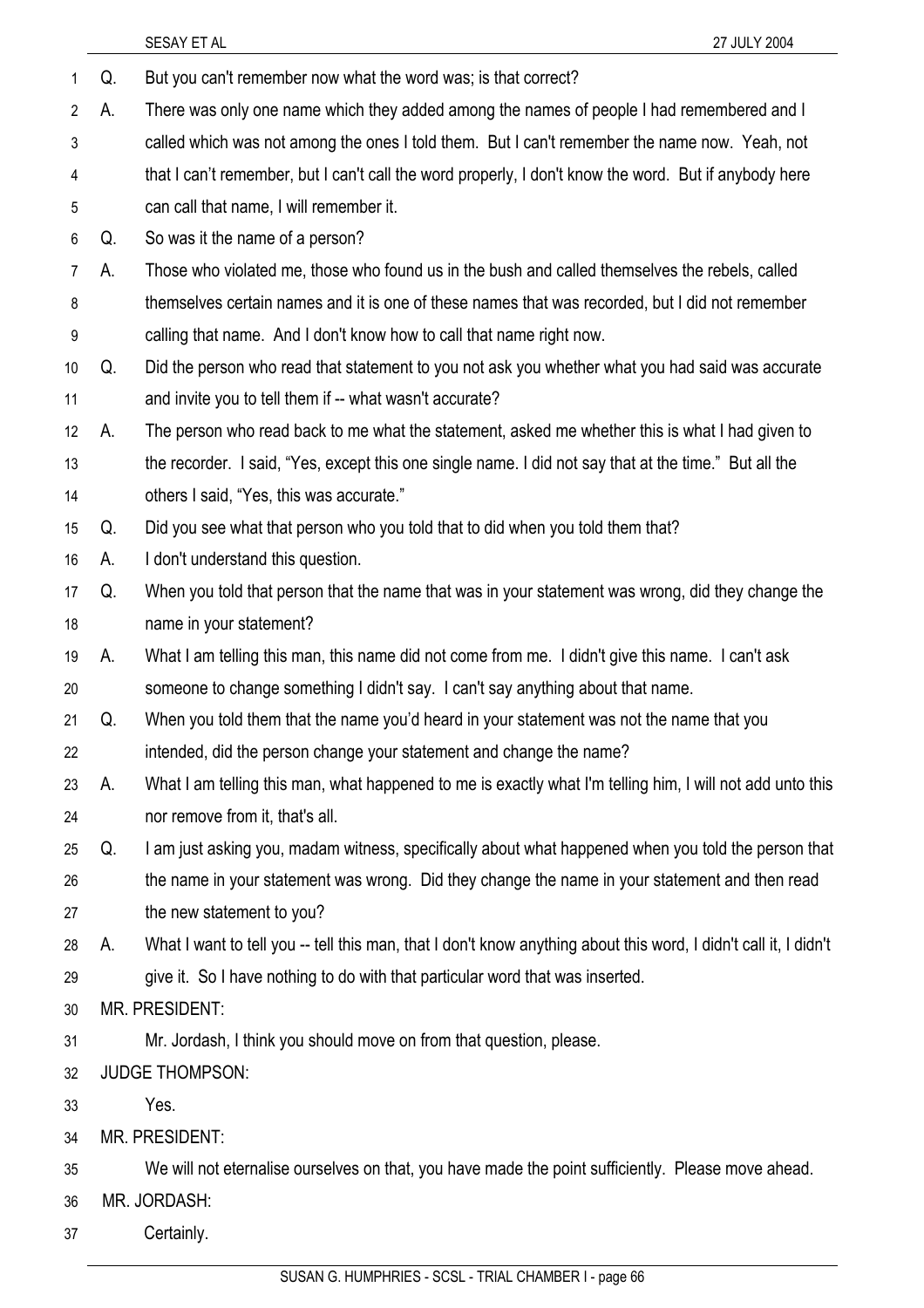|                |    | SESAY ET AL<br>27 JULY 2004                                                                                      |
|----------------|----|------------------------------------------------------------------------------------------------------------------|
| 1              | Q. | But you can't remember now what the word was; is that correct?                                                   |
| $\overline{2}$ | А. | There was only one name which they added among the names of people I had remembered and I                        |
| 3              |    | called which was not among the ones I told them. But I can't remember the name now. Yeah, not                    |
| 4              |    | that I can't remember, but I can't call the word properly, I don't know the word. But if anybody here            |
| 5              |    | can call that name, I will remember it.                                                                          |
| 6              | Q. | So was it the name of a person?                                                                                  |
| 7              | А. | Those who violated me, those who found us in the bush and called themselves the rebels, called                   |
| 8              |    | themselves certain names and it is one of these names that was recorded, but I did not remember                  |
| 9              |    | calling that name. And I don't know how to call that name right now.                                             |
| 10             | Q. | Did the person who read that statement to you not ask you whether what you had said was accurate                 |
| 11             |    | and invite you to tell them if -- what wasn't accurate?                                                          |
| 12             | А. | The person who read back to me what the statement, asked me whether this is what I had given to                  |
| 13             |    | the recorder. I said, "Yes, except this one single name. I did not say that at the time." But all the            |
| 14             |    | others I said, "Yes, this was accurate."                                                                         |
| 15             | Q. | Did you see what that person who you told that to did when you told them that?                                   |
| 16             | А. | I don't understand this question.                                                                                |
| 17             | Q. | When you told that person that the name that was in your statement was wrong, did they change the                |
| 18             |    | name in your statement?                                                                                          |
| 19             | А. | What I am telling this man, this name did not come from me. I didn't give this name. I can't ask                 |
| 20             |    | someone to change something I didn't say. I can't say anything about that name.                                  |
| 21             | Q. | When you told them that the name you'd heard in your statement was not the name that you                         |
| 22             |    | intended, did the person change your statement and change the name?                                              |
| 23             | А. | What I am telling this man, what happened to me is exactly what I'm telling him, I will not add unto this        |
| 24             |    | nor remove from it, that's all.                                                                                  |
| 25             | Q. | I am just asking you, madam witness, specifically about what happened when you told the person that              |
| 26             |    | the name in your statement was wrong. Did they change the name in your statement and then read                   |
| 27             |    | the new statement to you?                                                                                        |
| 28             | А. | What I want to tell you -- tell this man, that I don't know anything about this word, I didn't call it, I didn't |
| 29             |    | give it. So I have nothing to do with that particular word that was inserted.                                    |
| 30             |    | <b>MR. PRESIDENT:</b>                                                                                            |
| 31             |    | Mr. Jordash, I think you should move on from that question, please.                                              |
| 32             |    | <b>JUDGE THOMPSON:</b>                                                                                           |
| 33             |    | Yes.                                                                                                             |
| 34             |    | MR. PRESIDENT:                                                                                                   |
| 35             |    | We will not eternalise ourselves on that, you have made the point sufficiently. Please move ahead.               |
| 36             |    | MR. JORDASH:                                                                                                     |
| 37             |    | Certainly.                                                                                                       |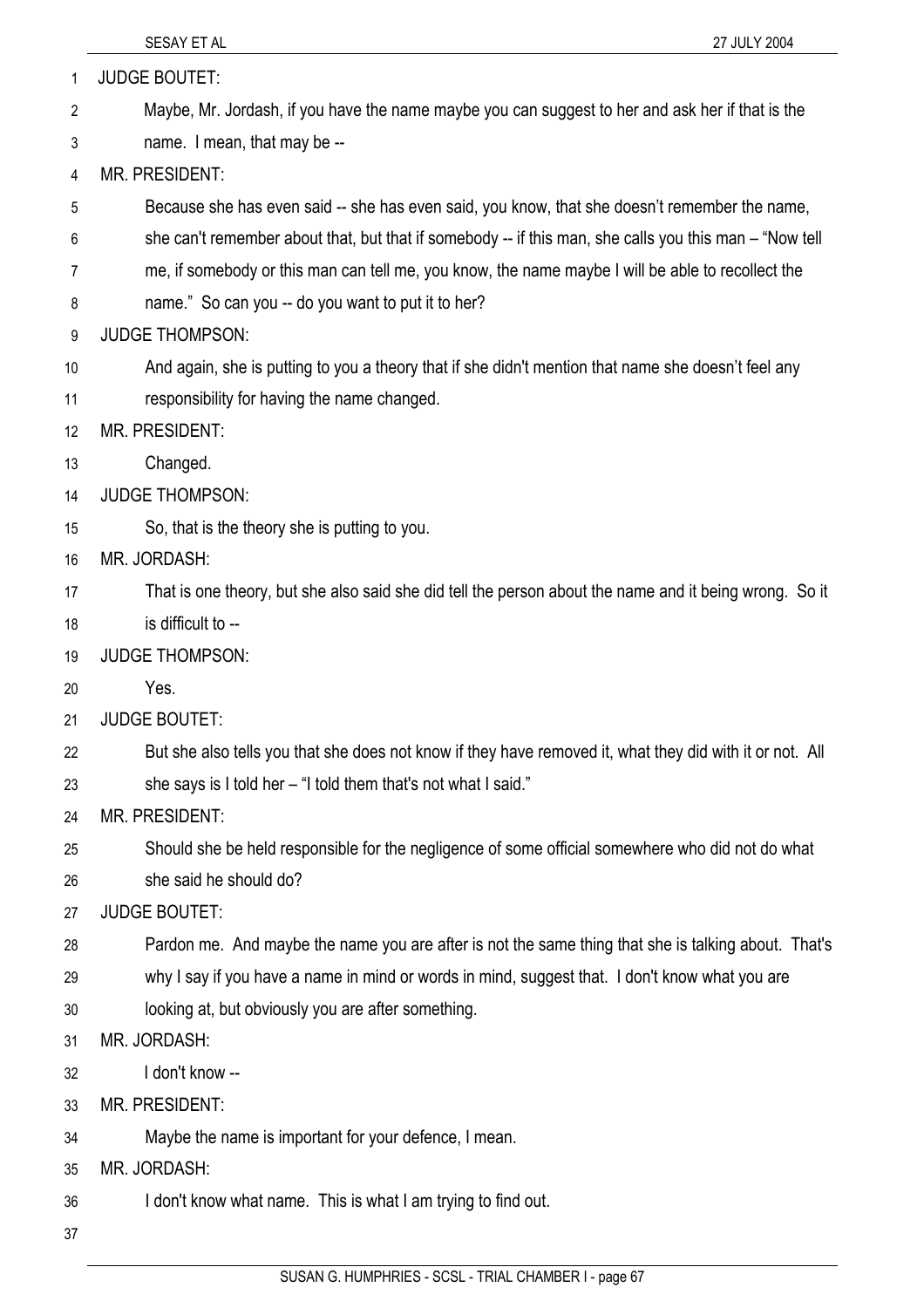| 1  | <b>JUDGE BOUTET:</b>                                                                                     |
|----|----------------------------------------------------------------------------------------------------------|
| 2  | Maybe, Mr. Jordash, if you have the name maybe you can suggest to her and ask her if that is the         |
| 3  | name. I mean, that may be --                                                                             |
| 4  | MR. PRESIDENT:                                                                                           |
| 5  | Because she has even said -- she has even said, you know, that she doesn't remember the name,            |
| 6  | she can't remember about that, but that if somebody -- if this man, she calls you this man – "Now tell   |
| 7  | me, if somebody or this man can tell me, you know, the name maybe I will be able to recollect the        |
| 8  | name." So can you -- do you want to put it to her?                                                       |
| 9  | <b>JUDGE THOMPSON:</b>                                                                                   |
| 10 | And again, she is putting to you a theory that if she didn't mention that name she doesn't feel any      |
| 11 | responsibility for having the name changed.                                                              |
| 12 | <b>MR. PRESIDENT:</b>                                                                                    |
| 13 | Changed.                                                                                                 |
| 14 | <b>JUDGE THOMPSON:</b>                                                                                   |
| 15 | So, that is the theory she is putting to you.                                                            |
| 16 | MR. JORDASH:                                                                                             |
| 17 | That is one theory, but she also said she did tell the person about the name and it being wrong. So it   |
| 18 | is difficult to --                                                                                       |
| 19 | <b>JUDGE THOMPSON:</b>                                                                                   |
| 20 | Yes.                                                                                                     |
| 21 | <b>JUDGE BOUTET:</b>                                                                                     |
| 22 | But she also tells you that she does not know if they have removed it, what they did with it or not. All |
| 23 | she says is I told her - "I told them that's not what I said."                                           |
| 24 | <b>MR. PRESIDENT:</b>                                                                                    |
| 25 | Should she be held responsible for the negligence of some official somewhere who did not do what         |
| 26 | she said he should do?                                                                                   |
| 27 | <b>JUDGE BOUTET:</b>                                                                                     |
| 28 | Pardon me. And maybe the name you are after is not the same thing that she is talking about. That's      |
| 29 | why I say if you have a name in mind or words in mind, suggest that. I don't know what you are           |
| 30 | looking at, but obviously you are after something.                                                       |
| 31 | MR. JORDASH:                                                                                             |
| 32 | I don't know --                                                                                          |
| 33 | <b>MR. PRESIDENT:</b>                                                                                    |
| 34 | Maybe the name is important for your defence, I mean.                                                    |
| 35 | MR. JORDASH:                                                                                             |
| 36 | I don't know what name. This is what I am trying to find out.                                            |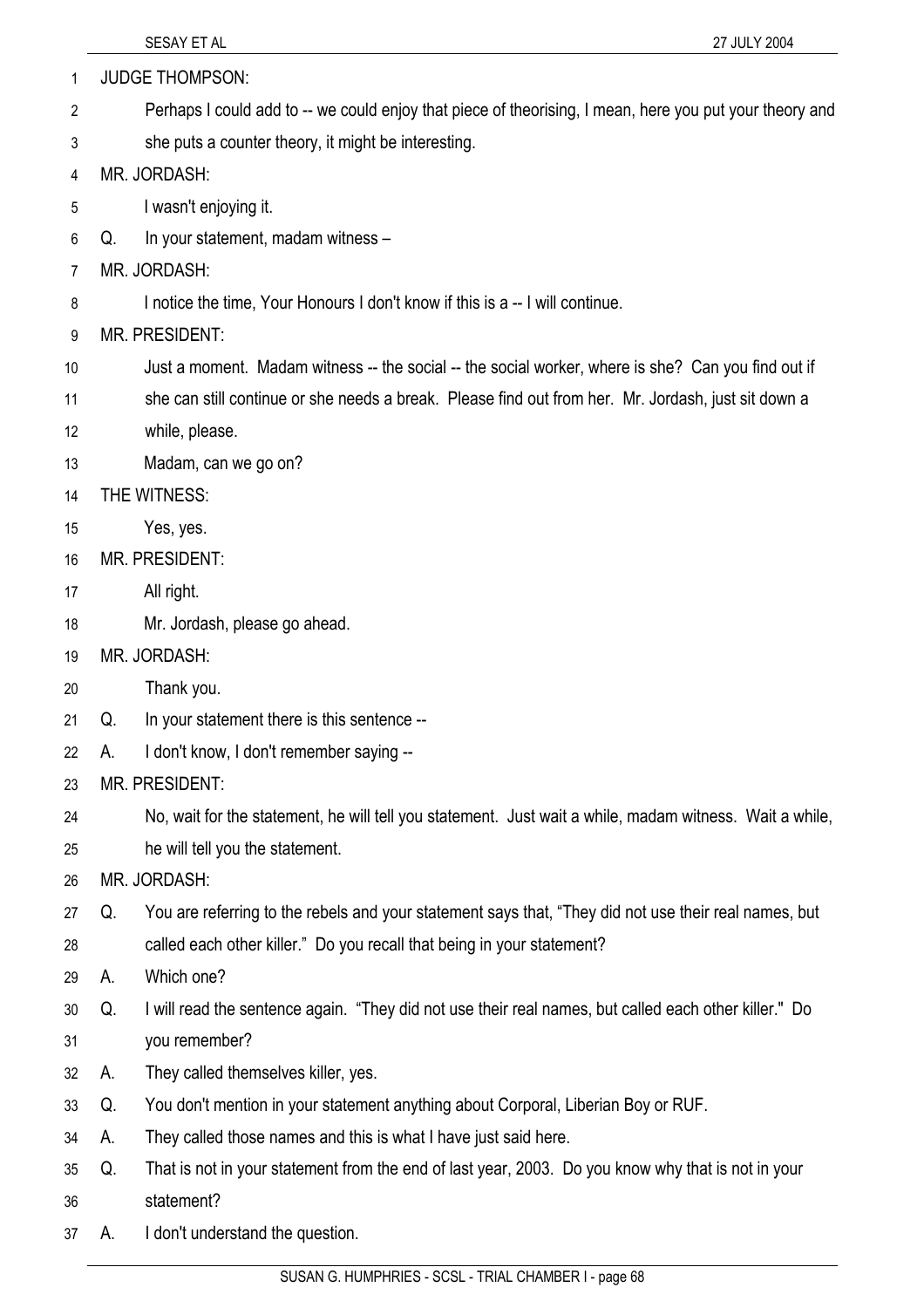| 1  |    | <b>JUDGE THOMPSON:</b>                                                                                  |
|----|----|---------------------------------------------------------------------------------------------------------|
| 2  |    | Perhaps I could add to -- we could enjoy that piece of theorising, I mean, here you put your theory and |
| 3  |    | she puts a counter theory, it might be interesting.                                                     |
| 4  |    | MR. JORDASH:                                                                                            |
| 5  |    | I wasn't enjoying it.                                                                                   |
| 6  | Q. | In your statement, madam witness -                                                                      |
| 7  |    | MR. JORDASH:                                                                                            |
| 8  |    | I notice the time, Your Honours I don't know if this is a -- I will continue.                           |
| 9  |    | MR. PRESIDENT:                                                                                          |
| 10 |    | Just a moment. Madam witness -- the social -- the social worker, where is she? Can you find out if      |
| 11 |    | she can still continue or she needs a break. Please find out from her. Mr. Jordash, just sit down a     |
| 12 |    | while, please.                                                                                          |
| 13 |    | Madam, can we go on?                                                                                    |
| 14 |    | THE WITNESS:                                                                                            |
| 15 |    | Yes, yes.                                                                                               |
| 16 |    | MR. PRESIDENT:                                                                                          |
| 17 |    | All right.                                                                                              |
| 18 |    | Mr. Jordash, please go ahead.                                                                           |
| 19 |    | MR. JORDASH:                                                                                            |
| 20 |    | Thank you.                                                                                              |
| 21 | Q. | In your statement there is this sentence --                                                             |
| 22 | А. | I don't know, I don't remember saying --                                                                |
| 23 |    | MR. PRESIDENT:                                                                                          |
| 24 |    | No, wait for the statement, he will tell you statement. Just wait a while, madam witness. Wait a while, |
| 25 |    | he will tell you the statement.                                                                         |
| 26 |    | MR. JORDASH:                                                                                            |
| 27 | Q. | You are referring to the rebels and your statement says that, "They did not use their real names, but   |
| 28 |    | called each other killer." Do you recall that being in your statement?                                  |
| 29 | А. | Which one?                                                                                              |
| 30 | Q. | I will read the sentence again. "They did not use their real names, but called each other killer." Do   |
| 31 |    | you remember?                                                                                           |
| 32 | А. | They called themselves killer, yes.                                                                     |
| 33 | Q. | You don't mention in your statement anything about Corporal, Liberian Boy or RUF.                       |
| 34 | A. | They called those names and this is what I have just said here.                                         |
| 35 | Q. | That is not in your statement from the end of last year, 2003. Do you know why that is not in your      |
| 36 |    | statement?                                                                                              |
| 37 | А. | I don't understand the question.                                                                        |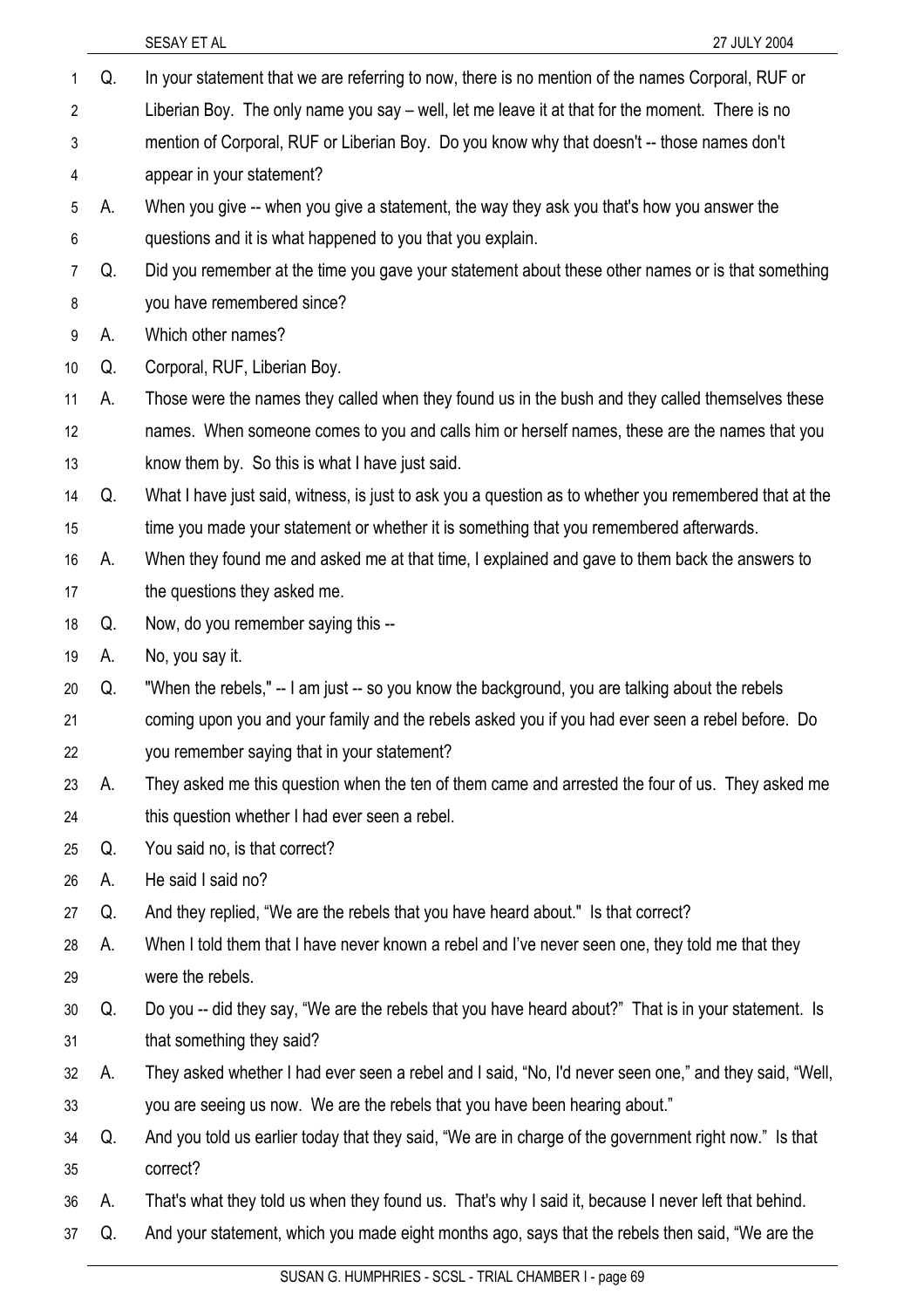|                 |    | SESAY ET AL<br>27 JULY 2004                                                                            |
|-----------------|----|--------------------------------------------------------------------------------------------------------|
| 1               | Q. | In your statement that we are referring to now, there is no mention of the names Corporal, RUF or      |
| $\overline{2}$  |    | Liberian Boy. The only name you say – well, let me leave it at that for the moment. There is no        |
| 3               |    | mention of Corporal, RUF or Liberian Boy. Do you know why that doesn't -- those names don't            |
| 4               |    | appear in your statement?                                                                              |
| 5               | А. | When you give -- when you give a statement, the way they ask you that's how you answer the             |
| 6               |    | questions and it is what happened to you that you explain.                                             |
| 7               | Q. | Did you remember at the time you gave your statement about these other names or is that something      |
| 8               |    | you have remembered since?                                                                             |
| 9               | А. | Which other names?                                                                                     |
| 10 <sup>°</sup> | Q. | Corporal, RUF, Liberian Boy.                                                                           |
| 11              | А. | Those were the names they called when they found us in the bush and they called themselves these       |
| 12              |    | names. When someone comes to you and calls him or herself names, these are the names that you          |
| 13              |    | know them by. So this is what I have just said.                                                        |
| 14              | Q. | What I have just said, witness, is just to ask you a question as to whether you remembered that at the |
| 15              |    | time you made your statement or whether it is something that you remembered afterwards.                |
| 16              | А. | When they found me and asked me at that time, I explained and gave to them back the answers to         |
| 17              |    | the questions they asked me.                                                                           |
| 18              | Q. | Now, do you remember saying this --                                                                    |
| 19              | А. | No, you say it.                                                                                        |
| 20              | Q. | "When the rebels," -- I am just -- so you know the background, you are talking about the rebels        |
| 21              |    | coming upon you and your family and the rebels asked you if you had ever seen a rebel before. Do       |
| 22              |    | you remember saying that in your statement?                                                            |
| 23              | А. | They asked me this question when the ten of them came and arrested the four of us. They asked me       |
| 24              |    | this question whether I had ever seen a rebel.                                                         |
| 25              | Q. | You said no, is that correct?                                                                          |
| 26              | А. | He said I said no?                                                                                     |
| 27              | Q. | And they replied, "We are the rebels that you have heard about." Is that correct?                      |
| 28              | А. | When I told them that I have never known a rebel and I've never seen one, they told me that they       |
| 29              |    | were the rebels.                                                                                       |
| 30              | Q. | Do you -- did they say, "We are the rebels that you have heard about?" That is in your statement. Is   |
| 31              |    | that something they said?                                                                              |
| 32              | А. | They asked whether I had ever seen a rebel and I said, "No, I'd never seen one," and they said, "Well, |
| 33              |    | you are seeing us now. We are the rebels that you have been hearing about."                            |
| 34              | Q. | And you told us earlier today that they said, "We are in charge of the government right now." Is that  |
| 35              |    | correct?                                                                                               |
| 36              | А. | That's what they told us when they found us. That's why I said it, because I never left that behind.   |
| 37              | Q. | And your statement, which you made eight months ago, says that the rebels then said, "We are the       |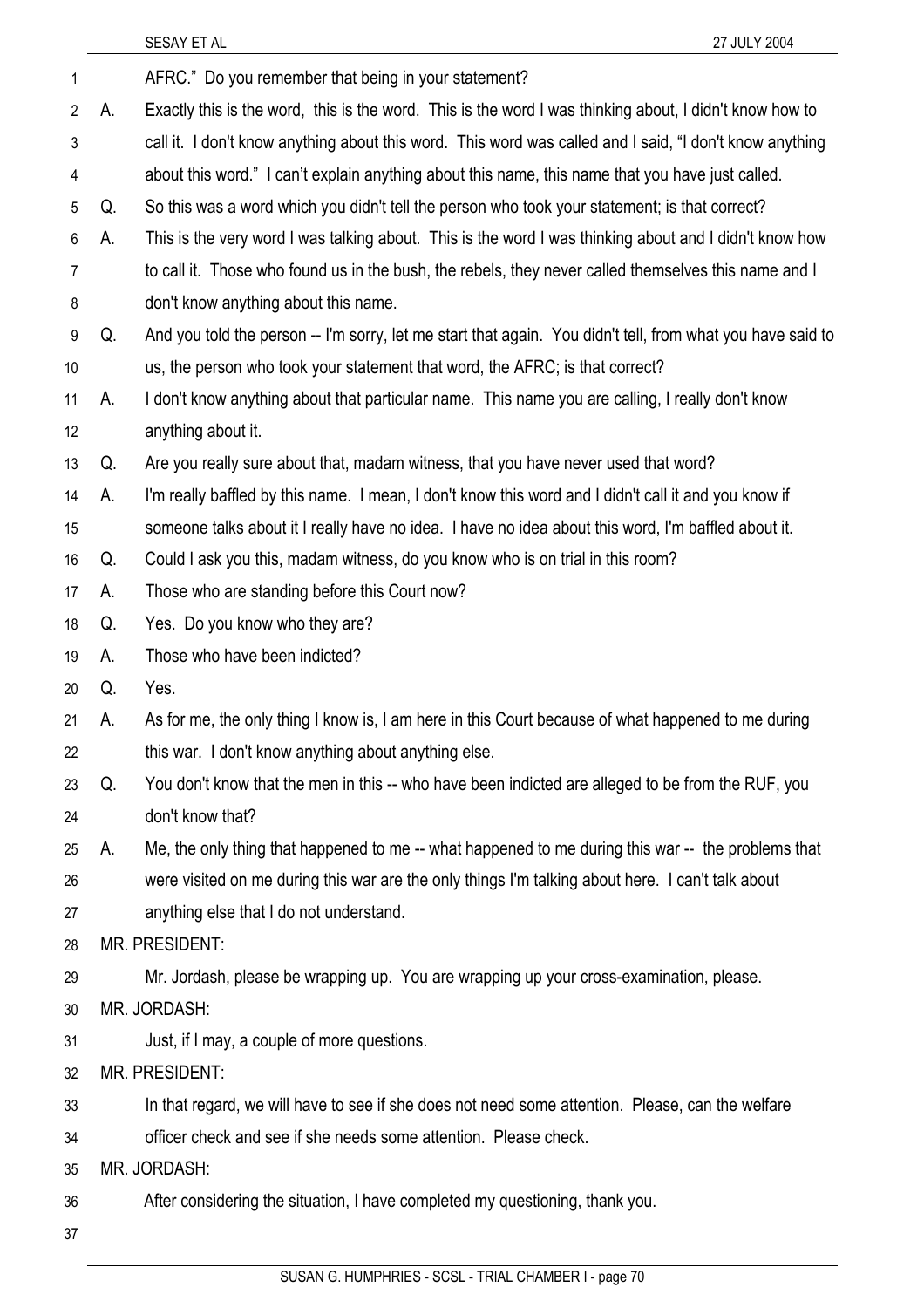|    |    | SESAY ET AL<br>27 JULY 2004                                                                                |
|----|----|------------------------------------------------------------------------------------------------------------|
| 1  |    | AFRC." Do you remember that being in your statement?                                                       |
| 2  | А. | Exactly this is the word, this is the word. This is the word I was thinking about, I didn't know how to    |
| 3  |    | call it. I don't know anything about this word. This word was called and I said, "I don't know anything    |
| 4  |    | about this word." I can't explain anything about this name, this name that you have just called.           |
| 5  | Q. | So this was a word which you didn't tell the person who took your statement; is that correct?              |
| 6  | А. | This is the very word I was talking about. This is the word I was thinking about and I didn't know how     |
| 7  |    | to call it. Those who found us in the bush, the rebels, they never called themselves this name and I       |
| 8  |    | don't know anything about this name.                                                                       |
| 9  | Q. | And you told the person -- I'm sorry, let me start that again. You didn't tell, from what you have said to |
| 10 |    | us, the person who took your statement that word, the AFRC; is that correct?                               |
| 11 | А. | I don't know anything about that particular name. This name you are calling, I really don't know           |
| 12 |    | anything about it.                                                                                         |
| 13 | Q. | Are you really sure about that, madam witness, that you have never used that word?                         |
| 14 | А. | I'm really baffled by this name. I mean, I don't know this word and I didn't call it and you know if       |
| 15 |    | someone talks about it I really have no idea. I have no idea about this word, I'm baffled about it.        |
| 16 | Q. | Could I ask you this, madam witness, do you know who is on trial in this room?                             |
| 17 | А. | Those who are standing before this Court now?                                                              |
| 18 | Q. | Yes. Do you know who they are?                                                                             |
| 19 | A. | Those who have been indicted?                                                                              |
| 20 | Q. | Yes.                                                                                                       |
| 21 | А. | As for me, the only thing I know is, I am here in this Court because of what happened to me during         |
| 22 |    | this war. I don't know anything about anything else.                                                       |
| 23 | Q. | You don't know that the men in this -- who have been indicted are alleged to be from the RUF, you          |
| 24 |    | don't know that?                                                                                           |
| 25 | А. | Me, the only thing that happened to me -- what happened to me during this war -- the problems that         |
| 26 |    | were visited on me during this war are the only things I'm talking about here. I can't talk about          |
| 27 |    | anything else that I do not understand.                                                                    |
| 28 |    | MR. PRESIDENT:                                                                                             |
| 29 |    | Mr. Jordash, please be wrapping up. You are wrapping up your cross-examination, please.                    |
| 30 |    | MR. JORDASH:                                                                                               |
| 31 |    | Just, if I may, a couple of more questions.                                                                |
| 32 |    | MR. PRESIDENT:                                                                                             |
| 33 |    | In that regard, we will have to see if she does not need some attention. Please, can the welfare           |
| 34 |    | officer check and see if she needs some attention. Please check.                                           |
| 35 |    | MR. JORDASH:                                                                                               |
| 36 |    | After considering the situation, I have completed my questioning, thank you.                               |
| 37 |    |                                                                                                            |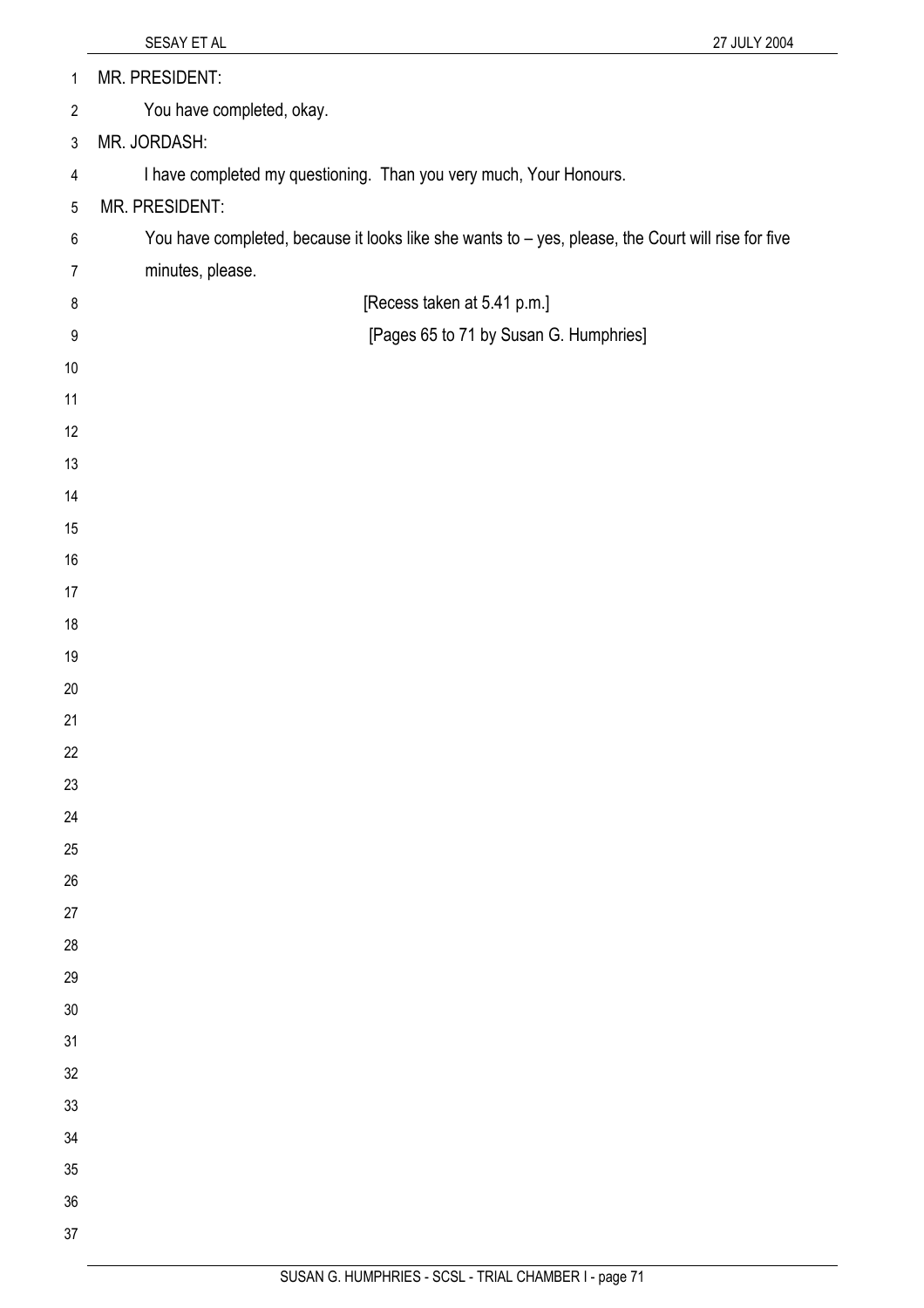| $\mathbf{1}$             | MR. PRESIDENT:                                                                                     |
|--------------------------|----------------------------------------------------------------------------------------------------|
| $\mathbf{2}$             | You have completed, okay.                                                                          |
| 3                        | MR. JORDASH:                                                                                       |
| $\overline{\mathcal{A}}$ | I have completed my questioning. Than you very much, Your Honours.                                 |
| 5                        | MR. PRESIDENT:                                                                                     |
| $\,6\,$                  | You have completed, because it looks like she wants to - yes, please, the Court will rise for five |
| $\overline{7}$           | minutes, please.                                                                                   |
| 8                        | [Recess taken at 5.41 p.m.]                                                                        |
| $9\,$                    | [Pages 65 to 71 by Susan G. Humphries]                                                             |
| 10                       |                                                                                                    |
| 11                       |                                                                                                    |
| 12                       |                                                                                                    |
| 13                       |                                                                                                    |
| 14                       |                                                                                                    |
| 15                       |                                                                                                    |
| 16                       |                                                                                                    |
| 17                       |                                                                                                    |
| 18                       |                                                                                                    |
| 19                       |                                                                                                    |
| 20                       |                                                                                                    |
| 21                       |                                                                                                    |
| 22                       |                                                                                                    |
| 23                       |                                                                                                    |
| 24                       |                                                                                                    |
| 25                       |                                                                                                    |
| 26                       |                                                                                                    |
| 27<br>28                 |                                                                                                    |
| 29                       |                                                                                                    |
| 30                       |                                                                                                    |
| 31                       |                                                                                                    |
| 32                       |                                                                                                    |
| 33                       |                                                                                                    |
| 34                       |                                                                                                    |
| 35                       |                                                                                                    |
| 36                       |                                                                                                    |
| 37                       |                                                                                                    |
|                          |                                                                                                    |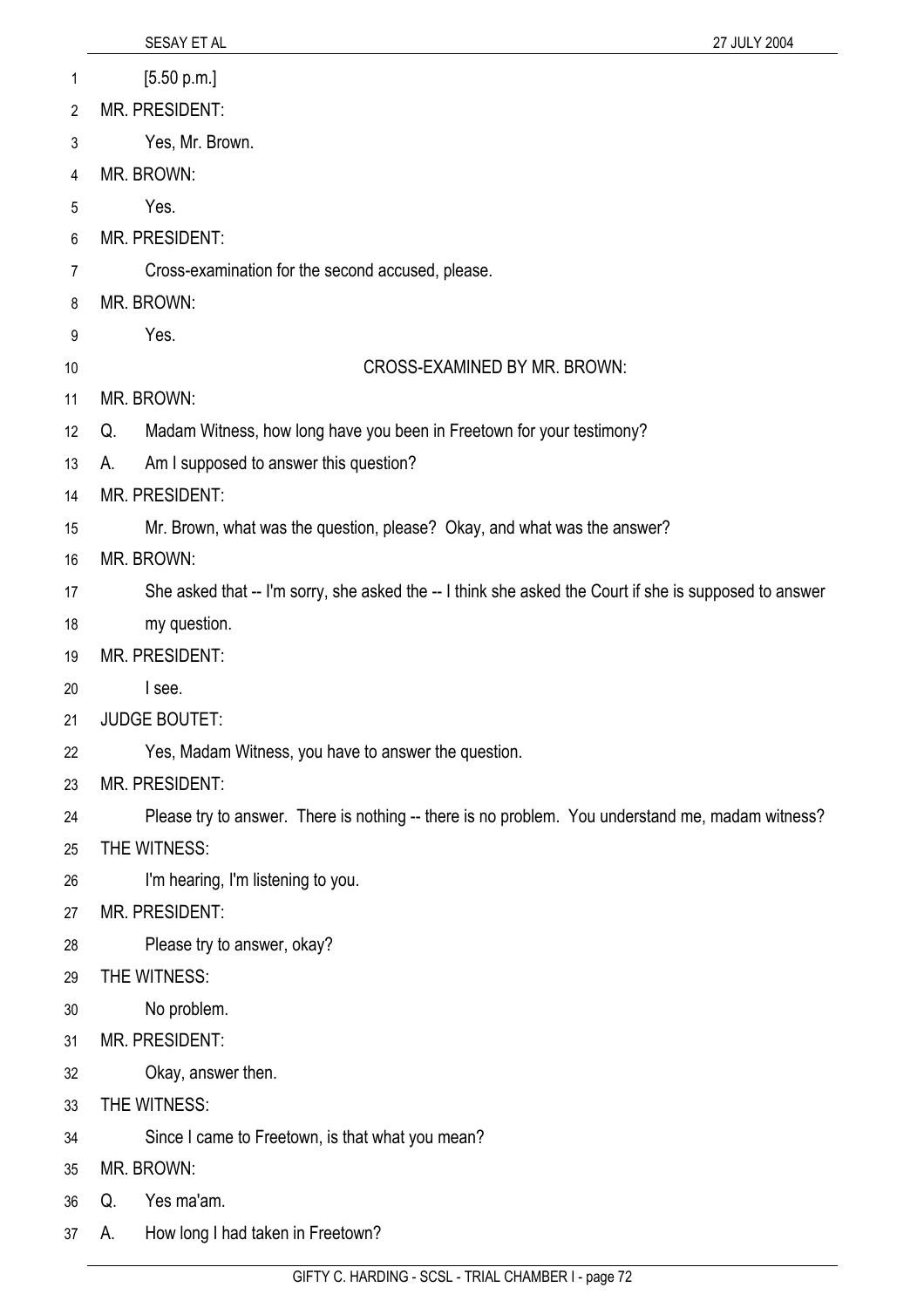|                 | SESAY ET AL                                                                                            | 27 JULY 2004 |
|-----------------|--------------------------------------------------------------------------------------------------------|--------------|
| 1               | [5.50 p.m.]                                                                                            |              |
| 2               | MR. PRESIDENT:                                                                                         |              |
| 3               | Yes, Mr. Brown.                                                                                        |              |
| 4               | MR. BROWN:                                                                                             |              |
| 5               | Yes.                                                                                                   |              |
| 6               | MR. PRESIDENT:                                                                                         |              |
| 7               | Cross-examination for the second accused, please.                                                      |              |
| 8               | MR. BROWN:                                                                                             |              |
| 9               | Yes.                                                                                                   |              |
| 10              | CROSS-EXAMINED BY MR. BROWN:                                                                           |              |
| 11              | MR. BROWN:                                                                                             |              |
| 12 <sup>°</sup> | Madam Witness, how long have you been in Freetown for your testimony?<br>Q.                            |              |
| 13              | Am I supposed to answer this question?<br>А.                                                           |              |
| 14              | MR. PRESIDENT:                                                                                         |              |
| 15              | Mr. Brown, what was the question, please? Okay, and what was the answer?                               |              |
| 16              | MR. BROWN:                                                                                             |              |
| 17              | She asked that -- I'm sorry, she asked the -- I think she asked the Court if she is supposed to answer |              |
| 18              | my question.                                                                                           |              |
| 19              | MR. PRESIDENT:                                                                                         |              |
| 20              | I see.                                                                                                 |              |
| 21              | <b>JUDGE BOUTET:</b>                                                                                   |              |
| 22              | Yes, Madam Witness, you have to answer the question.                                                   |              |
| 23              | MR. PRESIDENT:                                                                                         |              |
| 24              | Please try to answer. There is nothing -- there is no problem. You understand me, madam witness?       |              |
| 25              | THE WITNESS:                                                                                           |              |
| 26              | I'm hearing, I'm listening to you.                                                                     |              |
| 27              | MR. PRESIDENT:                                                                                         |              |
| 28              | Please try to answer, okay?                                                                            |              |
| 29              | THE WITNESS:                                                                                           |              |
| 30              | No problem.                                                                                            |              |
| 31              | MR. PRESIDENT:                                                                                         |              |
| 32              | Okay, answer then.                                                                                     |              |
| 33              | THE WITNESS:                                                                                           |              |
| 34              | Since I came to Freetown, is that what you mean?                                                       |              |
| 35              | MR. BROWN:                                                                                             |              |
| 36              | Yes ma'am.<br>Q.                                                                                       |              |
| 37              | How long I had taken in Freetown?<br>А.                                                                |              |
|                 |                                                                                                        |              |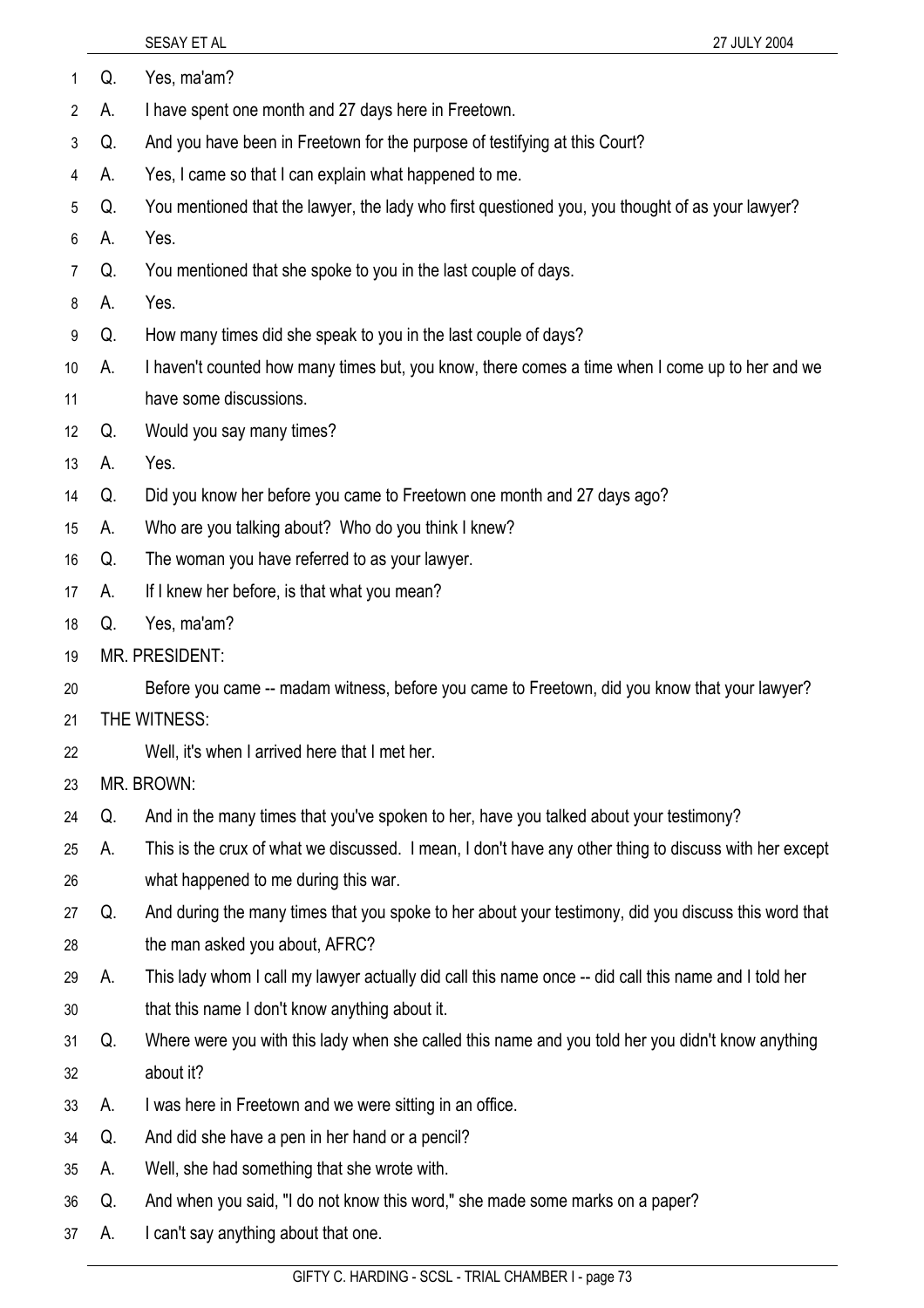| 1              | Q. | Yes, ma'am?                                                                                            |
|----------------|----|--------------------------------------------------------------------------------------------------------|
| $\overline{2}$ | А. | I have spent one month and 27 days here in Freetown.                                                   |
| 3              | Q. | And you have been in Freetown for the purpose of testifying at this Court?                             |
| 4              | А. | Yes, I came so that I can explain what happened to me.                                                 |
| 5              | Q. | You mentioned that the lawyer, the lady who first questioned you, you thought of as your lawyer?       |
| 6              | Α. | Yes.                                                                                                   |
| 7              | Q. | You mentioned that she spoke to you in the last couple of days.                                        |
| 8              | А. | Yes.                                                                                                   |
| 9              | Q. | How many times did she speak to you in the last couple of days?                                        |
| 10             | А. | I haven't counted how many times but, you know, there comes a time when I come up to her and we        |
| 11             |    | have some discussions.                                                                                 |
| 12             | Q. | Would you say many times?                                                                              |
| 13             | А. | Yes.                                                                                                   |
| 14             | Q. | Did you know her before you came to Freetown one month and 27 days ago?                                |
| 15             | А. | Who are you talking about? Who do you think I knew?                                                    |
| 16             | Q. | The woman you have referred to as your lawyer.                                                         |
| 17             | А. | If I knew her before, is that what you mean?                                                           |
| 18             | Q. | Yes, ma'am?                                                                                            |
| 19             |    | MR. PRESIDENT:                                                                                         |
| 20             |    | Before you came -- madam witness, before you came to Freetown, did you know that your lawyer?          |
| 21             |    | THE WITNESS:                                                                                           |
| 22             |    | Well, it's when I arrived here that I met her.                                                         |
| 23             |    | MR. BROWN:                                                                                             |
| 24             | Q. | And in the many times that you've spoken to her, have you talked about your testimony?                 |
| 25             | А. | This is the crux of what we discussed. I mean, I don't have any other thing to discuss with her except |
| 26             |    | what happened to me during this war.                                                                   |
| 27             | Q. | And during the many times that you spoke to her about your testimony, did you discuss this word that   |
| 28             |    | the man asked you about, AFRC?                                                                         |
| 29             | А. | This lady whom I call my lawyer actually did call this name once -- did call this name and I told her  |
| 30             |    | that this name I don't know anything about it.                                                         |
| 31             | Q. | Where were you with this lady when she called this name and you told her you didn't know anything      |
| 32             |    | about it?                                                                                              |
| 33             | А. | I was here in Freetown and we were sitting in an office.                                               |
| 34             | Q. | And did she have a pen in her hand or a pencil?                                                        |
| 35             | А. | Well, she had something that she wrote with.                                                           |
| 36             | Q. | And when you said, "I do not know this word," she made some marks on a paper?                          |
| 37             | A. | I can't say anything about that one.                                                                   |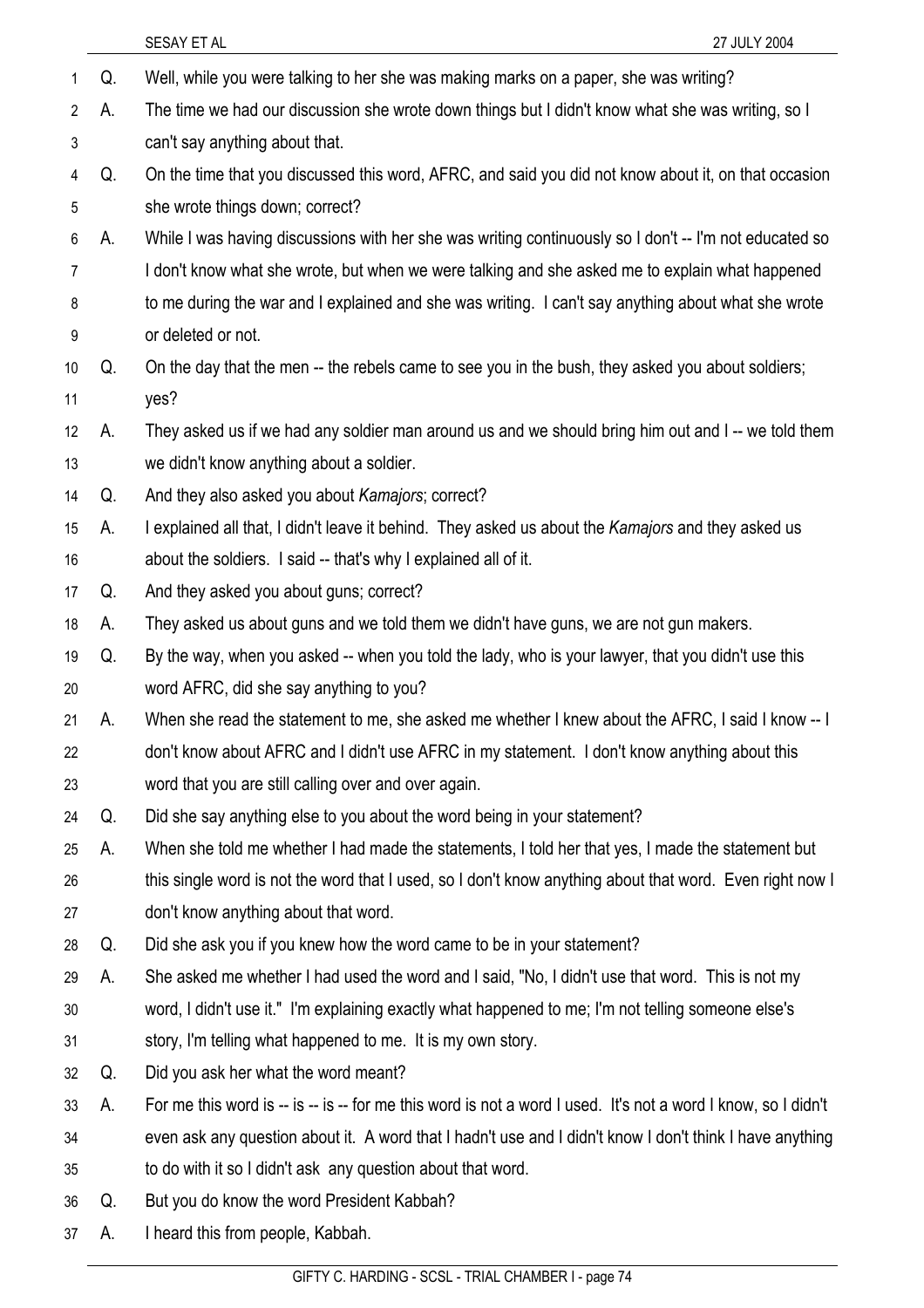|    |    | SESAY ET AL<br>27 JULY 2004                                                                                   |
|----|----|---------------------------------------------------------------------------------------------------------------|
| 1  | Q. | Well, while you were talking to her she was making marks on a paper, she was writing?                         |
| 2  | А. | The time we had our discussion she wrote down things but I didn't know what she was writing, so I             |
| 3  |    | can't say anything about that.                                                                                |
| 4  | Q. | On the time that you discussed this word, AFRC, and said you did not know about it, on that occasion          |
| 5  |    | she wrote things down; correct?                                                                               |
| 6  | А. | While I was having discussions with her she was writing continuously so I don't -- I'm not educated so        |
| 7  |    | I don't know what she wrote, but when we were talking and she asked me to explain what happened               |
| 8  |    | to me during the war and I explained and she was writing. I can't say anything about what she wrote           |
| 9  |    | or deleted or not.                                                                                            |
| 10 | Q. | On the day that the men -- the rebels came to see you in the bush, they asked you about soldiers;             |
| 11 |    | yes?                                                                                                          |
| 12 | А. | They asked us if we had any soldier man around us and we should bring him out and I-- we told them            |
| 13 |    | we didn't know anything about a soldier.                                                                      |
| 14 | Q. | And they also asked you about Kamajors; correct?                                                              |
| 15 | А. | I explained all that, I didn't leave it behind. They asked us about the Kamajors and they asked us            |
| 16 |    | about the soldiers. I said -- that's why I explained all of it.                                               |
| 17 | Q. | And they asked you about guns; correct?                                                                       |
| 18 | А. | They asked us about guns and we told them we didn't have guns, we are not gun makers.                         |
| 19 | Q. | By the way, when you asked -- when you told the lady, who is your lawyer, that you didn't use this            |
| 20 |    | word AFRC, did she say anything to you?                                                                       |
| 21 | А. | When she read the statement to me, she asked me whether I knew about the AFRC, I said I know -- I             |
| 22 |    | don't know about AFRC and I didn't use AFRC in my statement. I don't know anything about this                 |
| 23 |    | word that you are still calling over and over again.                                                          |
| 24 | Q. | Did she say anything else to you about the word being in your statement?                                      |
| 25 | А. | When she told me whether I had made the statements, I told her that yes, I made the statement but             |
| 26 |    | this single word is not the word that I used, so I don't know anything about that word. Even right now I      |
| 27 |    | don't know anything about that word.                                                                          |
| 28 | Q. | Did she ask you if you knew how the word came to be in your statement?                                        |
| 29 | А. | She asked me whether I had used the word and I said, "No, I didn't use that word. This is not my              |
| 30 |    | word, I didn't use it." I'm explaining exactly what happened to me; I'm not telling someone else's            |
| 31 |    | story, I'm telling what happened to me. It is my own story.                                                   |
| 32 | Q. | Did you ask her what the word meant?                                                                          |
| 33 | А. | For me this word is -- is -- is -- for me this word is not a word I used. It's not a word I know, so I didn't |
| 34 |    | even ask any question about it. A word that I hadn't use and I didn't know I don't think I have anything      |
| 35 |    | to do with it so I didn't ask any question about that word.                                                   |
| 36 | Q. | But you do know the word President Kabbah?                                                                    |
| 37 | А. | I heard this from people, Kabbah.                                                                             |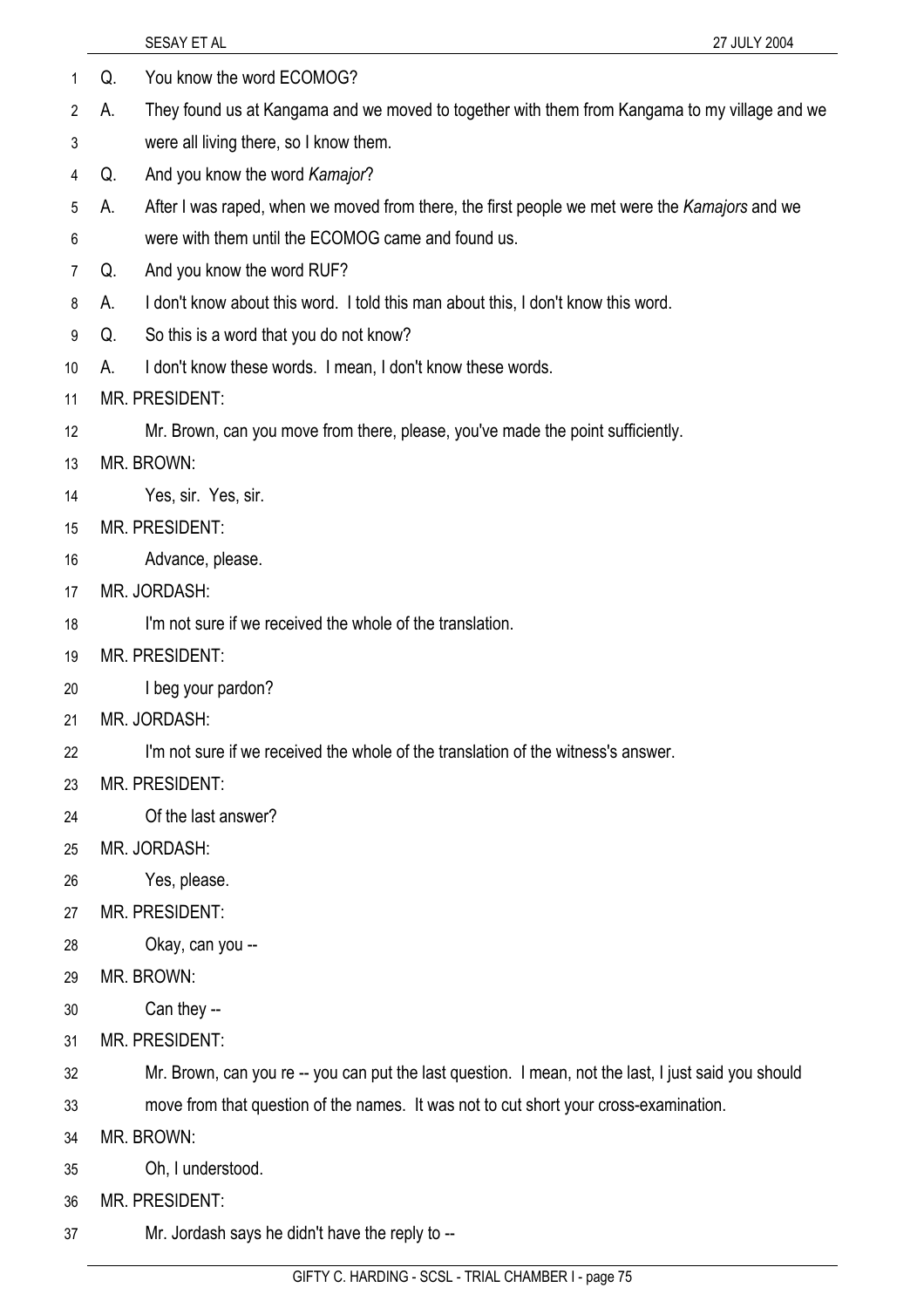|    |    | SESAY ET AL<br>27 JULY 2004                                                                          |
|----|----|------------------------------------------------------------------------------------------------------|
| 1  | Q. | You know the word ECOMOG?                                                                            |
| 2  | А. | They found us at Kangama and we moved to together with them from Kangama to my village and we        |
| 3  |    | were all living there, so I know them.                                                               |
| 4  | Q. | And you know the word Kamajor?                                                                       |
| 5  | А. | After I was raped, when we moved from there, the first people we met were the Kamajors and we        |
| 6  |    | were with them until the ECOMOG came and found us.                                                   |
| 7  | Q. | And you know the word RUF?                                                                           |
| 8  | А. | I don't know about this word. I told this man about this, I don't know this word.                    |
| 9  | Q. | So this is a word that you do not know?                                                              |
| 10 | А. | I don't know these words. I mean, I don't know these words.                                          |
| 11 |    | MR. PRESIDENT:                                                                                       |
| 12 |    | Mr. Brown, can you move from there, please, you've made the point sufficiently.                      |
| 13 |    | MR. BROWN:                                                                                           |
| 14 |    | Yes, sir. Yes, sir.                                                                                  |
| 15 |    | MR. PRESIDENT:                                                                                       |
| 16 |    | Advance, please.                                                                                     |
| 17 |    | MR. JORDASH:                                                                                         |
| 18 |    | I'm not sure if we received the whole of the translation.                                            |
| 19 |    | <b>MR. PRESIDENT:</b>                                                                                |
| 20 |    | I beg your pardon?                                                                                   |
| 21 |    | MR. JORDASH:                                                                                         |
| 22 |    | I'm not sure if we received the whole of the translation of the witness's answer.                    |
| 23 |    | <b>MR. PRESIDENT:</b>                                                                                |
| 24 |    | Of the last answer?                                                                                  |
| 25 |    | MR. JORDASH:                                                                                         |
| 26 |    | Yes, please.                                                                                         |
| 27 |    | <b>MR. PRESIDENT:</b>                                                                                |
| 28 |    | Okay, can you --                                                                                     |
| 29 |    | MR. BROWN:                                                                                           |
| 30 |    | Can they --                                                                                          |
| 31 |    | <b>MR. PRESIDENT:</b>                                                                                |
| 32 |    | Mr. Brown, can you re -- you can put the last question. I mean, not the last, I just said you should |
| 33 |    | move from that question of the names. It was not to cut short your cross-examination.                |
| 34 |    | MR. BROWN:                                                                                           |
| 35 |    | Oh, I understood.                                                                                    |
| 36 |    | MR. PRESIDENT:                                                                                       |
| 37 |    | Mr. Jordash says he didn't have the reply to --                                                      |
|    |    |                                                                                                      |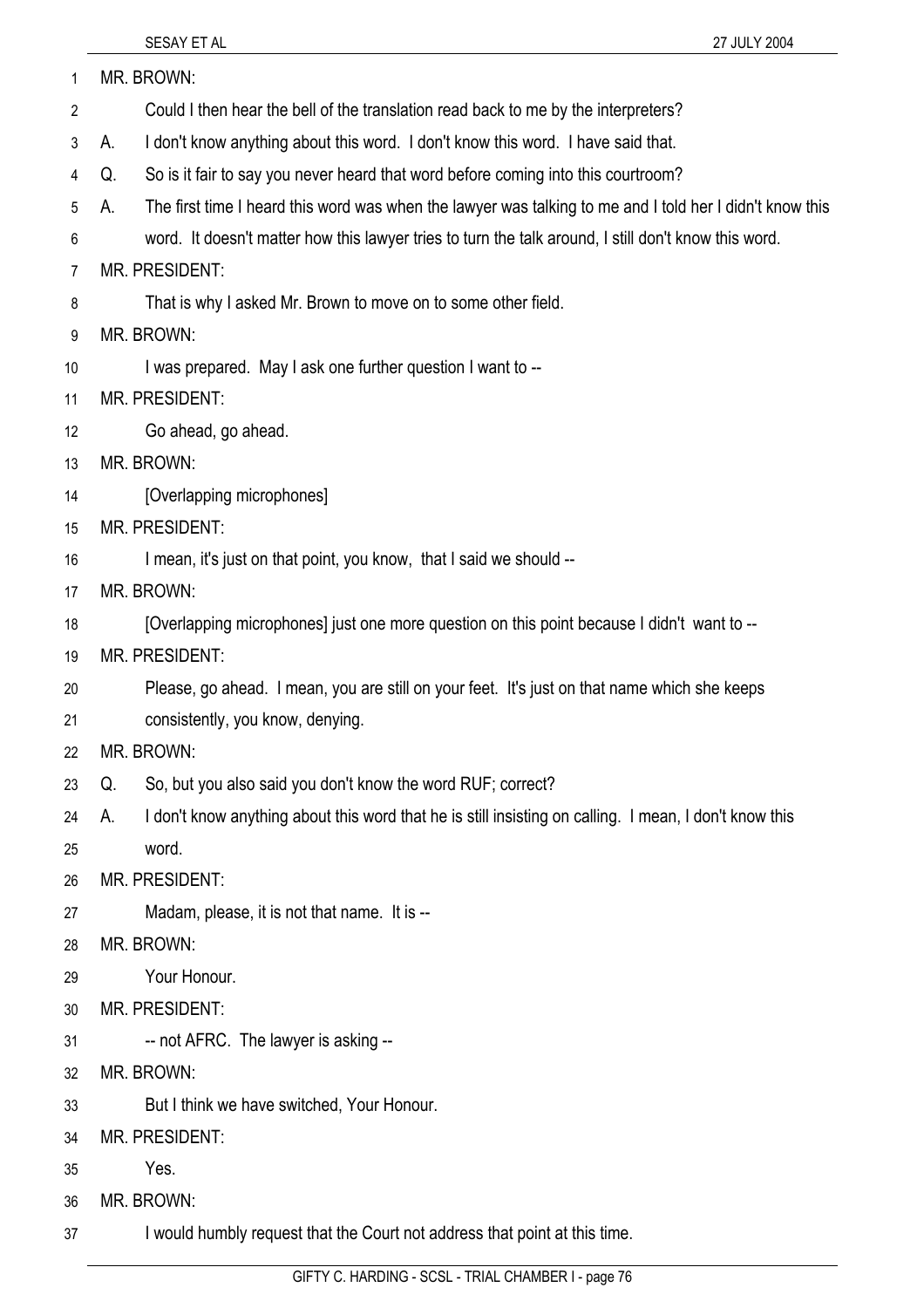| 1  | MR. BROWN:                                                                                                     |
|----|----------------------------------------------------------------------------------------------------------------|
| 2  | Could I then hear the bell of the translation read back to me by the interpreters?                             |
| 3  | I don't know anything about this word. I don't know this word. I have said that.<br>А.                         |
| 4  | So is it fair to say you never heard that word before coming into this courtroom?<br>Q.                        |
| 5  | The first time I heard this word was when the lawyer was talking to me and I told her I didn't know this<br>А. |
| 6  | word. It doesn't matter how this lawyer tries to turn the talk around, I still don't know this word.           |
| 7  | MR. PRESIDENT:                                                                                                 |
| 8  | That is why I asked Mr. Brown to move on to some other field.                                                  |
| 9  | MR. BROWN:                                                                                                     |
| 10 | I was prepared. May I ask one further question I want to --                                                    |
| 11 | <b>MR. PRESIDENT:</b>                                                                                          |
| 12 | Go ahead, go ahead.                                                                                            |
| 13 | MR. BROWN:                                                                                                     |
| 14 | [Overlapping microphones]                                                                                      |
| 15 | MR. PRESIDENT:                                                                                                 |
| 16 | I mean, it's just on that point, you know, that I said we should --                                            |
| 17 | MR. BROWN:                                                                                                     |
| 18 | [Overlapping microphones] just one more question on this point because I didn't want to --                     |
| 19 | <b>MR. PRESIDENT:</b>                                                                                          |
| 20 | Please, go ahead. I mean, you are still on your feet. It's just on that name which she keeps                   |
| 21 | consistently, you know, denying.                                                                               |
| 22 | MR. BROWN:                                                                                                     |
| 23 | So, but you also said you don't know the word RUF; correct?<br>Q.                                              |
| 24 | I don't know anything about this word that he is still insisting on calling. I mean, I don't know this<br>А.   |
| 25 | word.                                                                                                          |
| 26 | MR. PRESIDENT:                                                                                                 |
| 27 | Madam, please, it is not that name. It is --                                                                   |
| 28 | MR. BROWN:                                                                                                     |
| 29 | Your Honour.                                                                                                   |
| 30 | MR. PRESIDENT:                                                                                                 |
| 31 | -- not AFRC. The lawyer is asking --                                                                           |
| 32 | MR. BROWN:                                                                                                     |
| 33 | But I think we have switched, Your Honour.                                                                     |
| 34 | MR. PRESIDENT:                                                                                                 |
| 35 | Yes.                                                                                                           |
| 36 | MR. BROWN:                                                                                                     |
| 37 | I would humbly request that the Court not address that point at this time.                                     |

GIFTY C. HARDING - SCSL - TRIAL CHAMBER I - page 76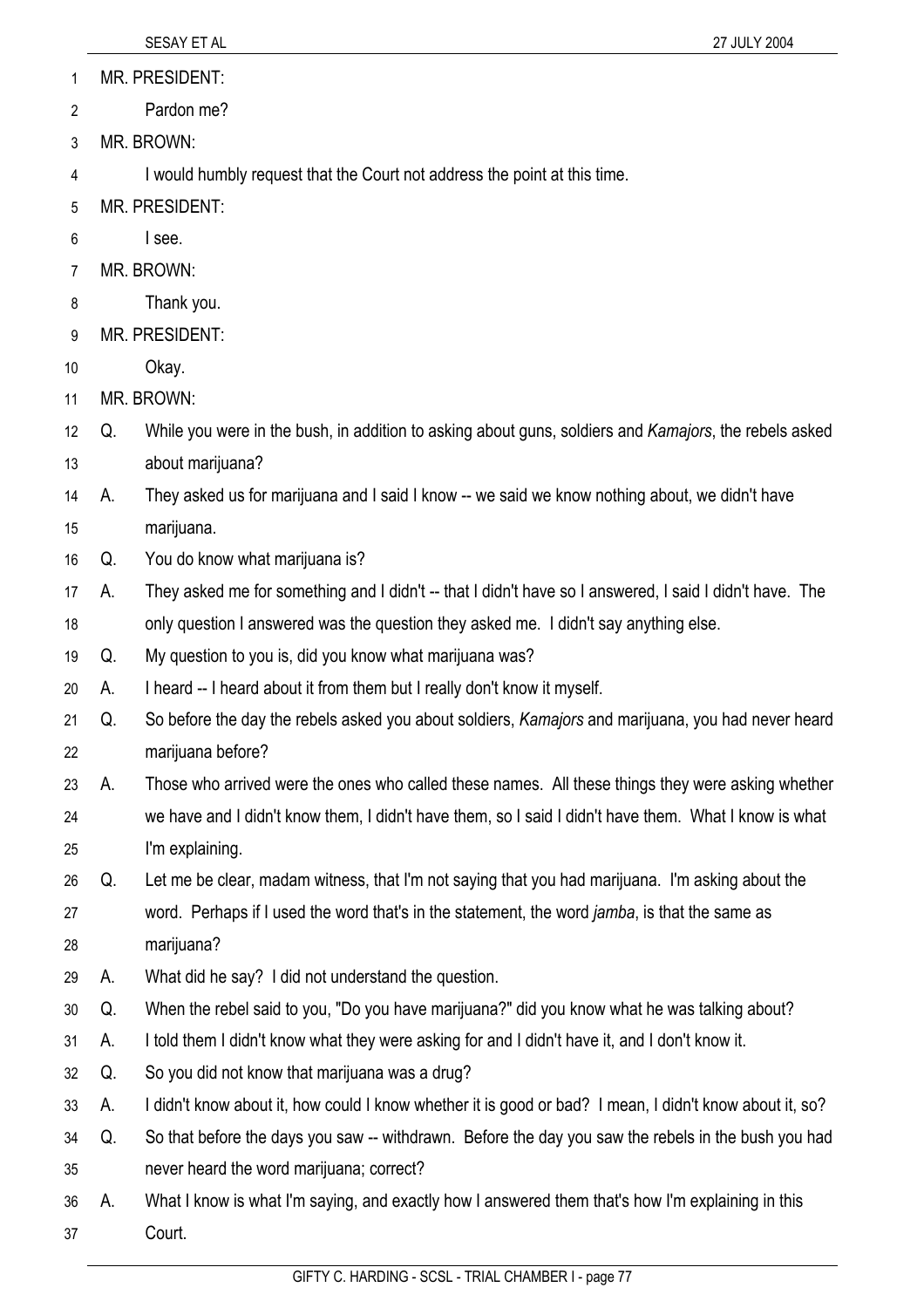MR. PRESIDENT: 1

Pardon me? 2

3 MR. BROWN:

4 I would humbly request that the Court not address the point at this time.

- 5 MR. PRESIDENT:
- 6 I see.
- 7 MR. BROWN:
- 8 Thank you.
- 9 MR. PRESIDENT:
- 10 Okay.
- 11 MR. BROWN:
- 12 13 Q. While you were in the bush, in addition to asking about guns, soldiers and *Kamajors*, the rebels asked about marijuana?
- 14 A. They asked us for marijuana and I said I know -- we said we know nothing about, we didn't have
- 15 marijuana.
- 16 Q. You do know what marijuana is?
- 17 18 A. They asked me for something and I didn't -- that I didn't have so I answered, I said I didn't have. The only question I answered was the question they asked me. I didn't say anything else.
- 19 Q. My question to you is, did you know what marijuana was?
- 20 A. I heard -- I heard about it from them but I really don't know it myself.
- 21 22 Q. So before the day the rebels asked you about soldiers, *Kamajors* and marijuana, you had never heard marijuana before?
- 23 24 25 A. Those who arrived were the ones who called these names. All these things they were asking whether we have and I didn't know them, I didn't have them, so I said I didn't have them. What I know is what I'm explaining.
- 26 27 28 Q. Let me be clear, madam witness, that I'm not saying that you had marijuana. I'm asking about the word. Perhaps if I used the word that's in the statement, the word *jamba*, is that the same as marijuana?
- 29 A. What did he say? I did not understand the question.
- 30 Q. When the rebel said to you, "Do you have marijuana?" did you know what he was talking about?
- 31 A. I told them I didn't know what they were asking for and I didn't have it, and I don't know it.
- 32 Q. So you did not know that marijuana was a drug?
- 33 A. I didn't know about it, how could I know whether it is good or bad? I mean, I didn't know about it, so?
- 34 35 Q. So that before the days you saw -- withdrawn. Before the day you saw the rebels in the bush you had never heard the word marijuana; correct?
- 36 37 A. What I know is what I'm saying, and exactly how I answered them that's how I'm explaining in this Court.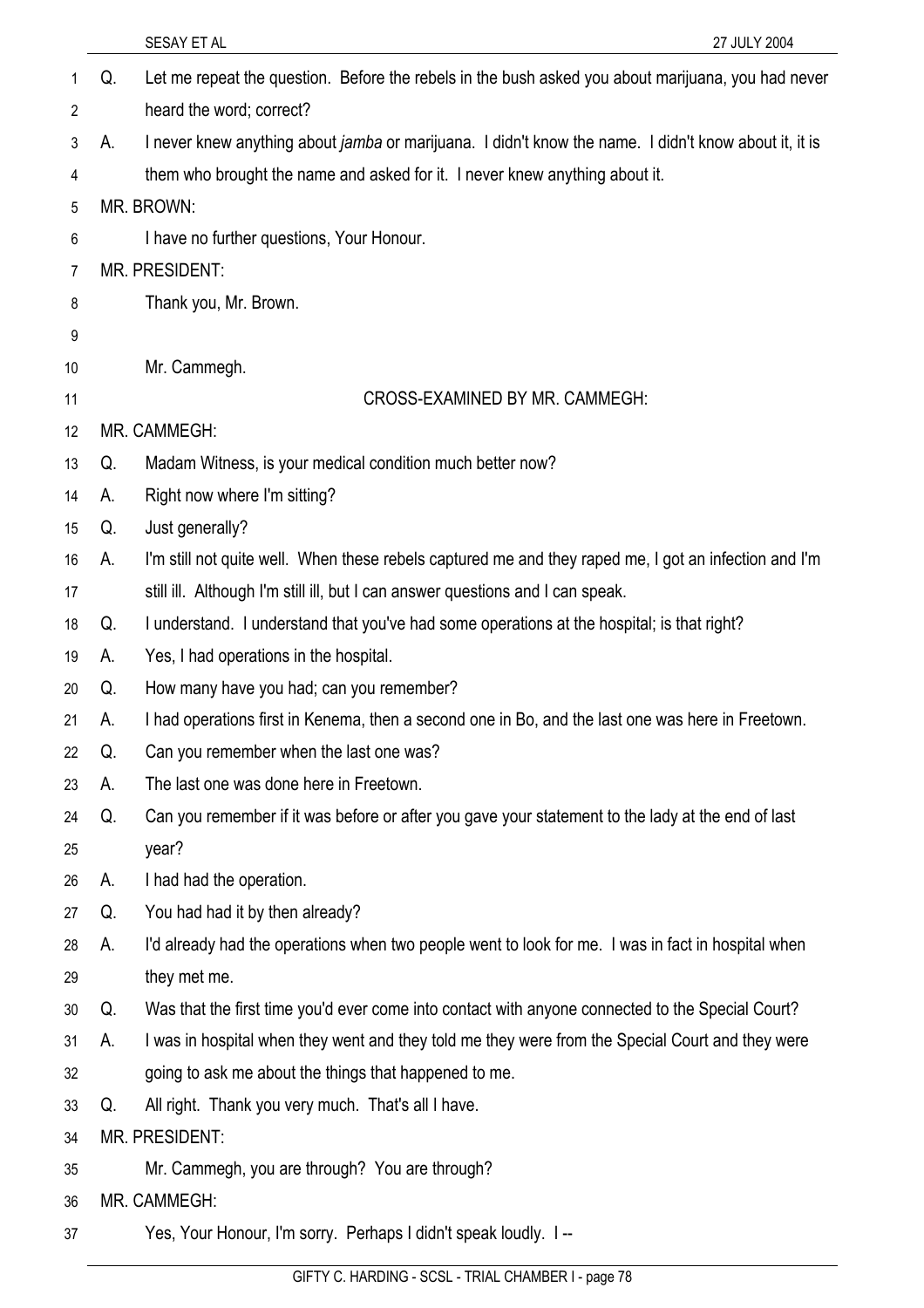|    |    | SESAY ET AL<br>27 JULY 2004                                                                                  |
|----|----|--------------------------------------------------------------------------------------------------------------|
| 1  | Q. | Let me repeat the question. Before the rebels in the bush asked you about marijuana, you had never           |
| 2  |    | heard the word; correct?                                                                                     |
| 3  | А. | I never knew anything about <i>jamba</i> or marijuana. I didn't know the name. I didn't know about it, it is |
| 4  |    | them who brought the name and asked for it. I never knew anything about it.                                  |
| 5  |    | MR. BROWN:                                                                                                   |
| 6  |    | I have no further questions, Your Honour.                                                                    |
| 7  |    | <b>MR. PRESIDENT:</b>                                                                                        |
| 8  |    | Thank you, Mr. Brown.                                                                                        |
| 9  |    |                                                                                                              |
| 10 |    | Mr. Cammegh.                                                                                                 |
| 11 |    | CROSS-EXAMINED BY MR. CAMMEGH:                                                                               |
| 12 |    | MR. CAMMEGH:                                                                                                 |
| 13 | Q. | Madam Witness, is your medical condition much better now?                                                    |
| 14 | А. | Right now where I'm sitting?                                                                                 |
| 15 | Q. | Just generally?                                                                                              |
| 16 | А. | I'm still not quite well. When these rebels captured me and they raped me, I got an infection and I'm        |
| 17 |    | still ill. Although I'm still ill, but I can answer questions and I can speak.                               |
| 18 | Q. | I understand. I understand that you've had some operations at the hospital; is that right?                   |
| 19 | А. | Yes, I had operations in the hospital.                                                                       |
| 20 | Q. | How many have you had; can you remember?                                                                     |
| 21 | А. | I had operations first in Kenema, then a second one in Bo, and the last one was here in Freetown.            |
| 22 | Q. | Can you remember when the last one was?                                                                      |
| 23 | А. | The last one was done here in Freetown.                                                                      |
| 24 | Q. | Can you remember if it was before or after you gave your statement to the lady at the end of last            |
| 25 |    | year?                                                                                                        |
| 26 | А. | I had had the operation.                                                                                     |
| 27 | Q. | You had had it by then already?                                                                              |
| 28 | А. | I'd already had the operations when two people went to look for me. I was in fact in hospital when           |
| 29 |    | they met me.                                                                                                 |
| 30 | Q. | Was that the first time you'd ever come into contact with anyone connected to the Special Court?             |
| 31 | А. | I was in hospital when they went and they told me they were from the Special Court and they were             |
| 32 |    | going to ask me about the things that happened to me.                                                        |
| 33 | Q. | All right. Thank you very much. That's all I have.                                                           |
| 34 |    | <b>MR. PRESIDENT:</b>                                                                                        |
| 35 |    | Mr. Cammegh, you are through? You are through?                                                               |
| 36 |    | MR. CAMMEGH:                                                                                                 |
| 37 |    | Yes, Your Honour, I'm sorry. Perhaps I didn't speak loudly. I --                                             |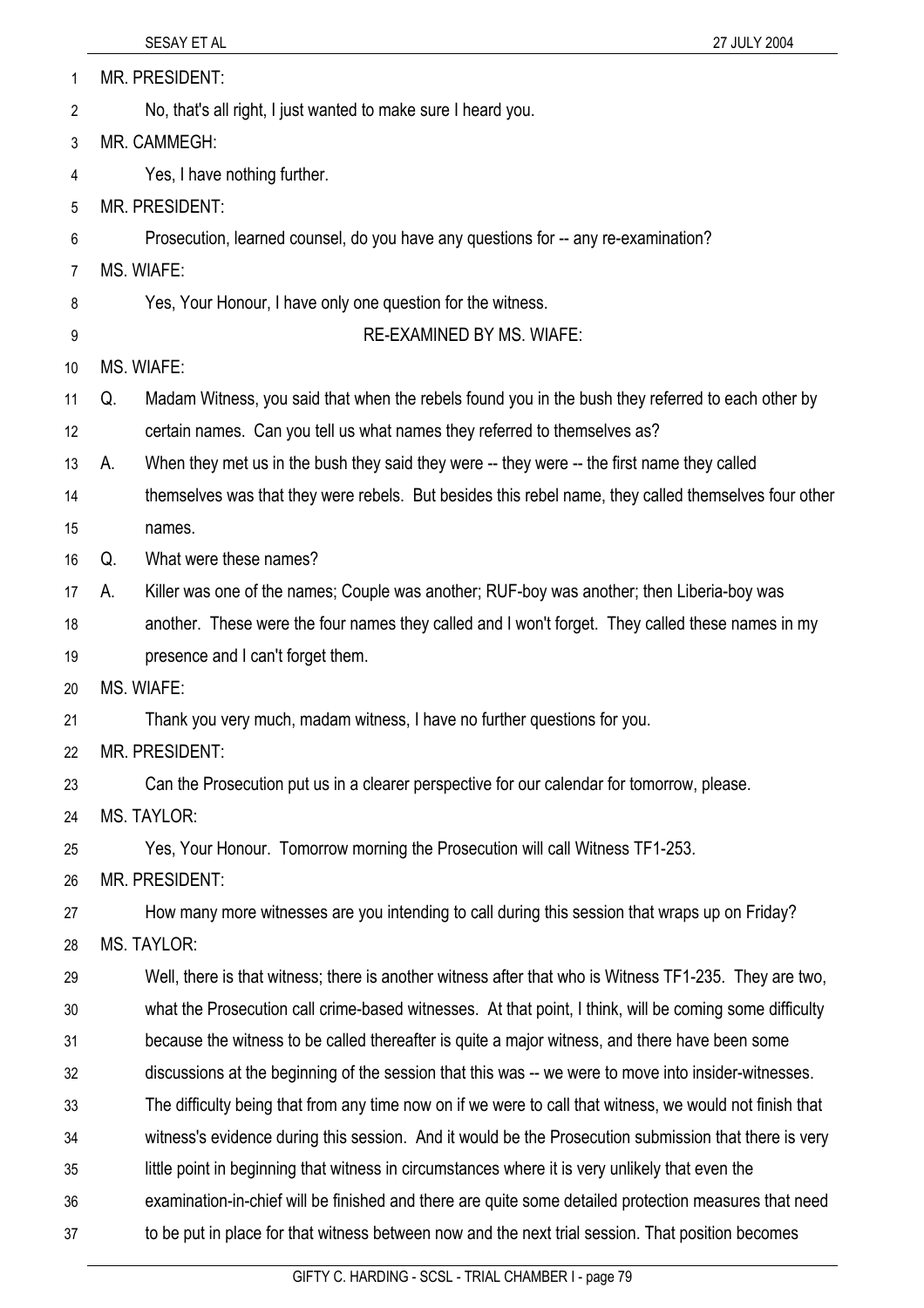| 1  | MR. PRESIDENT:                                                                                           |
|----|----------------------------------------------------------------------------------------------------------|
| 2  | No, that's all right, I just wanted to make sure I heard you.                                            |
| 3  | MR. CAMMEGH:                                                                                             |
| 4  | Yes, I have nothing further.                                                                             |
| 5  | MR. PRESIDENT:                                                                                           |
| 6  | Prosecution, learned counsel, do you have any questions for -- any re-examination?                       |
| 7  | MS. WIAFE:                                                                                               |
| 8  | Yes, Your Honour, I have only one question for the witness.                                              |
| 9  | <b>RE-EXAMINED BY MS. WIAFE:</b>                                                                         |
| 10 | MS. WIAFE:                                                                                               |
| 11 | Madam Witness, you said that when the rebels found you in the bush they referred to each other by<br>Q.  |
| 12 | certain names. Can you tell us what names they referred to themselves as?                                |
| 13 | When they met us in the bush they said they were -- they were -- the first name they called<br>А.        |
| 14 | themselves was that they were rebels. But besides this rebel name, they called themselves four other     |
| 15 | names.                                                                                                   |
| 16 | What were these names?<br>Q.                                                                             |
| 17 | Killer was one of the names; Couple was another; RUF-boy was another; then Liberia-boy was<br>А.         |
| 18 | another. These were the four names they called and I won't forget. They called these names in my         |
| 19 | presence and I can't forget them.                                                                        |
| 20 | MS. WIAFE:                                                                                               |
| 21 | Thank you very much, madam witness, I have no further questions for you.                                 |
| 22 | MR. PRESIDENT:                                                                                           |
| 23 | Can the Prosecution put us in a clearer perspective for our calendar for tomorrow, please.               |
| 24 | <b>MS. TAYLOR:</b>                                                                                       |
| 25 | Yes, Your Honour. Tomorrow morning the Prosecution will call Witness TF1-253.                            |
| 26 | <b>MR. PRESIDENT:</b>                                                                                    |
| 27 | How many more witnesses are you intending to call during this session that wraps up on Friday?           |
| 28 | <b>MS. TAYLOR:</b>                                                                                       |
| 29 | Well, there is that witness; there is another witness after that who is Witness TF1-235. They are two,   |
| 30 | what the Prosecution call crime-based witnesses. At that point, I think, will be coming some difficulty  |
| 31 | because the witness to be called thereafter is quite a major witness, and there have been some           |
| 32 | discussions at the beginning of the session that this was -- we were to move into insider-witnesses.     |
| 33 | The difficulty being that from any time now on if we were to call that witness, we would not finish that |
| 34 | witness's evidence during this session. And it would be the Prosecution submission that there is very    |
| 35 | little point in beginning that witness in circumstances where it is very unlikely that even the          |
| 36 | examination-in-chief will be finished and there are quite some detailed protection measures that need    |
| 37 | to be put in place for that witness between now and the next trial session. That position becomes        |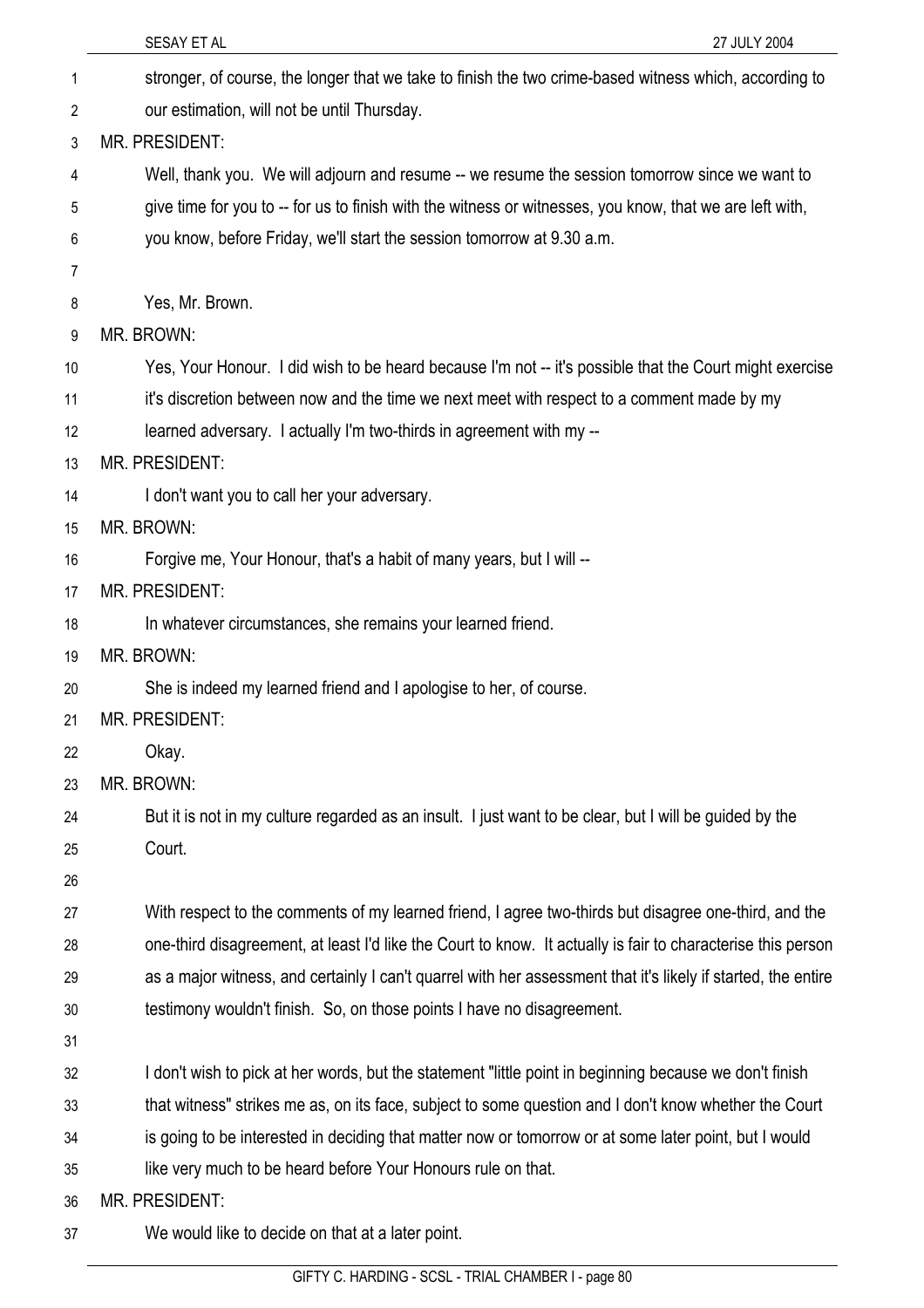| SESAY ET AL<br>27 JULY 2004                                                                                   |
|---------------------------------------------------------------------------------------------------------------|
| stronger, of course, the longer that we take to finish the two crime-based witness which, according to        |
| our estimation, will not be until Thursday.                                                                   |
| MR. PRESIDENT:                                                                                                |
| Well, thank you. We will adjourn and resume -- we resume the session tomorrow since we want to                |
| give time for you to -- for us to finish with the witness or witnesses, you know, that we are left with,      |
| you know, before Friday, we'll start the session tomorrow at 9.30 a.m.                                        |
|                                                                                                               |
| Yes, Mr. Brown.                                                                                               |
| MR. BROWN:                                                                                                    |
| Yes, Your Honour. I did wish to be heard because I'm not -- it's possible that the Court might exercise       |
| it's discretion between now and the time we next meet with respect to a comment made by my                    |
| learned adversary. I actually I'm two-thirds in agreement with my --                                          |
| <b>MR. PRESIDENT:</b>                                                                                         |
| I don't want you to call her your adversary.                                                                  |
| MR. BROWN:                                                                                                    |
| Forgive me, Your Honour, that's a habit of many years, but I will --                                          |
| MR. PRESIDENT:                                                                                                |
| In whatever circumstances, she remains your learned friend.                                                   |
| MR. BROWN:                                                                                                    |
| She is indeed my learned friend and I apologise to her, of course.                                            |
| <b>MR. PRESIDENT:</b>                                                                                         |
| Okay.                                                                                                         |
| MR. BROWN:                                                                                                    |
| But it is not in my culture regarded as an insult. I just want to be clear, but I will be guided by the       |
| Court.                                                                                                        |
|                                                                                                               |
| With respect to the comments of my learned friend, I agree two-thirds but disagree one-third, and the         |
| one-third disagreement, at least I'd like the Court to know. It actually is fair to characterise this person  |
| as a major witness, and certainly I can't quarrel with her assessment that it's likely if started, the entire |
| testimony wouldn't finish. So, on those points I have no disagreement.                                        |
|                                                                                                               |
| I don't wish to pick at her words, but the statement "little point in beginning because we don't finish       |
| that witness" strikes me as, on its face, subject to some question and I don't know whether the Court         |
| is going to be interested in deciding that matter now or tomorrow or at some later point, but I would         |
| like very much to be heard before Your Honours rule on that.                                                  |
| <b>MR. PRESIDENT:</b>                                                                                         |
| We would like to decide on that at a later point.                                                             |
|                                                                                                               |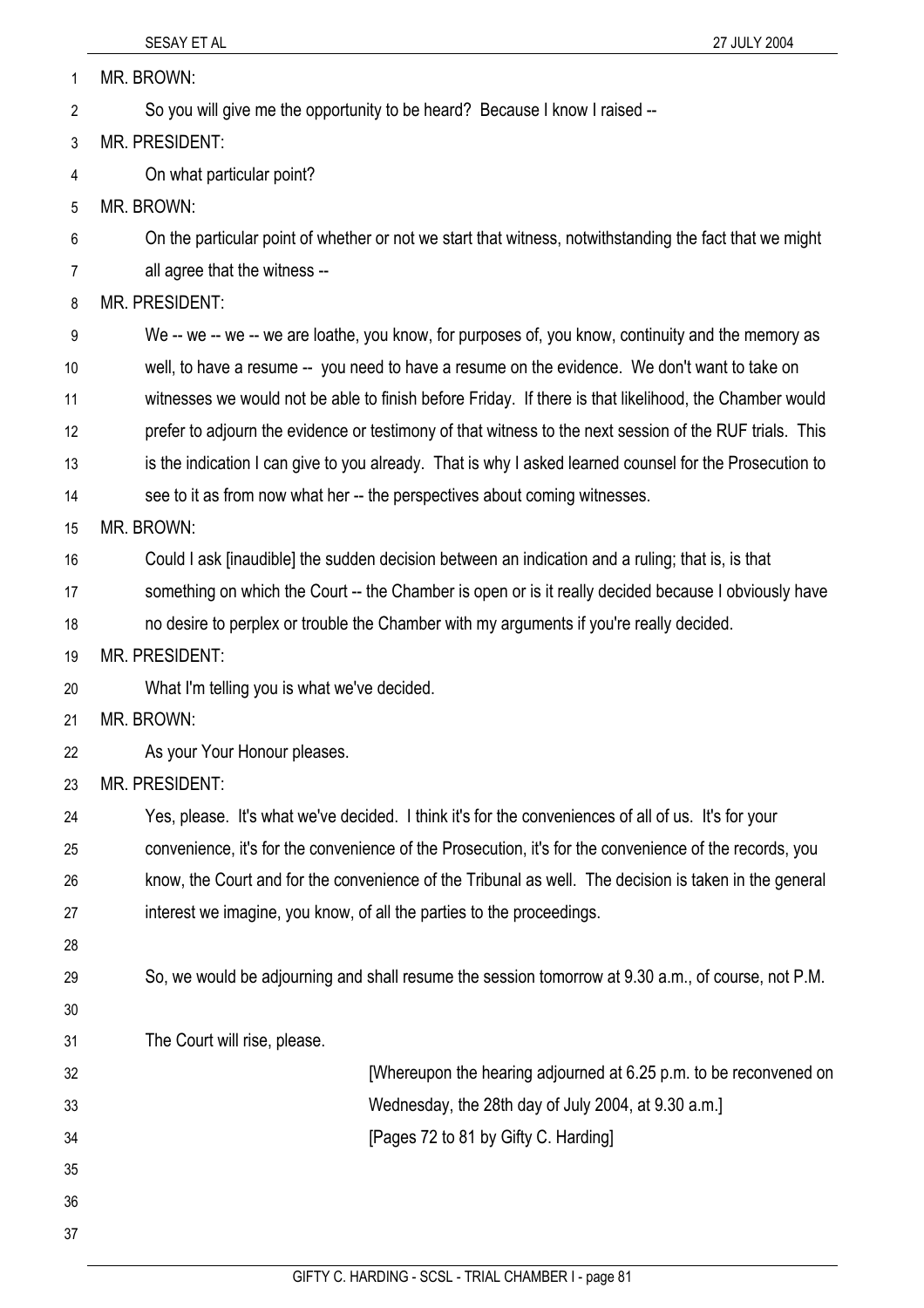37

| 1              | MR. BROWN:                                                                                              |
|----------------|---------------------------------------------------------------------------------------------------------|
| $\overline{2}$ | So you will give me the opportunity to be heard? Because I know I raised --                             |
| 3              | MR. PRESIDENT:                                                                                          |
| 4              | On what particular point?                                                                               |
| 5              | MR. BROWN:                                                                                              |
| 6              | On the particular point of whether or not we start that witness, notwithstanding the fact that we might |
| $\overline{7}$ | all agree that the witness --                                                                           |
| 8              | MR. PRESIDENT:                                                                                          |
| 9              | We -- we -- we -- we are loathe, you know, for purposes of, you know, continuity and the memory as      |
| 10             | well, to have a resume -- you need to have a resume on the evidence. We don't want to take on           |
| 11             | witnesses we would not be able to finish before Friday. If there is that likelihood, the Chamber would  |
| 12             | prefer to adjourn the evidence or testimony of that witness to the next session of the RUF trials. This |
| 13             | is the indication I can give to you already. That is why I asked learned counsel for the Prosecution to |
| 14             | see to it as from now what her -- the perspectives about coming witnesses.                              |
| 15             | MR. BROWN:                                                                                              |
| 16             | Could I ask [inaudible] the sudden decision between an indication and a ruling; that is, is that        |
| 17             | something on which the Court -- the Chamber is open or is it really decided because I obviously have    |
| 18             | no desire to perplex or trouble the Chamber with my arguments if you're really decided.                 |
| 19             | <b>MR. PRESIDENT:</b>                                                                                   |
| 20             | What I'm telling you is what we've decided.                                                             |
| 21             | MR. BROWN:                                                                                              |
| 22             | As your Your Honour pleases.                                                                            |
| 23             | MR. PRESIDENT:                                                                                          |
| 24             | Yes, please. It's what we've decided. I think it's for the conveniences of all of us. It's for your     |
| 25             | convenience, it's for the convenience of the Prosecution, it's for the convenience of the records, you  |
| 26             | know, the Court and for the convenience of the Tribunal as well. The decision is taken in the general   |
| 27             | interest we imagine, you know, of all the parties to the proceedings.                                   |
| 28             |                                                                                                         |
| 29             | So, we would be adjourning and shall resume the session tomorrow at 9.30 a.m., of course, not P.M.      |
| 30             |                                                                                                         |
| 31             | The Court will rise, please.                                                                            |
| 32             | [Whereupon the hearing adjourned at 6.25 p.m. to be reconvened on                                       |
| 33             | Wednesday, the 28th day of July 2004, at 9.30 a.m.]                                                     |
| 34             | [Pages 72 to 81 by Gifty C. Harding]                                                                    |
| 35             |                                                                                                         |
| 36             |                                                                                                         |

GIFTY C. HARDING - SCSL - TRIAL CHAMBER I - page 81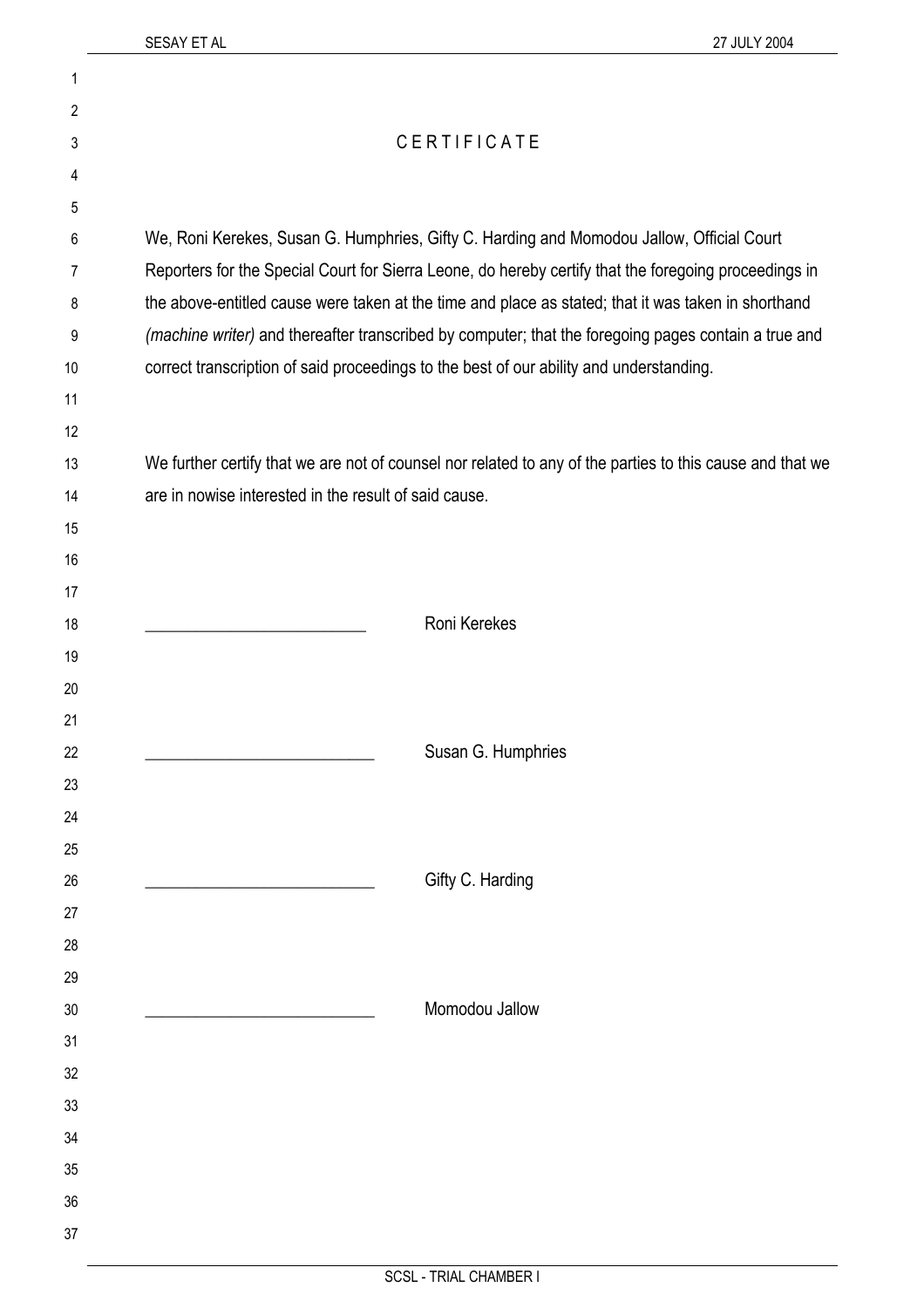| 1  |                                                                                                           |
|----|-----------------------------------------------------------------------------------------------------------|
| 2  |                                                                                                           |
| 3  | CERTIFICATE                                                                                               |
| 4  |                                                                                                           |
| 5  |                                                                                                           |
| 6  | We, Roni Kerekes, Susan G. Humphries, Gifty C. Harding and Momodou Jallow, Official Court                 |
| 7  | Reporters for the Special Court for Sierra Leone, do hereby certify that the foregoing proceedings in     |
| 8  | the above-entitled cause were taken at the time and place as stated; that it was taken in shorthand       |
| 9  | (machine writer) and thereafter transcribed by computer; that the foregoing pages contain a true and      |
| 10 | correct transcription of said proceedings to the best of our ability and understanding.                   |
| 11 |                                                                                                           |
| 12 |                                                                                                           |
| 13 | We further certify that we are not of counsel nor related to any of the parties to this cause and that we |
| 14 | are in nowise interested in the result of said cause.                                                     |
| 15 |                                                                                                           |
| 16 |                                                                                                           |
| 17 |                                                                                                           |
| 18 | Roni Kerekes                                                                                              |
| 19 |                                                                                                           |
| 20 |                                                                                                           |
| 21 |                                                                                                           |
| 22 | Susan G. Humphries                                                                                        |
| 23 |                                                                                                           |
| 24 |                                                                                                           |
| 25 |                                                                                                           |
| 26 | Gifty C. Harding                                                                                          |
| 27 |                                                                                                           |
| 28 |                                                                                                           |
| 29 |                                                                                                           |
| 30 | Momodou Jallow                                                                                            |
| 31 |                                                                                                           |
| 32 |                                                                                                           |
| 33 |                                                                                                           |
| 34 |                                                                                                           |
| 35 |                                                                                                           |
| 36 |                                                                                                           |
| 37 |                                                                                                           |
|    |                                                                                                           |